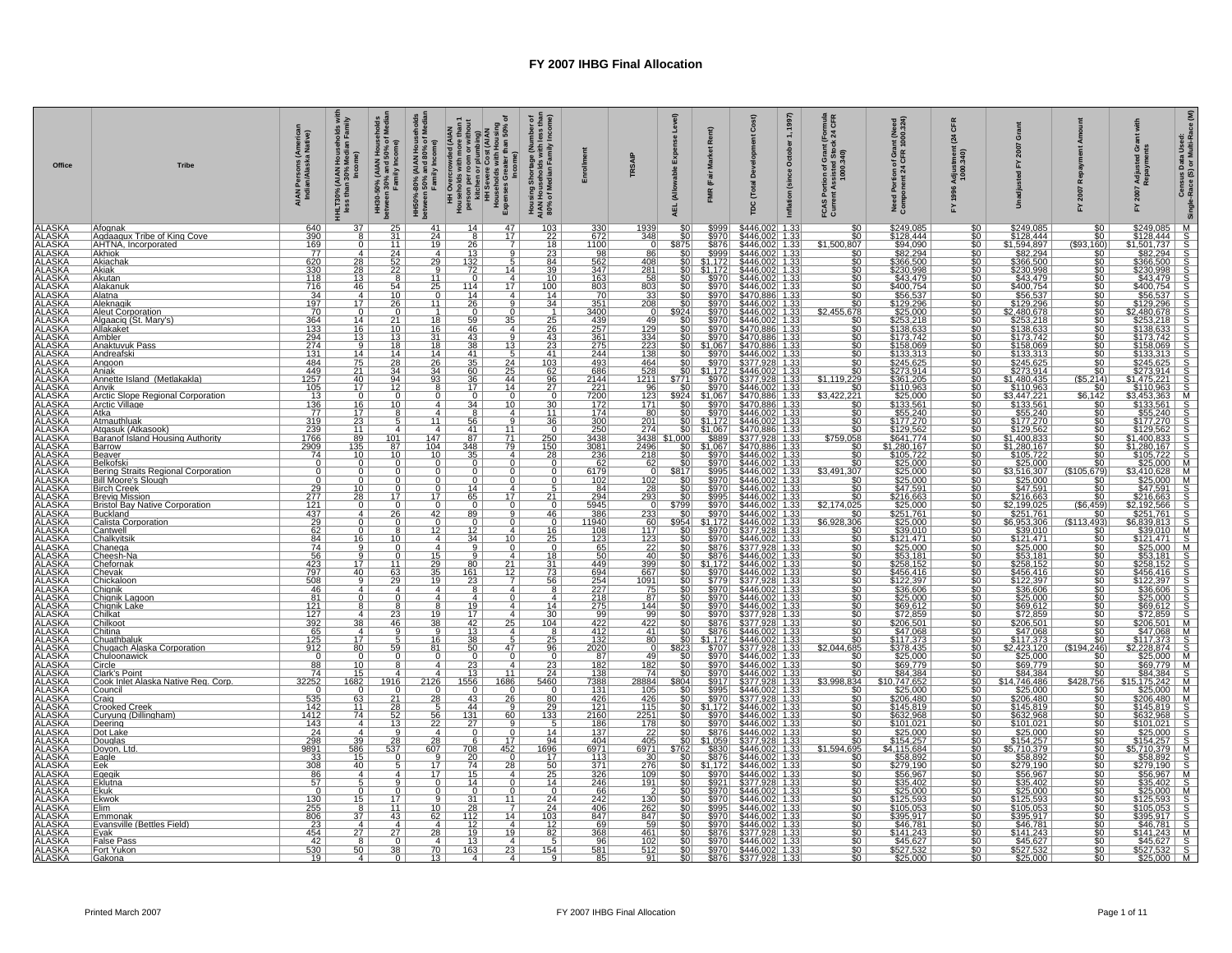| Office                                                                                                                                                                                                                                                                               | <b>Tribe</b>                                                     | AIAN Persons (Americal<br>Indian/Alaska Native)                                                                                                          | I Households wi<br>Median Family<br>HLT30% (AIAN H<br>less than 30% l | HH30-50% (AIAN Househ<br>between 30% and 50% of M<br>Family Income) | HH50%-80% (AIAN Households<br>between 50% and 80% of Media<br>Family Income) | HH Overcrowded (AIAN<br>Pousshouts with more than 1<br>per action of perfection<br>HH Severe Cost (AIAN<br>HH Severe Cost (AIAN<br>HH Severe Cost (AIAN<br>Expenses Greater than 50% of | Housing Shortage (Number of<br>AIAN Households with less than<br>80% of Median Family Income) |                                                                                                          | <b>TRSAIP</b>                                         | se Level)<br>Expe<br>able<br>(Allow<br>AEL | Rent)<br>(Fair                                                                                                                       | 1997)<br>$\div$<br>October<br>(since<br>Total<br>Inflation                                                                                                                                                                                                          | Formula<br>: 24 CFR<br>on of Grant<br>sisted Stor<br>1000.340)<br>FCAS<br>Currei | nt (Need<br>1000.324)<br>of Gra<br>I CFR<br>Need Portion o<br>Component 24                                                                                                                                                                                                                                                                                                                                                                                                                                               | CFR<br>$\overline{24}$<br>tmen<br>340)               | ö                                                                                                                                                                                                                                                                                                                                                                                                    |                           | G S<br>Adju<br>Repa<br>200<br>놊 | Census Data Used:<br>Race (S) or Multi-Race (M)<br>Single- |
|--------------------------------------------------------------------------------------------------------------------------------------------------------------------------------------------------------------------------------------------------------------------------------------|------------------------------------------------------------------|----------------------------------------------------------------------------------------------------------------------------------------------------------|-----------------------------------------------------------------------|---------------------------------------------------------------------|------------------------------------------------------------------------------|-----------------------------------------------------------------------------------------------------------------------------------------------------------------------------------------|-----------------------------------------------------------------------------------------------|----------------------------------------------------------------------------------------------------------|-------------------------------------------------------|--------------------------------------------|--------------------------------------------------------------------------------------------------------------------------------------|---------------------------------------------------------------------------------------------------------------------------------------------------------------------------------------------------------------------------------------------------------------------|----------------------------------------------------------------------------------|--------------------------------------------------------------------------------------------------------------------------------------------------------------------------------------------------------------------------------------------------------------------------------------------------------------------------------------------------------------------------------------------------------------------------------------------------------------------------------------------------------------------------|------------------------------------------------------|------------------------------------------------------------------------------------------------------------------------------------------------------------------------------------------------------------------------------------------------------------------------------------------------------------------------------------------------------------------------------------------------------|---------------------------|---------------------------------|------------------------------------------------------------|
| ALASKA<br>ALASKA<br>ALASKA<br>ALASKA<br>ALASKA<br>ALASKA<br>ALASKA<br>ALASKA<br>ALASKA                                                                                                                                                                                               | Afognak<br>Aadaaaux Tribe of King Cove<br>AHTNA, Incorporated    | $\frac{640}{390}$                                                                                                                                        | $\overline{37}$<br>$\overline{8}$                                     | $\frac{25}{31}$                                                     | 41<br>$\frac{24}{19}$                                                        | 47<br>14<br>$\overline{17}$<br>$\overline{8}$                                                                                                                                           | $\frac{103}{22}$ $\frac{18}{23}$                                                              | 330<br>672                                                                                               | $\frac{1939}{348}$                                    |                                            | \$999<br>\$970                                                                                                                       | $\frac{1.33}{1.33}$<br>\$446,0<br>\$446.0                                                                                                                                                                                                                           |                                                                                  | \$249,085<br>\$128,444<br>\$94,090<br>\$82,294                                                                                                                                                                                                                                                                                                                                                                                                                                                                           |                                                      | \$249,085<br>\$128,444<br>\$1,594,897<br>\$82,294                                                                                                                                                                                                                                                                                                                                                    |                           |                                 |                                                            |
|                                                                                                                                                                                                                                                                                      | <b>Akhiok</b>                                                    | $\frac{169}{77}$                                                                                                                                         | $rac{0}{4}$                                                           | $\frac{11}{24}$                                                     |                                                                              | $\frac{26}{13}$                                                                                                                                                                         |                                                                                               | $\frac{1100}{98}$                                                                                        | 86                                                    | \$875                                      | \$876                                                                                                                                | \$446,00<br>$\frac{1.3}{1.3}$<br>\$446.0                                                                                                                                                                                                                            | \$1,500,807<br>$rac{1}{50}$                                                      |                                                                                                                                                                                                                                                                                                                                                                                                                                                                                                                          | \$0<br>\$0<br>\$0                                    |                                                                                                                                                                                                                                                                                                                                                                                                      |                           |                                 |                                                            |
|                                                                                                                                                                                                                                                                                      | Akiachak<br> Akiak                                               | 620<br><u>330</u>                                                                                                                                        |                                                                       | $\frac{52}{22}$                                                     | $\overline{29}$  <br>9 <sup>1</sup>                                          | $\frac{132}{72}$<br>5<br>14                                                                                                                                                             | $\frac{84}{5}$<br><u>39</u>                                                                   | 562<br>347                                                                                               | 408<br><u>281</u>                                     |                                            | \$1,172                                                                                                                              | \$446.002 1.33                                                                                                                                                                                                                                                      | <u>\$0  </u>                                                                     |                                                                                                                                                                                                                                                                                                                                                                                                                                                                                                                          |                                                      |                                                                                                                                                                                                                                                                                                                                                                                                      |                           |                                 |                                                            |
|                                                                                                                                                                                                                                                                                      | Akutan<br>Alakanuk<br>Alatna                                     | 118<br>118<br>716<br>34<br>197<br>70                                                                                                                     | $\frac{28}{28}$<br>$\frac{13}{13}$<br>$\frac{46}{4}$                  |                                                                     | $\begin{array}{c} 11 \\ 25 \\ \hline 0 \end{array}$                          | $\overline{0}$<br>$\frac{4}{17}$                                                                                                                                                        | $\frac{10}{100}$                                                                              | $\frac{163}{803}$                                                                                        | $\frac{58}{803}$                                      |                                            | $\frac{1111}{15970}$<br>$$970$<br>$$970$                                                                                             | $\frac{$446.002}{446.002}$ $\frac{$446.002}{470.886}$ $\frac{$470.886}{433}$                                                                                                                                                                                        | $\frac{\overline{50}}{\overline{50}}$                                            | \$82,234<br>\$366.500<br>\$230,998<br>\$43.479<br>\$56,537                                                                                                                                                                                                                                                                                                                                                                                                                                                               | <u> အမေရွေးဆေးမှု ကိုးကားမှု ကိုးကားမှု ကြီး</u>     | $\frac{\$82.294}{\$266.500} \\ \frac{\$32.098}{\$43.479} \\ \frac{\$43.479}{\$66.537} \\ \frac{\$43.479}{\$56.537} \\ \frac{\$23.0998}{\$253.218} \\ \frac{\$253.218}{\$133.313} \\ \frac{\$133.742}{\$14.435.425} \\ \frac{\$273.914}{\$273.914} \\ \frac{\$1400.435}{\$11.0963}$                                                                                                                   |                           |                                 |                                                            |
|                                                                                                                                                                                                                                                                                      |                                                                  |                                                                                                                                                          | 17                                                                    | $\frac{54}{10}$<br><u>26</u>                                        | 11                                                                           | $\frac{114}{14}$<br>4<br>26<br>9                                                                                                                                                        | $\overline{34}$                                                                               |                                                                                                          | $\frac{33}{208}$                                      |                                            | \$970                                                                                                                                |                                                                                                                                                                                                                                                                     | SO I                                                                             |                                                                                                                                                                                                                                                                                                                                                                                                                                                                                                                          |                                                      |                                                                                                                                                                                                                                                                                                                                                                                                      |                           |                                 |                                                            |
|                                                                                                                                                                                                                                                                                      | Aleknagik<br>Aleut Corporation                                   |                                                                                                                                                          | $\overline{0}$                                                        | $\Omega$                                                            | $\overline{1}$                                                               | $\overline{0}$<br>$\overline{0}$                                                                                                                                                        |                                                                                               | $\frac{351}{3400}$                                                                                       |                                                       | \$924                                      | \$970                                                                                                                                |                                                                                                                                                                                                                                                                     | \$2,455,678                                                                      |                                                                                                                                                                                                                                                                                                                                                                                                                                                                                                                          |                                                      |                                                                                                                                                                                                                                                                                                                                                                                                      |                           |                                 |                                                            |
|                                                                                                                                                                                                                                                                                      | Algaacig (St. Marv's)                                            |                                                                                                                                                          | $\frac{14}{16}$<br>$\frac{16}{13}$                                    | 21                                                                  | 18<br>$\frac{16}{31}$                                                        | 59<br>$35-$<br>$\frac{46}{43}$                                                                                                                                                          | $\frac{25}{26}$<br>$\frac{26}{43}$                                                            | $\frac{439}{257}$ $\frac{257}{361}$                                                                      | -49                                                   |                                            | \$970                                                                                                                                | \$446.002 1.33<br>\$446.002 1.33<br>\$446.002 1.33<br>\$470.886 1.33<br>\$470.886 1.33                                                                                                                                                                              |                                                                                  |                                                                                                                                                                                                                                                                                                                                                                                                                                                                                                                          |                                                      |                                                                                                                                                                                                                                                                                                                                                                                                      |                           |                                 |                                                            |
|                                                                                                                                                                                                                                                                                      | Allakaket<br>Ambler<br>Anaktuvuk Pass                            |                                                                                                                                                          |                                                                       | $\frac{10}{13}$                                                     | <u> 18 l</u>                                                                 |                                                                                                                                                                                         | 23                                                                                            |                                                                                                          |                                                       |                                            |                                                                                                                                      |                                                                                                                                                                                                                                                                     | $\frac{\frac{1}{30}}{\frac{1}{30}}$                                              |                                                                                                                                                                                                                                                                                                                                                                                                                                                                                                                          |                                                      |                                                                                                                                                                                                                                                                                                                                                                                                      |                           |                                 |                                                            |
| ALASKA<br>ALASKA<br>ALASKA<br>ALASKA<br>ALASKA<br>ALASKA<br>ALASKA<br>ALASKA<br>ALASKA<br>ALASKA<br>ALASKA<br>ALASKA<br>ALASKA<br>ALASKA<br>ALASKA<br>ALASKA<br>ALASKA                                                                                                               | Andreafski                                                       | $\begin{array}{r} 364 \\ 133 \\ 294 \\ 274 \\ 131 \\ 484 \\ \hline \end{array}$                                                                          | $\frac{9}{14}$                                                        | $\frac{18}{14}$                                                     | 14                                                                           | $\frac{38}{41}$<br>$\frac{13}{5}$                                                                                                                                                       | 41                                                                                            | $\frac{275}{244}$                                                                                        | $\frac{129}{334}$ $\frac{223}{138}$ $\frac{464}{100}$ |                                            |                                                                                                                                      | 30 3970 3470,886 1.333<br>80 31.067 3470,886 1.333<br>90 3970 3471,986 1.333<br>90 3970 3377.928 1.333<br>90 3970 3377.928 1.333<br>90 3970 3446,002 1.333<br>90 3970 3446,002 1.333<br>90 3970 3446,002 1.333<br>90 3970 3446,002 1.333<br>90 3                    | $\frac{\overline{\$0}}{\$0}$                                                     | \$56.537<br>\$625.000<br>\$625.000<br>\$625.000<br>\$63.33.245.000<br>\$65.245.0000<br>\$65.2440<br>\$65.2440<br>\$65.2440<br>\$65.2440<br>\$77.27.270                                                                                                                                                                                                                                                                                                                                                                   |                                                      |                                                                                                                                                                                                                                                                                                                                                                                                      |                           |                                 |                                                            |
|                                                                                                                                                                                                                                                                                      | Angoon<br>Aniak                                                  |                                                                                                                                                          | $\frac{75}{21}$<br>$\frac{21}{40}$                                    | $\overline{28}$<br>$\frac{34}{94}$                                  | $\overline{26}$<br>$\frac{34}{93}$                                           | $\frac{35}{60}$<br>$\frac{60}{36}$<br>$\frac{24}{25}$<br>$\frac{44}{14}$                                                                                                                |                                                                                               | 493<br>$\frac{686}{2144}$                                                                                | $\frac{528}{1211}$                                    |                                            |                                                                                                                                      |                                                                                                                                                                                                                                                                     | $\frac{1}{229}$                                                                  |                                                                                                                                                                                                                                                                                                                                                                                                                                                                                                                          |                                                      |                                                                                                                                                                                                                                                                                                                                                                                                      |                           |                                 |                                                            |
|                                                                                                                                                                                                                                                                                      | Annette Island (Metlakakla)<br>Anvik                             | $\frac{449}{1257}$                                                                                                                                       | $\overline{17}$                                                       | $\overline{12}$                                                     | 8                                                                            | $\overline{17}$<br>14                                                                                                                                                                   | $\frac{\frac{103}{62}}{\frac{96}{27}}$                                                        |                                                                                                          | 96                                                    |                                            |                                                                                                                                      |                                                                                                                                                                                                                                                                     | \$1,119<br>$\overline{\$0}$                                                      |                                                                                                                                                                                                                                                                                                                                                                                                                                                                                                                          |                                                      |                                                                                                                                                                                                                                                                                                                                                                                                      |                           |                                 |                                                            |
|                                                                                                                                                                                                                                                                                      | Arctic Slope Regional Corporation                                | $\frac{13}{136}$                                                                                                                                         | $\overline{0}$                                                        | $^{\circ}$<br>$\overline{10}$                                       | 0 <sup>1</sup><br>4                                                          | $\overline{0}$<br>0<br>$\overline{34}$<br>$10^{-}$                                                                                                                                      | 0                                                                                             | $\frac{221}{7200}$ $\frac{172}{174}$                                                                     | 123                                                   |                                            |                                                                                                                                      |                                                                                                                                                                                                                                                                     | \$3,422,<br>221<br>$\overline{\$0}$                                              |                                                                                                                                                                                                                                                                                                                                                                                                                                                                                                                          |                                                      | \$110.963<br>\$110.963<br>\$3,447,221<br>\$133.561<br>\$55,240<br>\$177,270                                                                                                                                                                                                                                                                                                                          |                           |                                 |                                                            |
|                                                                                                                                                                                                                                                                                      | Arctic Village<br>Atka<br>Atmauthluak                            |                                                                                                                                                          | $\frac{16}{17}$                                                       |                                                                     | 4                                                                            | $\overline{4}$<br>$\frac{8}{56}$                                                                                                                                                        | $\frac{30}{11}$                                                                               |                                                                                                          | $\frac{171}{201}$                                     |                                            |                                                                                                                                      |                                                                                                                                                                                                                                                                     |                                                                                  |                                                                                                                                                                                                                                                                                                                                                                                                                                                                                                                          |                                                      |                                                                                                                                                                                                                                                                                                                                                                                                      |                           |                                 |                                                            |
|                                                                                                                                                                                                                                                                                      |                                                                  | <u>319</u>                                                                                                                                               | $\frac{1}{23}$                                                        |                                                                     | 11                                                                           | $\overline{9}$                                                                                                                                                                          | $\overline{36}$                                                                               | $\frac{300}{250}$                                                                                        |                                                       |                                            |                                                                                                                                      |                                                                                                                                                                                                                                                                     | 50 <sub>1</sub>                                                                  |                                                                                                                                                                                                                                                                                                                                                                                                                                                                                                                          |                                                      |                                                                                                                                                                                                                                                                                                                                                                                                      |                           |                                 |                                                            |
|                                                                                                                                                                                                                                                                                      | Ataasuk (Atkasook)<br>Baranof Island Housing Authority<br>Barrow | $\frac{239}{1766}$                                                                                                                                       | $\frac{11}{89}$<br>135                                                | 101<br>87                                                           | $\frac{4}{147}$<br><u> 104 L</u>                                             | $\frac{41}{87}$<br>$\frac{11}{71}$<br>79                                                                                                                                                |                                                                                               |                                                                                                          |                                                       | 274 \$0<br>SO <sub>1</sub>                 |                                                                                                                                      | \$470.886 1.33                                                                                                                                                                                                                                                      | $\frac{$759,058}{0}$                                                             | $$129.562$<br>$$641.774$                                                                                                                                                                                                                                                                                                                                                                                                                                                                                                 |                                                      |                                                                                                                                                                                                                                                                                                                                                                                                      |                           |                                 |                                                            |
|                                                                                                                                                                                                                                                                                      | Beaver<br>Belkofsk                                               | $\frac{2909}{74}$                                                                                                                                        | $\frac{10}{0}$                                                        | $\frac{10}{0}$                                                      | $\frac{10}{0}$                                                               | $\frac{348}{35}$<br>$\overline{4}$                                                                                                                                                      | $\frac{250}{150}$                                                                             | $\frac{3081}{236}$                                                                                       | $\frac{2496}{218}$                                    |                                            | $\begin{array}{r} 31.167 \\ 1067 \\ \hline 1067 \\ \hline 51.067 \\ \hline 5970 \\ \hline 5970 \\ \hline 6005 \\ \hline \end{array}$ | $\frac{$470.886}{1.33}$<br>$\frac{$446.002}{1.33}$<br>$\frac{$446.002}{1.33}$                                                                                                                                                                                       |                                                                                  |                                                                                                                                                                                                                                                                                                                                                                                                                                                                                                                          | $\frac{10}{30}$                                      | $\frac{$129.562}{$129.562\n$1,400,833\n$1,280.167\n$105,722\n$25,000$                                                                                                                                                                                                                                                                                                                                |                           |                                 |                                                            |
| ALASKA ALASKA ALASKA ALASKA ALASKA ALASKA ALASKA ALASKA ALASKA ALASKA ALASKA ALASKA ALASKA ALASKA ALASKA ALASKA ALASKA ALASKA ALASKA ALASKA ALASKA ALASKA ALASKA ALASKA ALASKA ALASKA ALASKA ALASKA ALASKA ALASKA ALASKA ALASK                                                       | Bering Straits Regional Corporation                              | $\overline{0}$<br>$\Omega$                                                                                                                               | 0 <sup>1</sup>                                                        | 0                                                                   | $\overline{0}$                                                               | $\Omega$<br>$\overline{0}$                                                                                                                                                              | 0                                                                                             | 6179                                                                                                     |                                                       | \$817                                      |                                                                                                                                      |                                                                                                                                                                                                                                                                     | \$3.491.307                                                                      | $\begin{array}{r} \mathbf{\underline{S}}\mathbf{1} \mathbf{\underline{S}}\mathbf{2} \mathbf{\underline{S}}\mathbf{3} \mathbf{\underline{S}}\mathbf{4} \mathbf{1} \mathbf{7} \mathbf{7} \mathbf{\underline{I}}\mathbf{7} \mathbf{\underline{I}}\mathbf{8} \mathbf{\underline{I}}\mathbf{1} \mathbf{7} \mathbf{\underline{I}}\mathbf{7} \mathbf{\underline{I}}\mathbf{8} \mathbf{\underline{I}}\mathbf{1} \mathbf{7} \mathbf{\underline{I}}\mathbf{7} \mathbf{\underline{I}}\mathbf{8} \mathbf{\underline{I}}\mathbf{1} \$ |                                                      | $\begin{array}{r l} \hline \textbf{S25,000} \\ \hline \textbf{S3} & \textbf{0.000} \\ \hline \textbf{S15,000} \\ \hline \textbf{S25,000} \\ \hline \textbf{S3,000} \\ \hline \textbf{S25,000} \\ \hline \textbf{S3,000} \\ \hline \textbf{S4,000} \\ \hline \textbf{S3,000} \\ \hline \textbf{S4,000} \\ \hline \textbf{S5,000} \\ \hline \textbf{S4,000} \\ \hline \textbf{S5,000} \\ \hline \text$ | $\frac{(\$105.679)}{\$0}$ |                                 |                                                            |
|                                                                                                                                                                                                                                                                                      | Bill Moore's Slough<br><u> Birch Creek</u>                       | $\overline{0}$                                                                                                                                           | $\overline{0}$                                                        | $\Omega$                                                            | $\overline{0}$<br>$\overline{0}$                                             | $\overline{0}$<br>4                                                                                                                                                                     |                                                                                               | 102                                                                                                      | 102                                                   |                                            | \$995<br>\$970<br>\$970                                                                                                              | $\frac{5446,002}{1.33}$ $\frac{5446,002}{1.33}$ $\frac{5446,002}{1.33}$ $\frac{5446,002}{1.33}$ $\frac{5446,002}{1.33}$ $\frac{5446,002}{1.33}$ $\frac{5446,002}{1.33}$ $\frac{5446,002}{1.33}$ $\frac{5446,002}{1.33}$ $\frac{5446,002}{1.33}$ $\frac{1.33}{1.33}$ | so l                                                                             |                                                                                                                                                                                                                                                                                                                                                                                                                                                                                                                          | \$80<br>\$80<br>\$80<br>\$80<br>\$80<br>\$80<br>\$80 |                                                                                                                                                                                                                                                                                                                                                                                                      |                           |                                 |                                                            |
|                                                                                                                                                                                                                                                                                      | Brevig Mission<br>Bristol Bay Native Corporation                 | $\begin{array}{r}\n 29 \\  \hline\n 277 \\  \hline\n 121 \\  \hline\n 437 \\  \hline\n 29 \\  \hline\n 62 \\  \hline\n 84 \\  \hline\n 74\n \end{array}$ | $\frac{10}{28}$                                                       | 17                                                                  | 17 <sup>1</sup>                                                              | $\frac{14}{65}$<br>$\overline{17}$                                                                                                                                                      | 21                                                                                            | $\frac{184}{294}$                                                                                        | $\frac{28}{293}$                                      |                                            | $\frac{$995}{$970}$                                                                                                                  |                                                                                                                                                                                                                                                                     | $\frac{$0}{2.174,025}$                                                           |                                                                                                                                                                                                                                                                                                                                                                                                                                                                                                                          |                                                      |                                                                                                                                                                                                                                                                                                                                                                                                      |                           |                                 |                                                            |
|                                                                                                                                                                                                                                                                                      | Buckland                                                         |                                                                                                                                                          | 4                                                                     | $\overline{26}$                                                     | $\overline{0}$<br>42                                                         | $\overline{9}$<br>89                                                                                                                                                                    | 46                                                                                            | 386                                                                                                      | 233                                                   |                                            | $\frac{8970}{970}$                                                                                                                   |                                                                                                                                                                                                                                                                     | $\overline{\text{SO}}$                                                           |                                                                                                                                                                                                                                                                                                                                                                                                                                                                                                                          |                                                      |                                                                                                                                                                                                                                                                                                                                                                                                      |                           |                                 |                                                            |
|                                                                                                                                                                                                                                                                                      | Calista Corporation<br>Cantwell<br>Chalkyitsik<br>Chanega        |                                                                                                                                                          | $\mathbf 0$<br>$\overline{0}$                                         | 0                                                                   | $\frac{0}{12}$                                                               | $\frac{0}{12}$<br>$\frac{12}{34}$<br>$\circ$                                                                                                                                            |                                                                                               | 11940                                                                                                    | 60                                                    |                                            | $$954$ $$1,172$                                                                                                                      |                                                                                                                                                                                                                                                                     | \$6,928,306                                                                      |                                                                                                                                                                                                                                                                                                                                                                                                                                                                                                                          |                                                      |                                                                                                                                                                                                                                                                                                                                                                                                      |                           |                                 |                                                            |
|                                                                                                                                                                                                                                                                                      |                                                                  |                                                                                                                                                          | $\frac{16}{9}$                                                        | $\overline{10}$                                                     | $\overline{4}$                                                               | $\overline{10}$<br>$\overline{0}$                                                                                                                                                       | 16<br>25                                                                                      | $\begin{array}{r}\n 108 \\  \hline\n 123 \\  \hline\n 65 \\  \hline\n 50 \\  \hline\n 449\n \end{array}$ | $\frac{117}{123}$                                     |                                            |                                                                                                                                      | $\frac{$377.928}{1.33}$ $\frac{$446.002}{1.33}$ $\frac{$377.928}{1.33}$                                                                                                                                                                                             | $\frac{\frac{1}{30}}{\frac{1}{30}}$                                              |                                                                                                                                                                                                                                                                                                                                                                                                                                                                                                                          |                                                      |                                                                                                                                                                                                                                                                                                                                                                                                      |                           |                                 |                                                            |
|                                                                                                                                                                                                                                                                                      | Cheesh-Na                                                        |                                                                                                                                                          | $\overline{9}$                                                        | $\overline{0}$                                                      | $\frac{15}{29}$                                                              | 4                                                                                                                                                                                       | $\frac{18}{31}$                                                                               |                                                                                                          | $\frac{40}{399}$                                      |                                            |                                                                                                                                      | $\frac{$446.002}{4}$ 1.33                                                                                                                                                                                                                                           | $\overline{\$0}$                                                                 |                                                                                                                                                                                                                                                                                                                                                                                                                                                                                                                          |                                                      |                                                                                                                                                                                                                                                                                                                                                                                                      |                           |                                 |                                                            |
|                                                                                                                                                                                                                                                                                      |                                                                  |                                                                                                                                                          | $\overline{17}$<br>40                                                 | 11                                                                  |                                                                              | 80<br>$\overline{21}$<br>$\frac{12}{ }$                                                                                                                                                 |                                                                                               |                                                                                                          | 667                                                   |                                            |                                                                                                                                      |                                                                                                                                                                                                                                                                     | <u>so  </u>                                                                      |                                                                                                                                                                                                                                                                                                                                                                                                                                                                                                                          |                                                      |                                                                                                                                                                                                                                                                                                                                                                                                      |                           |                                 |                                                            |
|                                                                                                                                                                                                                                                                                      | Chevak<br>Chickaloon<br>Chignik                                  | $\begin{array}{r} \n 14 \\  \hline\n 56 \\  423 \\  \hline\n 797 \\  508 \\  \hline\n 46\n \end{array}$                                                  | $\frac{9}{4}$                                                         | $\frac{63}{29}$                                                     | $\begin{array}{c} 35 \\ 19 \\ 4 \end{array}$                                 | $\frac{161}{23}$<br>$\overline{4}$                                                                                                                                                      | $\frac{73}{56}$                                                                               | $\frac{694}{254}$                                                                                        | $\frac{1091}{75}$                                     |                                            |                                                                                                                                      | $\begin{array}{r l} 6446.002 & 1.33 \\ \hline $377,928 & 1.33 \\ \hline $446.002 & 1.33 \\ \hline \end{array}$                                                                                                                                                      | $\frac{\frac{1}{30}}{\frac{1}{30}}$                                              |                                                                                                                                                                                                                                                                                                                                                                                                                                                                                                                          |                                                      |                                                                                                                                                                                                                                                                                                                                                                                                      |                           |                                 |                                                            |
|                                                                                                                                                                                                                                                                                      | Chianik Lagoon                                                   | 81                                                                                                                                                       | $\overline{0}$                                                        | 0                                                                   | $\overline{4}$                                                               | $\overline{4}$<br>$\overline{0}$                                                                                                                                                        | $\overline{4}$                                                                                |                                                                                                          | 87                                                    |                                            | \$970                                                                                                                                | \$446.002 1.33                                                                                                                                                                                                                                                      | SO <sub>1</sub>                                                                  |                                                                                                                                                                                                                                                                                                                                                                                                                                                                                                                          |                                                      |                                                                                                                                                                                                                                                                                                                                                                                                      |                           |                                 |                                                            |
|                                                                                                                                                                                                                                                                                      |                                                                  |                                                                                                                                                          | 8<br>4                                                                | 23                                                                  | $\frac{8}{19}$                                                               | 4<br>19<br>$\overline{17}$<br>$\overline{4}$                                                                                                                                            | 14<br>30                                                                                      | $\frac{218}{275}$                                                                                        | 144<br>99                                             |                                            |                                                                                                                                      |                                                                                                                                                                                                                                                                     | $rac{1}{50}$                                                                     |                                                                                                                                                                                                                                                                                                                                                                                                                                                                                                                          |                                                      |                                                                                                                                                                                                                                                                                                                                                                                                      |                           |                                 |                                                            |
|                                                                                                                                                                                                                                                                                      | Chignik Lake<br>Chilkat<br>Chilkoot<br>Chitina<br>Chuathbaluk    |                                                                                                                                                          | $\frac{38}{4}$                                                        | 46                                                                  | $\frac{38}{9}$                                                               | $\frac{42}{13}$<br>$\overline{25}$                                                                                                                                                      | <u> 104</u>                                                                                   | $\frac{422}{412}$                                                                                        | 422<br>41                                             |                                            |                                                                                                                                      |                                                                                                                                                                                                                                                                     | $\frac{\$0}{\$0}$                                                                |                                                                                                                                                                                                                                                                                                                                                                                                                                                                                                                          |                                                      |                                                                                                                                                                                                                                                                                                                                                                                                      |                           |                                 |                                                            |
|                                                                                                                                                                                                                                                                                      |                                                                  | $\frac{\frac{121}{127}}{\frac{392}{125}}$                                                                                                                | $\frac{17}{80}$                                                       |                                                                     | 16                                                                           | $\frac{38}{50}$<br>$\frac{5}{47}$                                                                                                                                                       | $\frac{25}{96}$                                                                               | $\frac{132}{2020}$                                                                                       | 80                                                    |                                            |                                                                                                                                      |                                                                                                                                                                                                                                                                     | <u>so l</u>                                                                      |                                                                                                                                                                                                                                                                                                                                                                                                                                                                                                                          |                                                      |                                                                                                                                                                                                                                                                                                                                                                                                      |                           |                                 |                                                            |
|                                                                                                                                                                                                                                                                                      | Chugach Alaska Corporation                                       |                                                                                                                                                          | $\circ$                                                               | 59                                                                  | 81<br>$\overline{0}$                                                         | $\overline{0}$                                                                                                                                                                          |                                                                                               |                                                                                                          | $\frac{49}{182}$                                      | \$823                                      |                                                                                                                                      |                                                                                                                                                                                                                                                                     | \$2,044,685                                                                      |                                                                                                                                                                                                                                                                                                                                                                                                                                                                                                                          |                                                      |                                                                                                                                                                                                                                                                                                                                                                                                      |                           |                                 |                                                            |
| ALASKA<br>ALASKA<br>ALASKA                                                                                                                                                                                                                                                           | Chuloonawick<br>Circle<br>Clark's Point                          | $\begin{array}{r}\n 0 \\  \hline\n 88 \\  \hline\n 74 \\  \hline\n 32252\n \end{array}$                                                                  | $\frac{10}{15}$                                                       |                                                                     | $\overline{4}$<br>4                                                          | 23<br>13<br>$\overline{4}$<br>$\overline{11}$                                                                                                                                           | $\frac{23}{24}$                                                                               | $\frac{87}{182}$<br>138                                                                                  | 74                                                    |                                            |                                                                                                                                      | 8970 8446.002 1.33<br>8970 8446.002 1.33<br>8970 8377.928 1.33<br>8876 8377.928 1.33<br>876 837.928 1.33<br>876 8446.002 1.33<br>71.722 8446.002 1.33<br>8970 8446.002 1.33<br>8970 8446.002 1.33<br>8970 8446.002 1.33<br>8970 8446.002 1.33<br>897                |                                                                                  | $\frac{$26.00}{869.612}$<br>$\frac{$72.859}{869.612}$<br>$\frac{$72.859}{847.068}$<br>$\frac{$47.373}{847.825.000}$<br>$\frac{$25.000}{864.384}$<br>$\frac{$26.779}{8206.480}$<br>$\frac{$206.480}{8206.480}$                                                                                                                                                                                                                                                                                                            |                                                      | 372.859<br>\$206.501<br>\$47.068<br>\$117.373<br>\$2.423.120<br>\$25.000<br>\$69.779<br>\$44.384                                                                                                                                                                                                                                                                                                     |                           |                                 |                                                            |
|                                                                                                                                                                                                                                                                                      | Cook Inlet Alaska Native Reg. Corp.                              | ᠊ᢆᢆ                                                                                                                                                      | $\frac{1682}{0}$                                                      | 1916<br>$\Omega$                                                    | $\frac{126}{0}$                                                              | $\frac{1556}{0}$<br>$\frac{1686}{0}$                                                                                                                                                    | 5460<br>$\Omega$                                                                              | 7388<br>131                                                                                              | 28884                                                 | \$804                                      | \$917                                                                                                                                | 3377.928 1.33<br>\$377.928 1.33<br>\$446.002 1.33<br>\$446.002 1.33<br>\$446.002 1.33                                                                                                                                                                               | $\frac{$3.998.834}{0}$                                                           |                                                                                                                                                                                                                                                                                                                                                                                                                                                                                                                          | $\frac{50}{50}$                                      | \$14,746,486<br>\$25,000                                                                                                                                                                                                                                                                                                                                                                             |                           |                                 |                                                            |
|                                                                                                                                                                                                                                                                                      | Council                                                          | 535                                                                                                                                                      | 63                                                                    |                                                                     | 28                                                                           | 43<br>26                                                                                                                                                                                |                                                                                               |                                                                                                          | 426                                                   |                                            | $\begin{array}{r} 3995 \\ 8970 \\ \hline 1,172 \\ 9970 \\ \hline 8970 \\ \hline 9970 \\ \hline 9970 \\ \hline \end{array}$           |                                                                                                                                                                                                                                                                     |                                                                                  |                                                                                                                                                                                                                                                                                                                                                                                                                                                                                                                          |                                                      |                                                                                                                                                                                                                                                                                                                                                                                                      |                           |                                 |                                                            |
|                                                                                                                                                                                                                                                                                      | Craig<br>Crooked Creek<br>Curyung (Dillingham)                   | $\frac{142}{1412}$                                                                                                                                       | $\frac{11}{74}$                                                       | $\frac{21}{28}$                                                     | $\frac{5}{56}$<br>$\frac{56}{22}$                                            | 44<br>60                                                                                                                                                                                | $\frac{80}{29}$<br>$\frac{29}{133}$                                                           | $\frac{426}{121}$                                                                                        | $\frac{115}{2251}$                                    |                                            |                                                                                                                                      |                                                                                                                                                                                                                                                                     | $rac{50}{50}$                                                                    | $\frac{$206.000}{$206.480$145,819$632,968$                                                                                                                                                                                                                                                                                                                                                                                                                                                                               | $\frac{30}{50}$                                      |                                                                                                                                                                                                                                                                                                                                                                                                      |                           |                                 |                                                            |
|                                                                                                                                                                                                                                                                                      | Deering<br>Dot Lake                                              | 143                                                                                                                                                      | $\overline{4}$<br>$\overline{4}$                                      | 13                                                                  | 4 <sup>1</sup>                                                               | $\frac{131}{27}$<br>$\Omega$                                                                                                                                                            | 14                                                                                            | $\frac{186}{137}$                                                                                        | 178                                                   |                                            |                                                                                                                                      | \$446.002 1.33                                                                                                                                                                                                                                                      | <u>so l</u>                                                                      |                                                                                                                                                                                                                                                                                                                                                                                                                                                                                                                          |                                                      |                                                                                                                                                                                                                                                                                                                                                                                                      |                           |                                 |                                                            |
|                                                                                                                                                                                                                                                                                      | Douglas                                                          |                                                                                                                                                          | 39                                                                    | 28                                                                  | 28                                                                           | 6<br>17                                                                                                                                                                                 | 94                                                                                            | 404                                                                                                      | $\frac{22}{405}$                                      |                                            |                                                                                                                                      |                                                                                                                                                                                                                                                                     | <u>so l</u>                                                                      |                                                                                                                                                                                                                                                                                                                                                                                                                                                                                                                          |                                                      |                                                                                                                                                                                                                                                                                                                                                                                                      |                           |                                 |                                                            |
| ALASKA<br>ALASKA<br>ALASKA<br>ALASKA<br>ALASKA<br>ALASKA<br>ALASKA<br>ALASKA<br>ALASKA<br>ALASKA<br>ALASKA<br>ALASKA<br>ALASKA<br>ALASKA<br>ALASKA<br>ALASKA<br>ALASKA<br>ALASKA<br>ALASKA<br>ALASKA<br>ALASKA<br>ALASKA<br>ALASKA<br>ALASKA<br>ALASKA<br>ALASKA<br>ALASKA<br>ALASKA | Dovon, Ltd<br>Eagle                                              | $\begin{array}{r} 143 \\ 24 \\ 298 \\ \hline 9891 \\ 33 \\ \hline 308 \end{array}$                                                                       | $\frac{586}{15}$                                                      | 537                                                                 | 607 L                                                                        | $\frac{708}{20}$<br>452                                                                                                                                                                 | $\frac{1696}{17}$                                                                             | $\frac{6971}{113}$                                                                                       | 6971                                                  | \$762                                      |                                                                                                                                      | 5870 \$446.002 1.33<br>5876 \$446.002 1.33<br>5876 \$446.002 1.33<br>5876 \$446.002 1.33<br>5876 \$446.002 1.33<br>5876 \$446.002 1.33<br>5970 \$446.002 1.33<br>5970 \$446.002 1.33<br>5970 \$446.002 1.33<br>5970 \$446.002 1.33<br>5970 \$446.002 1.33<br>59     | $\frac{1}{1.594.695}$                                                            | $\begin{array}{r} 8632.968\\ 8632.968\\ 101.026\\ 84.115.684\\ 858.8892\\ 858.8892\\ 858.88030\\ 858.88030\\ 858.88030\\ 858.88030\\ 858.88030\\ 858.88030\\ 858.88030\\ 858.88030\\ 858.88030\\ 858.88030\\ 858.88030\\ 858.88030\\ 858.88030\\ 858.88030$                                                                                                                                                                                                                                                              | \$0<br>\$0<br>\$0<br>\$0<br>\$0<br>\$0<br>\$0        |                                                                                                                                                                                                                                                                                                                                                                                                      |                           |                                 |                                                            |
|                                                                                                                                                                                                                                                                                      | <u>Eek</u><br>Eqeqik                                             | 86                                                                                                                                                       | 40<br>4                                                               | $\overline{4}$                                                      | $\frac{17}{17}$                                                              | $\overline{28}$<br>15<br>$\overline{4}$                                                                                                                                                 | $\frac{50}{25}$                                                                               | 371<br>326                                                                                               | $\frac{30}{276}$<br>109                               |                                            | $\begin{array}{r} 38/6 \\ \hline 11.172 \\ 9970 \\ -9921 \\ -9970 \\ -9970 \\ -9970 \\ -9970 \\ \hline \end{array}$                  |                                                                                                                                                                                                                                                                     | <u>\$0  </u>                                                                     |                                                                                                                                                                                                                                                                                                                                                                                                                                                                                                                          |                                                      |                                                                                                                                                                                                                                                                                                                                                                                                      |                           |                                 |                                                            |
|                                                                                                                                                                                                                                                                                      | Eklutna                                                          | $\overline{57}$                                                                                                                                          |                                                                       | 9                                                                   | $\Omega$                                                                     | $\overline{0}$                                                                                                                                                                          | 14                                                                                            | 246                                                                                                      | 191                                                   |                                            |                                                                                                                                      |                                                                                                                                                                                                                                                                     |                                                                                  |                                                                                                                                                                                                                                                                                                                                                                                                                                                                                                                          |                                                      |                                                                                                                                                                                                                                                                                                                                                                                                      |                           |                                 |                                                            |
|                                                                                                                                                                                                                                                                                      | <b>Ekuk</b><br>Ekwok                                             | $\Omega$                                                                                                                                                 | $\begin{array}{c}\n5 \\ 0 \\ 15\n\end{array}$                         | $\Omega$<br>$\bar{17}$                                              | $\overline{0}$<br>9                                                          | $\begin{array}{c}\n 14 \\  \hline\n 0 \\  \hline\n 31\n \end{array}$<br>$\overline{0}$<br>11                                                                                            | $\frac{1}{24}$                                                                                | $\frac{66}{242}$                                                                                         | 130                                                   |                                            |                                                                                                                                      |                                                                                                                                                                                                                                                                     | $rac{20}{50}$                                                                    |                                                                                                                                                                                                                                                                                                                                                                                                                                                                                                                          |                                                      |                                                                                                                                                                                                                                                                                                                                                                                                      |                           |                                 |                                                            |
|                                                                                                                                                                                                                                                                                      | Elim<br>Emmonak                                                  | $\frac{130}{255}$ $\frac{255}{23}$ $\frac{454}{42}$                                                                                                      | $\frac{8}{37}$                                                        | 11<br>43                                                            | 10<br>$\frac{62}{2}$                                                         | $\frac{28}{112}$<br>14                                                                                                                                                                  | $\frac{24}{103}$                                                                              | $\frac{406}{847}$                                                                                        | $\frac{262}{847}$                                     |                                            |                                                                                                                                      | 3446.002 1.33<br>\$446.002 1.33<br>\$446.002 1.33<br>\$446.002 1.33<br>\$377.928 1.33<br>\$446.002 1.33<br>\$377.928 1.33<br>\$377.928 1.33                                                                                                                         | $\overline{\$0}$                                                                 |                                                                                                                                                                                                                                                                                                                                                                                                                                                                                                                          | \$0<br>\$0<br>\$0                                    |                                                                                                                                                                                                                                                                                                                                                                                                      |                           |                                 |                                                            |
|                                                                                                                                                                                                                                                                                      | Evansville (Bettles Field)                                       |                                                                                                                                                          | $\frac{4}{27}$                                                        | $rac{4}{27}$                                                        | $\frac{4}{28}$                                                               | 12<br>$\overline{4}$<br>19                                                                                                                                                              | $\frac{12}{82}$                                                                               | $\frac{69}{368}$                                                                                         | 59                                                    |                                            | \$970                                                                                                                                |                                                                                                                                                                                                                                                                     |                                                                                  |                                                                                                                                                                                                                                                                                                                                                                                                                                                                                                                          |                                                      |                                                                                                                                                                                                                                                                                                                                                                                                      |                           |                                 |                                                            |
|                                                                                                                                                                                                                                                                                      | <u>  Eyak</u>                                                    |                                                                                                                                                          |                                                                       |                                                                     |                                                                              | $\frac{19}{13}$<br>$\overline{4}$                                                                                                                                                       |                                                                                               |                                                                                                          | $\frac{461}{102}$                                     |                                            | \$876<br>\$970<br>\$970<br>\$876                                                                                                     |                                                                                                                                                                                                                                                                     | $\frac{50}{50}$<br>$\frac{50}{50}$                                               |                                                                                                                                                                                                                                                                                                                                                                                                                                                                                                                          | $\frac{\frac{30}{50}}{\frac{50}{50}}$                |                                                                                                                                                                                                                                                                                                                                                                                                      |                           |                                 |                                                            |
|                                                                                                                                                                                                                                                                                      | False Pass<br>Fort Yukon<br>Gakona                               | 530<br>19                                                                                                                                                | 50<br>$\overline{4}$                                                  | 38                                                                  | $\frac{70}{13}$                                                              | $\frac{23}{4}$<br>163                                                                                                                                                                   | $\frac{154}{9}$                                                                               | 581<br>85                                                                                                | $\frac{512}{91}$                                      |                                            |                                                                                                                                      |                                                                                                                                                                                                                                                                     |                                                                                  |                                                                                                                                                                                                                                                                                                                                                                                                                                                                                                                          |                                                      | $\frac{$527.532}{$25,000}$                                                                                                                                                                                                                                                                                                                                                                           |                           |                                 |                                                            |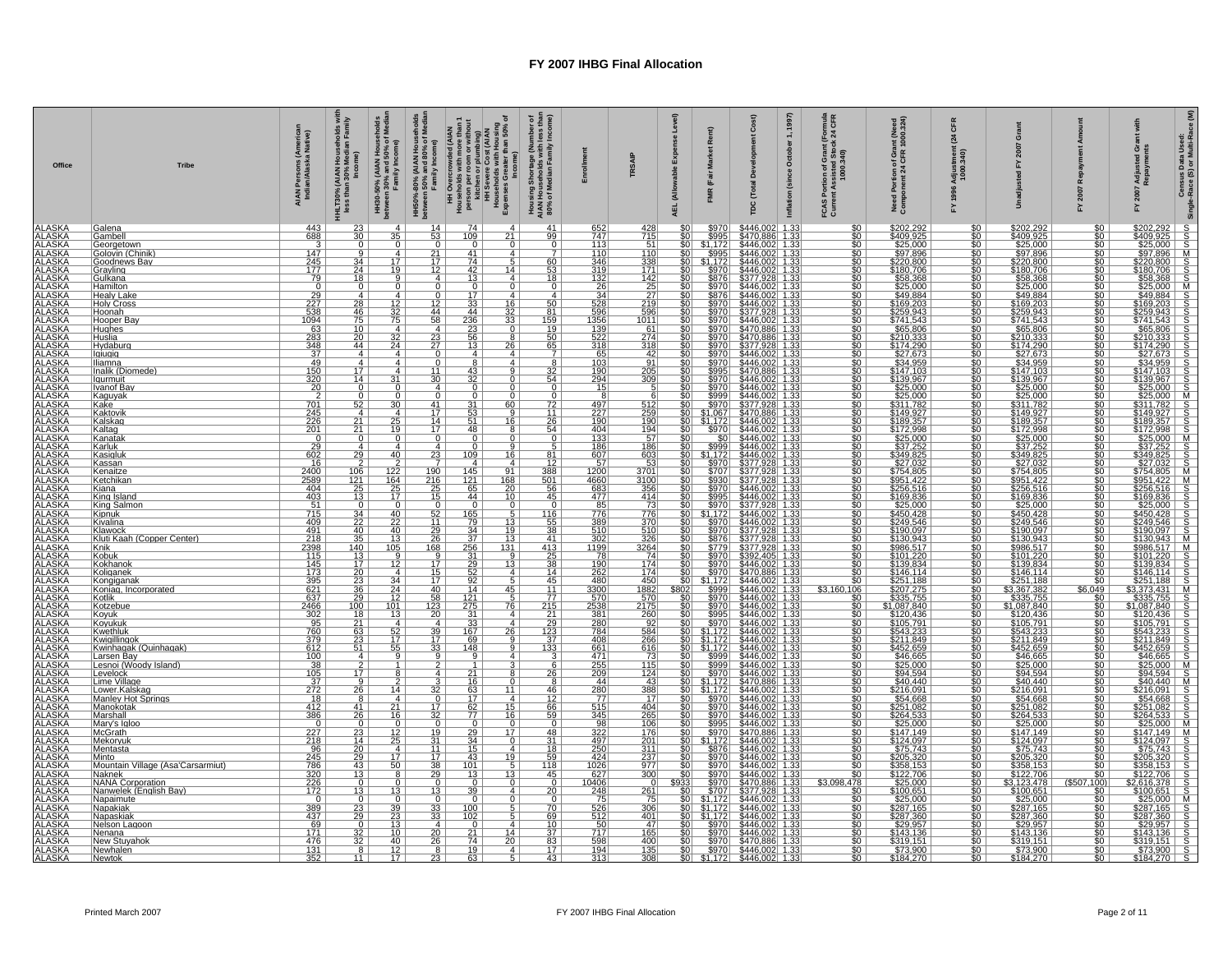| ALAARSKAA ARABA KA ARABA KA ARABA KA ARABA KA ARABA KA ARABA KA ARABA KA ARABA KA ARABA KA ARABA KA ARABA KA A<br>ARABA ARABA ARABA KA ARABA KA ARABA KA ARABA KA ARABA KA ARABA KA ARABA KA ARABA KA ARABA KA ARABA KA ARABA KA<br><br>14<br>S446,002 1.33<br>S470,886 1.33<br>S446,002 1.33<br>S446,002 1.33<br>S446,002 1.33<br>S446,002 1.33<br>S446,002 1.33<br>S446,002 1.33<br>S446,002 1.33<br>S446,002 1.33<br>S446,002 1.33<br>443<br>23<br>$\overline{4}$<br>74<br>41<br>$$970$<br>$$995$<br>$$1,172$<br>$$995$<br>\$202,292<br>\$409,925<br>\$25,000<br>\$57,896<br>\$220,800<br>\$180,706<br>\$58,368<br>\$25,000<br>\$449,883<br>\$49,884<br>\$202,292<br>\$409.925<br>\$25,000<br>\$97,896<br>Galena<br>$\overline{4}$<br>652<br>747<br>113<br>110<br>428<br>715<br>\$0<br>$\overline{30}$<br>109<br>99<br>မ္ကားမယ်ဆိုင်ရာ အစောင်းကြောင်းတွင် အတွေ့ရှိ အစောင်းကြီး အစောင်းကြီး အစောင်းကြီး အစောင်းကြီး အစောင်းကြီး အစောင်<br>အစီတီ အစောင်းကြီး အစောင်းကြီး အစောင်းကြီး အစောင်းကြီး အစောင်းကြီး အစောင်းကြီး အစောင်းကြီး အစောင်းကြီး အစောင်းက<br>$\overline{\$0}$<br>688<br>$\overline{35}$<br>$\overline{53}$<br>$\overline{21}$<br>Gambell<br>$rac{1}{100}$<br>$\frac{3}{147}$<br>$\frac{0}{7}$<br>$\frac{51}{110}$<br>$\frac{0}{9}$<br>$\frac{0}{4}$<br>$\frac{0}{21}$<br>$\frac{17}{12}$<br>$\frac{0}{41}$<br>$\circ$<br>$rac{60}{50}$<br>Georgetown<br>Golovin (Chinik)<br>$\frac{\frac{3220.800}{\$220.800}}{\frac{180.706}{\$58.368}}$<br>$\frac{245}{177}$<br>$\overline{17}$<br>\$0<br>\$0<br>\$0<br>\$0<br>\$0<br>$\overline{\text{so}}$ $\overline{\text{}}$<br>$\frac{34}{24}$<br>$\frac{18}{9}$<br>$\frac{74}{13}$<br>$\frac{60}{53}$<br>346<br>$\frac{338}{171}$<br>Goodnews Bav<br>5 <sub>1</sub><br>$\overline{14}$<br>$\frac{$970}{$970}$<br><u>19</u><br><u>\$0  </u><br> Grayling<br> Gulkana<br>$\frac{319}{132}$ $\frac{26}{34}$<br>$\frac{79}{0}$<br>$\overline{9}$<br>$rac{18}{9}$<br>$\frac{142}{25}$ $\frac{27}{219}$ $\frac{219}{596}$<br>$\frac{$0}{$0}{$0 $}$<br>$\overline{4}$<br>4 <sup>1</sup><br>Hamilton<br>Healy Lake<br>$\frac{0}{4}$<br>$\overline{0}$<br>$\Omega$<br>$\frac{29}{227}$<br>538<br>$\frac{17}{17}$<br>$\Omega$<br>4 I<br>$\frac{28}{46}$<br>$\frac{528}{596}$<br>1356<br>$\frac{$446,002}{$377,928}$ 1.33<br>$$446.002$ 1.33<br>$$446.002$ 1.33<br>$\frac{12}{32}$<br>75<br>$\frac{12}{44}$<br>$\frac{33}{44}$<br>$rac{50}{81}$<br>\$970<br>en and the second to the second of the second state of the second state of the second state of the second state of the second state of the second state of the second state of the second state of the second state of the sec<br>349.884<br>\$259.943<br>\$259.943<br>\$259.943<br>\$265.806<br>\$365.806<br>\$344.959<br>\$25.000<br>\$25.000<br>\$25.000<br>\$25.000<br>\$25.000<br>\$25.000<br>\$25.000<br>\$25.000<br>50 <sub>1</sub><br>Holv Cross<br>$\frac{16}{32}$<br>5970<br>$\overline{\$0}$<br>50 <sub>1</sub><br>1094<br>75<br>58<br>$\frac{236}{23}$<br>$\frac{23}{56}$<br>159<br>1011<br>\$970<br>တို့ အမြစ်မှု အမြစ်မှု အမြစ်မှု အမြစ်မှု<br>Hooper Bav<br>33<br><u>so l</u><br>63<br>283<br>348<br>37<br>45<br>20<br>20<br>20<br>20<br>20<br>20<br>20<br>20<br>0<br>$\frac{10}{20}$<br>$\overline{4}$<br>$\frac{19}{50}$<br>$\frac{139}{522}$<br>\$970<br>8446.002 1333<br>8470.886 1333<br>8470.886 1333<br>8446.002 1333<br>8446.002 1333<br>8446.002 1333<br>8446.002 1333<br>8446.002 1333<br>8446.002 1333<br>8470.886 1333<br>8470.886 1333<br>8470.886 1333<br>8446.002 1333<br>8446.002 1333<br>8446.002 133<br>Hughes<br>Huslia<br>$\begin{array}{c c}\n4 \\ \hline\n23 \\ 27\n\end{array}$<br>$\frac{61}{274}$<br>$\overline{32}$<br>$\frac{$970}{$970}$ $\frac{$970}{$970}$ $\frac{$970}{9950}$ $\frac{$995}{9970}$<br>$\frac{44}{4}$<br>$\frac{65}{7}$<br>318<br>318<br>Hvdaburg<br>24<br>13<br>26 <sub>1</sub><br>$\overline{4}$<br>$\overline{0}$<br>$\overline{4}$<br>$\overline{4}$<br>$\frac{65}{103}$ $\frac{190}{294}$ $\frac{190}{15}$<br>$\frac{42}{91}$<br>lgiugig<br>$\overline{8}$<br>$\overline{4}$<br>$\overline{8}$<br>$\overline{4}$<br>$\overline{0}$<br><u>Illiamna</u><br>$\overline{4}$<br>$\frac{17}{14}$<br>$\frac{32}{54}$<br>$\frac{205}{309}$<br>$rac{1}{50}$<br>Inalik (Diomede)<br>$\frac{4}{31}$<br>$\frac{11}{30}$<br>$\frac{43}{32}$<br>9<br>llgurmuit<br>$\overline{0}$<br>$\frac{0}{0}$<br>$\frac{0}{72}$<br>11<br>$\begin{array}{r l} -39701 & 59701 \\ \hline 59991 & 59701 \\ \hline 51,0671 & 59701 \\ \hline 51,1721 & 59701 \\ \hline 59991 & 5011 \\ \hline 639991 & 59911 \\ \hline 64,4731 \\ \hline \end{array}$<br>$rac{50}{50}$<br>$\overline{0}$<br>4<br>$\overline{0}$<br>Ivanof Bay<br>$\cap$<br>$rac{1}{52}$<br>$\overline{0}$<br>$\overline{0}$<br>Kaguyak<br>$\overline{0}$<br>$\Omega$<br>$\overline{30}$<br>$\overline{\text{SO}}$ $\overline{\text{}}$<br>$\frac{41}{17}$<br>$\frac{31}{53}$<br>53<br>60<br>$\frac{497}{227}$ $\frac{190}{190}$<br>512<br>259<br>190<br>Kake<br>Kaktovik<br>Kalskag<br>$\overline{4}$<br>$rac{50}{50}$<br>$\overline{4}$<br>Q<br>$\frac{26}{54}$<br>$\frac{0}{5}$<br>$\frac{25}{19}$<br>$\begin{array}{c} \n \frac{17}{17} \\  \hline\n 0\n \end{array}$<br>$\frac{21}{21}$<br>16 <sub>1</sub><br>48<br>$\frac{404}{133}$<br>$\frac{194}{57}$<br>$\frac{$446,002}{$446,002}$$ 1.33<br>\$446,002 1.33<br>\$446,002 1.33<br>coco coco<br>$\frac{1}{20}$<br>Kaltag<br>Kanatak<br>$\frac{1}{20}$<br>$\overline{\mathbb{Q}}$ ,<br>$\Omega$<br>$\frac{29}{602}$<br>186<br>Karluk<br>$\frac{4}{29}$<br>$\overline{4}$<br>$\begin{array}{c c}\n4 \\ \hline\n23 \\ \hline\n7\n\end{array}$<br>$\overline{0}$<br>9 <sub>1</sub><br><u>186</u><br><u>so l</u><br>$\frac{40}{2}$<br>$\frac{109}{4}$<br>$\frac{81}{12}$<br>$\frac{51,172}{5970}$<br>3446.002 1.33<br>3377.928 1.33<br>3377.928 1.33<br>3377.928 1.33<br>3377.928 1.33<br>3446.002 1.33<br>3446.002 1.33<br>3446.002 1.33<br>3446.002 1.33<br>3446.002 1.33<br>3446.002 1.33<br>3446.002 1.33<br>$rac{1}{50}$<br>Kasigluk<br>$\frac{607}{57}$<br>$\frac{603}{53}$<br>$\frac{16}{4}$<br><u> Kassan</u><br>1200<br>$\frac{2400}{2589}$<br>$\frac{106}{121}$ $\frac{25}{13}$<br>122<br>190<br>$\frac{145}{121}$<br>91<br>$\frac{388}{\frac{501}{45}}$<br>$\frac{$0}{0}$<br>$\frac{$0}{0}$<br>Kenaitze<br>3701<br>3100<br>356<br>\$0 I<br>$rac{164}{25}$<br>$rac{17}{17}$<br>$\frac{216}{25}$<br>$\frac{4660}{683}$<br>\$930<br>$rac{1}{20}$<br>Ketchikan<br>$\frac{168}{20}$<br>Kiana<br>$\frac{$995}{970}$<br>$\frac{\$0}{\$0}$<br>King Island<br>$\begin{array}{r}\n 403 \\  \hline\n 51 \\  \hline\n 715 \\  \hline\n 409\n \end{array}$<br>$\frac{15}{0}$<br>44<br>10<br>477<br>85<br>776<br>389<br>510<br>510<br>1199<br>$\frac{414}{73}$<br>$\frac{$0}{0}$<br>King Salmor<br>$rac{1}{\frac{40}{22}}$<br>$\overline{0}$<br>$\frac{34}{22}$ $\frac{40}{35}$ $\frac{35}{140}$<br>$\overline{52}$<br>$\frac{776}{370}$<br>.172<br>Kipnuk<br>$\frac{165}{79}$ $\frac{34}{37}$ $\frac{256}{250}$<br>$\frac{\$0}{\$0}$<br>$\overline{\text{SO}}$<br>$\frac{116}{55}$ $\frac{38}{41}$<br>\$970<br>11<br>50 <sub>1</sub><br>Kivalina<br>13 <sup>1</sup><br>491<br>2398<br>2398<br>145<br>145<br>235<br>621<br>637<br>$\frac{40}{13}$<br>$\frac{13}{105}$<br>$\frac{29}{26}$<br>68<br>$\frac{510}{326}$<br>326<br>3264<br>\$970<br>3446.002 1.33<br>3377.928 1.33<br>3377.928 1.33<br>3377.928 1.33<br>3392.405 1.33<br>3446.002 1.33<br>3446.002 1.33<br>3446.002 1.33<br>3446.002 1.33<br>3446.002 1.33<br>\$0<br>\$0<br>\$0<br>$\overline{\text{SO}}$<br>$\frac{19}{13}$<br> Klawock<br> Kluti Kaah (Copper Center)<br> Knik<br>$rac{8876}{\$779}$<br>$\frac{80}{80}$<br>$\frac{413}{25}$<br>$\frac{25}{38}$<br>131<br>\$970<br>$\frac{13}{12}$<br>$\frac{17}{20}$<br>$\frac{23}{36}$<br>$\frac{9}{12}$<br>$\frac{31}{29}$ $\frac{29}{52}$ $\frac{92}{14}$<br>$\overline{\text{SO}}$<br>Kobuk<br>Kokhanok<br>$\frac{9}{17}$<br>$\frac{78}{190}$<br>$\frac{74}{174}$<br>$\overline{13}$<br>\$970<br>$\overline{\$0}$<br>$\overline{\$0}$<br>\$970<br>$\frac{15}{17}$<br>$\frac{17}{40}$<br>262<br>174<br>Koliganek<br>$\overline{4}$<br>4 <sup>1</sup><br>$\frac{14}{45}$<br>11<br><u>so l</u><br>$\frac{34}{24}$<br>$\frac{12}{101}$<br>$\frac{480}{3300}$<br>$\begin{array}{r}\n 450 \\  \hline\n 1882 \\  \hline\n 570 \\  \hline\n 2175 \\  \hline\n 260\n \end{array}$<br>$\frac{1,172}{1,172}$<br>Kongiganak<br>$\frac{$0 }{.049}$<br>$\overline{45}$<br>Koniag, Incorporated<br>\$3,160.<br>$\overline{06}$<br>$\frac{77}{215}$<br>$\frac{215}{21}$<br>$\frac{58}{123}$<br>$\frac{121}{275}$<br>$\frac{275}{31}$<br>\$0<br>$\frac{$0}{\$0}$<br>Kotlik<br>$\frac{29}{100}$<br>$\frac{570}{2538}$<br>76<br>$\begin{array}{r} 3970 \\ 8970 \\ 8995 \\ 81,172 \\ 81,172 \\ 81,172 \end{array}$<br>\$446.0021 1333<br>\$446.0021 1333<br>\$446.0021 1333<br>\$446.0021 1333<br>\$446.0021 1333<br>\$446.0021 1333<br>\$446.0021 1333<br>\$446.0021 1333<br>\$446.0021 1333<br>\$446.0021 1333<br>\$446.0021 1333<br>\$446.0021 1333<br>\$446.0021 1333<br>2466<br>$rac{$0}{0}$<br>Kotzebue<br>$\frac{302}{302}$ $\frac{95}{379}$ $\frac{379}{612}$<br>$\overline{13}$<br>\$0<br>Kovuk<br><u>20 l</u><br>$\overline{4}$<br>$\frac{29}{123}$<br>$\frac{37}{133}$<br>$\frac{$0}{\$0}$<br>Koyukuk<br>$\frac{21}{63}$<br>$\frac{23}{23}$<br>$\frac{51}{1}$<br>$\frac{4}{52}$<br>$\frac{17}{55}$<br>$\begin{array}{c c}\n\hline\n4 \\ \hline\n39 \\ \hline\n17\n\end{array}$<br>$\frac{33}{167}$<br>4 <sup>1</sup><br>$\frac{280}{784}$<br>$\frac{92}{584}$<br>266<br>$\frac{$0}{\$0}$<br>26<br>Kwethluk<br>$\frac{408}{661}$<br>\$0<br><b>aaaaa</b><br>Kwiaillinaok<br>Q<br>Kwinhagak (Quinhagak)<br>33<br>\$0<br>148<br>9<br>616<br>$\frac{100}{100}$ $\frac{38}{105}$ $\frac{105}{37}$ $\frac{272}{272}$<br>$\overline{9}$<br>$\frac{471}{255}$<br><u>\$9991<br/>\$9991<br/>\$9701<br/>\$1.1721<br/>\$9701<br/>\$9701<br/>\$9701<br/>\$9701</u><br><b>SOLU</b><br>$\begin{array}{c}\n4 \\ \hline\n2 \\ 17\n\end{array}$<br>$\overline{9}$<br>$\overline{9}$<br>Larsen Bay<br>$\frac{73}{115}$<br>4<br>$\frac{6}{26}$<br>$\overline{1}$<br>$\frac{2}{4}$<br>$\overline{1}$<br>Lesnoi (Woody Island)<br>21<br>124<br>Levelock<br>$\frac{9}{26}$<br>$\frac{16}{63}$<br>$\frac{63}{17}$<br>$\frac{62}{77}$<br>$\frac{50}{50}$<br>$\frac{50}{50}$<br>$rac{1}{100}$<br>$\frac{3}{32}$<br>$\frac{44}{280}$<br>$\frac{43}{388}$<br>Lime Village<br>$\overline{14}$<br>11<br>$\frac{46}{12}$<br>$\frac{66}{59}$<br>Lower.Kalskag<br>$\frac{18}{412}$<br>$\frac{412}{386}$<br>$\frac{77}{515}$<br>$\frac{515}{345}$<br>50 <sub>1</sub><br>Manley Hot Springs<br>$\frac{8}{41}$<br>$\frac{4}{21}$<br>$\frac{21}{16}$<br>$\frac{0}{17}$<br>$\frac{17}{32}$<br>4<br>17<br>Manokotak<br>Marshall<br>$\frac{404}{265}$<br>$\frac{1}{30}$<br>$\frac{15}{16}$<br>$\overline{26}$<br>$\begin{array}{r} \n 3995 \\  \hline\n $970 \\  \hline\n $1.1721 \\  \hline\n $876 \\  \hline\n $970 \\  \hline\n $970 \\  \hline\n $970 \\  \hline\n $970 \\  \hline\n $970 \\  \hline\n $970 \\  \hline\n $970 \\  \hline\n $970 \\  \hline\n $970 \\  \hline\n $970 \\  \hline\n $970 \\  \hline\n $970 \\  \hline\n $970 \\  \hline\n $970 \\  \hline\n $970 \\  \hline\n $970 \\  \hline\n $970 \\  \hline\n $970 \\  \hline\n $970 \\  \hline\n$<br>Mary's Igloo<br>50 <sub>1</sub><br>$\frac{0}{23}$<br>$\frac{0}{12}$<br>$\frac{12}{25}$<br>$\overline{0}$<br>$\overline{0}$<br>0<br>$\frac{98}{322}$<br><u> 106 l</u><br>$\begin{array}{r} 0 \\ 227 \\ 218 \\ 96 \\ 245 \\ 786 \\ 320 \\ 226 \\ 172 \\ 0 \end{array}$<br>$\overline{0}$<br>McGrath<br>$\frac{19}{31}$<br>$\frac{29}{34}$<br>$\frac{48}{31}$<br>$\frac{446.002}{1.33}$ $\frac{446.002}{1.33}$ $\frac{446.002}{1.33}$ $\frac{446.002}{1.33}$ $\frac{446.002}{1.33}$ $\frac{446.002}{1.33}$ $\frac{446.002}{1.33}$<br>$rac{$0}{0}$<br>17<br>176<br>201<br>$\overline{\text{SO}}$<br>Mekorvuk<br>$\overline{0}$<br>$\frac{11}{17}$<br>$\frac{15}{43}$<br>$\frac{250}{424}$<br>Mentasta<br>$\frac{20}{29}$<br>$\frac{4}{17}$<br>$\frac{17}{50}$<br>4 <br>$\frac{18}{59}$<br>$\frac{59}{118}$<br>$\frac{311}{237}$<br>$rac{1}{50}$<br>19<br>43<br>$\overline{38}$<br>$\frac{\sqrt{50}}{2}$<br>101<br>$\frac{1026}{627}$<br>Mountain Village (Asa'Carsarmiut)<br>13<br>29<br>45<br>\$0<br>Naknek<br>8<br>13<br>13 <br>300<br>\$3.098.478<br>$\frac{$122.706}{$3.123.478}$<br>$\frac{$123.478}{$26.00651}$<br>$\frac{$287.165}{$287.360}$<br>$\frac{$29.957}{$29.957}$<br>$\frac{$143.1361}{$319.151}$<br>$\frac{$73.900}{$184.270}$<br>$\frac{100}{90}$<br>NANA Corporation<br>Nanwelek (English Bay)<br>$\frac{10406}{248}$<br>(S5C)<br>$\begin{array}{c}\n\hline\n0 \\ 13 \\ 0\n\end{array}$<br>$\frac{0}{13}$<br>$\frac{0}{13}$<br>$rac{0}{20}$<br>$\mathbf{0}$<br>0<br>$\Omega$<br>$rac{39}{0}$<br>$\frac{261}{75}$<br>$\overline{4}$<br>Napaimute<br>$\overline{0}$<br>$\overline{0}$<br>50 <sub>1</sub><br>$\frac{389}{437}$<br>$\frac{23}{29}$<br>$\frac{39}{23}$<br>$\frac{70}{69}$<br>$\frac{526}{512}$<br>306<br>$\frac{33}{33}$<br>$\frac{100}{102}$<br>$rac{1}{100}$<br>Napakiak<br>401<br><u>\$ō</u><br>5 <br>Napaskiak<br>$\overline{\text{SO}}$<br>69<br>$\frac{1}{32}$<br>$\frac{32}{32}$<br>13<br>$\frac{4}{20}$<br>26<br>$\frac{10}{37}$<br>83<br>$\frac{50}{717}$<br>47<br>50 <sub>1</sub><br>Nelson Lagoon<br>0<br>4 <sup>1</sup><br>$\frac{171}{476}$<br>$\frac{10}{10}$<br>$\frac{40}{12}$<br>$\frac{12}{17}$<br>$\frac{165}{400}$<br>50<br>50<br>50<br>50<br>\$0  <br>\$0  <br>Nenana<br>$\frac{21}{74}$<br>19<br>14<br>$\frac{20}{ }$<br><b>New Stuyahol</b><br>$\frac{17}{43}$<br>$\frac{194}{313}$<br>$\frac{131}{352}$<br>$\frac{8}{11}$<br>$\frac{8}{23}$<br>$\frac{4}{5}$<br>$\frac{135}{308}$<br>\$0<br><u>INewhalen</u><br>so <br>So <br>63<br>50 <sub>1</sub><br>INewtok | Office | <b>Tribe</b> | AIAN Persons (America<br>Indian/Alaska Native) | I Households wit<br>Median Family<br>HHLT30% (AIAN H<br>less than 30% l | HH30-50% (AIAN Households<br>between 30% and 50% of Media<br>Family Income) | HH50%-80% (AIAN Households<br>between 50% and 80% of Median<br>Family Income) | HH Overcrewded (ALN<br>person person with more than 1<br>person person with more than<br>the shown of person (ALN)<br>HH Severe Cost (ALN)<br>H Severe Creater than 50% of<br>Expenses Greater than 50% of | Housing Shortage (Number of<br>AIAN Households with less than<br>80% of Median Family Income) | <b>TRSAIP</b> | <b>Ise Level</b><br>Expe<br>able<br>(Alloy<br>AEL. | Đ<br>Ren<br>(Fair | Cos <sub>f</sub><br>Total<br><b>TDC</b> | (166)<br>$\div$<br>October 1<br>(since<br>Inflation | (Formula<br>k 24 CFR<br>tion of Grant (F<br>ssisted Stock<br>1000.340)<br>FCAS<br>്റ | int (Need<br>1000.324)<br>Need Portion of Gran<br>Component 24 CFR 1 | 뜽<br>24<br>tmen<br>.340)<br>Adjus<br>1000. | ö | 놊 | ဗီ ဒီ<br>Adju<br>Repa<br>200<br>놊 | Census Data Used:<br>Race (S) or Multi-Race (M)<br>Single- |
|------------------------------------------------------------------------------------------------------------------------------------------------------------------------------------------------------------------------------------------------------------------------------------------------------------------------------------------------------------------------------------------------------------------------------------------------------------------------------------------------------------------------------------------------------------------------------------------------------------------------------------------------------------------------------------------------------------------------------------------------------------------------------------------------------------------------------------------------------------------------------------------------------------------------------------------------------------------------------------------------------------------------------------------------------------------------------------------------------------------------------------------------------------------------------------------------------------------------------------------------------------------------------------------------------------------------------------------------------------------------------------------------------------------------------------------------------------------------------------------------------------------------------------------------------------------------------------------------------------------------------------------------------------------------------------------------------------------------------------------------------------------------------------------------------------------------------------------------------------------------------------------------------------------------------------------------------------------------------------------------------------------------------------------------------------------------------------------------------------------------------------------------------------------------------------------------------------------------------------------------------------------------------------------------------------------------------------------------------------------------------------------------------------------------------------------------------------------------------------------------------------------------------------------------------------------------------------------------------------------------------------------------------------------------------------------------------------------------------------------------------------------------------------------------------------------------------------------------------------------------------------------------------------------------------------------------------------------------------------------------------------------------------------------------------------------------------------------------------------------------------------------------------------------------------------------------------------------------------------------------------------------------------------------------------------------------------------------------------------------------------------------------------------------------------------------------------------------------------------------------------------------------------------------------------------------------------------------------------------------------------------------------------------------------------------------------------------------------------------------------------------------------------------------------------------------------------------------------------------------------------------------------------------------------------------------------------------------------------------------------------------------------------------------------------------------------------------------------------------------------------------------------------------------------------------------------------------------------------------------------------------------------------------------------------------------------------------------------------------------------------------------------------------------------------------------------------------------------------------------------------------------------------------------------------------------------------------------------------------------------------------------------------------------------------------------------------------------------------------------------------------------------------------------------------------------------------------------------------------------------------------------------------------------------------------------------------------------------------------------------------------------------------------------------------------------------------------------------------------------------------------------------------------------------------------------------------------------------------------------------------------------------------------------------------------------------------------------------------------------------------------------------------------------------------------------------------------------------------------------------------------------------------------------------------------------------------------------------------------------------------------------------------------------------------------------------------------------------------------------------------------------------------------------------------------------------------------------------------------------------------------------------------------------------------------------------------------------------------------------------------------------------------------------------------------------------------------------------------------------------------------------------------------------------------------------------------------------------------------------------------------------------------------------------------------------------------------------------------------------------------------------------------------------------------------------------------------------------------------------------------------------------------------------------------------------------------------------------------------------------------------------------------------------------------------------------------------------------------------------------------------------------------------------------------------------------------------------------------------------------------------------------------------------------------------------------------------------------------------------------------------------------------------------------------------------------------------------------------------------------------------------------------------------------------------------------------------------------------------------------------------------------------------------------------------------------------------------------------------------------------------------------------------------------------------------------------------------------------------------------------------------------------------------------------------------------------------------------------------------------------------------------------------------------------------------------------------------------------------------------------------------------------------------------------------------------------------------------------------------------------------------------------------------------------------------------------------------------------------------------------------------------------------------------------------------------------------------------------------------------------------------------------------------------------------------------------------------------------------------------------------------------------------------------------------------------------------------------------------------------------------------------------------------------------------------------------------------------------------------------------------------------------------------------------------------------------------------------------------------------------------------------------------------------------------------------------------------------------------------------------------------------------------------------------------------------------------------------------------------------------------------------------------------------------------------------------------------------------------------------------------------------------------------------------------------------------------------------------------------------------------------------------------------------------------------------------------------------------------------------------------------------------------------------------------------------------------------------------------------------------------------------------------------------------------------------------------------------------------------------------------------------------------------------------------------------------------------------------------------------------------------------------------------------------------------------------------------------------------------------------------------------------------------------------------------------------------------------------------------------------------------------------------------------------------------------------------------------------------------------------------------------------------------------------------------------------------------------------------------------------------------------------------------------------------------------------------------------------------------------------------------------------------------------------------------------------------------------------------------------------------------------------------------------------------------------------------------------------------------------------------------------------------------------------------------------------------------------------------------------------------------------------------------------------------------------------------------------------------------------------------------------------------------------------------------------------------------------------------------------------------------------------------------------------------------------------------------------------------------------------------------------------------------------------------------------------------------------------------------------------------------------------------------------------------------------------------------------------------------------------------------------------------------------------------------------------------------------------------------------------------------------------------------------------------------------------------------------------------------------------------------------------------------------------------------------------------------------------------------------------------------------------------------------------------------------------------------------------------------------------------------------------------------------------------------------------------------------------------------------------------------------------------------------------------------------------------------------------------------------------------------------------------------------------------------------------------------------------------------------------------------------------------------------------------------------------------------------------------------------------------------------------------------------------------------------------------------------------------------------------------------------------------------------------------------------------------------------------------------------------------------------------------------------------------------------------------------------------------------------------------------------------------------------------------------------------------------------------------------------------------------------------------------------------------------------------------------------------------------------------------------------------------------------------------------------------------------------------------------------------------------------------------------------------------------------------------------------------------------------------------------------------------------------------------------------------------------------------------------------------------------------------------------------------------------------------------------------------------------------------------------------------------------------------------------------------------------------------------------------------------------------------------------------------------------------------------------------------------------------------------------------------------------------------------------------------------------------------------------------------------------------------------------------------------------------|--------|--------------|------------------------------------------------|-------------------------------------------------------------------------|-----------------------------------------------------------------------------|-------------------------------------------------------------------------------|------------------------------------------------------------------------------------------------------------------------------------------------------------------------------------------------------------|-----------------------------------------------------------------------------------------------|---------------|----------------------------------------------------|-------------------|-----------------------------------------|-----------------------------------------------------|--------------------------------------------------------------------------------------|----------------------------------------------------------------------|--------------------------------------------|---|---|-----------------------------------|------------------------------------------------------------|
|                                                                                                                                                                                                                                                                                                                                                                                                                                                                                                                                                                                                                                                                                                                                                                                                                                                                                                                                                                                                                                                                                                                                                                                                                                                                                                                                                                                                                                                                                                                                                                                                                                                                                                                                                                                                                                                                                                                                                                                                                                                                                                                                                                                                                                                                                                                                                                                                                                                                                                                                                                                                                                                                                                                                                                                                                                                                                                                                                                                                                                                                                                                                                                                                                                                                                                                                                                                                                                                                                                                                                                                                                                                                                                                                                                                                                                                                                                                                                                                                                                                                                                                                                                                                                                                                                                                                                                                                                                                                                                                                                                                                                                                                                                                                                                                                                                                                                                                                                                                                                                                                                                                                                                                                                                                                                                                                                                                                                                                                                                                                                                                                                                                                                                                                                                                                                                                                                                                                                                                                                                                                                                                                                                                                                                                                                                                                                                                                                                                                                                                                                                                                                                                                                                                                                                                                                                                                                                                                                                                                                                                                                                                                                                                                                                                                                                                                                                                                                                                                                                                                                                                                                                                                                                                                                                                                                                                                                                                                                                                                                                                                                                                                                                                                                                                                                                                                                                                                                                                                                                                                                                                                                                                                                                                                                                                                                                                                                                                                                                                                                                                                                                                                                                                                                                                                                                                                                                                                                                                                                                                                                                                                                                                                                                                                                                                                                                                                                                                                                                                                                                                                                                                                                                                                                                                                                                                                                                                                                                                                                                                                                                                                                                                                                                                                                                                                                                                                                                                                                                                                                                                                                                                                                                                                                                                                                                                                                                                                                                                                                                                                                                                                                                                                                                                                                                                                                                                                                                                                                                                                                                                                                                                                                                                                                                                                                                                                                                                                                                                                                                                                                                                                                                                                                                                                                                                                                                                                                                                                                                                                                                                                                                                                                                                                                                                                                                                                                                                                                                                                                                                                                                                                                                                                                                                                                                                                                        |        |              |                                                |                                                                         |                                                                             |                                                                               |                                                                                                                                                                                                            |                                                                                               |               |                                                    |                   |                                         |                                                     |                                                                                      |                                                                      |                                            |   |   |                                   |                                                            |
|                                                                                                                                                                                                                                                                                                                                                                                                                                                                                                                                                                                                                                                                                                                                                                                                                                                                                                                                                                                                                                                                                                                                                                                                                                                                                                                                                                                                                                                                                                                                                                                                                                                                                                                                                                                                                                                                                                                                                                                                                                                                                                                                                                                                                                                                                                                                                                                                                                                                                                                                                                                                                                                                                                                                                                                                                                                                                                                                                                                                                                                                                                                                                                                                                                                                                                                                                                                                                                                                                                                                                                                                                                                                                                                                                                                                                                                                                                                                                                                                                                                                                                                                                                                                                                                                                                                                                                                                                                                                                                                                                                                                                                                                                                                                                                                                                                                                                                                                                                                                                                                                                                                                                                                                                                                                                                                                                                                                                                                                                                                                                                                                                                                                                                                                                                                                                                                                                                                                                                                                                                                                                                                                                                                                                                                                                                                                                                                                                                                                                                                                                                                                                                                                                                                                                                                                                                                                                                                                                                                                                                                                                                                                                                                                                                                                                                                                                                                                                                                                                                                                                                                                                                                                                                                                                                                                                                                                                                                                                                                                                                                                                                                                                                                                                                                                                                                                                                                                                                                                                                                                                                                                                                                                                                                                                                                                                                                                                                                                                                                                                                                                                                                                                                                                                                                                                                                                                                                                                                                                                                                                                                                                                                                                                                                                                                                                                                                                                                                                                                                                                                                                                                                                                                                                                                                                                                                                                                                                                                                                                                                                                                                                                                                                                                                                                                                                                                                                                                                                                                                                                                                                                                                                                                                                                                                                                                                                                                                                                                                                                                                                                                                                                                                                                                                                                                                                                                                                                                                                                                                                                                                                                                                                                                                                                                                                                                                                                                                                                                                                                                                                                                                                                                                                                                                                                                                                                                                                                                                                                                                                                                                                                                                                                                                                                                                                                                                                                                                                                                                                                                                                                                                                                                                                                                                                                                                                                        |        |              |                                                |                                                                         |                                                                             |                                                                               |                                                                                                                                                                                                            |                                                                                               |               |                                                    |                   |                                         |                                                     |                                                                                      |                                                                      |                                            |   |   |                                   |                                                            |
|                                                                                                                                                                                                                                                                                                                                                                                                                                                                                                                                                                                                                                                                                                                                                                                                                                                                                                                                                                                                                                                                                                                                                                                                                                                                                                                                                                                                                                                                                                                                                                                                                                                                                                                                                                                                                                                                                                                                                                                                                                                                                                                                                                                                                                                                                                                                                                                                                                                                                                                                                                                                                                                                                                                                                                                                                                                                                                                                                                                                                                                                                                                                                                                                                                                                                                                                                                                                                                                                                                                                                                                                                                                                                                                                                                                                                                                                                                                                                                                                                                                                                                                                                                                                                                                                                                                                                                                                                                                                                                                                                                                                                                                                                                                                                                                                                                                                                                                                                                                                                                                                                                                                                                                                                                                                                                                                                                                                                                                                                                                                                                                                                                                                                                                                                                                                                                                                                                                                                                                                                                                                                                                                                                                                                                                                                                                                                                                                                                                                                                                                                                                                                                                                                                                                                                                                                                                                                                                                                                                                                                                                                                                                                                                                                                                                                                                                                                                                                                                                                                                                                                                                                                                                                                                                                                                                                                                                                                                                                                                                                                                                                                                                                                                                                                                                                                                                                                                                                                                                                                                                                                                                                                                                                                                                                                                                                                                                                                                                                                                                                                                                                                                                                                                                                                                                                                                                                                                                                                                                                                                                                                                                                                                                                                                                                                                                                                                                                                                                                                                                                                                                                                                                                                                                                                                                                                                                                                                                                                                                                                                                                                                                                                                                                                                                                                                                                                                                                                                                                                                                                                                                                                                                                                                                                                                                                                                                                                                                                                                                                                                                                                                                                                                                                                                                                                                                                                                                                                                                                                                                                                                                                                                                                                                                                                                                                                                                                                                                                                                                                                                                                                                                                                                                                                                                                                                                                                                                                                                                                                                                                                                                                                                                                                                                                                                                                                                                                                                                                                                                                                                                                                                                                                                                                                                                                                                                                        |        |              |                                                |                                                                         |                                                                             |                                                                               |                                                                                                                                                                                                            |                                                                                               |               |                                                    |                   |                                         |                                                     |                                                                                      |                                                                      |                                            |   |   |                                   |                                                            |
|                                                                                                                                                                                                                                                                                                                                                                                                                                                                                                                                                                                                                                                                                                                                                                                                                                                                                                                                                                                                                                                                                                                                                                                                                                                                                                                                                                                                                                                                                                                                                                                                                                                                                                                                                                                                                                                                                                                                                                                                                                                                                                                                                                                                                                                                                                                                                                                                                                                                                                                                                                                                                                                                                                                                                                                                                                                                                                                                                                                                                                                                                                                                                                                                                                                                                                                                                                                                                                                                                                                                                                                                                                                                                                                                                                                                                                                                                                                                                                                                                                                                                                                                                                                                                                                                                                                                                                                                                                                                                                                                                                                                                                                                                                                                                                                                                                                                                                                                                                                                                                                                                                                                                                                                                                                                                                                                                                                                                                                                                                                                                                                                                                                                                                                                                                                                                                                                                                                                                                                                                                                                                                                                                                                                                                                                                                                                                                                                                                                                                                                                                                                                                                                                                                                                                                                                                                                                                                                                                                                                                                                                                                                                                                                                                                                                                                                                                                                                                                                                                                                                                                                                                                                                                                                                                                                                                                                                                                                                                                                                                                                                                                                                                                                                                                                                                                                                                                                                                                                                                                                                                                                                                                                                                                                                                                                                                                                                                                                                                                                                                                                                                                                                                                                                                                                                                                                                                                                                                                                                                                                                                                                                                                                                                                                                                                                                                                                                                                                                                                                                                                                                                                                                                                                                                                                                                                                                                                                                                                                                                                                                                                                                                                                                                                                                                                                                                                                                                                                                                                                                                                                                                                                                                                                                                                                                                                                                                                                                                                                                                                                                                                                                                                                                                                                                                                                                                                                                                                                                                                                                                                                                                                                                                                                                                                                                                                                                                                                                                                                                                                                                                                                                                                                                                                                                                                                                                                                                                                                                                                                                                                                                                                                                                                                                                                                                                                                                                                                                                                                                                                                                                                                                                                                                                                                                                                                                                        |        |              |                                                |                                                                         |                                                                             |                                                                               |                                                                                                                                                                                                            |                                                                                               |               |                                                    |                   |                                         |                                                     |                                                                                      |                                                                      |                                            |   |   |                                   |                                                            |
|                                                                                                                                                                                                                                                                                                                                                                                                                                                                                                                                                                                                                                                                                                                                                                                                                                                                                                                                                                                                                                                                                                                                                                                                                                                                                                                                                                                                                                                                                                                                                                                                                                                                                                                                                                                                                                                                                                                                                                                                                                                                                                                                                                                                                                                                                                                                                                                                                                                                                                                                                                                                                                                                                                                                                                                                                                                                                                                                                                                                                                                                                                                                                                                                                                                                                                                                                                                                                                                                                                                                                                                                                                                                                                                                                                                                                                                                                                                                                                                                                                                                                                                                                                                                                                                                                                                                                                                                                                                                                                                                                                                                                                                                                                                                                                                                                                                                                                                                                                                                                                                                                                                                                                                                                                                                                                                                                                                                                                                                                                                                                                                                                                                                                                                                                                                                                                                                                                                                                                                                                                                                                                                                                                                                                                                                                                                                                                                                                                                                                                                                                                                                                                                                                                                                                                                                                                                                                                                                                                                                                                                                                                                                                                                                                                                                                                                                                                                                                                                                                                                                                                                                                                                                                                                                                                                                                                                                                                                                                                                                                                                                                                                                                                                                                                                                                                                                                                                                                                                                                                                                                                                                                                                                                                                                                                                                                                                                                                                                                                                                                                                                                                                                                                                                                                                                                                                                                                                                                                                                                                                                                                                                                                                                                                                                                                                                                                                                                                                                                                                                                                                                                                                                                                                                                                                                                                                                                                                                                                                                                                                                                                                                                                                                                                                                                                                                                                                                                                                                                                                                                                                                                                                                                                                                                                                                                                                                                                                                                                                                                                                                                                                                                                                                                                                                                                                                                                                                                                                                                                                                                                                                                                                                                                                                                                                                                                                                                                                                                                                                                                                                                                                                                                                                                                                                                                                                                                                                                                                                                                                                                                                                                                                                                                                                                                                                                                                                                                                                                                                                                                                                                                                                                                                                                                                                                                                                                        |        |              |                                                |                                                                         |                                                                             |                                                                               |                                                                                                                                                                                                            |                                                                                               |               |                                                    |                   |                                         |                                                     |                                                                                      |                                                                      |                                            |   |   |                                   |                                                            |
|                                                                                                                                                                                                                                                                                                                                                                                                                                                                                                                                                                                                                                                                                                                                                                                                                                                                                                                                                                                                                                                                                                                                                                                                                                                                                                                                                                                                                                                                                                                                                                                                                                                                                                                                                                                                                                                                                                                                                                                                                                                                                                                                                                                                                                                                                                                                                                                                                                                                                                                                                                                                                                                                                                                                                                                                                                                                                                                                                                                                                                                                                                                                                                                                                                                                                                                                                                                                                                                                                                                                                                                                                                                                                                                                                                                                                                                                                                                                                                                                                                                                                                                                                                                                                                                                                                                                                                                                                                                                                                                                                                                                                                                                                                                                                                                                                                                                                                                                                                                                                                                                                                                                                                                                                                                                                                                                                                                                                                                                                                                                                                                                                                                                                                                                                                                                                                                                                                                                                                                                                                                                                                                                                                                                                                                                                                                                                                                                                                                                                                                                                                                                                                                                                                                                                                                                                                                                                                                                                                                                                                                                                                                                                                                                                                                                                                                                                                                                                                                                                                                                                                                                                                                                                                                                                                                                                                                                                                                                                                                                                                                                                                                                                                                                                                                                                                                                                                                                                                                                                                                                                                                                                                                                                                                                                                                                                                                                                                                                                                                                                                                                                                                                                                                                                                                                                                                                                                                                                                                                                                                                                                                                                                                                                                                                                                                                                                                                                                                                                                                                                                                                                                                                                                                                                                                                                                                                                                                                                                                                                                                                                                                                                                                                                                                                                                                                                                                                                                                                                                                                                                                                                                                                                                                                                                                                                                                                                                                                                                                                                                                                                                                                                                                                                                                                                                                                                                                                                                                                                                                                                                                                                                                                                                                                                                                                                                                                                                                                                                                                                                                                                                                                                                                                                                                                                                                                                                                                                                                                                                                                                                                                                                                                                                                                                                                                                                                                                                                                                                                                                                                                                                                                                                                                                                                                                                                                                        |        |              |                                                |                                                                         |                                                                             |                                                                               |                                                                                                                                                                                                            |                                                                                               |               |                                                    |                   |                                         |                                                     |                                                                                      |                                                                      |                                            |   |   |                                   |                                                            |
|                                                                                                                                                                                                                                                                                                                                                                                                                                                                                                                                                                                                                                                                                                                                                                                                                                                                                                                                                                                                                                                                                                                                                                                                                                                                                                                                                                                                                                                                                                                                                                                                                                                                                                                                                                                                                                                                                                                                                                                                                                                                                                                                                                                                                                                                                                                                                                                                                                                                                                                                                                                                                                                                                                                                                                                                                                                                                                                                                                                                                                                                                                                                                                                                                                                                                                                                                                                                                                                                                                                                                                                                                                                                                                                                                                                                                                                                                                                                                                                                                                                                                                                                                                                                                                                                                                                                                                                                                                                                                                                                                                                                                                                                                                                                                                                                                                                                                                                                                                                                                                                                                                                                                                                                                                                                                                                                                                                                                                                                                                                                                                                                                                                                                                                                                                                                                                                                                                                                                                                                                                                                                                                                                                                                                                                                                                                                                                                                                                                                                                                                                                                                                                                                                                                                                                                                                                                                                                                                                                                                                                                                                                                                                                                                                                                                                                                                                                                                                                                                                                                                                                                                                                                                                                                                                                                                                                                                                                                                                                                                                                                                                                                                                                                                                                                                                                                                                                                                                                                                                                                                                                                                                                                                                                                                                                                                                                                                                                                                                                                                                                                                                                                                                                                                                                                                                                                                                                                                                                                                                                                                                                                                                                                                                                                                                                                                                                                                                                                                                                                                                                                                                                                                                                                                                                                                                                                                                                                                                                                                                                                                                                                                                                                                                                                                                                                                                                                                                                                                                                                                                                                                                                                                                                                                                                                                                                                                                                                                                                                                                                                                                                                                                                                                                                                                                                                                                                                                                                                                                                                                                                                                                                                                                                                                                                                                                                                                                                                                                                                                                                                                                                                                                                                                                                                                                                                                                                                                                                                                                                                                                                                                                                                                                                                                                                                                                                                                                                                                                                                                                                                                                                                                                                                                                                                                                                                                                        |        |              |                                                |                                                                         |                                                                             |                                                                               |                                                                                                                                                                                                            |                                                                                               |               |                                                    |                   |                                         |                                                     |                                                                                      |                                                                      |                                            |   |   |                                   |                                                            |
|                                                                                                                                                                                                                                                                                                                                                                                                                                                                                                                                                                                                                                                                                                                                                                                                                                                                                                                                                                                                                                                                                                                                                                                                                                                                                                                                                                                                                                                                                                                                                                                                                                                                                                                                                                                                                                                                                                                                                                                                                                                                                                                                                                                                                                                                                                                                                                                                                                                                                                                                                                                                                                                                                                                                                                                                                                                                                                                                                                                                                                                                                                                                                                                                                                                                                                                                                                                                                                                                                                                                                                                                                                                                                                                                                                                                                                                                                                                                                                                                                                                                                                                                                                                                                                                                                                                                                                                                                                                                                                                                                                                                                                                                                                                                                                                                                                                                                                                                                                                                                                                                                                                                                                                                                                                                                                                                                                                                                                                                                                                                                                                                                                                                                                                                                                                                                                                                                                                                                                                                                                                                                                                                                                                                                                                                                                                                                                                                                                                                                                                                                                                                                                                                                                                                                                                                                                                                                                                                                                                                                                                                                                                                                                                                                                                                                                                                                                                                                                                                                                                                                                                                                                                                                                                                                                                                                                                                                                                                                                                                                                                                                                                                                                                                                                                                                                                                                                                                                                                                                                                                                                                                                                                                                                                                                                                                                                                                                                                                                                                                                                                                                                                                                                                                                                                                                                                                                                                                                                                                                                                                                                                                                                                                                                                                                                                                                                                                                                                                                                                                                                                                                                                                                                                                                                                                                                                                                                                                                                                                                                                                                                                                                                                                                                                                                                                                                                                                                                                                                                                                                                                                                                                                                                                                                                                                                                                                                                                                                                                                                                                                                                                                                                                                                                                                                                                                                                                                                                                                                                                                                                                                                                                                                                                                                                                                                                                                                                                                                                                                                                                                                                                                                                                                                                                                                                                                                                                                                                                                                                                                                                                                                                                                                                                                                                                                                                                                                                                                                                                                                                                                                                                                                                                                                                                                                                                                                        |        |              |                                                |                                                                         |                                                                             |                                                                               |                                                                                                                                                                                                            |                                                                                               |               |                                                    |                   |                                         |                                                     |                                                                                      |                                                                      |                                            |   |   |                                   |                                                            |
|                                                                                                                                                                                                                                                                                                                                                                                                                                                                                                                                                                                                                                                                                                                                                                                                                                                                                                                                                                                                                                                                                                                                                                                                                                                                                                                                                                                                                                                                                                                                                                                                                                                                                                                                                                                                                                                                                                                                                                                                                                                                                                                                                                                                                                                                                                                                                                                                                                                                                                                                                                                                                                                                                                                                                                                                                                                                                                                                                                                                                                                                                                                                                                                                                                                                                                                                                                                                                                                                                                                                                                                                                                                                                                                                                                                                                                                                                                                                                                                                                                                                                                                                                                                                                                                                                                                                                                                                                                                                                                                                                                                                                                                                                                                                                                                                                                                                                                                                                                                                                                                                                                                                                                                                                                                                                                                                                                                                                                                                                                                                                                                                                                                                                                                                                                                                                                                                                                                                                                                                                                                                                                                                                                                                                                                                                                                                                                                                                                                                                                                                                                                                                                                                                                                                                                                                                                                                                                                                                                                                                                                                                                                                                                                                                                                                                                                                                                                                                                                                                                                                                                                                                                                                                                                                                                                                                                                                                                                                                                                                                                                                                                                                                                                                                                                                                                                                                                                                                                                                                                                                                                                                                                                                                                                                                                                                                                                                                                                                                                                                                                                                                                                                                                                                                                                                                                                                                                                                                                                                                                                                                                                                                                                                                                                                                                                                                                                                                                                                                                                                                                                                                                                                                                                                                                                                                                                                                                                                                                                                                                                                                                                                                                                                                                                                                                                                                                                                                                                                                                                                                                                                                                                                                                                                                                                                                                                                                                                                                                                                                                                                                                                                                                                                                                                                                                                                                                                                                                                                                                                                                                                                                                                                                                                                                                                                                                                                                                                                                                                                                                                                                                                                                                                                                                                                                                                                                                                                                                                                                                                                                                                                                                                                                                                                                                                                                                                                                                                                                                                                                                                                                                                                                                                                                                                                                                                                                        |        |              |                                                |                                                                         |                                                                             |                                                                               |                                                                                                                                                                                                            |                                                                                               |               |                                                    |                   |                                         |                                                     |                                                                                      |                                                                      |                                            |   |   |                                   |                                                            |
|                                                                                                                                                                                                                                                                                                                                                                                                                                                                                                                                                                                                                                                                                                                                                                                                                                                                                                                                                                                                                                                                                                                                                                                                                                                                                                                                                                                                                                                                                                                                                                                                                                                                                                                                                                                                                                                                                                                                                                                                                                                                                                                                                                                                                                                                                                                                                                                                                                                                                                                                                                                                                                                                                                                                                                                                                                                                                                                                                                                                                                                                                                                                                                                                                                                                                                                                                                                                                                                                                                                                                                                                                                                                                                                                                                                                                                                                                                                                                                                                                                                                                                                                                                                                                                                                                                                                                                                                                                                                                                                                                                                                                                                                                                                                                                                                                                                                                                                                                                                                                                                                                                                                                                                                                                                                                                                                                                                                                                                                                                                                                                                                                                                                                                                                                                                                                                                                                                                                                                                                                                                                                                                                                                                                                                                                                                                                                                                                                                                                                                                                                                                                                                                                                                                                                                                                                                                                                                                                                                                                                                                                                                                                                                                                                                                                                                                                                                                                                                                                                                                                                                                                                                                                                                                                                                                                                                                                                                                                                                                                                                                                                                                                                                                                                                                                                                                                                                                                                                                                                                                                                                                                                                                                                                                                                                                                                                                                                                                                                                                                                                                                                                                                                                                                                                                                                                                                                                                                                                                                                                                                                                                                                                                                                                                                                                                                                                                                                                                                                                                                                                                                                                                                                                                                                                                                                                                                                                                                                                                                                                                                                                                                                                                                                                                                                                                                                                                                                                                                                                                                                                                                                                                                                                                                                                                                                                                                                                                                                                                                                                                                                                                                                                                                                                                                                                                                                                                                                                                                                                                                                                                                                                                                                                                                                                                                                                                                                                                                                                                                                                                                                                                                                                                                                                                                                                                                                                                                                                                                                                                                                                                                                                                                                                                                                                                                                                                                                                                                                                                                                                                                                                                                                                                                                                                                                                                                                        |        |              |                                                |                                                                         |                                                                             |                                                                               |                                                                                                                                                                                                            |                                                                                               |               |                                                    |                   |                                         |                                                     |                                                                                      |                                                                      |                                            |   |   |                                   |                                                            |
|                                                                                                                                                                                                                                                                                                                                                                                                                                                                                                                                                                                                                                                                                                                                                                                                                                                                                                                                                                                                                                                                                                                                                                                                                                                                                                                                                                                                                                                                                                                                                                                                                                                                                                                                                                                                                                                                                                                                                                                                                                                                                                                                                                                                                                                                                                                                                                                                                                                                                                                                                                                                                                                                                                                                                                                                                                                                                                                                                                                                                                                                                                                                                                                                                                                                                                                                                                                                                                                                                                                                                                                                                                                                                                                                                                                                                                                                                                                                                                                                                                                                                                                                                                                                                                                                                                                                                                                                                                                                                                                                                                                                                                                                                                                                                                                                                                                                                                                                                                                                                                                                                                                                                                                                                                                                                                                                                                                                                                                                                                                                                                                                                                                                                                                                                                                                                                                                                                                                                                                                                                                                                                                                                                                                                                                                                                                                                                                                                                                                                                                                                                                                                                                                                                                                                                                                                                                                                                                                                                                                                                                                                                                                                                                                                                                                                                                                                                                                                                                                                                                                                                                                                                                                                                                                                                                                                                                                                                                                                                                                                                                                                                                                                                                                                                                                                                                                                                                                                                                                                                                                                                                                                                                                                                                                                                                                                                                                                                                                                                                                                                                                                                                                                                                                                                                                                                                                                                                                                                                                                                                                                                                                                                                                                                                                                                                                                                                                                                                                                                                                                                                                                                                                                                                                                                                                                                                                                                                                                                                                                                                                                                                                                                                                                                                                                                                                                                                                                                                                                                                                                                                                                                                                                                                                                                                                                                                                                                                                                                                                                                                                                                                                                                                                                                                                                                                                                                                                                                                                                                                                                                                                                                                                                                                                                                                                                                                                                                                                                                                                                                                                                                                                                                                                                                                                                                                                                                                                                                                                                                                                                                                                                                                                                                                                                                                                                                                                                                                                                                                                                                                                                                                                                                                                                                                                                                                                                        |        |              |                                                |                                                                         |                                                                             |                                                                               |                                                                                                                                                                                                            |                                                                                               |               |                                                    |                   |                                         |                                                     |                                                                                      |                                                                      |                                            |   |   |                                   |                                                            |
|                                                                                                                                                                                                                                                                                                                                                                                                                                                                                                                                                                                                                                                                                                                                                                                                                                                                                                                                                                                                                                                                                                                                                                                                                                                                                                                                                                                                                                                                                                                                                                                                                                                                                                                                                                                                                                                                                                                                                                                                                                                                                                                                                                                                                                                                                                                                                                                                                                                                                                                                                                                                                                                                                                                                                                                                                                                                                                                                                                                                                                                                                                                                                                                                                                                                                                                                                                                                                                                                                                                                                                                                                                                                                                                                                                                                                                                                                                                                                                                                                                                                                                                                                                                                                                                                                                                                                                                                                                                                                                                                                                                                                                                                                                                                                                                                                                                                                                                                                                                                                                                                                                                                                                                                                                                                                                                                                                                                                                                                                                                                                                                                                                                                                                                                                                                                                                                                                                                                                                                                                                                                                                                                                                                                                                                                                                                                                                                                                                                                                                                                                                                                                                                                                                                                                                                                                                                                                                                                                                                                                                                                                                                                                                                                                                                                                                                                                                                                                                                                                                                                                                                                                                                                                                                                                                                                                                                                                                                                                                                                                                                                                                                                                                                                                                                                                                                                                                                                                                                                                                                                                                                                                                                                                                                                                                                                                                                                                                                                                                                                                                                                                                                                                                                                                                                                                                                                                                                                                                                                                                                                                                                                                                                                                                                                                                                                                                                                                                                                                                                                                                                                                                                                                                                                                                                                                                                                                                                                                                                                                                                                                                                                                                                                                                                                                                                                                                                                                                                                                                                                                                                                                                                                                                                                                                                                                                                                                                                                                                                                                                                                                                                                                                                                                                                                                                                                                                                                                                                                                                                                                                                                                                                                                                                                                                                                                                                                                                                                                                                                                                                                                                                                                                                                                                                                                                                                                                                                                                                                                                                                                                                                                                                                                                                                                                                                                                                                                                                                                                                                                                                                                                                                                                                                                                                                                                                                                        |        |              |                                                |                                                                         |                                                                             |                                                                               |                                                                                                                                                                                                            |                                                                                               |               |                                                    |                   |                                         |                                                     |                                                                                      |                                                                      |                                            |   |   |                                   |                                                            |
|                                                                                                                                                                                                                                                                                                                                                                                                                                                                                                                                                                                                                                                                                                                                                                                                                                                                                                                                                                                                                                                                                                                                                                                                                                                                                                                                                                                                                                                                                                                                                                                                                                                                                                                                                                                                                                                                                                                                                                                                                                                                                                                                                                                                                                                                                                                                                                                                                                                                                                                                                                                                                                                                                                                                                                                                                                                                                                                                                                                                                                                                                                                                                                                                                                                                                                                                                                                                                                                                                                                                                                                                                                                                                                                                                                                                                                                                                                                                                                                                                                                                                                                                                                                                                                                                                                                                                                                                                                                                                                                                                                                                                                                                                                                                                                                                                                                                                                                                                                                                                                                                                                                                                                                                                                                                                                                                                                                                                                                                                                                                                                                                                                                                                                                                                                                                                                                                                                                                                                                                                                                                                                                                                                                                                                                                                                                                                                                                                                                                                                                                                                                                                                                                                                                                                                                                                                                                                                                                                                                                                                                                                                                                                                                                                                                                                                                                                                                                                                                                                                                                                                                                                                                                                                                                                                                                                                                                                                                                                                                                                                                                                                                                                                                                                                                                                                                                                                                                                                                                                                                                                                                                                                                                                                                                                                                                                                                                                                                                                                                                                                                                                                                                                                                                                                                                                                                                                                                                                                                                                                                                                                                                                                                                                                                                                                                                                                                                                                                                                                                                                                                                                                                                                                                                                                                                                                                                                                                                                                                                                                                                                                                                                                                                                                                                                                                                                                                                                                                                                                                                                                                                                                                                                                                                                                                                                                                                                                                                                                                                                                                                                                                                                                                                                                                                                                                                                                                                                                                                                                                                                                                                                                                                                                                                                                                                                                                                                                                                                                                                                                                                                                                                                                                                                                                                                                                                                                                                                                                                                                                                                                                                                                                                                                                                                                                                                                                                                                                                                                                                                                                                                                                                                                                                                                                                                                                                                        |        |              |                                                |                                                                         |                                                                             |                                                                               |                                                                                                                                                                                                            |                                                                                               |               |                                                    |                   |                                         |                                                     |                                                                                      |                                                                      |                                            |   |   |                                   |                                                            |
|                                                                                                                                                                                                                                                                                                                                                                                                                                                                                                                                                                                                                                                                                                                                                                                                                                                                                                                                                                                                                                                                                                                                                                                                                                                                                                                                                                                                                                                                                                                                                                                                                                                                                                                                                                                                                                                                                                                                                                                                                                                                                                                                                                                                                                                                                                                                                                                                                                                                                                                                                                                                                                                                                                                                                                                                                                                                                                                                                                                                                                                                                                                                                                                                                                                                                                                                                                                                                                                                                                                                                                                                                                                                                                                                                                                                                                                                                                                                                                                                                                                                                                                                                                                                                                                                                                                                                                                                                                                                                                                                                                                                                                                                                                                                                                                                                                                                                                                                                                                                                                                                                                                                                                                                                                                                                                                                                                                                                                                                                                                                                                                                                                                                                                                                                                                                                                                                                                                                                                                                                                                                                                                                                                                                                                                                                                                                                                                                                                                                                                                                                                                                                                                                                                                                                                                                                                                                                                                                                                                                                                                                                                                                                                                                                                                                                                                                                                                                                                                                                                                                                                                                                                                                                                                                                                                                                                                                                                                                                                                                                                                                                                                                                                                                                                                                                                                                                                                                                                                                                                                                                                                                                                                                                                                                                                                                                                                                                                                                                                                                                                                                                                                                                                                                                                                                                                                                                                                                                                                                                                                                                                                                                                                                                                                                                                                                                                                                                                                                                                                                                                                                                                                                                                                                                                                                                                                                                                                                                                                                                                                                                                                                                                                                                                                                                                                                                                                                                                                                                                                                                                                                                                                                                                                                                                                                                                                                                                                                                                                                                                                                                                                                                                                                                                                                                                                                                                                                                                                                                                                                                                                                                                                                                                                                                                                                                                                                                                                                                                                                                                                                                                                                                                                                                                                                                                                                                                                                                                                                                                                                                                                                                                                                                                                                                                                                                                                                                                                                                                                                                                                                                                                                                                                                                                                                                                                                                        |        |              |                                                |                                                                         |                                                                             |                                                                               |                                                                                                                                                                                                            |                                                                                               |               |                                                    |                   |                                         |                                                     |                                                                                      |                                                                      |                                            |   |   |                                   |                                                            |
|                                                                                                                                                                                                                                                                                                                                                                                                                                                                                                                                                                                                                                                                                                                                                                                                                                                                                                                                                                                                                                                                                                                                                                                                                                                                                                                                                                                                                                                                                                                                                                                                                                                                                                                                                                                                                                                                                                                                                                                                                                                                                                                                                                                                                                                                                                                                                                                                                                                                                                                                                                                                                                                                                                                                                                                                                                                                                                                                                                                                                                                                                                                                                                                                                                                                                                                                                                                                                                                                                                                                                                                                                                                                                                                                                                                                                                                                                                                                                                                                                                                                                                                                                                                                                                                                                                                                                                                                                                                                                                                                                                                                                                                                                                                                                                                                                                                                                                                                                                                                                                                                                                                                                                                                                                                                                                                                                                                                                                                                                                                                                                                                                                                                                                                                                                                                                                                                                                                                                                                                                                                                                                                                                                                                                                                                                                                                                                                                                                                                                                                                                                                                                                                                                                                                                                                                                                                                                                                                                                                                                                                                                                                                                                                                                                                                                                                                                                                                                                                                                                                                                                                                                                                                                                                                                                                                                                                                                                                                                                                                                                                                                                                                                                                                                                                                                                                                                                                                                                                                                                                                                                                                                                                                                                                                                                                                                                                                                                                                                                                                                                                                                                                                                                                                                                                                                                                                                                                                                                                                                                                                                                                                                                                                                                                                                                                                                                                                                                                                                                                                                                                                                                                                                                                                                                                                                                                                                                                                                                                                                                                                                                                                                                                                                                                                                                                                                                                                                                                                                                                                                                                                                                                                                                                                                                                                                                                                                                                                                                                                                                                                                                                                                                                                                                                                                                                                                                                                                                                                                                                                                                                                                                                                                                                                                                                                                                                                                                                                                                                                                                                                                                                                                                                                                                                                                                                                                                                                                                                                                                                                                                                                                                                                                                                                                                                                                                                                                                                                                                                                                                                                                                                                                                                                                                                                                                                                                        |        |              |                                                |                                                                         |                                                                             |                                                                               |                                                                                                                                                                                                            |                                                                                               |               |                                                    |                   |                                         |                                                     |                                                                                      |                                                                      |                                            |   |   |                                   |                                                            |
|                                                                                                                                                                                                                                                                                                                                                                                                                                                                                                                                                                                                                                                                                                                                                                                                                                                                                                                                                                                                                                                                                                                                                                                                                                                                                                                                                                                                                                                                                                                                                                                                                                                                                                                                                                                                                                                                                                                                                                                                                                                                                                                                                                                                                                                                                                                                                                                                                                                                                                                                                                                                                                                                                                                                                                                                                                                                                                                                                                                                                                                                                                                                                                                                                                                                                                                                                                                                                                                                                                                                                                                                                                                                                                                                                                                                                                                                                                                                                                                                                                                                                                                                                                                                                                                                                                                                                                                                                                                                                                                                                                                                                                                                                                                                                                                                                                                                                                                                                                                                                                                                                                                                                                                                                                                                                                                                                                                                                                                                                                                                                                                                                                                                                                                                                                                                                                                                                                                                                                                                                                                                                                                                                                                                                                                                                                                                                                                                                                                                                                                                                                                                                                                                                                                                                                                                                                                                                                                                                                                                                                                                                                                                                                                                                                                                                                                                                                                                                                                                                                                                                                                                                                                                                                                                                                                                                                                                                                                                                                                                                                                                                                                                                                                                                                                                                                                                                                                                                                                                                                                                                                                                                                                                                                                                                                                                                                                                                                                                                                                                                                                                                                                                                                                                                                                                                                                                                                                                                                                                                                                                                                                                                                                                                                                                                                                                                                                                                                                                                                                                                                                                                                                                                                                                                                                                                                                                                                                                                                                                                                                                                                                                                                                                                                                                                                                                                                                                                                                                                                                                                                                                                                                                                                                                                                                                                                                                                                                                                                                                                                                                                                                                                                                                                                                                                                                                                                                                                                                                                                                                                                                                                                                                                                                                                                                                                                                                                                                                                                                                                                                                                                                                                                                                                                                                                                                                                                                                                                                                                                                                                                                                                                                                                                                                                                                                                                                                                                                                                                                                                                                                                                                                                                                                                                                                                                                                                        |        |              |                                                |                                                                         |                                                                             |                                                                               |                                                                                                                                                                                                            |                                                                                               |               |                                                    |                   |                                         |                                                     |                                                                                      |                                                                      |                                            |   |   |                                   |                                                            |
|                                                                                                                                                                                                                                                                                                                                                                                                                                                                                                                                                                                                                                                                                                                                                                                                                                                                                                                                                                                                                                                                                                                                                                                                                                                                                                                                                                                                                                                                                                                                                                                                                                                                                                                                                                                                                                                                                                                                                                                                                                                                                                                                                                                                                                                                                                                                                                                                                                                                                                                                                                                                                                                                                                                                                                                                                                                                                                                                                                                                                                                                                                                                                                                                                                                                                                                                                                                                                                                                                                                                                                                                                                                                                                                                                                                                                                                                                                                                                                                                                                                                                                                                                                                                                                                                                                                                                                                                                                                                                                                                                                                                                                                                                                                                                                                                                                                                                                                                                                                                                                                                                                                                                                                                                                                                                                                                                                                                                                                                                                                                                                                                                                                                                                                                                                                                                                                                                                                                                                                                                                                                                                                                                                                                                                                                                                                                                                                                                                                                                                                                                                                                                                                                                                                                                                                                                                                                                                                                                                                                                                                                                                                                                                                                                                                                                                                                                                                                                                                                                                                                                                                                                                                                                                                                                                                                                                                                                                                                                                                                                                                                                                                                                                                                                                                                                                                                                                                                                                                                                                                                                                                                                                                                                                                                                                                                                                                                                                                                                                                                                                                                                                                                                                                                                                                                                                                                                                                                                                                                                                                                                                                                                                                                                                                                                                                                                                                                                                                                                                                                                                                                                                                                                                                                                                                                                                                                                                                                                                                                                                                                                                                                                                                                                                                                                                                                                                                                                                                                                                                                                                                                                                                                                                                                                                                                                                                                                                                                                                                                                                                                                                                                                                                                                                                                                                                                                                                                                                                                                                                                                                                                                                                                                                                                                                                                                                                                                                                                                                                                                                                                                                                                                                                                                                                                                                                                                                                                                                                                                                                                                                                                                                                                                                                                                                                                                                                                                                                                                                                                                                                                                                                                                                                                                                                                                                                                                        |        |              |                                                |                                                                         |                                                                             |                                                                               |                                                                                                                                                                                                            |                                                                                               |               |                                                    |                   |                                         |                                                     |                                                                                      |                                                                      |                                            |   |   |                                   |                                                            |
|                                                                                                                                                                                                                                                                                                                                                                                                                                                                                                                                                                                                                                                                                                                                                                                                                                                                                                                                                                                                                                                                                                                                                                                                                                                                                                                                                                                                                                                                                                                                                                                                                                                                                                                                                                                                                                                                                                                                                                                                                                                                                                                                                                                                                                                                                                                                                                                                                                                                                                                                                                                                                                                                                                                                                                                                                                                                                                                                                                                                                                                                                                                                                                                                                                                                                                                                                                                                                                                                                                                                                                                                                                                                                                                                                                                                                                                                                                                                                                                                                                                                                                                                                                                                                                                                                                                                                                                                                                                                                                                                                                                                                                                                                                                                                                                                                                                                                                                                                                                                                                                                                                                                                                                                                                                                                                                                                                                                                                                                                                                                                                                                                                                                                                                                                                                                                                                                                                                                                                                                                                                                                                                                                                                                                                                                                                                                                                                                                                                                                                                                                                                                                                                                                                                                                                                                                                                                                                                                                                                                                                                                                                                                                                                                                                                                                                                                                                                                                                                                                                                                                                                                                                                                                                                                                                                                                                                                                                                                                                                                                                                                                                                                                                                                                                                                                                                                                                                                                                                                                                                                                                                                                                                                                                                                                                                                                                                                                                                                                                                                                                                                                                                                                                                                                                                                                                                                                                                                                                                                                                                                                                                                                                                                                                                                                                                                                                                                                                                                                                                                                                                                                                                                                                                                                                                                                                                                                                                                                                                                                                                                                                                                                                                                                                                                                                                                                                                                                                                                                                                                                                                                                                                                                                                                                                                                                                                                                                                                                                                                                                                                                                                                                                                                                                                                                                                                                                                                                                                                                                                                                                                                                                                                                                                                                                                                                                                                                                                                                                                                                                                                                                                                                                                                                                                                                                                                                                                                                                                                                                                                                                                                                                                                                                                                                                                                                                                                                                                                                                                                                                                                                                                                                                                                                                                                                                                                                        |        |              |                                                |                                                                         |                                                                             |                                                                               |                                                                                                                                                                                                            |                                                                                               |               |                                                    |                   |                                         |                                                     |                                                                                      |                                                                      |                                            |   |   |                                   |                                                            |
|                                                                                                                                                                                                                                                                                                                                                                                                                                                                                                                                                                                                                                                                                                                                                                                                                                                                                                                                                                                                                                                                                                                                                                                                                                                                                                                                                                                                                                                                                                                                                                                                                                                                                                                                                                                                                                                                                                                                                                                                                                                                                                                                                                                                                                                                                                                                                                                                                                                                                                                                                                                                                                                                                                                                                                                                                                                                                                                                                                                                                                                                                                                                                                                                                                                                                                                                                                                                                                                                                                                                                                                                                                                                                                                                                                                                                                                                                                                                                                                                                                                                                                                                                                                                                                                                                                                                                                                                                                                                                                                                                                                                                                                                                                                                                                                                                                                                                                                                                                                                                                                                                                                                                                                                                                                                                                                                                                                                                                                                                                                                                                                                                                                                                                                                                                                                                                                                                                                                                                                                                                                                                                                                                                                                                                                                                                                                                                                                                                                                                                                                                                                                                                                                                                                                                                                                                                                                                                                                                                                                                                                                                                                                                                                                                                                                                                                                                                                                                                                                                                                                                                                                                                                                                                                                                                                                                                                                                                                                                                                                                                                                                                                                                                                                                                                                                                                                                                                                                                                                                                                                                                                                                                                                                                                                                                                                                                                                                                                                                                                                                                                                                                                                                                                                                                                                                                                                                                                                                                                                                                                                                                                                                                                                                                                                                                                                                                                                                                                                                                                                                                                                                                                                                                                                                                                                                                                                                                                                                                                                                                                                                                                                                                                                                                                                                                                                                                                                                                                                                                                                                                                                                                                                                                                                                                                                                                                                                                                                                                                                                                                                                                                                                                                                                                                                                                                                                                                                                                                                                                                                                                                                                                                                                                                                                                                                                                                                                                                                                                                                                                                                                                                                                                                                                                                                                                                                                                                                                                                                                                                                                                                                                                                                                                                                                                                                                                                                                                                                                                                                                                                                                                                                                                                                                                                                                                                                                        |        |              |                                                |                                                                         |                                                                             |                                                                               |                                                                                                                                                                                                            |                                                                                               |               |                                                    |                   |                                         |                                                     |                                                                                      |                                                                      |                                            |   |   |                                   |                                                            |
|                                                                                                                                                                                                                                                                                                                                                                                                                                                                                                                                                                                                                                                                                                                                                                                                                                                                                                                                                                                                                                                                                                                                                                                                                                                                                                                                                                                                                                                                                                                                                                                                                                                                                                                                                                                                                                                                                                                                                                                                                                                                                                                                                                                                                                                                                                                                                                                                                                                                                                                                                                                                                                                                                                                                                                                                                                                                                                                                                                                                                                                                                                                                                                                                                                                                                                                                                                                                                                                                                                                                                                                                                                                                                                                                                                                                                                                                                                                                                                                                                                                                                                                                                                                                                                                                                                                                                                                                                                                                                                                                                                                                                                                                                                                                                                                                                                                                                                                                                                                                                                                                                                                                                                                                                                                                                                                                                                                                                                                                                                                                                                                                                                                                                                                                                                                                                                                                                                                                                                                                                                                                                                                                                                                                                                                                                                                                                                                                                                                                                                                                                                                                                                                                                                                                                                                                                                                                                                                                                                                                                                                                                                                                                                                                                                                                                                                                                                                                                                                                                                                                                                                                                                                                                                                                                                                                                                                                                                                                                                                                                                                                                                                                                                                                                                                                                                                                                                                                                                                                                                                                                                                                                                                                                                                                                                                                                                                                                                                                                                                                                                                                                                                                                                                                                                                                                                                                                                                                                                                                                                                                                                                                                                                                                                                                                                                                                                                                                                                                                                                                                                                                                                                                                                                                                                                                                                                                                                                                                                                                                                                                                                                                                                                                                                                                                                                                                                                                                                                                                                                                                                                                                                                                                                                                                                                                                                                                                                                                                                                                                                                                                                                                                                                                                                                                                                                                                                                                                                                                                                                                                                                                                                                                                                                                                                                                                                                                                                                                                                                                                                                                                                                                                                                                                                                                                                                                                                                                                                                                                                                                                                                                                                                                                                                                                                                                                                                                                                                                                                                                                                                                                                                                                                                                                                                                                                                                                        |        |              |                                                |                                                                         |                                                                             |                                                                               |                                                                                                                                                                                                            |                                                                                               |               |                                                    |                   |                                         |                                                     |                                                                                      |                                                                      |                                            |   |   |                                   |                                                            |
|                                                                                                                                                                                                                                                                                                                                                                                                                                                                                                                                                                                                                                                                                                                                                                                                                                                                                                                                                                                                                                                                                                                                                                                                                                                                                                                                                                                                                                                                                                                                                                                                                                                                                                                                                                                                                                                                                                                                                                                                                                                                                                                                                                                                                                                                                                                                                                                                                                                                                                                                                                                                                                                                                                                                                                                                                                                                                                                                                                                                                                                                                                                                                                                                                                                                                                                                                                                                                                                                                                                                                                                                                                                                                                                                                                                                                                                                                                                                                                                                                                                                                                                                                                                                                                                                                                                                                                                                                                                                                                                                                                                                                                                                                                                                                                                                                                                                                                                                                                                                                                                                                                                                                                                                                                                                                                                                                                                                                                                                                                                                                                                                                                                                                                                                                                                                                                                                                                                                                                                                                                                                                                                                                                                                                                                                                                                                                                                                                                                                                                                                                                                                                                                                                                                                                                                                                                                                                                                                                                                                                                                                                                                                                                                                                                                                                                                                                                                                                                                                                                                                                                                                                                                                                                                                                                                                                                                                                                                                                                                                                                                                                                                                                                                                                                                                                                                                                                                                                                                                                                                                                                                                                                                                                                                                                                                                                                                                                                                                                                                                                                                                                                                                                                                                                                                                                                                                                                                                                                                                                                                                                                                                                                                                                                                                                                                                                                                                                                                                                                                                                                                                                                                                                                                                                                                                                                                                                                                                                                                                                                                                                                                                                                                                                                                                                                                                                                                                                                                                                                                                                                                                                                                                                                                                                                                                                                                                                                                                                                                                                                                                                                                                                                                                                                                                                                                                                                                                                                                                                                                                                                                                                                                                                                                                                                                                                                                                                                                                                                                                                                                                                                                                                                                                                                                                                                                                                                                                                                                                                                                                                                                                                                                                                                                                                                                                                                                                                                                                                                                                                                                                                                                                                                                                                                                                                                                                                        |        |              |                                                |                                                                         |                                                                             |                                                                               |                                                                                                                                                                                                            |                                                                                               |               |                                                    |                   |                                         |                                                     |                                                                                      |                                                                      |                                            |   |   |                                   |                                                            |
|                                                                                                                                                                                                                                                                                                                                                                                                                                                                                                                                                                                                                                                                                                                                                                                                                                                                                                                                                                                                                                                                                                                                                                                                                                                                                                                                                                                                                                                                                                                                                                                                                                                                                                                                                                                                                                                                                                                                                                                                                                                                                                                                                                                                                                                                                                                                                                                                                                                                                                                                                                                                                                                                                                                                                                                                                                                                                                                                                                                                                                                                                                                                                                                                                                                                                                                                                                                                                                                                                                                                                                                                                                                                                                                                                                                                                                                                                                                                                                                                                                                                                                                                                                                                                                                                                                                                                                                                                                                                                                                                                                                                                                                                                                                                                                                                                                                                                                                                                                                                                                                                                                                                                                                                                                                                                                                                                                                                                                                                                                                                                                                                                                                                                                                                                                                                                                                                                                                                                                                                                                                                                                                                                                                                                                                                                                                                                                                                                                                                                                                                                                                                                                                                                                                                                                                                                                                                                                                                                                                                                                                                                                                                                                                                                                                                                                                                                                                                                                                                                                                                                                                                                                                                                                                                                                                                                                                                                                                                                                                                                                                                                                                                                                                                                                                                                                                                                                                                                                                                                                                                                                                                                                                                                                                                                                                                                                                                                                                                                                                                                                                                                                                                                                                                                                                                                                                                                                                                                                                                                                                                                                                                                                                                                                                                                                                                                                                                                                                                                                                                                                                                                                                                                                                                                                                                                                                                                                                                                                                                                                                                                                                                                                                                                                                                                                                                                                                                                                                                                                                                                                                                                                                                                                                                                                                                                                                                                                                                                                                                                                                                                                                                                                                                                                                                                                                                                                                                                                                                                                                                                                                                                                                                                                                                                                                                                                                                                                                                                                                                                                                                                                                                                                                                                                                                                                                                                                                                                                                                                                                                                                                                                                                                                                                                                                                                                                                                                                                                                                                                                                                                                                                                                                                                                                                                                                                                                        |        |              |                                                |                                                                         |                                                                             |                                                                               |                                                                                                                                                                                                            |                                                                                               |               |                                                    |                   |                                         |                                                     |                                                                                      |                                                                      |                                            |   |   |                                   |                                                            |
|                                                                                                                                                                                                                                                                                                                                                                                                                                                                                                                                                                                                                                                                                                                                                                                                                                                                                                                                                                                                                                                                                                                                                                                                                                                                                                                                                                                                                                                                                                                                                                                                                                                                                                                                                                                                                                                                                                                                                                                                                                                                                                                                                                                                                                                                                                                                                                                                                                                                                                                                                                                                                                                                                                                                                                                                                                                                                                                                                                                                                                                                                                                                                                                                                                                                                                                                                                                                                                                                                                                                                                                                                                                                                                                                                                                                                                                                                                                                                                                                                                                                                                                                                                                                                                                                                                                                                                                                                                                                                                                                                                                                                                                                                                                                                                                                                                                                                                                                                                                                                                                                                                                                                                                                                                                                                                                                                                                                                                                                                                                                                                                                                                                                                                                                                                                                                                                                                                                                                                                                                                                                                                                                                                                                                                                                                                                                                                                                                                                                                                                                                                                                                                                                                                                                                                                                                                                                                                                                                                                                                                                                                                                                                                                                                                                                                                                                                                                                                                                                                                                                                                                                                                                                                                                                                                                                                                                                                                                                                                                                                                                                                                                                                                                                                                                                                                                                                                                                                                                                                                                                                                                                                                                                                                                                                                                                                                                                                                                                                                                                                                                                                                                                                                                                                                                                                                                                                                                                                                                                                                                                                                                                                                                                                                                                                                                                                                                                                                                                                                                                                                                                                                                                                                                                                                                                                                                                                                                                                                                                                                                                                                                                                                                                                                                                                                                                                                                                                                                                                                                                                                                                                                                                                                                                                                                                                                                                                                                                                                                                                                                                                                                                                                                                                                                                                                                                                                                                                                                                                                                                                                                                                                                                                                                                                                                                                                                                                                                                                                                                                                                                                                                                                                                                                                                                                                                                                                                                                                                                                                                                                                                                                                                                                                                                                                                                                                                                                                                                                                                                                                                                                                                                                                                                                                                                                                                                                        |        |              |                                                |                                                                         |                                                                             |                                                                               |                                                                                                                                                                                                            |                                                                                               |               |                                                    |                   |                                         |                                                     |                                                                                      |                                                                      |                                            |   |   |                                   |                                                            |
|                                                                                                                                                                                                                                                                                                                                                                                                                                                                                                                                                                                                                                                                                                                                                                                                                                                                                                                                                                                                                                                                                                                                                                                                                                                                                                                                                                                                                                                                                                                                                                                                                                                                                                                                                                                                                                                                                                                                                                                                                                                                                                                                                                                                                                                                                                                                                                                                                                                                                                                                                                                                                                                                                                                                                                                                                                                                                                                                                                                                                                                                                                                                                                                                                                                                                                                                                                                                                                                                                                                                                                                                                                                                                                                                                                                                                                                                                                                                                                                                                                                                                                                                                                                                                                                                                                                                                                                                                                                                                                                                                                                                                                                                                                                                                                                                                                                                                                                                                                                                                                                                                                                                                                                                                                                                                                                                                                                                                                                                                                                                                                                                                                                                                                                                                                                                                                                                                                                                                                                                                                                                                                                                                                                                                                                                                                                                                                                                                                                                                                                                                                                                                                                                                                                                                                                                                                                                                                                                                                                                                                                                                                                                                                                                                                                                                                                                                                                                                                                                                                                                                                                                                                                                                                                                                                                                                                                                                                                                                                                                                                                                                                                                                                                                                                                                                                                                                                                                                                                                                                                                                                                                                                                                                                                                                                                                                                                                                                                                                                                                                                                                                                                                                                                                                                                                                                                                                                                                                                                                                                                                                                                                                                                                                                                                                                                                                                                                                                                                                                                                                                                                                                                                                                                                                                                                                                                                                                                                                                                                                                                                                                                                                                                                                                                                                                                                                                                                                                                                                                                                                                                                                                                                                                                                                                                                                                                                                                                                                                                                                                                                                                                                                                                                                                                                                                                                                                                                                                                                                                                                                                                                                                                                                                                                                                                                                                                                                                                                                                                                                                                                                                                                                                                                                                                                                                                                                                                                                                                                                                                                                                                                                                                                                                                                                                                                                                                                                                                                                                                                                                                                                                                                                                                                                                                                                                                                                        |        |              |                                                |                                                                         |                                                                             |                                                                               |                                                                                                                                                                                                            |                                                                                               |               |                                                    |                   |                                         |                                                     |                                                                                      |                                                                      |                                            |   |   |                                   |                                                            |
|                                                                                                                                                                                                                                                                                                                                                                                                                                                                                                                                                                                                                                                                                                                                                                                                                                                                                                                                                                                                                                                                                                                                                                                                                                                                                                                                                                                                                                                                                                                                                                                                                                                                                                                                                                                                                                                                                                                                                                                                                                                                                                                                                                                                                                                                                                                                                                                                                                                                                                                                                                                                                                                                                                                                                                                                                                                                                                                                                                                                                                                                                                                                                                                                                                                                                                                                                                                                                                                                                                                                                                                                                                                                                                                                                                                                                                                                                                                                                                                                                                                                                                                                                                                                                                                                                                                                                                                                                                                                                                                                                                                                                                                                                                                                                                                                                                                                                                                                                                                                                                                                                                                                                                                                                                                                                                                                                                                                                                                                                                                                                                                                                                                                                                                                                                                                                                                                                                                                                                                                                                                                                                                                                                                                                                                                                                                                                                                                                                                                                                                                                                                                                                                                                                                                                                                                                                                                                                                                                                                                                                                                                                                                                                                                                                                                                                                                                                                                                                                                                                                                                                                                                                                                                                                                                                                                                                                                                                                                                                                                                                                                                                                                                                                                                                                                                                                                                                                                                                                                                                                                                                                                                                                                                                                                                                                                                                                                                                                                                                                                                                                                                                                                                                                                                                                                                                                                                                                                                                                                                                                                                                                                                                                                                                                                                                                                                                                                                                                                                                                                                                                                                                                                                                                                                                                                                                                                                                                                                                                                                                                                                                                                                                                                                                                                                                                                                                                                                                                                                                                                                                                                                                                                                                                                                                                                                                                                                                                                                                                                                                                                                                                                                                                                                                                                                                                                                                                                                                                                                                                                                                                                                                                                                                                                                                                                                                                                                                                                                                                                                                                                                                                                                                                                                                                                                                                                                                                                                                                                                                                                                                                                                                                                                                                                                                                                                                                                                                                                                                                                                                                                                                                                                                                                                                                                                                                                                        |        |              |                                                |                                                                         |                                                                             |                                                                               |                                                                                                                                                                                                            |                                                                                               |               |                                                    |                   |                                         |                                                     |                                                                                      |                                                                      |                                            |   |   |                                   |                                                            |
|                                                                                                                                                                                                                                                                                                                                                                                                                                                                                                                                                                                                                                                                                                                                                                                                                                                                                                                                                                                                                                                                                                                                                                                                                                                                                                                                                                                                                                                                                                                                                                                                                                                                                                                                                                                                                                                                                                                                                                                                                                                                                                                                                                                                                                                                                                                                                                                                                                                                                                                                                                                                                                                                                                                                                                                                                                                                                                                                                                                                                                                                                                                                                                                                                                                                                                                                                                                                                                                                                                                                                                                                                                                                                                                                                                                                                                                                                                                                                                                                                                                                                                                                                                                                                                                                                                                                                                                                                                                                                                                                                                                                                                                                                                                                                                                                                                                                                                                                                                                                                                                                                                                                                                                                                                                                                                                                                                                                                                                                                                                                                                                                                                                                                                                                                                                                                                                                                                                                                                                                                                                                                                                                                                                                                                                                                                                                                                                                                                                                                                                                                                                                                                                                                                                                                                                                                                                                                                                                                                                                                                                                                                                                                                                                                                                                                                                                                                                                                                                                                                                                                                                                                                                                                                                                                                                                                                                                                                                                                                                                                                                                                                                                                                                                                                                                                                                                                                                                                                                                                                                                                                                                                                                                                                                                                                                                                                                                                                                                                                                                                                                                                                                                                                                                                                                                                                                                                                                                                                                                                                                                                                                                                                                                                                                                                                                                                                                                                                                                                                                                                                                                                                                                                                                                                                                                                                                                                                                                                                                                                                                                                                                                                                                                                                                                                                                                                                                                                                                                                                                                                                                                                                                                                                                                                                                                                                                                                                                                                                                                                                                                                                                                                                                                                                                                                                                                                                                                                                                                                                                                                                                                                                                                                                                                                                                                                                                                                                                                                                                                                                                                                                                                                                                                                                                                                                                                                                                                                                                                                                                                                                                                                                                                                                                                                                                                                                                                                                                                                                                                                                                                                                                                                                                                                                                                                                                                                        |        |              |                                                |                                                                         |                                                                             |                                                                               |                                                                                                                                                                                                            |                                                                                               |               |                                                    |                   |                                         |                                                     |                                                                                      |                                                                      |                                            |   |   |                                   |                                                            |
|                                                                                                                                                                                                                                                                                                                                                                                                                                                                                                                                                                                                                                                                                                                                                                                                                                                                                                                                                                                                                                                                                                                                                                                                                                                                                                                                                                                                                                                                                                                                                                                                                                                                                                                                                                                                                                                                                                                                                                                                                                                                                                                                                                                                                                                                                                                                                                                                                                                                                                                                                                                                                                                                                                                                                                                                                                                                                                                                                                                                                                                                                                                                                                                                                                                                                                                                                                                                                                                                                                                                                                                                                                                                                                                                                                                                                                                                                                                                                                                                                                                                                                                                                                                                                                                                                                                                                                                                                                                                                                                                                                                                                                                                                                                                                                                                                                                                                                                                                                                                                                                                                                                                                                                                                                                                                                                                                                                                                                                                                                                                                                                                                                                                                                                                                                                                                                                                                                                                                                                                                                                                                                                                                                                                                                                                                                                                                                                                                                                                                                                                                                                                                                                                                                                                                                                                                                                                                                                                                                                                                                                                                                                                                                                                                                                                                                                                                                                                                                                                                                                                                                                                                                                                                                                                                                                                                                                                                                                                                                                                                                                                                                                                                                                                                                                                                                                                                                                                                                                                                                                                                                                                                                                                                                                                                                                                                                                                                                                                                                                                                                                                                                                                                                                                                                                                                                                                                                                                                                                                                                                                                                                                                                                                                                                                                                                                                                                                                                                                                                                                                                                                                                                                                                                                                                                                                                                                                                                                                                                                                                                                                                                                                                                                                                                                                                                                                                                                                                                                                                                                                                                                                                                                                                                                                                                                                                                                                                                                                                                                                                                                                                                                                                                                                                                                                                                                                                                                                                                                                                                                                                                                                                                                                                                                                                                                                                                                                                                                                                                                                                                                                                                                                                                                                                                                                                                                                                                                                                                                                                                                                                                                                                                                                                                                                                                                                                                                                                                                                                                                                                                                                                                                                                                                                                                                                                                                                        |        |              |                                                |                                                                         |                                                                             |                                                                               |                                                                                                                                                                                                            |                                                                                               |               |                                                    |                   |                                         |                                                     |                                                                                      |                                                                      |                                            |   |   |                                   |                                                            |
|                                                                                                                                                                                                                                                                                                                                                                                                                                                                                                                                                                                                                                                                                                                                                                                                                                                                                                                                                                                                                                                                                                                                                                                                                                                                                                                                                                                                                                                                                                                                                                                                                                                                                                                                                                                                                                                                                                                                                                                                                                                                                                                                                                                                                                                                                                                                                                                                                                                                                                                                                                                                                                                                                                                                                                                                                                                                                                                                                                                                                                                                                                                                                                                                                                                                                                                                                                                                                                                                                                                                                                                                                                                                                                                                                                                                                                                                                                                                                                                                                                                                                                                                                                                                                                                                                                                                                                                                                                                                                                                                                                                                                                                                                                                                                                                                                                                                                                                                                                                                                                                                                                                                                                                                                                                                                                                                                                                                                                                                                                                                                                                                                                                                                                                                                                                                                                                                                                                                                                                                                                                                                                                                                                                                                                                                                                                                                                                                                                                                                                                                                                                                                                                                                                                                                                                                                                                                                                                                                                                                                                                                                                                                                                                                                                                                                                                                                                                                                                                                                                                                                                                                                                                                                                                                                                                                                                                                                                                                                                                                                                                                                                                                                                                                                                                                                                                                                                                                                                                                                                                                                                                                                                                                                                                                                                                                                                                                                                                                                                                                                                                                                                                                                                                                                                                                                                                                                                                                                                                                                                                                                                                                                                                                                                                                                                                                                                                                                                                                                                                                                                                                                                                                                                                                                                                                                                                                                                                                                                                                                                                                                                                                                                                                                                                                                                                                                                                                                                                                                                                                                                                                                                                                                                                                                                                                                                                                                                                                                                                                                                                                                                                                                                                                                                                                                                                                                                                                                                                                                                                                                                                                                                                                                                                                                                                                                                                                                                                                                                                                                                                                                                                                                                                                                                                                                                                                                                                                                                                                                                                                                                                                                                                                                                                                                                                                                                                                                                                                                                                                                                                                                                                                                                                                                                                                                                                                                        |        |              |                                                |                                                                         |                                                                             |                                                                               |                                                                                                                                                                                                            |                                                                                               |               |                                                    |                   |                                         |                                                     |                                                                                      |                                                                      |                                            |   |   |                                   |                                                            |
|                                                                                                                                                                                                                                                                                                                                                                                                                                                                                                                                                                                                                                                                                                                                                                                                                                                                                                                                                                                                                                                                                                                                                                                                                                                                                                                                                                                                                                                                                                                                                                                                                                                                                                                                                                                                                                                                                                                                                                                                                                                                                                                                                                                                                                                                                                                                                                                                                                                                                                                                                                                                                                                                                                                                                                                                                                                                                                                                                                                                                                                                                                                                                                                                                                                                                                                                                                                                                                                                                                                                                                                                                                                                                                                                                                                                                                                                                                                                                                                                                                                                                                                                                                                                                                                                                                                                                                                                                                                                                                                                                                                                                                                                                                                                                                                                                                                                                                                                                                                                                                                                                                                                                                                                                                                                                                                                                                                                                                                                                                                                                                                                                                                                                                                                                                                                                                                                                                                                                                                                                                                                                                                                                                                                                                                                                                                                                                                                                                                                                                                                                                                                                                                                                                                                                                                                                                                                                                                                                                                                                                                                                                                                                                                                                                                                                                                                                                                                                                                                                                                                                                                                                                                                                                                                                                                                                                                                                                                                                                                                                                                                                                                                                                                                                                                                                                                                                                                                                                                                                                                                                                                                                                                                                                                                                                                                                                                                                                                                                                                                                                                                                                                                                                                                                                                                                                                                                                                                                                                                                                                                                                                                                                                                                                                                                                                                                                                                                                                                                                                                                                                                                                                                                                                                                                                                                                                                                                                                                                                                                                                                                                                                                                                                                                                                                                                                                                                                                                                                                                                                                                                                                                                                                                                                                                                                                                                                                                                                                                                                                                                                                                                                                                                                                                                                                                                                                                                                                                                                                                                                                                                                                                                                                                                                                                                                                                                                                                                                                                                                                                                                                                                                                                                                                                                                                                                                                                                                                                                                                                                                                                                                                                                                                                                                                                                                                                                                                                                                                                                                                                                                                                                                                                                                                                                                                                                                                        |        |              |                                                |                                                                         |                                                                             |                                                                               |                                                                                                                                                                                                            |                                                                                               |               |                                                    |                   |                                         |                                                     |                                                                                      |                                                                      |                                            |   |   |                                   |                                                            |
|                                                                                                                                                                                                                                                                                                                                                                                                                                                                                                                                                                                                                                                                                                                                                                                                                                                                                                                                                                                                                                                                                                                                                                                                                                                                                                                                                                                                                                                                                                                                                                                                                                                                                                                                                                                                                                                                                                                                                                                                                                                                                                                                                                                                                                                                                                                                                                                                                                                                                                                                                                                                                                                                                                                                                                                                                                                                                                                                                                                                                                                                                                                                                                                                                                                                                                                                                                                                                                                                                                                                                                                                                                                                                                                                                                                                                                                                                                                                                                                                                                                                                                                                                                                                                                                                                                                                                                                                                                                                                                                                                                                                                                                                                                                                                                                                                                                                                                                                                                                                                                                                                                                                                                                                                                                                                                                                                                                                                                                                                                                                                                                                                                                                                                                                                                                                                                                                                                                                                                                                                                                                                                                                                                                                                                                                                                                                                                                                                                                                                                                                                                                                                                                                                                                                                                                                                                                                                                                                                                                                                                                                                                                                                                                                                                                                                                                                                                                                                                                                                                                                                                                                                                                                                                                                                                                                                                                                                                                                                                                                                                                                                                                                                                                                                                                                                                                                                                                                                                                                                                                                                                                                                                                                                                                                                                                                                                                                                                                                                                                                                                                                                                                                                                                                                                                                                                                                                                                                                                                                                                                                                                                                                                                                                                                                                                                                                                                                                                                                                                                                                                                                                                                                                                                                                                                                                                                                                                                                                                                                                                                                                                                                                                                                                                                                                                                                                                                                                                                                                                                                                                                                                                                                                                                                                                                                                                                                                                                                                                                                                                                                                                                                                                                                                                                                                                                                                                                                                                                                                                                                                                                                                                                                                                                                                                                                                                                                                                                                                                                                                                                                                                                                                                                                                                                                                                                                                                                                                                                                                                                                                                                                                                                                                                                                                                                                                                                                                                                                                                                                                                                                                                                                                                                                                                                                                                                                                        |        |              |                                                |                                                                         |                                                                             |                                                                               |                                                                                                                                                                                                            |                                                                                               |               |                                                    |                   |                                         |                                                     |                                                                                      |                                                                      |                                            |   |   |                                   |                                                            |
|                                                                                                                                                                                                                                                                                                                                                                                                                                                                                                                                                                                                                                                                                                                                                                                                                                                                                                                                                                                                                                                                                                                                                                                                                                                                                                                                                                                                                                                                                                                                                                                                                                                                                                                                                                                                                                                                                                                                                                                                                                                                                                                                                                                                                                                                                                                                                                                                                                                                                                                                                                                                                                                                                                                                                                                                                                                                                                                                                                                                                                                                                                                                                                                                                                                                                                                                                                                                                                                                                                                                                                                                                                                                                                                                                                                                                                                                                                                                                                                                                                                                                                                                                                                                                                                                                                                                                                                                                                                                                                                                                                                                                                                                                                                                                                                                                                                                                                                                                                                                                                                                                                                                                                                                                                                                                                                                                                                                                                                                                                                                                                                                                                                                                                                                                                                                                                                                                                                                                                                                                                                                                                                                                                                                                                                                                                                                                                                                                                                                                                                                                                                                                                                                                                                                                                                                                                                                                                                                                                                                                                                                                                                                                                                                                                                                                                                                                                                                                                                                                                                                                                                                                                                                                                                                                                                                                                                                                                                                                                                                                                                                                                                                                                                                                                                                                                                                                                                                                                                                                                                                                                                                                                                                                                                                                                                                                                                                                                                                                                                                                                                                                                                                                                                                                                                                                                                                                                                                                                                                                                                                                                                                                                                                                                                                                                                                                                                                                                                                                                                                                                                                                                                                                                                                                                                                                                                                                                                                                                                                                                                                                                                                                                                                                                                                                                                                                                                                                                                                                                                                                                                                                                                                                                                                                                                                                                                                                                                                                                                                                                                                                                                                                                                                                                                                                                                                                                                                                                                                                                                                                                                                                                                                                                                                                                                                                                                                                                                                                                                                                                                                                                                                                                                                                                                                                                                                                                                                                                                                                                                                                                                                                                                                                                                                                                                                                                                                                                                                                                                                                                                                                                                                                                                                                                                                                                                                                        |        |              |                                                |                                                                         |                                                                             |                                                                               |                                                                                                                                                                                                            |                                                                                               |               |                                                    |                   |                                         |                                                     |                                                                                      |                                                                      |                                            |   |   |                                   |                                                            |
|                                                                                                                                                                                                                                                                                                                                                                                                                                                                                                                                                                                                                                                                                                                                                                                                                                                                                                                                                                                                                                                                                                                                                                                                                                                                                                                                                                                                                                                                                                                                                                                                                                                                                                                                                                                                                                                                                                                                                                                                                                                                                                                                                                                                                                                                                                                                                                                                                                                                                                                                                                                                                                                                                                                                                                                                                                                                                                                                                                                                                                                                                                                                                                                                                                                                                                                                                                                                                                                                                                                                                                                                                                                                                                                                                                                                                                                                                                                                                                                                                                                                                                                                                                                                                                                                                                                                                                                                                                                                                                                                                                                                                                                                                                                                                                                                                                                                                                                                                                                                                                                                                                                                                                                                                                                                                                                                                                                                                                                                                                                                                                                                                                                                                                                                                                                                                                                                                                                                                                                                                                                                                                                                                                                                                                                                                                                                                                                                                                                                                                                                                                                                                                                                                                                                                                                                                                                                                                                                                                                                                                                                                                                                                                                                                                                                                                                                                                                                                                                                                                                                                                                                                                                                                                                                                                                                                                                                                                                                                                                                                                                                                                                                                                                                                                                                                                                                                                                                                                                                                                                                                                                                                                                                                                                                                                                                                                                                                                                                                                                                                                                                                                                                                                                                                                                                                                                                                                                                                                                                                                                                                                                                                                                                                                                                                                                                                                                                                                                                                                                                                                                                                                                                                                                                                                                                                                                                                                                                                                                                                                                                                                                                                                                                                                                                                                                                                                                                                                                                                                                                                                                                                                                                                                                                                                                                                                                                                                                                                                                                                                                                                                                                                                                                                                                                                                                                                                                                                                                                                                                                                                                                                                                                                                                                                                                                                                                                                                                                                                                                                                                                                                                                                                                                                                                                                                                                                                                                                                                                                                                                                                                                                                                                                                                                                                                                                                                                                                                                                                                                                                                                                                                                                                                                                                                                                                                                                        |        |              |                                                |                                                                         |                                                                             |                                                                               |                                                                                                                                                                                                            |                                                                                               |               |                                                    |                   |                                         |                                                     |                                                                                      |                                                                      |                                            |   |   |                                   |                                                            |
|                                                                                                                                                                                                                                                                                                                                                                                                                                                                                                                                                                                                                                                                                                                                                                                                                                                                                                                                                                                                                                                                                                                                                                                                                                                                                                                                                                                                                                                                                                                                                                                                                                                                                                                                                                                                                                                                                                                                                                                                                                                                                                                                                                                                                                                                                                                                                                                                                                                                                                                                                                                                                                                                                                                                                                                                                                                                                                                                                                                                                                                                                                                                                                                                                                                                                                                                                                                                                                                                                                                                                                                                                                                                                                                                                                                                                                                                                                                                                                                                                                                                                                                                                                                                                                                                                                                                                                                                                                                                                                                                                                                                                                                                                                                                                                                                                                                                                                                                                                                                                                                                                                                                                                                                                                                                                                                                                                                                                                                                                                                                                                                                                                                                                                                                                                                                                                                                                                                                                                                                                                                                                                                                                                                                                                                                                                                                                                                                                                                                                                                                                                                                                                                                                                                                                                                                                                                                                                                                                                                                                                                                                                                                                                                                                                                                                                                                                                                                                                                                                                                                                                                                                                                                                                                                                                                                                                                                                                                                                                                                                                                                                                                                                                                                                                                                                                                                                                                                                                                                                                                                                                                                                                                                                                                                                                                                                                                                                                                                                                                                                                                                                                                                                                                                                                                                                                                                                                                                                                                                                                                                                                                                                                                                                                                                                                                                                                                                                                                                                                                                                                                                                                                                                                                                                                                                                                                                                                                                                                                                                                                                                                                                                                                                                                                                                                                                                                                                                                                                                                                                                                                                                                                                                                                                                                                                                                                                                                                                                                                                                                                                                                                                                                                                                                                                                                                                                                                                                                                                                                                                                                                                                                                                                                                                                                                                                                                                                                                                                                                                                                                                                                                                                                                                                                                                                                                                                                                                                                                                                                                                                                                                                                                                                                                                                                                                                                                                                                                                                                                                                                                                                                                                                                                                                                                                                                                                                        |        |              |                                                |                                                                         |                                                                             |                                                                               |                                                                                                                                                                                                            |                                                                                               |               |                                                    |                   |                                         |                                                     |                                                                                      |                                                                      |                                            |   |   |                                   |                                                            |
|                                                                                                                                                                                                                                                                                                                                                                                                                                                                                                                                                                                                                                                                                                                                                                                                                                                                                                                                                                                                                                                                                                                                                                                                                                                                                                                                                                                                                                                                                                                                                                                                                                                                                                                                                                                                                                                                                                                                                                                                                                                                                                                                                                                                                                                                                                                                                                                                                                                                                                                                                                                                                                                                                                                                                                                                                                                                                                                                                                                                                                                                                                                                                                                                                                                                                                                                                                                                                                                                                                                                                                                                                                                                                                                                                                                                                                                                                                                                                                                                                                                                                                                                                                                                                                                                                                                                                                                                                                                                                                                                                                                                                                                                                                                                                                                                                                                                                                                                                                                                                                                                                                                                                                                                                                                                                                                                                                                                                                                                                                                                                                                                                                                                                                                                                                                                                                                                                                                                                                                                                                                                                                                                                                                                                                                                                                                                                                                                                                                                                                                                                                                                                                                                                                                                                                                                                                                                                                                                                                                                                                                                                                                                                                                                                                                                                                                                                                                                                                                                                                                                                                                                                                                                                                                                                                                                                                                                                                                                                                                                                                                                                                                                                                                                                                                                                                                                                                                                                                                                                                                                                                                                                                                                                                                                                                                                                                                                                                                                                                                                                                                                                                                                                                                                                                                                                                                                                                                                                                                                                                                                                                                                                                                                                                                                                                                                                                                                                                                                                                                                                                                                                                                                                                                                                                                                                                                                                                                                                                                                                                                                                                                                                                                                                                                                                                                                                                                                                                                                                                                                                                                                                                                                                                                                                                                                                                                                                                                                                                                                                                                                                                                                                                                                                                                                                                                                                                                                                                                                                                                                                                                                                                                                                                                                                                                                                                                                                                                                                                                                                                                                                                                                                                                                                                                                                                                                                                                                                                                                                                                                                                                                                                                                                                                                                                                                                                                                                                                                                                                                                                                                                                                                                                                                                                                                                                                                                        |        |              |                                                |                                                                         |                                                                             |                                                                               |                                                                                                                                                                                                            |                                                                                               |               |                                                    |                   |                                         |                                                     |                                                                                      |                                                                      |                                            |   |   |                                   |                                                            |
|                                                                                                                                                                                                                                                                                                                                                                                                                                                                                                                                                                                                                                                                                                                                                                                                                                                                                                                                                                                                                                                                                                                                                                                                                                                                                                                                                                                                                                                                                                                                                                                                                                                                                                                                                                                                                                                                                                                                                                                                                                                                                                                                                                                                                                                                                                                                                                                                                                                                                                                                                                                                                                                                                                                                                                                                                                                                                                                                                                                                                                                                                                                                                                                                                                                                                                                                                                                                                                                                                                                                                                                                                                                                                                                                                                                                                                                                                                                                                                                                                                                                                                                                                                                                                                                                                                                                                                                                                                                                                                                                                                                                                                                                                                                                                                                                                                                                                                                                                                                                                                                                                                                                                                                                                                                                                                                                                                                                                                                                                                                                                                                                                                                                                                                                                                                                                                                                                                                                                                                                                                                                                                                                                                                                                                                                                                                                                                                                                                                                                                                                                                                                                                                                                                                                                                                                                                                                                                                                                                                                                                                                                                                                                                                                                                                                                                                                                                                                                                                                                                                                                                                                                                                                                                                                                                                                                                                                                                                                                                                                                                                                                                                                                                                                                                                                                                                                                                                                                                                                                                                                                                                                                                                                                                                                                                                                                                                                                                                                                                                                                                                                                                                                                                                                                                                                                                                                                                                                                                                                                                                                                                                                                                                                                                                                                                                                                                                                                                                                                                                                                                                                                                                                                                                                                                                                                                                                                                                                                                                                                                                                                                                                                                                                                                                                                                                                                                                                                                                                                                                                                                                                                                                                                                                                                                                                                                                                                                                                                                                                                                                                                                                                                                                                                                                                                                                                                                                                                                                                                                                                                                                                                                                                                                                                                                                                                                                                                                                                                                                                                                                                                                                                                                                                                                                                                                                                                                                                                                                                                                                                                                                                                                                                                                                                                                                                                                                                                                                                                                                                                                                                                                                                                                                                                                                                                                                                                        |        |              |                                                |                                                                         |                                                                             |                                                                               |                                                                                                                                                                                                            |                                                                                               |               |                                                    |                   |                                         |                                                     |                                                                                      |                                                                      |                                            |   |   |                                   |                                                            |
|                                                                                                                                                                                                                                                                                                                                                                                                                                                                                                                                                                                                                                                                                                                                                                                                                                                                                                                                                                                                                                                                                                                                                                                                                                                                                                                                                                                                                                                                                                                                                                                                                                                                                                                                                                                                                                                                                                                                                                                                                                                                                                                                                                                                                                                                                                                                                                                                                                                                                                                                                                                                                                                                                                                                                                                                                                                                                                                                                                                                                                                                                                                                                                                                                                                                                                                                                                                                                                                                                                                                                                                                                                                                                                                                                                                                                                                                                                                                                                                                                                                                                                                                                                                                                                                                                                                                                                                                                                                                                                                                                                                                                                                                                                                                                                                                                                                                                                                                                                                                                                                                                                                                                                                                                                                                                                                                                                                                                                                                                                                                                                                                                                                                                                                                                                                                                                                                                                                                                                                                                                                                                                                                                                                                                                                                                                                                                                                                                                                                                                                                                                                                                                                                                                                                                                                                                                                                                                                                                                                                                                                                                                                                                                                                                                                                                                                                                                                                                                                                                                                                                                                                                                                                                                                                                                                                                                                                                                                                                                                                                                                                                                                                                                                                                                                                                                                                                                                                                                                                                                                                                                                                                                                                                                                                                                                                                                                                                                                                                                                                                                                                                                                                                                                                                                                                                                                                                                                                                                                                                                                                                                                                                                                                                                                                                                                                                                                                                                                                                                                                                                                                                                                                                                                                                                                                                                                                                                                                                                                                                                                                                                                                                                                                                                                                                                                                                                                                                                                                                                                                                                                                                                                                                                                                                                                                                                                                                                                                                                                                                                                                                                                                                                                                                                                                                                                                                                                                                                                                                                                                                                                                                                                                                                                                                                                                                                                                                                                                                                                                                                                                                                                                                                                                                                                                                                                                                                                                                                                                                                                                                                                                                                                                                                                                                                                                                                                                                                                                                                                                                                                                                                                                                                                                                                                                                                                                                        |        |              |                                                |                                                                         |                                                                             |                                                                               |                                                                                                                                                                                                            |                                                                                               |               |                                                    |                   |                                         |                                                     |                                                                                      |                                                                      |                                            |   |   |                                   |                                                            |
|                                                                                                                                                                                                                                                                                                                                                                                                                                                                                                                                                                                                                                                                                                                                                                                                                                                                                                                                                                                                                                                                                                                                                                                                                                                                                                                                                                                                                                                                                                                                                                                                                                                                                                                                                                                                                                                                                                                                                                                                                                                                                                                                                                                                                                                                                                                                                                                                                                                                                                                                                                                                                                                                                                                                                                                                                                                                                                                                                                                                                                                                                                                                                                                                                                                                                                                                                                                                                                                                                                                                                                                                                                                                                                                                                                                                                                                                                                                                                                                                                                                                                                                                                                                                                                                                                                                                                                                                                                                                                                                                                                                                                                                                                                                                                                                                                                                                                                                                                                                                                                                                                                                                                                                                                                                                                                                                                                                                                                                                                                                                                                                                                                                                                                                                                                                                                                                                                                                                                                                                                                                                                                                                                                                                                                                                                                                                                                                                                                                                                                                                                                                                                                                                                                                                                                                                                                                                                                                                                                                                                                                                                                                                                                                                                                                                                                                                                                                                                                                                                                                                                                                                                                                                                                                                                                                                                                                                                                                                                                                                                                                                                                                                                                                                                                                                                                                                                                                                                                                                                                                                                                                                                                                                                                                                                                                                                                                                                                                                                                                                                                                                                                                                                                                                                                                                                                                                                                                                                                                                                                                                                                                                                                                                                                                                                                                                                                                                                                                                                                                                                                                                                                                                                                                                                                                                                                                                                                                                                                                                                                                                                                                                                                                                                                                                                                                                                                                                                                                                                                                                                                                                                                                                                                                                                                                                                                                                                                                                                                                                                                                                                                                                                                                                                                                                                                                                                                                                                                                                                                                                                                                                                                                                                                                                                                                                                                                                                                                                                                                                                                                                                                                                                                                                                                                                                                                                                                                                                                                                                                                                                                                                                                                                                                                                                                                                                                                                                                                                                                                                                                                                                                                                                                                                                                                                                                                                                        |        |              |                                                |                                                                         |                                                                             |                                                                               |                                                                                                                                                                                                            |                                                                                               |               |                                                    |                   |                                         |                                                     |                                                                                      |                                                                      |                                            |   |   |                                   |                                                            |
|                                                                                                                                                                                                                                                                                                                                                                                                                                                                                                                                                                                                                                                                                                                                                                                                                                                                                                                                                                                                                                                                                                                                                                                                                                                                                                                                                                                                                                                                                                                                                                                                                                                                                                                                                                                                                                                                                                                                                                                                                                                                                                                                                                                                                                                                                                                                                                                                                                                                                                                                                                                                                                                                                                                                                                                                                                                                                                                                                                                                                                                                                                                                                                                                                                                                                                                                                                                                                                                                                                                                                                                                                                                                                                                                                                                                                                                                                                                                                                                                                                                                                                                                                                                                                                                                                                                                                                                                                                                                                                                                                                                                                                                                                                                                                                                                                                                                                                                                                                                                                                                                                                                                                                                                                                                                                                                                                                                                                                                                                                                                                                                                                                                                                                                                                                                                                                                                                                                                                                                                                                                                                                                                                                                                                                                                                                                                                                                                                                                                                                                                                                                                                                                                                                                                                                                                                                                                                                                                                                                                                                                                                                                                                                                                                                                                                                                                                                                                                                                                                                                                                                                                                                                                                                                                                                                                                                                                                                                                                                                                                                                                                                                                                                                                                                                                                                                                                                                                                                                                                                                                                                                                                                                                                                                                                                                                                                                                                                                                                                                                                                                                                                                                                                                                                                                                                                                                                                                                                                                                                                                                                                                                                                                                                                                                                                                                                                                                                                                                                                                                                                                                                                                                                                                                                                                                                                                                                                                                                                                                                                                                                                                                                                                                                                                                                                                                                                                                                                                                                                                                                                                                                                                                                                                                                                                                                                                                                                                                                                                                                                                                                                                                                                                                                                                                                                                                                                                                                                                                                                                                                                                                                                                                                                                                                                                                                                                                                                                                                                                                                                                                                                                                                                                                                                                                                                                                                                                                                                                                                                                                                                                                                                                                                                                                                                                                                                                                                                                                                                                                                                                                                                                                                                                                                                                                                                                                                        |        |              |                                                |                                                                         |                                                                             |                                                                               |                                                                                                                                                                                                            |                                                                                               |               |                                                    |                   |                                         |                                                     |                                                                                      |                                                                      |                                            |   |   |                                   |                                                            |
|                                                                                                                                                                                                                                                                                                                                                                                                                                                                                                                                                                                                                                                                                                                                                                                                                                                                                                                                                                                                                                                                                                                                                                                                                                                                                                                                                                                                                                                                                                                                                                                                                                                                                                                                                                                                                                                                                                                                                                                                                                                                                                                                                                                                                                                                                                                                                                                                                                                                                                                                                                                                                                                                                                                                                                                                                                                                                                                                                                                                                                                                                                                                                                                                                                                                                                                                                                                                                                                                                                                                                                                                                                                                                                                                                                                                                                                                                                                                                                                                                                                                                                                                                                                                                                                                                                                                                                                                                                                                                                                                                                                                                                                                                                                                                                                                                                                                                                                                                                                                                                                                                                                                                                                                                                                                                                                                                                                                                                                                                                                                                                                                                                                                                                                                                                                                                                                                                                                                                                                                                                                                                                                                                                                                                                                                                                                                                                                                                                                                                                                                                                                                                                                                                                                                                                                                                                                                                                                                                                                                                                                                                                                                                                                                                                                                                                                                                                                                                                                                                                                                                                                                                                                                                                                                                                                                                                                                                                                                                                                                                                                                                                                                                                                                                                                                                                                                                                                                                                                                                                                                                                                                                                                                                                                                                                                                                                                                                                                                                                                                                                                                                                                                                                                                                                                                                                                                                                                                                                                                                                                                                                                                                                                                                                                                                                                                                                                                                                                                                                                                                                                                                                                                                                                                                                                                                                                                                                                                                                                                                                                                                                                                                                                                                                                                                                                                                                                                                                                                                                                                                                                                                                                                                                                                                                                                                                                                                                                                                                                                                                                                                                                                                                                                                                                                                                                                                                                                                                                                                                                                                                                                                                                                                                                                                                                                                                                                                                                                                                                                                                                                                                                                                                                                                                                                                                                                                                                                                                                                                                                                                                                                                                                                                                                                                                                                                                                                                                                                                                                                                                                                                                                                                                                                                                                                                                                                                        |        |              |                                                |                                                                         |                                                                             |                                                                               |                                                                                                                                                                                                            |                                                                                               |               |                                                    |                   |                                         |                                                     |                                                                                      |                                                                      |                                            |   |   |                                   |                                                            |
|                                                                                                                                                                                                                                                                                                                                                                                                                                                                                                                                                                                                                                                                                                                                                                                                                                                                                                                                                                                                                                                                                                                                                                                                                                                                                                                                                                                                                                                                                                                                                                                                                                                                                                                                                                                                                                                                                                                                                                                                                                                                                                                                                                                                                                                                                                                                                                                                                                                                                                                                                                                                                                                                                                                                                                                                                                                                                                                                                                                                                                                                                                                                                                                                                                                                                                                                                                                                                                                                                                                                                                                                                                                                                                                                                                                                                                                                                                                                                                                                                                                                                                                                                                                                                                                                                                                                                                                                                                                                                                                                                                                                                                                                                                                                                                                                                                                                                                                                                                                                                                                                                                                                                                                                                                                                                                                                                                                                                                                                                                                                                                                                                                                                                                                                                                                                                                                                                                                                                                                                                                                                                                                                                                                                                                                                                                                                                                                                                                                                                                                                                                                                                                                                                                                                                                                                                                                                                                                                                                                                                                                                                                                                                                                                                                                                                                                                                                                                                                                                                                                                                                                                                                                                                                                                                                                                                                                                                                                                                                                                                                                                                                                                                                                                                                                                                                                                                                                                                                                                                                                                                                                                                                                                                                                                                                                                                                                                                                                                                                                                                                                                                                                                                                                                                                                                                                                                                                                                                                                                                                                                                                                                                                                                                                                                                                                                                                                                                                                                                                                                                                                                                                                                                                                                                                                                                                                                                                                                                                                                                                                                                                                                                                                                                                                                                                                                                                                                                                                                                                                                                                                                                                                                                                                                                                                                                                                                                                                                                                                                                                                                                                                                                                                                                                                                                                                                                                                                                                                                                                                                                                                                                                                                                                                                                                                                                                                                                                                                                                                                                                                                                                                                                                                                                                                                                                                                                                                                                                                                                                                                                                                                                                                                                                                                                                                                                                                                                                                                                                                                                                                                                                                                                                                                                                                                                                                                                        |        |              |                                                |                                                                         |                                                                             |                                                                               |                                                                                                                                                                                                            |                                                                                               |               |                                                    |                   |                                         |                                                     |                                                                                      |                                                                      |                                            |   |   |                                   |                                                            |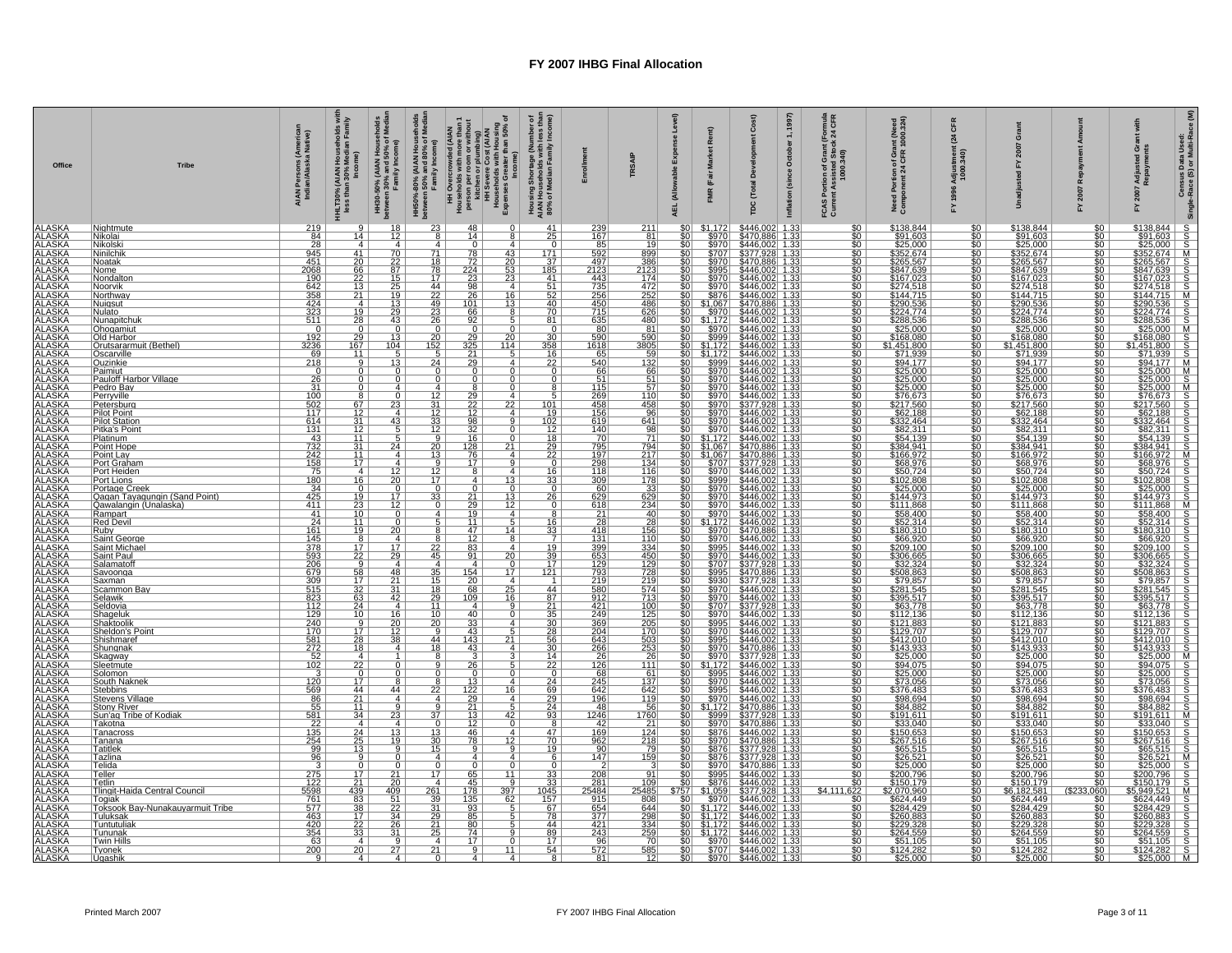| Office                                                                                                                                                                                                                                                                                                                      | <b>Tribe</b>                                                                                                                                              | AIAN Persons (America<br>Indian/Alaska Native)                           | HHLT30% (AIAN Households wi<br>less than 30% Median Family                                                            | HH30-50% (AIAN Households<br>between 30% and 50% of Media<br>Family Income) | HH50%-80% (AIAN Households<br>between 50% and 80% of Median<br>Family Income) | HH Overcrowded (AIAN<br>person person with more than 1<br>person person with the person of the series of pumbing)<br>HH Severe Cors (AIAN<br>H Severe Cors (AIAN<br>Expenses Greater than 50% of<br>me) | Housing Shortage (Number of<br>AIAN Households with less than<br>80% of Median Family Income) |                                                             | TRSAIP                                                   | Level)<br>nse<br>Expe<br>able<br>(Allc<br><b>AEL</b> | Ξ<br>ă<br>š<br>(Fair                                                                                                                              | Cost)<br>Total<br>rpc                                                                                                                                                                                                                                                                | 1997)<br>mula<br>CFR<br>$(For\n\times 24$<br>$\div$<br>October<br>iion of Grant (F<br>ssisted Stock :<br>1000.340)<br>(since<br><b>FCAS Portive</b><br>Current As<br>Inflation | int (Need<br>1000.324)<br>Need Portion of Gra<br>Component 24 CFR                                                                                                                                                                    | 뚱<br>$\mathfrak{a}$<br>ndjus<br>1000.<br>996 | ō                                                                                                                                                                                                                                                                                                                                                                                                             |                                           | G g<br>Adju<br>Repa<br>놊 | Census Data Used:<br>-Race (S) or Multi-Race (M)<br><b>Single</b> |
|-----------------------------------------------------------------------------------------------------------------------------------------------------------------------------------------------------------------------------------------------------------------------------------------------------------------------------|-----------------------------------------------------------------------------------------------------------------------------------------------------------|--------------------------------------------------------------------------|-----------------------------------------------------------------------------------------------------------------------|-----------------------------------------------------------------------------|-------------------------------------------------------------------------------|---------------------------------------------------------------------------------------------------------------------------------------------------------------------------------------------------------|-----------------------------------------------------------------------------------------------|-------------------------------------------------------------|----------------------------------------------------------|------------------------------------------------------|---------------------------------------------------------------------------------------------------------------------------------------------------|--------------------------------------------------------------------------------------------------------------------------------------------------------------------------------------------------------------------------------------------------------------------------------------|--------------------------------------------------------------------------------------------------------------------------------------------------------------------------------|--------------------------------------------------------------------------------------------------------------------------------------------------------------------------------------------------------------------------------------|----------------------------------------------|---------------------------------------------------------------------------------------------------------------------------------------------------------------------------------------------------------------------------------------------------------------------------------------------------------------------------------------------------------------------------------------------------------------|-------------------------------------------|--------------------------|-------------------------------------------------------------------|
| ALASKA<br>ALASKA<br>ALASKA<br>ALASKA<br>ALASKA<br>ALASKA<br>ALASKA<br>ALASKA<br>ALASKA<br>ALASKA<br>ALASKA<br>ALASKA<br>ALASKA<br>ALASKA<br>ALASKA<br>ALASKA<br>ALASKA<br>ALASKA<br>ALASKA<br>ALASKA<br>ALASKA<br>ALASKA<br>ALASKA<br>ALASKA<br>ALASKA<br>ALASKA<br>ALASKA<br>ALASKA<br>ALASKA<br>ALASKA                    | Nightmute<br>Nikolai                                                                                                                                      | 219                                                                      |                                                                                                                       | 18<br>12                                                                    | 23<br>8                                                                       | 48<br>$\Omega$<br>14<br>8                                                                                                                                                                               | 41                                                                                            | 239                                                         | 211<br>81                                                | \$0                                                  | \$1,172<br>\$970                                                                                                                                  | \$446,002                                                                                                                                                                                                                                                                            | 1.33<br>$\overline{\$0}$                                                                                                                                                       | \$138,844                                                                                                                                                                                                                            | 1980<br>1980<br>1980                         | \$138,844                                                                                                                                                                                                                                                                                                                                                                                                     | \$0<br>50                                 |                          |                                                                   |
|                                                                                                                                                                                                                                                                                                                             | <u>Nikolsk</u><br>Ninilch                                                                                                                                 | $\frac{84}{28}$<br>945                                                   | $\begin{array}{c}\n\overline{14} \\ 4 \\ \overline{41}\n\end{array}$                                                  | $\frac{4}{70}$                                                              | $rac{4}{71}$                                                                  | $\frac{10}{78}$ $\frac{72}{224}$ $\frac{224}{98}$ $\frac{98}{26}$<br>4<br>43                                                                                                                            | $\frac{75}{171}$                                                                              | $\frac{167}{167}$<br>$\frac{85}{592}$                       | 19<br>$\frac{1}{899}$                                    |                                                      | $\frac{$970}{$707}$                                                                                                                               | 3470.886 1.33<br>\$470.886 1.33<br>\$446,002 1.33<br>\$377,928 1.33<br>\$470.886 1.33<br>\$446,002 1.33                                                                                                                                                                              | $rac{60}{50}$                                                                                                                                                                  | 31391.603<br>\$25.000<br>\$25.000<br>\$352.674<br>\$265.567<br>\$167.023<br>\$144.715<br>\$144.715                                                                                                                                   |                                              |                                                                                                                                                                                                                                                                                                                                                                                                               | $\frac{\$0}{\$0}$                         |                          |                                                                   |
|                                                                                                                                                                                                                                                                                                                             | Noatak<br><u>Nome</u>                                                                                                                                     | $\frac{451}{2068}$                                                       | $\frac{20}{66}$<br>$\frac{22}{13}$<br>$\frac{13}{21}$                                                                 | $\frac{22}{87}$                                                             | $\frac{18}{78}$                                                               | $\overline{20}$<br>$\frac{53}{23}$                                                                                                                                                                      | $\frac{37}{185}$                                                                              | $\frac{497}{2123}$                                          | $\frac{386}{2123}$ $\frac{174}{472}$ $\frac{472}{252}$   |                                                      | \$970<br>\$995                                                                                                                                    |                                                                                                                                                                                                                                                                                      | $\overline{\text{SO}}$                                                                                                                                                         |                                                                                                                                                                                                                                      | $\overline{50}$                              |                                                                                                                                                                                                                                                                                                                                                                                                               | 50 <sub>1</sub><br>\$0                    |                          |                                                                   |
|                                                                                                                                                                                                                                                                                                                             | Nondalton<br>Noorvik                                                                                                                                      | $\frac{190}{190}$ $\frac{642}{358}$ $\frac{424}{323}$ $\frac{311}{10}$   |                                                                                                                       | $\frac{1}{29}$                                                              | 44                                                                            | $\overline{4}$                                                                                                                                                                                          | $\frac{41}{10}$                                                                               | $\frac{443}{735}$ $\frac{256}{450}$                         |                                                          |                                                      |                                                                                                                                                   |                                                                                                                                                                                                                                                                                      | \$0<br>\$0<br>\$0<br>\$0<br>\$0                                                                                                                                                |                                                                                                                                                                                                                                      |                                              |                                                                                                                                                                                                                                                                                                                                                                                                               | 50 <sub>1</sub><br>$rac{1}{100}$          |                          |                                                                   |
|                                                                                                                                                                                                                                                                                                                             | Northway<br>Nuiasut                                                                                                                                       |                                                                          |                                                                                                                       |                                                                             | $\overline{22}$                                                               | 16<br>101<br>13                                                                                                                                                                                         |                                                                                               |                                                             | 486                                                      |                                                      |                                                                                                                                                   |                                                                                                                                                                                                                                                                                      |                                                                                                                                                                                |                                                                                                                                                                                                                                      |                                              |                                                                                                                                                                                                                                                                                                                                                                                                               | 50 <sub>1</sub>                           |                          |                                                                   |
|                                                                                                                                                                                                                                                                                                                             | Nulato<br><u> Nunapitchul</u>                                                                                                                             |                                                                          | $\frac{4}{19}$                                                                                                        | <u>43</u>                                                                   | $\frac{49}{23}$<br>26                                                         | $rac{66}{92}$                                                                                                                                                                                           | 81                                                                                            | 635                                                         | 626<br>480                                               |                                                      |                                                                                                                                                   |                                                                                                                                                                                                                                                                                      | $\overline{\$0}$<br>$\overline{\text{SO}}$                                                                                                                                     |                                                                                                                                                                                                                                      |                                              |                                                                                                                                                                                                                                                                                                                                                                                                               | $rac{1}{20}$                              |                          |                                                                   |
|                                                                                                                                                                                                                                                                                                                             | Ohogamiut<br>Old Harbor                                                                                                                                   | $\frac{0}{\frac{192}{3236}}$                                             | $\frac{0}{29}$                                                                                                        | $\frac{0}{13}$                                                              |                                                                               | 20 <sub>1</sub>                                                                                                                                                                                         |                                                                                               | $\frac{80}{590}$                                            | $\frac{81}{590}$                                         |                                                      |                                                                                                                                                   |                                                                                                                                                                                                                                                                                      | $\frac{$0}{0}$                                                                                                                                                                 |                                                                                                                                                                                                                                      |                                              |                                                                                                                                                                                                                                                                                                                                                                                                               | $rac{$0]}{20}$                            |                          |                                                                   |
|                                                                                                                                                                                                                                                                                                                             | <b>Outsararmuit (Bethel)</b><br><b>Occarville</b><br><b>Outsararmuit Pauloff Harbor Village<br/> Pauloff Harbor Village<br/> Pedro Bay<br/> Pedro Bay</b> |                                                                          | $\frac{167}{11}$                                                                                                      | $\frac{104}{5}$                                                             | $\frac{20}{152}$                                                              | $\frac{0}{29}$<br>$\frac{29}{25}$<br>$\frac{325}{21}$<br><u> 114  </u>                                                                                                                                  | $\frac{0}{30}$<br>$\frac{30}{358}$                                                            | 1618                                                        | <u>3805</u>                                              |                                                      |                                                                                                                                                   |                                                                                                                                                                                                                                                                                      | $\frac{\$0}{\$0}$                                                                                                                                                              |                                                                                                                                                                                                                                      |                                              |                                                                                                                                                                                                                                                                                                                                                                                                               | $rac{50}{50}$                             |                          |                                                                   |
|                                                                                                                                                                                                                                                                                                                             |                                                                                                                                                           | $\frac{69}{218}$                                                         | $\overline{9}$                                                                                                        | $\overline{13}$                                                             | 24                                                                            | 5<br>$\overline{29}$<br>$\mathbf{A}$                                                                                                                                                                    | $rac{16}{22}$                                                                                 | 65<br>540                                                   | $\frac{59}{132}$                                         |                                                      |                                                                                                                                                   |                                                                                                                                                                                                                                                                                      | $\overline{\$0}$                                                                                                                                                               |                                                                                                                                                                                                                                      |                                              |                                                                                                                                                                                                                                                                                                                                                                                                               | 50 <sub>1</sub>                           |                          |                                                                   |
|                                                                                                                                                                                                                                                                                                                             |                                                                                                                                                           | $\begin{array}{r} 0 \\ \hline 26 \\ \hline 31 \\ \hline 100 \end{array}$ | $\overline{0}$                                                                                                        | $\frac{0}{0}$                                                               | $\overline{0}$<br>$\overline{0}$                                              | $\overline{0}$<br>$\Omega$<br>$\overline{0}$                                                                                                                                                            | $\begin{matrix} 0 \\ 0 \end{matrix}$                                                          | $\frac{66}{51}$                                             | $\frac{66}{51}$                                          |                                                      |                                                                                                                                                   |                                                                                                                                                                                                                                                                                      | $\frac{50}{50}$                                                                                                                                                                |                                                                                                                                                                                                                                      |                                              |                                                                                                                                                                                                                                                                                                                                                                                                               | $\frac{\$0}{\$0}$                         |                          |                                                                   |
|                                                                                                                                                                                                                                                                                                                             | Perryville                                                                                                                                                |                                                                          | 8                                                                                                                     | $\overline{4}$                                                              | 4<br>12                                                                       | $\overline{8}$<br>$\Omega$<br>4                                                                                                                                                                         | 8<br>$\overline{5}$                                                                           | $\frac{115}{269}$                                           | $\overline{57}$<br>110                                   |                                                      |                                                                                                                                                   |                                                                                                                                                                                                                                                                                      | <u>asabasi</u>                                                                                                                                                                 |                                                                                                                                                                                                                                      |                                              |                                                                                                                                                                                                                                                                                                                                                                                                               | 50 <sub>1</sub><br><u>\$0  </u>           |                          |                                                                   |
|                                                                                                                                                                                                                                                                                                                             | Petersburg<br>Pilot Point<br>Pilot Station<br>Pitka's Point                                                                                               | $\frac{502}{117}$                                                        |                                                                                                                       | $\frac{0}{23}$<br>$\overline{4}$                                            |                                                                               | $\frac{29}{22}$ $\frac{12}{32}$ $\frac{32}{16}$<br>22<br>$\overline{4}$                                                                                                                                 |                                                                                               | $\frac{458}{156}$                                           | 458                                                      |                                                      |                                                                                                                                                   |                                                                                                                                                                                                                                                                                      |                                                                                                                                                                                |                                                                                                                                                                                                                                      |                                              |                                                                                                                                                                                                                                                                                                                                                                                                               | 50 <sub>1</sub>                           |                          |                                                                   |
|                                                                                                                                                                                                                                                                                                                             |                                                                                                                                                           | 614                                                                      | $\begin{array}{c}\n 67 \\  \hline\n 12 \\  \hline\n 31 \\  \hline\n 12 \\  \hline\n 11 \\  \hline\n 11\n \end{array}$ |                                                                             | $\frac{31}{12}$<br>$\frac{12}{12}$<br>$\frac{12}{9}$                          | 9                                                                                                                                                                                                       | $\frac{\frac{101}{102}}{\frac{102}{20}}$                                                      |                                                             | $\frac{96}{641}$ $\frac{98}{71}$                         |                                                      |                                                                                                                                                   |                                                                                                                                                                                                                                                                                      |                                                                                                                                                                                |                                                                                                                                                                                                                                      |                                              |                                                                                                                                                                                                                                                                                                                                                                                                               | $rac{1}{100}$                             |                          |                                                                   |
|                                                                                                                                                                                                                                                                                                                             |                                                                                                                                                           | $\frac{131}{43}$                                                         |                                                                                                                       | $\frac{43}{5}$                                                              |                                                                               | $\overline{0}$                                                                                                                                                                                          |                                                                                               | $\frac{140}{70}$                                            |                                                          |                                                      |                                                                                                                                                   |                                                                                                                                                                                                                                                                                      |                                                                                                                                                                                |                                                                                                                                                                                                                                      |                                              |                                                                                                                                                                                                                                                                                                                                                                                                               | 50 <sub>1</sub><br>50 <sub>1</sub>        |                          |                                                                   |
|                                                                                                                                                                                                                                                                                                                             | Point Hope                                                                                                                                                |                                                                          | $\begin{array}{c} 31 \\ 11 \\ 17 \end{array}$                                                                         | 24<br>$\overline{4}$                                                        | $\frac{20}{13}$                                                               | $\frac{\frac{128}{76}}{\frac{76}{17}}$<br>$21 \perp$<br>4                                                                                                                                               |                                                                                               | $\frac{795}{197}$                                           | $\frac{794}{217}$<br>134                                 |                                                      |                                                                                                                                                   |                                                                                                                                                                                                                                                                                      | $\frac{50}{50}$<br>$\frac{50}{50}$                                                                                                                                             |                                                                                                                                                                                                                                      |                                              |                                                                                                                                                                                                                                                                                                                                                                                                               | $\frac{$0}{$0}{$0 $}$                     |                          |                                                                   |
|                                                                                                                                                                                                                                                                                                                             | Point Lay<br>Port Graham<br>Port Heiden                                                                                                                   | $\frac{732}{732}$ $\frac{242}{158}$ $\frac{75}{158}$                     |                                                                                                                       | $\overline{4}$                                                              |                                                                               | $\overline{9}$<br>$\overline{\mathbf{8}}$<br>4 <sup>1</sup>                                                                                                                                             |                                                                                               |                                                             |                                                          |                                                      |                                                                                                                                                   |                                                                                                                                                                                                                                                                                      |                                                                                                                                                                                |                                                                                                                                                                                                                                      |                                              |                                                                                                                                                                                                                                                                                                                                                                                                               |                                           |                          |                                                                   |
|                                                                                                                                                                                                                                                                                                                             |                                                                                                                                                           |                                                                          | $\frac{4}{16}$                                                                                                        |                                                                             | $\frac{12}{17}$<br>$\overline{0}$                                             | $\overline{4}$<br>13<br>$\overline{0}$<br>$\Omega$                                                                                                                                                      | $\frac{16}{33}$                                                                               | $\frac{118}{309}$<br>60                                     | $\frac{116}{178}$                                        |                                                      |                                                                                                                                                   |                                                                                                                                                                                                                                                                                      |                                                                                                                                                                                |                                                                                                                                                                                                                                      |                                              |                                                                                                                                                                                                                                                                                                                                                                                                               | <b>SOLU</b>                               |                          |                                                                   |
|                                                                                                                                                                                                                                                                                                                             | Port Lions<br>  Port Lions<br>  Qaqan Tayagungin (Sand Point)<br>  Qaqan Tayagungin (Sand Point)<br>  Rampart<br>  Red Devil                              | $\frac{180}{34}$ $\frac{425}{411}$                                       |                                                                                                                       | $\frac{12}{120}$ $\frac{17}{12}$ $\frac{17}{0}$                             | $\frac{33}{0}$                                                                | $\frac{13}{12}$                                                                                                                                                                                         | $\frac{26}{0}$                                                                                | $\frac{629}{618}$                                           | $\frac{33}{629}$                                         |                                                      |                                                                                                                                                   |                                                                                                                                                                                                                                                                                      | \$0<br>\$0<br>\$0<br>\$0<br>\$0                                                                                                                                                |                                                                                                                                                                                                                                      |                                              | $\frac{$76.673}{2417.560}$<br>$\frac{$2.37}{242.464}$<br>$\frac{$62.311}{332.464}$<br>$\frac{$54.139}{362.311}$<br>$\frac{$384.941}{368.976}$<br>$\frac{$68.976}{362.5000}$<br>$\frac{$2.800}{3144.973}$<br>$\frac{$11.868}{358.400}$                                                                                                                                                                         | $rac{$0}{0}$                              |                          |                                                                   |
|                                                                                                                                                                                                                                                                                                                             |                                                                                                                                                           | $\frac{41}{24}$                                                          | $\frac{19}{23}$<br>$\frac{10}{10}$                                                                                    |                                                                             | 4                                                                             | $\frac{21}{29}$<br>$\frac{19}{19}$<br>4                                                                                                                                                                 | 8                                                                                             | $\frac{21}{28}$                                             | $\frac{40}{ }$                                           |                                                      |                                                                                                                                                   |                                                                                                                                                                                                                                                                                      | $\frac{50}{50}$                                                                                                                                                                |                                                                                                                                                                                                                                      |                                              | $\frac{$58.400}{$52.314}$                                                                                                                                                                                                                                                                                                                                                                                     | $rac{50}{50}$                             |                          |                                                                   |
|                                                                                                                                                                                                                                                                                                                             |                                                                                                                                                           |                                                                          | <u>11  </u>                                                                                                           | $rac{0}{20}$                                                                | 5 <sub>1</sub><br>8 <sup>1</sup>                                              | <u>11</u><br>5 <sub>1</sub><br><u>14 l</u>                                                                                                                                                              | $\frac{16}{33}$                                                                               |                                                             | 28                                                       |                                                      |                                                                                                                                                   |                                                                                                                                                                                                                                                                                      |                                                                                                                                                                                |                                                                                                                                                                                                                                      |                                              |                                                                                                                                                                                                                                                                                                                                                                                                               | 50 <sub>1</sub>                           |                          |                                                                   |
|                                                                                                                                                                                                                                                                                                                             | Ruby<br>Saint George<br>Saint Michael<br>Saint Paul<br>Salamatoff                                                                                         | $\frac{161}{145}$ $\frac{145}{378}$ $\frac{593}{206}$                    | $rac{19}{17}$<br>$rac{17}{22}$                                                                                        |                                                                             | $\frac{8}{22}$<br>45                                                          | $\frac{47}{12}$<br>83<br>8<br>4 I                                                                                                                                                                       |                                                                                               |                                                             | $\frac{156}{110}$<br>334                                 |                                                      | $\frac{$970}{$970}$<br>$$995$                                                                                                                     | $\frac{$470.886}{$446.002}$ 1.33<br>\$446,002 1.33                                                                                                                                                                                                                                   |                                                                                                                                                                                | $\frac{352,314}{180.310}$                                                                                                                                                                                                            |                                              |                                                                                                                                                                                                                                                                                                                                                                                                               | $\frac{\overline{\$0}}{\$0}$              |                          |                                                                   |
|                                                                                                                                                                                                                                                                                                                             |                                                                                                                                                           |                                                                          |                                                                                                                       | $\frac{17}{29}$<br>4                                                        | 4                                                                             | 91<br>20<br>$\overline{4}$<br>$\Omega$                                                                                                                                                                  | $\frac{19}{39}$<br>$\frac{39}{17}$                                                            |                                                             | 450<br>129                                               |                                                      | \$970                                                                                                                                             |                                                                                                                                                                                                                                                                                      | $\frac{\$0}{\$0}$                                                                                                                                                              |                                                                                                                                                                                                                                      |                                              |                                                                                                                                                                                                                                                                                                                                                                                                               | $\frac{1}{2}$<br>50 <sub>1</sub>          |                          |                                                                   |
|                                                                                                                                                                                                                                                                                                                             | Savoonga                                                                                                                                                  |                                                                          |                                                                                                                       |                                                                             |                                                                               | 17 <sup>1</sup>                                                                                                                                                                                         | 121                                                                                           |                                                             |                                                          |                                                      | \$995                                                                                                                                             |                                                                                                                                                                                                                                                                                      |                                                                                                                                                                                |                                                                                                                                                                                                                                      |                                              |                                                                                                                                                                                                                                                                                                                                                                                                               | 50 <sub>1</sub>                           |                          |                                                                   |
|                                                                                                                                                                                                                                                                                                                             | Saxman<br>Scammon                                                                                                                                         | 679<br>309<br>515<br>823                                                 | $\frac{58}{17}$                                                                                                       | $\frac{48}{21}$<br>$\frac{21}{31}$                                          | $\begin{array}{c}\n 35 \\  \hline\n 15 \\  \hline\n 18\n \end{array}$         | $\begin{array}{r}\n 154 \\  \overline{20} \\  68\n \end{array}$<br>$\overline{4}$<br>25                                                                                                                 | 44                                                                                            | 418<br>131<br>399<br>653<br>129<br>219<br>219<br>219<br>580 | 728<br>219<br>574                                        |                                                      |                                                                                                                                                   |                                                                                                                                                                                                                                                                                      | \$0<br>\$0<br>\$0                                                                                                                                                              |                                                                                                                                                                                                                                      |                                              |                                                                                                                                                                                                                                                                                                                                                                                                               | $rac{60}{60}$                             |                          |                                                                   |
|                                                                                                                                                                                                                                                                                                                             | <u> Selawik</u>                                                                                                                                           |                                                                          | $\frac{63}{24}$                                                                                                       | 42<br>$\overline{4}$                                                        | <u>29  </u><br>11                                                             | 16<br>109<br>$\overline{4}$                                                                                                                                                                             | $\frac{87}{21}$<br>$\frac{21}{35}$                                                            | 912                                                         | 713                                                      |                                                      |                                                                                                                                                   |                                                                                                                                                                                                                                                                                      | $\frac{60}{100}$                                                                                                                                                               |                                                                                                                                                                                                                                      |                                              |                                                                                                                                                                                                                                                                                                                                                                                                               | $\frac{1}{20}$                            |                          |                                                                   |
|                                                                                                                                                                                                                                                                                                                             | Seldovia                                                                                                                                                  |                                                                          |                                                                                                                       |                                                                             | 10                                                                            | 40<br>$\Omega$<br>4 <sup>1</sup>                                                                                                                                                                        |                                                                                               | $\frac{421}{249}$                                           | $\frac{100}{125}$                                        |                                                      |                                                                                                                                                   |                                                                                                                                                                                                                                                                                      |                                                                                                                                                                                |                                                                                                                                                                                                                                      |                                              |                                                                                                                                                                                                                                                                                                                                                                                                               | $rac{1}{20}$                              |                          |                                                                   |
|                                                                                                                                                                                                                                                                                                                             |                                                                                                                                                           |                                                                          | $\frac{9}{17}$<br>$\frac{28}{18}$                                                                                     | $\frac{16}{20}$<br>$\frac{12}{38}$                                          | $\frac{20}{9}$                                                                | $\frac{33}{43}$<br>$\frac{43}{143}$                                                                                                                                                                     | $\frac{30}{28}$                                                                               | $\frac{369}{204}$                                           | $\frac{205}{170}$                                        |                                                      | \$930<br>\$930<br>\$970<br>\$970<br>\$995<br>\$970<br>\$9870                                                                                      |                                                                                                                                                                                                                                                                                      | $\frac{\$0}{\$0}$                                                                                                                                                              |                                                                                                                                                                                                                                      |                                              | $\begin{array}{r} \textcolor{red}{\bf5180.310} \\ \textcolor{red}{\bf566.920} \\ \textcolor{red}{\bf\$366.920} \\ \textcolor{red}{\bf\$306.665} \\ \textcolor{red}{\bf\$32.324} \\ \textcolor{red}{\bf\$532.324} \\ \textcolor{red}{\bf\$79.857} \\ \textcolor{red}{\bf\$281.545} \\ \textcolor{red}{\bf\$29.857} \\ \textcolor{red}{\bf\$450.768} \\ \textcolor{red}{\bf\$12.136} \\ \textcolor{red}{\bf\$1$ | $\frac{$0}{0}$                            |                          |                                                                   |
|                                                                                                                                                                                                                                                                                                                             | Shaktoolik<br>Sheldon's Point<br>Shishmaref<br>Shunqnak                                                                                                   | 112<br>129<br>240<br>170<br>581<br>272<br>52<br>10<br>20<br>120<br>569   |                                                                                                                       | 4 <sup>1</sup>                                                              | $\frac{44}{18}$                                                               | 21<br>43<br>4                                                                                                                                                                                           | $\overline{56}$<br>30                                                                         | 643<br>266                                                  | $\frac{\frac{11}{503}}{\frac{253}{111}}$                 |                                                      | $\begin{array}{r} 3995 \\ 8995 \\ \hline 8970 \\ \hline 81,172 \\ \hline 8995 \\ \hline 8970 \\ \hline 8970 \\ \hline 8970 \\ \hline \end{array}$ | $\frac{5446.0021133}{5377.9281133}$ $\frac{5377.9281133}{5377.088611333}$ $\frac{5377.08611333}{5376.02211333}$ $\frac{5446.00211333}{5446.00211333}$ $\frac{5446.0021133}{5446.00211333}$ $\frac{5446.0021133}{5446.00211333}$ $\frac{5446.0021133}{5446$                           | $\frac{\frac{80}{50}}{\frac{80}{50}}$                                                                                                                                          | en Maria Control (Maria Control Control Control Control Control Control Control Control Control Control Contro<br>2006 - Anne Control Control Control Control Control Control Control Control Control Control Control Control C<br>2 |                                              |                                                                                                                                                                                                                                                                                                                                                                                                               | $rac{50}{50}$<br>$rac{50}{50}$            |                          |                                                                   |
| ALASKA<br>ALASKA<br>ALASKA<br>ALASKA<br>ALASKA<br>ALASKA<br>ALASKA<br>ALASKA<br>ALASKA<br>ALASKA<br>ALASKA<br>ALASKA<br>ALASKA<br>ALASKA<br>ALASKA<br>ALASKA<br>ALASKA<br>ALASKA<br>ALASKA<br>ALASKA<br>ALASKA<br>ALASKA<br>ALASKA<br>ALASKA<br>ALASKA<br>ALASKA<br>ALASKA<br>ALASKA<br>ALASKA<br>ALASKA<br>ALASKA<br>ALASK | Skagway<br>Sleetmute<br>Solomon                                                                                                                           |                                                                          |                                                                                                                       | $\overline{0}$                                                              | 8<br>9                                                                        | $\overline{26}$                                                                                                                                                                                         | $\frac{14}{22}$                                                                               | $\frac{26}{126}$                                            |                                                          |                                                      |                                                                                                                                                   |                                                                                                                                                                                                                                                                                      |                                                                                                                                                                                |                                                                                                                                                                                                                                      |                                              |                                                                                                                                                                                                                                                                                                                                                                                                               | $rac{50}{50}$                             |                          |                                                                   |
|                                                                                                                                                                                                                                                                                                                             |                                                                                                                                                           |                                                                          | $\frac{4}{22}$<br>$\frac{17}{17}$                                                                                     |                                                                             | <sup>n</sup>                                                                  | 0<br>$\Omega$<br>4                                                                                                                                                                                      |                                                                                               |                                                             | 61                                                       |                                                      |                                                                                                                                                   |                                                                                                                                                                                                                                                                                      |                                                                                                                                                                                |                                                                                                                                                                                                                                      |                                              | $\begin{tabular}{ c c c c } \hline $\$25.000$ \\ \hline $29.4075$ \\ \hline $29.4076$ \\ \hline $\$273.056$ \\ \hline $\$273.056$ \\ \hline $\$36.0000$ \\ \hline $\$48.0000$ \\ \hline $\$48.0000$ \\ \hline $\$48.0000$ \\ \hline $\$58.0000$ \\ \hline $\$68.0000$ \\ \hline $\$68.0000$ \\ \hline $\$68.0000$ \\ \hline $\$78.0000$ \\ \hline $\$78.000$                                                  |                                           |                          |                                                                   |
|                                                                                                                                                                                                                                                                                                                             | South Naknek<br>Stevens Village                                                                                                                           |                                                                          |                                                                                                                       | $\overline{44}$                                                             | $rac{8}{22}$<br>4 <sub>1</sub>                                                | $\frac{13}{122}$<br>16<br>4 <sup>1</sup>                                                                                                                                                                | $\frac{24}{69}$                                                                               | $\frac{245}{642}$<br>196                                    | $\frac{137}{642}$<br>119                                 |                                                      |                                                                                                                                                   | $\frac{5990}{\$970} \frac{\$446.002}{\$446.002} \frac{1.33}{1.33}$<br>$\frac{5995}{\$970} \frac{\$446.002}{\$446.002} \frac{1.33}{1.33}$<br>$\frac{5970}{\$999} \frac{\$470.886}{\$377.928} \frac{1.33}{1.33}$<br>$\frac{5999}{\$970} \frac{\$470.886}{\$470.886} \frac{1.33}{1.33}$ | $\frac{\$0}{\$0}$                                                                                                                                                              |                                                                                                                                                                                                                                      |                                              |                                                                                                                                                                                                                                                                                                                                                                                                               | $rac{1}{100}$<br>\$0                      |                          |                                                                   |
|                                                                                                                                                                                                                                                                                                                             | Stony River<br>Sun'ag Tribe of Kodiak                                                                                                                     |                                                                          | $\frac{21}{11}$<br>$\frac{11}{34}$                                                                                    | $\frac{4}{\frac{9}{23}}$                                                    | $\overline{9}$                                                                | $\frac{29}{21}$<br>$\frac{21}{13}$<br>$\frac{5}{42}$                                                                                                                                                    | $\frac{29}{24}$<br>$\frac{24}{93}$                                                            | $\frac{48}{1246}$                                           | $\frac{56}{1760}$                                        |                                                      |                                                                                                                                                   |                                                                                                                                                                                                                                                                                      | \$0<br>\$0<br>\$0                                                                                                                                                              |                                                                                                                                                                                                                                      |                                              |                                                                                                                                                                                                                                                                                                                                                                                                               | $rac{1}{50}$                              |                          |                                                                   |
|                                                                                                                                                                                                                                                                                                                             | <u>Takotna</u>                                                                                                                                            |                                                                          |                                                                                                                       | $\overline{4}$                                                              | $\overline{37}$<br>0 <sub>1</sub>                                             | 12<br>0 <sup>1</sup>                                                                                                                                                                                    | $\frac{8}{47}$                                                                                | 42                                                          |                                                          |                                                      |                                                                                                                                                   |                                                                                                                                                                                                                                                                                      |                                                                                                                                                                                |                                                                                                                                                                                                                                      |                                              |                                                                                                                                                                                                                                                                                                                                                                                                               | <u>so l</u>                               |                          |                                                                   |
|                                                                                                                                                                                                                                                                                                                             | Tanacross                                                                                                                                                 |                                                                          |                                                                                                                       | $\frac{13}{19}$                                                             | $\frac{13}{30}$                                                               | 46<br>4<br>$\overline{78}$<br>12                                                                                                                                                                        | $\overline{70}$                                                                               | $\frac{169}{962}$                                           |                                                          |                                                      |                                                                                                                                                   |                                                                                                                                                                                                                                                                                      | \$0                                                                                                                                                                            |                                                                                                                                                                                                                                      |                                              |                                                                                                                                                                                                                                                                                                                                                                                                               | $rac{1}{20}$                              |                          |                                                                   |
|                                                                                                                                                                                                                                                                                                                             | Tanana<br>Tatitlek                                                                                                                                        | 86<br>581<br>581<br>584<br>596<br>506<br>506                             | $\frac{4}{24}$<br>$\frac{24}{13}$                                                                                     | $\frac{9}{0}$                                                               | $\frac{15}{4}$                                                                | $\frac{9}{4}$<br>9 <sup>1</sup>                                                                                                                                                                         | 19                                                                                            | $\frac{90}{147}$                                            | $\frac{21}{124}$<br>$\frac{124}{79}$<br>$\frac{79}{159}$ |                                                      |                                                                                                                                                   |                                                                                                                                                                                                                                                                                      | $\frac{\$0}{\$0}$                                                                                                                                                              |                                                                                                                                                                                                                                      |                                              |                                                                                                                                                                                                                                                                                                                                                                                                               | $rac{1}{50}$                              |                          |                                                                   |
|                                                                                                                                                                                                                                                                                                                             | ∣Tazlina<br>∣ <u>T</u> elida<br>Teller                                                                                                                    | 275                                                                      | $\overline{0}$<br>17                                                                                                  | $\overline{0}$                                                              | $\overline{0}$<br>17                                                          | $\Omega$<br>$\Omega$<br>65<br>11 <sup>1</sup>                                                                                                                                                           | $\frac{6}{0}$                                                                                 | 208                                                         | 91                                                       |                                                      |                                                                                                                                                   |                                                                                                                                                                                                                                                                                      |                                                                                                                                                                                |                                                                                                                                                                                                                                      |                                              |                                                                                                                                                                                                                                                                                                                                                                                                               | \$0<br>\$0                                |                          |                                                                   |
|                                                                                                                                                                                                                                                                                                                             | Tetlin<br>Tlingit-Haida Central Council                                                                                                                   |                                                                          |                                                                                                                       |                                                                             |                                                                               |                                                                                                                                                                                                         | $\begin{array}{r} 33 \\ 33 \\ 1045 \\ \hline 157 \\ 67 \\ 78 \\ \hline \end{array}$           |                                                             | 109                                                      |                                                      |                                                                                                                                                   |                                                                                                                                                                                                                                                                                      |                                                                                                                                                                                |                                                                                                                                                                                                                                      |                                              |                                                                                                                                                                                                                                                                                                                                                                                                               |                                           |                          |                                                                   |
|                                                                                                                                                                                                                                                                                                                             | Togiak                                                                                                                                                    | $\frac{122}{5598}$<br>761                                                | $\begin{array}{r}\n 21 \\  \hline\n 439 \\  \hline\n 83\n \end{array}$                                                | $\frac{20}{409}$                                                            | $\begin{array}{c}\n 4 \\  \hline\n 261 \\  \hline\n 39\n \end{array}$         | $\frac{45}{178}$<br>178<br>$\frac{397}{62}$                                                                                                                                                             |                                                                                               | $\frac{281}{25484}$                                         | $\frac{25485}{808}$                                      |                                                      |                                                                                                                                                   |                                                                                                                                                                                                                                                                                      | $\frac{$4,111,622}{0}$                                                                                                                                                         |                                                                                                                                                                                                                                      |                                              |                                                                                                                                                                                                                                                                                                                                                                                                               | $\frac{50}{060}$                          |                          |                                                                   |
|                                                                                                                                                                                                                                                                                                                             | Toksook Bav-Nunakauvarmuit Tribe<br> Tuluksak                                                                                                             | $\frac{577}{463}$                                                        | $\frac{38}{17}$                                                                                                       | $\frac{22}{34}$                                                             | $\frac{31}{29}$                                                               | $\frac{93}{85}$                                                                                                                                                                                         |                                                                                               | $\frac{654}{377}$                                           | $\frac{644}{298}$                                        |                                                      |                                                                                                                                                   |                                                                                                                                                                                                                                                                                      | $\overline{\$0}$                                                                                                                                                               |                                                                                                                                                                                                                                      |                                              |                                                                                                                                                                                                                                                                                                                                                                                                               | $\overline{\text{SO}}$<br>$\overline{50}$ |                          |                                                                   |
|                                                                                                                                                                                                                                                                                                                             | Tuntutuliak<br>Tununak                                                                                                                                    | $\frac{420}{354}$                                                        | $\frac{22}{33}$                                                                                                       | $\frac{26}{31}$                                                             | $\frac{\frac{21}{21}}{\frac{25}{4}}$                                          | $\frac{80}{74}$                                                                                                                                                                                         | $\frac{44}{89}$<br>17                                                                         | $\frac{421}{243}$                                           | $\frac{334}{259}$                                        |                                                      |                                                                                                                                                   |                                                                                                                                                                                                                                                                                      | $\overline{\text{SO}}$                                                                                                                                                         |                                                                                                                                                                                                                                      |                                              |                                                                                                                                                                                                                                                                                                                                                                                                               | 50 <sub>1</sub>                           |                          |                                                                   |
|                                                                                                                                                                                                                                                                                                                             | <b>Twin Hills</b>                                                                                                                                         |                                                                          |                                                                                                                       | $\overline{27}$                                                             |                                                                               | $\overline{9}$                                                                                                                                                                                          |                                                                                               |                                                             |                                                          |                                                      |                                                                                                                                                   |                                                                                                                                                                                                                                                                                      | 50<br>50<br>50<br>50                                                                                                                                                           |                                                                                                                                                                                                                                      |                                              |                                                                                                                                                                                                                                                                                                                                                                                                               | \$0  <br>\$0                              |                          |                                                                   |
|                                                                                                                                                                                                                                                                                                                             | <b>Tvonek</b><br>Uqashik                                                                                                                                  | 200                                                                      | $\frac{1}{20}$                                                                                                        | $\overline{4}$                                                              | $\frac{21}{0}$                                                                | 11<br>$\overline{4}$                                                                                                                                                                                    | $\frac{54}{8}$                                                                                | $\frac{572}{81}$                                            | 585                                                      |                                                      |                                                                                                                                                   |                                                                                                                                                                                                                                                                                      |                                                                                                                                                                                |                                                                                                                                                                                                                                      |                                              | $\frac{$124.282}{$25,000}$                                                                                                                                                                                                                                                                                                                                                                                    | 50<br>50 <sub>1</sub>                     |                          |                                                                   |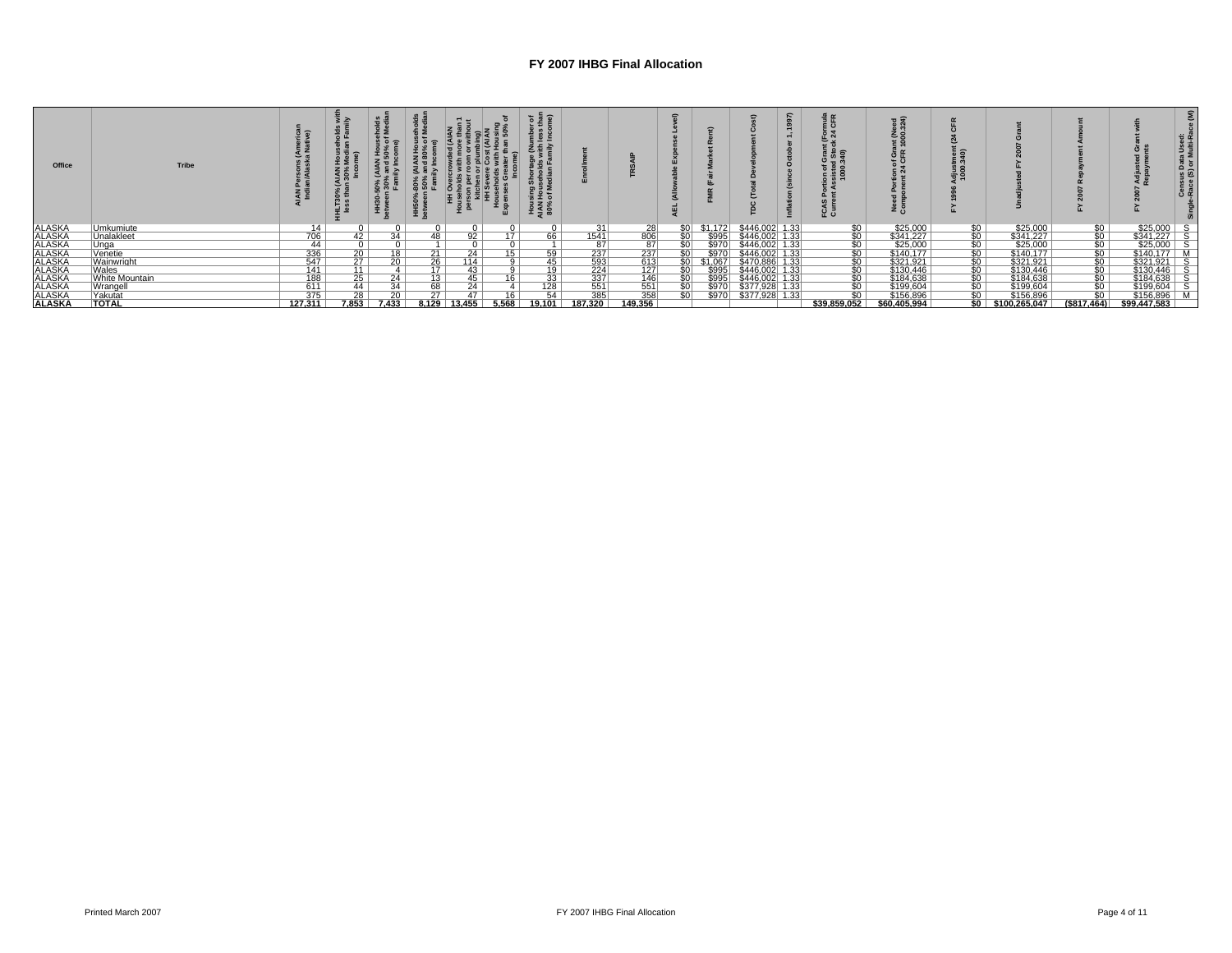| Office                                         | <b>Tribe</b>      |                          | ĬΣ<br><b>IAN</b><br>30% | ' 흐 ㅡ<br>క శి   | $\frac{80}{50}$ |        |                           | ဖ ွ<br>ing<br>Hou<br>of M<br>$rac{3}{2}$ $rac{3}{2}$ $rac{8}{2}$ |                                                                          |                   |      |               |                 | $\tilde{a}$ | ≌≃<br>25        | z ŏ          |                  |                         |                       |                             |                            |
|------------------------------------------------|-------------------|--------------------------|-------------------------|-----------------|-----------------|--------|---------------------------|------------------------------------------------------------------|--------------------------------------------------------------------------|-------------------|------|---------------|-----------------|-------------|-----------------|--------------|------------------|-------------------------|-----------------------|-----------------------------|----------------------------|
| <b>ALASKA</b>                                  | Umkumiute         | 14                       |                         |                 |                 |        |                           | $\Omega$                                                         | 31                                                                       | 28                | \$0l | \$1.172       | \$446,002 1.33  |             | \$0             | \$25,000     | $\frac{$0}{$0}$  | \$25,000                |                       | $$25,000$ S                 |                            |
|                                                | Unalakleet        | $\frac{706}{44}$         | 42 <sub>1</sub>         | $\overline{34}$ | 48              | 92     |                           | 66                                                               | 1541                                                                     | 806               | sol  | \$995         | \$446.002 1.33  |             | 50              | \$341.227    |                  | \$341.227               |                       | $$341.227$ S                |                            |
|                                                | Unga              |                          |                         |                 |                 |        |                           |                                                                  | 87                                                                       | 87                |      | \$970         | $$446,002$ 1.33 |             | $\overline{50}$ | \$25,000     | $\overline{50}$  | \$25,000                |                       | \$25,000                    | $\overline{\phantom{a}}$ s |
|                                                | Venetie           |                          | 20                      | 18              | 21              | 24     |                           | 59                                                               | 237                                                                      | 237               |      | \$970         | \$446           |             | \$0             | \$140,177    | $\overline{\$0}$ | \$140,177               |                       | \$140,177                   |                            |
|                                                | <b>Wainwright</b> | $\frac{336}{547}$<br>141 | 27                      | $\overline{20}$ | 26              | 114    |                           | 45                                                               | $\frac{593}{224}$                                                        | 613               |      | \$1.067       | \$470,886 1.33  |             | $rac{$0}{$0}$   | \$321.921    |                  | \$321.921               |                       | $$321.921$ S                |                            |
| ALASKA<br>ALASKA<br>ALASKA<br>ALASKA<br>ALASKA | Wales             |                          | 11                      |                 | 17              | 43     |                           | 19                                                               |                                                                          | 127               |      | \$995         | \$446,002 1.33  |             |                 | \$130,446    |                  | \$130,446               |                       | \$130,446                   | - S                        |
| <b>ALASKA</b>                                  | White Mountain    |                          | 25                      | $\overline{24}$ | 13              | 45     | $\overline{\overline{6}}$ | 33                                                               |                                                                          | 146               |      | \$995         | \$446.002 1.33  |             | \$0             | \$184.638    |                  | \$184.638               |                       | \$184.638                   | ⊺ s                        |
| <b>ALASKA</b>                                  | Wrangell          | $\frac{188}{611}$        | 44                      | 34              | 68              | 24     |                           | 128                                                              | $\begin{array}{r}\n 337 \\  \hline\n 551 \\  \hline\n 385\n \end{array}$ | $\frac{551}{358}$ |      | \$970         | $$377,928$ 1.33 |             | \$0             | \$199,604    |                  | \$199,604               | <u>අස්සය සලක්වි ප</u> | $\frac{$199.604}{$156.896}$ |                            |
| <b>ALASKA</b>                                  | Yakutat           |                          | 28                      | $\overline{20}$ | $\overline{27}$ |        |                           | 54                                                               |                                                                          |                   |      | <b>\$9701</b> | \$377,928 1.33  |             | $\overline{50}$ | \$156,896    |                  | \$156.896               |                       |                             |                            |
| <b>ALASKA</b>                                  | <b>TOTAL</b>      | 127.311                  | 7.853                   | 7.433           | 8.129           | 13.455 | 5.568                     | 19.101                                                           | 187.320                                                                  | 149.356           |      |               |                 |             | \$39.859.052    | \$60,405,994 |                  | $$0 \mid $100.265.047]$ | (S817.464)            | \$99.447.583                |                            |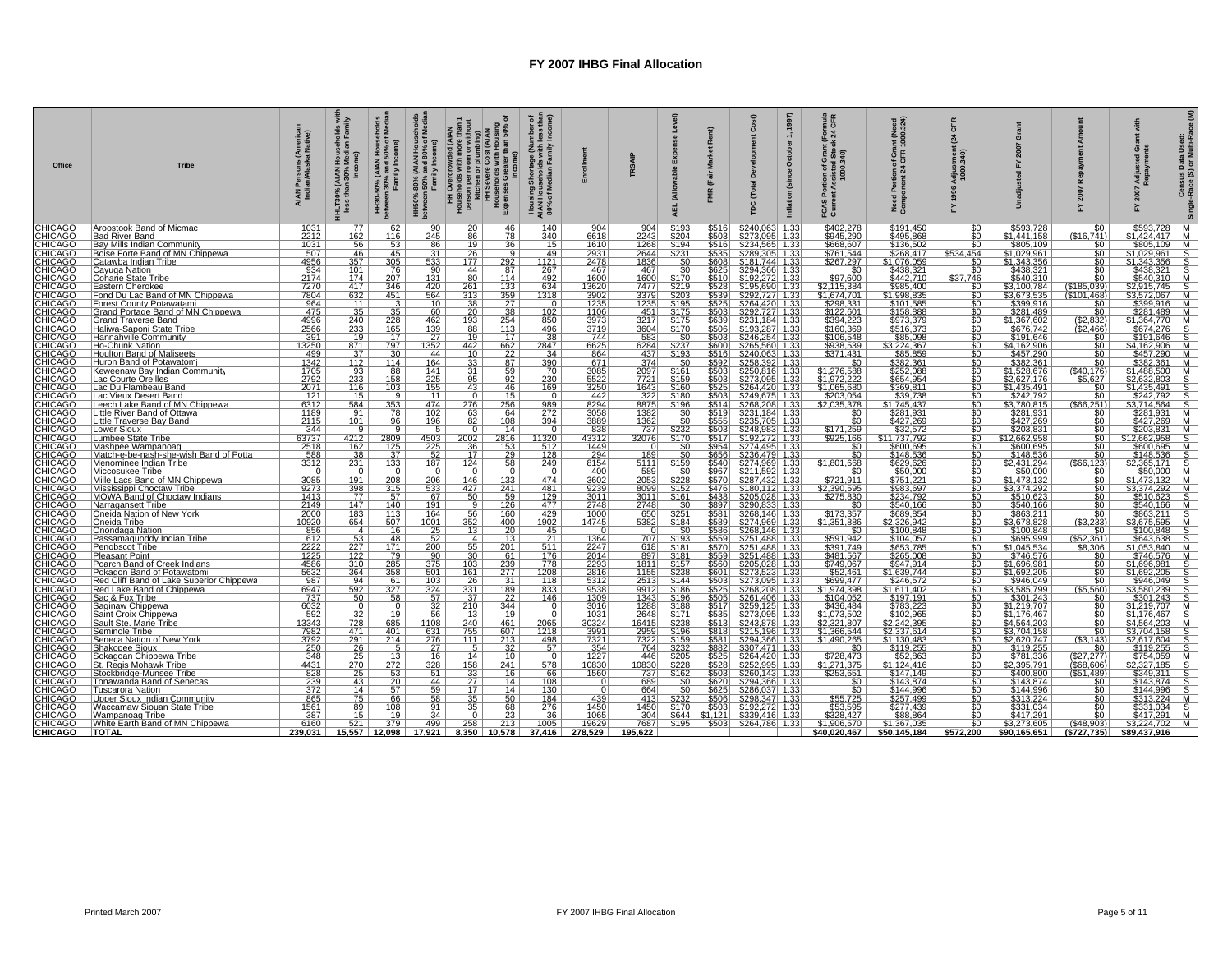| Office | <b>Tribe</b>                                                                                            | Persons (America<br>an/Alaska Native)<br>AIAN<br>Indi                                                                                                                                                                                                                                                                                       | Hous<br>Medi<br>HLT30% (AIAN H<br>less than 30% M                     | holds<br>Media<br>N House<br>150% of<br>1come)<br>HH30-50% (AIAN ا<br>hetween 30% and 5<br>Family Inc | House<br><sup>19%</sup> of l<br>80% (AIAN Hous-<br>1 50% and 80% of<br>Family Income)<br>HH50%-8<br>between |                                    | HH Overcrowded (AIAN<br>Peussholds with more than 1<br>personance on mort both<br>personance on mort both<br>H Sover Cost (AIAN<br>H Cost of Maximum Housing<br>House Greense Section 10% of<br>Expenses (ncome)<br>Households<br>Expenses Great | 로토<br>Family<br>ີທັ<br>ing<br>Hou<br>of M<br><b>Hous</b><br>AIAN I<br>80%        |                                                                                                                                    | SAIP<br>E                                                                                                                       | (Allo<br>AEL                         | $\hat{E}$<br>Rer<br>흁<br>(Fair<br><b>FMR</b>    | Cost)<br>ă<br><b>Total</b><br>rpc                                                                                                                                                                                                                                                                        | 1997)<br>$\div$<br>October<br>(since | numa<br>CFR<br>ট শ্লু<br>24<br>FCAS<br>Curre                   | Grant (Need<br>;FR 1000.324)<br>နှိ ့်                           | CFR<br>24                                 | ò                                                                                                                                                                                                                                                                                                                                                                                                                                                  |                                                                                                                                                                                                                                                                                                                                                                                                                                                            | 55<br>Adju<br>Repa                                                                                                                                                                                                                                                                                                                                                  | Census Data Used:<br>Race (S) or Multi-Ra |
|--------|---------------------------------------------------------------------------------------------------------|---------------------------------------------------------------------------------------------------------------------------------------------------------------------------------------------------------------------------------------------------------------------------------------------------------------------------------------------|-----------------------------------------------------------------------|-------------------------------------------------------------------------------------------------------|-------------------------------------------------------------------------------------------------------------|------------------------------------|--------------------------------------------------------------------------------------------------------------------------------------------------------------------------------------------------------------------------------------------------|----------------------------------------------------------------------------------|------------------------------------------------------------------------------------------------------------------------------------|---------------------------------------------------------------------------------------------------------------------------------|--------------------------------------|-------------------------------------------------|----------------------------------------------------------------------------------------------------------------------------------------------------------------------------------------------------------------------------------------------------------------------------------------------------------|--------------------------------------|----------------------------------------------------------------|------------------------------------------------------------------|-------------------------------------------|----------------------------------------------------------------------------------------------------------------------------------------------------------------------------------------------------------------------------------------------------------------------------------------------------------------------------------------------------------------------------------------------------------------------------------------------------|------------------------------------------------------------------------------------------------------------------------------------------------------------------------------------------------------------------------------------------------------------------------------------------------------------------------------------------------------------------------------------------------------------------------------------------------------------|---------------------------------------------------------------------------------------------------------------------------------------------------------------------------------------------------------------------------------------------------------------------------------------------------------------------------------------------------------------------|-------------------------------------------|
|        | Aroostook Band of Micmac                                                                                | 1031                                                                                                                                                                                                                                                                                                                                        | 77                                                                    | 62                                                                                                    | 90                                                                                                          | <b>20</b>                          | 46                                                                                                                                                                                                                                               | 140                                                                              | 904                                                                                                                                | 904                                                                                                                             | \$193                                | \$516                                           | \$240,063                                                                                                                                                                                                                                                                                                | 1.33                                 |                                                                | \$191,450                                                        |                                           | \$593,728                                                                                                                                                                                                                                                                                                                                                                                                                                          |                                                                                                                                                                                                                                                                                                                                                                                                                                                            | \$593,728                                                                                                                                                                                                                                                                                                                                                           | M                                         |
|        | <b>Bad River Band</b>                                                                                   | 2212                                                                                                                                                                                                                                                                                                                                        | 162                                                                   | 116                                                                                                   | 245                                                                                                         | $\overline{86}$                    | $\overline{78}$<br>36                                                                                                                                                                                                                            | 340                                                                              | 6618                                                                                                                               | 2243                                                                                                                            | \$204<br>\$194                       | $\frac{5503}{5516}$                             | \$273.095 1.33                                                                                                                                                                                                                                                                                           |                                      | \$402,278<br>\$945,290<br>\$668,607<br>\$761,544               | \$495.868                                                        | $\overline{50}$<br>$\overline{50}$        | \$1.441.158                                                                                                                                                                                                                                                                                                                                                                                                                                        | (\$16.741)                                                                                                                                                                                                                                                                                                                                                                                                                                                 |                                                                                                                                                                                                                                                                                                                                                                     |                                           |
|        | Bay Mills Indian Community<br>Boise Forte Band of MN Chippewa                                           | $\frac{1031}{507}$                                                                                                                                                                                                                                                                                                                          | $\frac{56}{46}$                                                       | $\frac{53}{45}$                                                                                       | $\frac{86}{31}$                                                                                             | $\frac{19}{26}$                    |                                                                                                                                                                                                                                                  | $\frac{15}{49}$                                                                  | $\frac{1610}{2931}$                                                                                                                | $\frac{1268}{2644}$                                                                                                             | \$231                                |                                                 | \$234,565 1.33<br>\$289,305 1.33                                                                                                                                                                                                                                                                         |                                      |                                                                | $$136,502$<br>$$268,417$                                         | \$534,454                                 | \$805,109<br>\$1,029,961                                                                                                                                                                                                                                                                                                                                                                                                                           | $\frac{$0}{\$0}$                                                                                                                                                                                                                                                                                                                                                                                                                                           |                                                                                                                                                                                                                                                                                                                                                                     |                                           |
|        | <u>Catawba Indian Tribe</u><br><u>Cayuqa Nation</u>                                                     | 4956                                                                                                                                                                                                                                                                                                                                        | 357<br>101                                                            | 305<br>76                                                                                             | 533<br>90                                                                                                   | 177<br>44                          | 292<br>87                                                                                                                                                                                                                                        | $\frac{1121}{267}$                                                               | 2478<br>467                                                                                                                        | 1836<br>467                                                                                                                     | \$0<br>\$0                           | \$608<br>\$625                                  | \$181.744 1.33<br>\$181.744 1.33<br>\$294.366 1.33<br>\$195.690 1.33<br>\$292.727 1.33                                                                                                                                                                                                                   |                                      | \$267.297<br>$\overline{50}$                                   | \$1.076.059<br>\$438,321                                         | $\overline{50}$<br>$\overline{50}$        | $\frac{$1,343.356}{$438.321}$                                                                                                                                                                                                                                                                                                                                                                                                                      |                                                                                                                                                                                                                                                                                                                                                                                                                                                            | 3983726<br>1424.417 M<br>\$805.109 M<br>\$1.029.961 S<br>\$1.343.356 S<br>\$438.321 M<br>\$28.211 M<br>\$2.915.745 S<br>\$3.572.067 M<br>M<br>\$3.572.067 M                                                                                                                                                                                                         |                                           |
|        | Coharie State Tribe                                                                                     | $\frac{934}{2174}$ $\frac{7270}{7804}$                                                                                                                                                                                                                                                                                                      | 174                                                                   | 207                                                                                                   | 131                                                                                                         | 80                                 | 114                                                                                                                                                                                                                                              |                                                                                  |                                                                                                                                    | 1600                                                                                                                            |                                      | \$510                                           |                                                                                                                                                                                                                                                                                                          |                                      | \$97.600                                                       | \$442.710                                                        | \$37.746                                  |                                                                                                                                                                                                                                                                                                                                                                                                                                                    | \$Ō                                                                                                                                                                                                                                                                                                                                                                                                                                                        |                                                                                                                                                                                                                                                                                                                                                                     |                                           |
|        | Eastern Cherokee<br>Fond Du Lac Band of MN Chippewa                                                     |                                                                                                                                                                                                                                                                                                                                             | 417<br>632                                                            | $\frac{346}{451}$                                                                                     | $\frac{420}{564}$                                                                                           | 261<br>313                         | $\frac{133}{359}$                                                                                                                                                                                                                                | $\frac{492}{634}$<br>1318                                                        | 1600<br>13620<br>3902                                                                                                              |                                                                                                                                 | \$170<br>\$219<br>\$203              | $\frac{$528}{$539}$                             |                                                                                                                                                                                                                                                                                                          |                                      | \$2,115,384<br>\$1,674,701                                     |                                                                  | $rac{$0}{$0}$                             | \$3,100,784<br>\$3,673,535                                                                                                                                                                                                                                                                                                                                                                                                                         | $\frac{(\$185,039)}{(\$101,468)}$                                                                                                                                                                                                                                                                                                                                                                                                                          |                                                                                                                                                                                                                                                                                                                                                                     |                                           |
|        |                                                                                                         | $\frac{964}{475}$                                                                                                                                                                                                                                                                                                                           |                                                                       |                                                                                                       | 10                                                                                                          | 38                                 | $\frac{27}{38}$                                                                                                                                                                                                                                  | $\overline{0}$                                                                   | 1235                                                                                                                               | 3379<br>1235                                                                                                                    | \$195                                | $\frac{$525}{$503}$                             |                                                                                                                                                                                                                                                                                                          |                                      | \$298.331<br>\$122,601                                         | \$101.585                                                        | $\overline{50}$                           | \$399.916<br>\$281,489                                                                                                                                                                                                                                                                                                                                                                                                                             | $\overline{50}$                                                                                                                                                                                                                                                                                                                                                                                                                                            | $$399.916$ M<br>$$281.489$ M                                                                                                                                                                                                                                                                                                                                        |                                           |
|        | Forest County Potawatami<br>Grand Portage Band of MN Chippewa                                           | 4996                                                                                                                                                                                                                                                                                                                                        | $\frac{11}{35}$<br>240                                                | $\overline{35}$<br>228                                                                                | 60<br>462                                                                                                   | 20<br>193                          | 254                                                                                                                                                                                                                                              | 102<br>850                                                                       | 1106<br>3973                                                                                                                       | 451<br>3217                                                                                                                     | \$175<br>\$175                       | \$639                                           | $\frac{2267}{2264420}$<br>$\frac{1.33}{2824420}$<br>$\frac{1.33}{28292,727}$<br>$\frac{1.33}{2331.184}$<br>$\frac{1.33}{2526540.254}$<br>$\frac{1.33}{25265.560}$<br>$\frac{1.33}{25260.816}$<br>$\frac{2.258}{2250.816}$<br>$\frac{2.258}{2523.095}$<br>$\frac{2.250}{2544.420}$<br>$\frac{1.33}{1.33}$ |                                      | \$394.223                                                      | \$158,888<br>\$973.379                                           | $50^{-}$<br>50                            |                                                                                                                                                                                                                                                                                                                                                                                                                                                    | $\overline{\$0}$<br>(S2.832)                                                                                                                                                                                                                                                                                                                                                                                                                               |                                                                                                                                                                                                                                                                                                                                                                     |                                           |
|        | Grand Traverse Band<br> Haliwa-Saponi State Tribe<br> Hannahville Community                             | $\frac{2566}{391}$                                                                                                                                                                                                                                                                                                                          | $\frac{233}{19}$                                                      | $\frac{165}{17}$                                                                                      | $\frac{139}{27}$                                                                                            | $\frac{88}{19}$                    | $\frac{113}{17}$                                                                                                                                                                                                                                 | $\frac{496}{38}$                                                                 | $\frac{3719}{744}$                                                                                                                 | $\frac{3604}{583}$                                                                                                              | \$170                                | $\frac{$506}{$503}$                             |                                                                                                                                                                                                                                                                                                          |                                      | \$160,369<br>\$106,548                                         | $\frac{$516,373}{$85,098}$                                       | $\overline{50}$                           | \$1,367.602<br>\$676,742<br>\$191,646                                                                                                                                                                                                                                                                                                                                                                                                              | $\frac{(22.466)}{$0$$                                                                                                                                                                                                                                                                                                                                                                                                                                      |                                                                                                                                                                                                                                                                                                                                                                     |                                           |
|        |                                                                                                         | 13250                                                                                                                                                                                                                                                                                                                                       |                                                                       |                                                                                                       |                                                                                                             |                                    |                                                                                                                                                                                                                                                  |                                                                                  |                                                                                                                                    |                                                                                                                                 | - \$0<br>\$237                       |                                                 |                                                                                                                                                                                                                                                                                                          |                                      | \$938.539                                                      | 3.224.367                                                        | so.<br>50                                 |                                                                                                                                                                                                                                                                                                                                                                                                                                                    | $\overline{\$0}$                                                                                                                                                                                                                                                                                                                                                                                                                                           | \$1,364,770 M<br>\$674,276 S<br>\$191,646 S<br>\$4,162,906 M                                                                                                                                                                                                                                                                                                        |                                           |
|        | Ho-Chunk Nation<br>Houlton Band of Maliseets                                                            | 499                                                                                                                                                                                                                                                                                                                                         | 871<br>37                                                             | 797<br>30                                                                                             | 1352<br>44                                                                                                  | 442<br>$10^{-}$                    | 662<br>22                                                                                                                                                                                                                                        | $\frac{2847}{34}$                                                                | 6625<br>864                                                                                                                        | 6284<br>437                                                                                                                     | \$193                                | \$600<br>\$516                                  |                                                                                                                                                                                                                                                                                                          |                                      | \$371,431                                                      | \$85,859                                                         | $50^{-}$                                  | \$4.162.906<br>\$457,290                                                                                                                                                                                                                                                                                                                                                                                                                           | $\overline{50}$                                                                                                                                                                                                                                                                                                                                                                                                                                            | \$457,290   M                                                                                                                                                                                                                                                                                                                                                       |                                           |
|        | Huron Band of Potawatomi                                                                                | $\frac{1342}{1705}$                                                                                                                                                                                                                                                                                                                         | $\begin{array}{r} \overline{112} \\ 93 \\ \overline{233} \end{array}$ | 114                                                                                                   | 164                                                                                                         | 33 <sup>2</sup>                    | 87                                                                                                                                                                                                                                               | $\frac{390}{70}$                                                                 | 671                                                                                                                                | $\frac{374}{2097}$                                                                                                              | $\overline{50}$                      | \$592                                           |                                                                                                                                                                                                                                                                                                          |                                      | $\overline{50}$                                                | \$382.361                                                        | $\overline{50}$                           | \$382.361                                                                                                                                                                                                                                                                                                                                                                                                                                          | $\overline{\$0}$                                                                                                                                                                                                                                                                                                                                                                                                                                           |                                                                                                                                                                                                                                                                                                                                                                     |                                           |
|        | Keweenaw Bay Indian Community<br>Lac Courte Oreilles                                                    |                                                                                                                                                                                                                                                                                                                                             |                                                                       | $\frac{88}{158}$                                                                                      | $\frac{141}{225}$                                                                                           | $\frac{31}{95}$                    | $rac{59}{92}$                                                                                                                                                                                                                                    |                                                                                  | 3085<br>5522                                                                                                                       |                                                                                                                                 | $\frac{$161}{$159}$                  | $\frac{$503}{$503}$                             |                                                                                                                                                                                                                                                                                                          |                                      | <u>\$1,276,588  </u><br>\$1,972,222                            | \$252,088<br>\$252,088                                           | $rac{60}{50}$                             | <u>\$1,528,676</u><br>\$2,627,176                                                                                                                                                                                                                                                                                                                                                                                                                  | $\frac{(\$40,176)}{$5,627}$                                                                                                                                                                                                                                                                                                                                                                                                                                |                                                                                                                                                                                                                                                                                                                                                                     |                                           |
|        | Lac Du Flambeau Band<br>Lac Vieux Desert Band                                                           | 2071                                                                                                                                                                                                                                                                                                                                        | $\frac{116}{15}$                                                      | 103                                                                                                   | 155<br>11                                                                                                   | 43<br>$\overline{0}$               | $\frac{46}{15}$                                                                                                                                                                                                                                  | 169<br>$\sqrt{0}$                                                                | 3250<br>442                                                                                                                        | 1643                                                                                                                            | \$160                                |                                                 | \$264.420 1.33                                                                                                                                                                                                                                                                                           |                                      | \$1.065.680                                                    | \$369.811                                                        | $\overline{50}$                           | \$1.435.491                                                                                                                                                                                                                                                                                                                                                                                                                                        | $\overline{50}$<br>ŝō                                                                                                                                                                                                                                                                                                                                                                                                                                      |                                                                                                                                                                                                                                                                                                                                                                     |                                           |
|        |                                                                                                         | 121                                                                                                                                                                                                                                                                                                                                         |                                                                       |                                                                                                       |                                                                                                             | 276                                | 256                                                                                                                                                                                                                                              |                                                                                  |                                                                                                                                    | 322<br>8875                                                                                                                     | \$180<br>\$196                       |                                                 | \$249,675 1.33<br>\$249,675 1.33<br>\$268,208 1.33<br>\$235,705 1.33                                                                                                                                                                                                                                     |                                      | \$203,054                                                      | \$39,738<br>\$1.745.437                                          | $\overline{50}$<br>50 <sub>1</sub>        | \$242,792                                                                                                                                                                                                                                                                                                                                                                                                                                          | (S66.251)                                                                                                                                                                                                                                                                                                                                                                                                                                                  | 3487.2901 M<br>\$382.361 M<br>\$1.488.500 M<br>\$1.435.491 S<br>\$27.632.792<br>\$242.7299 M<br>\$427.269 M<br>M<br>\$427.269 M                                                                                                                                                                                                                                     |                                           |
|        | Leech Lake Band of MN Chippewa<br>Little River Band of Ottawa<br>Little Traverse Bay Band               | $\frac{6312}{1189}$                                                                                                                                                                                                                                                                                                                         | $\begin{array}{r} 584 \\ 91 \\ 101 \end{array}$                       | $\frac{353}{78}$                                                                                      | $\frac{474}{102}$<br>196                                                                                    | $\frac{63}{82}$                    | $\frac{64}{108}$                                                                                                                                                                                                                                 | $\frac{989}{272}$ $\frac{272}{394}$                                              | 8294<br>3058<br>3889                                                                                                               | $\frac{1382}{1362}$                                                                                                             |                                      |                                                 |                                                                                                                                                                                                                                                                                                          |                                      | $\frac{32.035.378}{90}$                                        | $\frac{$281,931}{$427,269}$                                      | \$0                                       | $\frac{53.780.815}{\$281.931}$                                                                                                                                                                                                                                                                                                                                                                                                                     | $\frac{1}{30}$                                                                                                                                                                                                                                                                                                                                                                                                                                             |                                                                                                                                                                                                                                                                                                                                                                     |                                           |
|        | Lower Sioux                                                                                             |                                                                                                                                                                                                                                                                                                                                             | $\overline{9}$                                                        |                                                                                                       | $5^{\circ}$                                                                                                 | $\Omega$                           | 14                                                                                                                                                                                                                                               | $\Omega$                                                                         | 838                                                                                                                                | 737                                                                                                                             | \$232                                | $\frac{\frac{3525}{\$525}}{\frac{5503}{\$514}}$ |                                                                                                                                                                                                                                                                                                          |                                      | 50 <sub>1</sub>                                                | \$32.572                                                         | SO 1<br>$\overline{50}$                   | \$203.831                                                                                                                                                                                                                                                                                                                                                                                                                                          | $\overline{50}$                                                                                                                                                                                                                                                                                                                                                                                                                                            | $\begin{array}{r l} \hline \$427.269 & \text{M} \\ \hline \$203.831 & \text{M} \\ \hline \$12.662.958 & \text{S} \\ \hline \$600.695 & \text{M} \\ \hline \$148.536 & \text{S} \\ \hline \$2.365.171 & \text{S} \\ \hline \$52.365.171 & \text{S} \\ \hline \$1473.132 & \text{M} \\ \hline \end{array}$                                                            |                                           |
|        | Lumbee State Tribe                                                                                      | $\frac{344}{63737}$                                                                                                                                                                                                                                                                                                                         | 4212                                                                  |                                                                                                       | $\frac{4503}{225}$                                                                                          | $2002$                             | 2816                                                                                                                                                                                                                                             |                                                                                  |                                                                                                                                    | 32076                                                                                                                           | \$170                                | \$517                                           |                                                                                                                                                                                                                                                                                                          |                                      | \$171.259<br>\$925,166                                         | \$11,737,792                                                     | 50                                        | \$12,662,958                                                                                                                                                                                                                                                                                                                                                                                                                                       | 50 <sub>1</sub>                                                                                                                                                                                                                                                                                                                                                                                                                                            |                                                                                                                                                                                                                                                                                                                                                                     |                                           |
|        | Mashpee Wampanoag                                                                                       | $\frac{2518}{588}$                                                                                                                                                                                                                                                                                                                          | $\frac{162}{38}$<br>231                                               | 2809<br>125<br>137<br>133                                                                             |                                                                                                             | $\frac{36}{17}$                    | $\frac{153}{153}$                                                                                                                                                                                                                                | $\begin{array}{r l} 11320 & 512 \\ \hline 512 & 128 \\ \hline 249 & \end{array}$ | $\begin{array}{r}\n 43312 \\  \hline\n 1449 \\  \hline\n 294 \\  \hline\n 8154\n \end{array}$                                      | $\overline{0}$                                                                                                                  | $\frac{$0}{$0}$                      | $\frac{$954}{$656}$<br>$$656$<br>$$540$         | 3233,709 1.33<br>\$248,983 1.33<br>\$192,272 1.33<br>\$274,495 1.33<br>\$274,969 1.33<br>\$274,969 1.33                                                                                                                                                                                                  |                                      | 50 <sub>1</sub><br>50 <sub>1</sub>                             | \$600.695                                                        | $\overline{50}$<br>$\overline{50}$        | $\frac{$600.695}{$148,536}$                                                                                                                                                                                                                                                                                                                                                                                                                        |                                                                                                                                                                                                                                                                                                                                                                                                                                                            |                                                                                                                                                                                                                                                                                                                                                                     |                                           |
|        | Match-e-be-nash-she-wish Band of Potta<br>Menominee Indian Tribe                                        |                                                                                                                                                                                                                                                                                                                                             |                                                                       |                                                                                                       | $\frac{52}{187}$                                                                                            | 124                                |                                                                                                                                                                                                                                                  |                                                                                  |                                                                                                                                    | $\frac{189}{5111}$                                                                                                              | \$159                                |                                                 |                                                                                                                                                                                                                                                                                                          |                                      | \$1,801,668                                                    | $$148,536$<br>$$629,626$                                         | SO 1                                      |                                                                                                                                                                                                                                                                                                                                                                                                                                                    | $rac{50}{($66.123)}$                                                                                                                                                                                                                                                                                                                                                                                                                                       |                                                                                                                                                                                                                                                                                                                                                                     |                                           |
|        | Miccosukee Tribe<br>Mille Lacs Band of MN Chippewa                                                      | $\Omega$                                                                                                                                                                                                                                                                                                                                    | $\Omega$<br>191                                                       | $\Omega$                                                                                              | $\Omega$<br>206                                                                                             | $\Omega$<br>146                    |                                                                                                                                                                                                                                                  | 0 <sup>1</sup><br>474                                                            | 400                                                                                                                                | $\frac{589}{2053}$                                                                                                              | \$0<br>\$228                         | \$967<br>\$570<br>\$476<br>\$438<br>\$897       | <b>3274,969 1.33<br/> \$211.592 1.33<br/> \$287,432 1.33<br/> \$180.112 1.33<br/> \$205,028 1.33<br/> \$290,833 1.33</b>                                                                                                                                                                                 |                                      | 50 <sub>1</sub><br>\$721,911                                   | \$50.000<br>\$751,221                                            | \$0<br>\$0                                | \$50,000<br>\$1,473,132                                                                                                                                                                                                                                                                                                                                                                                                                            | $\overline{50}$<br>$\overline{\$0}$                                                                                                                                                                                                                                                                                                                                                                                                                        |                                                                                                                                                                                                                                                                                                                                                                     |                                           |
|        | Mississippi Choctaw Tribe<br>MOWA Band of Choctaw Indians                                               | $\frac{3085}{9273}$                                                                                                                                                                                                                                                                                                                         | $\frac{398}{77}$                                                      |                                                                                                       | 533                                                                                                         | 427                                | $\frac{133}{241}$                                                                                                                                                                                                                                |                                                                                  | $\frac{3602}{9239}$                                                                                                                | 8099                                                                                                                            | \$152                                |                                                 |                                                                                                                                                                                                                                                                                                          |                                      |                                                                | \$983.697                                                        | 50 <sub>1</sub>                           |                                                                                                                                                                                                                                                                                                                                                                                                                                                    | \$ō                                                                                                                                                                                                                                                                                                                                                                                                                                                        |                                                                                                                                                                                                                                                                                                                                                                     |                                           |
|        | Narragansett Tribe                                                                                      | $\frac{1413}{2149}$                                                                                                                                                                                                                                                                                                                         | 147                                                                   | $\frac{208}{315}$ $\frac{57}{140}$                                                                    | $\frac{67}{191}$                                                                                            | $rac{50}{9}$                       | $\frac{59}{126}$                                                                                                                                                                                                                                 | $\begin{array}{r} 481 \\ 129 \\ 477 \end{array}$                                 | $\frac{3011}{2748}$                                                                                                                | $\frac{3011}{2748}$                                                                                                             | \$161<br>$\overline{\mathcal{S}}$ C  |                                                 |                                                                                                                                                                                                                                                                                                          |                                      | $\frac{12.390.595}{275.830}$                                   | \$234,792<br>\$540,166                                           | $\overline{50}$<br>SO 1                   | \$1,473,132<br>\$3,374.292<br>\$510,623<br>\$640,166<br>\$863.211                                                                                                                                                                                                                                                                                                                                                                                  | $\frac{$0}{\$0}$                                                                                                                                                                                                                                                                                                                                                                                                                                           | $\begin{array}{r l}\n\hline\n83.374.292 & M \\ \hline\n\$510.623 & S \\ \hline\n\$540.166 & M\n\end{array}$                                                                                                                                                                                                                                                         |                                           |
|        | Oneida Nation of New York                                                                               | $\frac{2000}{10920}$                                                                                                                                                                                                                                                                                                                        | $\frac{183}{654}$                                                     | $\frac{113}{507}$                                                                                     | 164                                                                                                         | $\overline{56}$                    | 160                                                                                                                                                                                                                                              | $\frac{429}{1902}$                                                               | $\frac{1000}{14745}$                                                                                                               | $\frac{650}{5382}$                                                                                                              | $rac{1}{\$251}$                      |                                                 |                                                                                                                                                                                                                                                                                                          |                                      | $$173.357$<br>$$1,351.886$                                     | \$689.854                                                        | $\overline{50}$                           |                                                                                                                                                                                                                                                                                                                                                                                                                                                    | $\overline{\$0}$                                                                                                                                                                                                                                                                                                                                                                                                                                           |                                                                                                                                                                                                                                                                                                                                                                     |                                           |
|        | Oneida Tribe                                                                                            | 856                                                                                                                                                                                                                                                                                                                                         | 4                                                                     | 16                                                                                                    | 1001                                                                                                        | 352<br>$\overline{13}$             | 400                                                                                                                                                                                                                                              |                                                                                  |                                                                                                                                    | $\Omega$                                                                                                                        | $\overline{50}$                      |                                                 |                                                                                                                                                                                                                                                                                                          |                                      | 50                                                             | \$2,326,942<br>\$100.848                                         | 50<br>$\overline{\$0}$                    | \$3,678,828                                                                                                                                                                                                                                                                                                                                                                                                                                        | (S3, 233)<br>$\overline{50}$                                                                                                                                                                                                                                                                                                                                                                                                                               |                                                                                                                                                                                                                                                                                                                                                                     |                                           |
|        | Onondaga Nation<br>Passamaquoddy Indian Tribe                                                           | $\frac{612}{2222}$                                                                                                                                                                                                                                                                                                                          | $\begin{array}{c} \hline 53 \\ 227 \end{array}$                       | $\frac{48}{171}$                                                                                      | $\frac{25}{52}$<br>$\frac{52}{200}$                                                                         | $\widehat{4}$                      | $\frac{20}{13}$<br>201                                                                                                                                                                                                                           | $\begin{array}{r} \n 1.683 \\  \hline\n 2.1 \\  \hline\n 511\n \end{array}$      | 1364<br>2247<br>2014<br>2293<br>2816<br>5312<br>9538                                                                               | $\frac{707}{618}$                                                                                                               | $\frac{$193}{$181}$                  |                                                 | \$268.146 1.33<br>\$268.146 1.33<br>\$268.146 1.33<br>\$268.148 1.33<br>\$251.488 1.33                                                                                                                                                                                                                   |                                      | 5591,942<br>5391,749<br>5481,567<br>5749,067                   | $\frac{$104.057}{$653.785}$                                      | $\overline{50}$                           | $\frac{$100.848}{$695,999}$                                                                                                                                                                                                                                                                                                                                                                                                                        |                                                                                                                                                                                                                                                                                                                                                                                                                                                            | $\begin{array}{r l}\n\hline\n 3963.211 & S \\  \hline\n $363.211 & S \\  \hline\n $3675.595 & M \\  \hline\n $100.848 & S \\  \hline\n $643.638 & S \\  \hline\n $1,053.840 & M \\  \hline\n\end{array}$                                                                                                                                                            |                                           |
|        | Penobscot Tribe                                                                                         |                                                                                                                                                                                                                                                                                                                                             |                                                                       | 79                                                                                                    |                                                                                                             | $\frac{55}{30}$                    | 61                                                                                                                                                                                                                                               |                                                                                  |                                                                                                                                    | 897                                                                                                                             |                                      |                                                 |                                                                                                                                                                                                                                                                                                          |                                      |                                                                | \$265.008                                                        | SO 1<br>$\overline{\text{SO}}$            | \$746.576                                                                                                                                                                                                                                                                                                                                                                                                                                          | $\frac{\frac{1}{552,361}}{88,306}$                                                                                                                                                                                                                                                                                                                                                                                                                         |                                                                                                                                                                                                                                                                                                                                                                     |                                           |
|        | <u>Pleasant Point</u><br>Poarch Band of Creek Indians                                                   | $\frac{1225}{1225}$<br>$\frac{4586}{5632}$                                                                                                                                                                                                                                                                                                  | $\frac{122}{310}$                                                     | 285                                                                                                   | $\frac{90}{375}$                                                                                            | 103                                | $\frac{239}{277}$                                                                                                                                                                                                                                | $\frac{176}{778}$                                                                |                                                                                                                                    | 1811                                                                                                                            | $\frac{$181}{$181}$                  | $\frac{$550}{$560}$                             | \$251,488 1.33<br>\$251,488 1.33<br>\$273,523 1.33<br>\$273,095 1.33<br>\$268,208 1.33                                                                                                                                                                                                                   |                                      |                                                                | \$947,914                                                        | $\overline{50}$                           | \$1,696,981                                                                                                                                                                                                                                                                                                                                                                                                                                        | $\overline{50}$                                                                                                                                                                                                                                                                                                                                                                                                                                            |                                                                                                                                                                                                                                                                                                                                                                     |                                           |
|        | I Pokagon Band of Potawatomi<br> Red Cliff Band of Lake Superior Chippewa<br> Red Lake Band of Chippewa |                                                                                                                                                                                                                                                                                                                                             | $\frac{364}{94}$                                                      | 358                                                                                                   | 501                                                                                                         | 161                                |                                                                                                                                                                                                                                                  | $\begin{array}{r}\n 1208 \\  \hline\n 118 \\  \hline\n 833\n \end{array}$        |                                                                                                                                    | $\frac{1155}{2513}$                                                                                                             | \$238                                |                                                 |                                                                                                                                                                                                                                                                                                          |                                      | $\frac{$1,007}{$52,461$$<br>$$699,477$<br>$$1,974,398$         | \$1.639.744                                                      | $\overline{\text{SO}}$<br>$\overline{50}$ | \$1.692.205                                                                                                                                                                                                                                                                                                                                                                                                                                        | \$Ō                                                                                                                                                                                                                                                                                                                                                                                                                                                        |                                                                                                                                                                                                                                                                                                                                                                     |                                           |
|        |                                                                                                         |                                                                                                                                                                                                                                                                                                                                             |                                                                       | $\frac{61}{327}$                                                                                      | $\frac{103}{324}$                                                                                           | $\frac{26}{331}$                   | $\frac{131}{189}$                                                                                                                                                                                                                                |                                                                                  |                                                                                                                                    |                                                                                                                                 | $\frac{$144}{$186}$                  |                                                 |                                                                                                                                                                                                                                                                                                          |                                      |                                                                | $\frac{$246,572}{$1,611,402}$                                    |                                           | $\frac{$946.049}{$3.585.799}$                                                                                                                                                                                                                                                                                                                                                                                                                      | $rac{60}{($5,560)}$                                                                                                                                                                                                                                                                                                                                                                                                                                        |                                                                                                                                                                                                                                                                                                                                                                     |                                           |
|        | Sac & Fox Tribe                                                                                         |                                                                                                                                                                                                                                                                                                                                             | 50<br>$\overline{0}$                                                  | 58<br>$\Omega$                                                                                        |                                                                                                             | $\overline{37}$<br>210             | $\frac{22}{344}$                                                                                                                                                                                                                                 | 146<br>0 <sup>1</sup>                                                            |                                                                                                                                    |                                                                                                                                 |                                      |                                                 |                                                                                                                                                                                                                                                                                                          |                                      | \$104.052<br>\$436,484                                         | $\frac{$197.191}{$783,223}$                                      | $\overline{\text{SO}}$<br>$\overline{50}$ |                                                                                                                                                                                                                                                                                                                                                                                                                                                    | $\overline{\textbf{S0}}$                                                                                                                                                                                                                                                                                                                                                                                                                                   |                                                                                                                                                                                                                                                                                                                                                                     |                                           |
|        | Saginaw Chippewa                                                                                        |                                                                                                                                                                                                                                                                                                                                             |                                                                       |                                                                                                       | $\frac{57}{32}$<br>$\frac{32}{56}$                                                                          | $\overline{13}$                    |                                                                                                                                                                                                                                                  | $\overline{0}$                                                                   |                                                                                                                                    | $\frac{1343}{1288}$                                                                                                             |                                      |                                                 |                                                                                                                                                                                                                                                                                                          |                                      |                                                                |                                                                  | $\overline{50}$                           |                                                                                                                                                                                                                                                                                                                                                                                                                                                    | $\frac{1}{30}$                                                                                                                                                                                                                                                                                                                                                                                                                                             |                                                                                                                                                                                                                                                                                                                                                                     |                                           |
|        | Saint Croix Chippewa<br>Sault Ste. Marie Tribe<br>Seminole Tribe                                        | $\begin{array}{r}\n 10000 \\  - 987 \\  \hline\n 6947 \\  \hline\n 737 \\  - 6032 \\  \hline\n 592 \\  \hline\n 13343 \\  \hline\n 7982 \\  \hline\n 2392\n \end{array}$                                                                                                                                                                    | $\frac{32}{728}$<br>471                                               | $\frac{19}{685}$<br>401                                                                               | $\frac{1108}{631}$                                                                                          | $\frac{240}{755}$                  | $\frac{19}{461}$<br>$\frac{461}{607}$                                                                                                                                                                                                            | 2065<br>1218                                                                     | $\begin{array}{r}\n 3309 \\  \hline\n 1309 \\  \hline\n 3016 \\  \hline\n 1031 \\  \hline\n 30324 \\  \hline\n 3991\n \end{array}$ | $\frac{76415}{2959}$ $\frac{7322}{ }$                                                                                           | 5196<br>5188<br>5171<br>5238<br>5196 |                                                 | $\frac{\frac{56001}{5273.520}}{\frac{52273.520}{5273.520}}[\begin{smallmatrix} 1&1&3&3\\ 2&2&2&2&2&2&3&2\\ 3&2&2&2&2&2&2&2\\ 3&2&2&2&2&2&2&2\\ 4&2&2&2&2&2&2&2\\ 4&2&2&2&2&2&2&2&2\\ 5&2&2&2&2&2&2&2&2\\ 5&2&2&2&2&2&2&2&2&2\\ 5&2&2&2&2&2&2&2&2&2\\ 5&2&2&2&2&2&2&$                                     |                                      | $\frac{100,404}{1,073,502}$<br>$$2,321,807$<br>$$1,366,544$    | $\frac{$102.965}{$2,242.395}$<br>$\frac{$2,242.395}{$2,337,614}$ | $\frac{50}{50}$                           | $\frac{$3,301,243}{$301.243}$<br>$\frac{$1,219,707}{$1,176.467}$<br>$\frac{$4,564,203}{$3,704,158}$                                                                                                                                                                                                                                                                                                                                                |                                                                                                                                                                                                                                                                                                                                                                                                                                                            | $\begin{array}{ l l } \hline \texttt{s1653.840} & \texttt{MMS} & \texttt{S1653.840} & \texttt{MMS} \\ \hline \texttt{s1653.840} & \texttt{s146576} & \texttt{s255} & \texttt{S1696.86} \\ \hline \texttt{s1696.981} & \texttt{s3946.049} & \texttt{S301.243} & \texttt{S301.243} & \texttt{S301.243} \\ \hline \texttt{s31176.467} & \texttt{s31176.467} & \texttt$ |                                           |
|        | Seneca Nation of New York                                                                               |                                                                                                                                                                                                                                                                                                                                             |                                                                       | 214                                                                                                   |                                                                                                             | 111                                |                                                                                                                                                                                                                                                  |                                                                                  |                                                                                                                                    |                                                                                                                                 | \$159                                |                                                 |                                                                                                                                                                                                                                                                                                          |                                      |                                                                |                                                                  | $\overline{50}$                           |                                                                                                                                                                                                                                                                                                                                                                                                                                                    |                                                                                                                                                                                                                                                                                                                                                                                                                                                            |                                                                                                                                                                                                                                                                                                                                                                     |                                           |
|        | Shakopee Sioux                                                                                          | 3792<br>250<br>24348<br>265<br>265<br>365<br>387<br>387                                                                                                                                                                                                                                                                                     | $\begin{array}{r} 291 \\ 26 \\ 25 \\ 270 \\ 25 \end{array}$           |                                                                                                       | $\frac{\frac{276}{276}}{\frac{27}{16}}$                                                                     | 5                                  | $\frac{\frac{887}{213}}{\frac{32}{10}}$                                                                                                                                                                                                          | $\frac{498}{57}$                                                                 | 73211<br>354<br>1227<br>10830<br>1560                                                                                              | 764                                                                                                                             |                                      |                                                 |                                                                                                                                                                                                                                                                                                          |                                      | $\frac{$1,490.265}{0}$                                         | <u>\$1.130.483  </u><br>  \$119,255                              | $\overline{50}$                           | $\frac{\frac{33,704,136}{\$2.620.747}}{\frac{\$119.255}{\$781.336}}$<br>$\frac{\$2.395.791}{\$400.800}$<br>$\frac{\$400.800}{\$143.874}$                                                                                                                                                                                                                                                                                                           | $\frac{\frac{36}{183.1431}}{\frac{(27.277)}{1868.6061}}$                                                                                                                                                                                                                                                                                                                                                                                                   |                                                                                                                                                                                                                                                                                                                                                                     |                                           |
|        | Sokagoan Chippewa Tribe<br>St. Regis Mohawk Tribe<br>Stockbridge-Munsee Tribe                           |                                                                                                                                                                                                                                                                                                                                             |                                                                       | $\begin{array}{r} 13 \\ 272 \\ 53 \\ \hline 20 \\ 57 \\ 66 \\ \hline 108 \\ 19 \\ \hline \end{array}$ | $\frac{328}{51}$                                                                                            | 14                                 |                                                                                                                                                                                                                                                  | $\overline{\mathbb{Q}}$                                                          |                                                                                                                                    | $\frac{446}{10830}$                                                                                                             | \$205                                |                                                 |                                                                                                                                                                                                                                                                                                          |                                      | $\frac{$728.473}{$1,271,375}$<br>$\frac{$1,271,375}{$253.651}$ | \$52.863                                                         | $\overline{\text{SO}}$                    |                                                                                                                                                                                                                                                                                                                                                                                                                                                    |                                                                                                                                                                                                                                                                                                                                                                                                                                                            |                                                                                                                                                                                                                                                                                                                                                                     |                                           |
|        |                                                                                                         |                                                                                                                                                                                                                                                                                                                                             |                                                                       |                                                                                                       |                                                                                                             | $\frac{158}{33}$                   | $\frac{241}{16}$                                                                                                                                                                                                                                 | $\frac{578}{66}$                                                                 |                                                                                                                                    |                                                                                                                                 | $rac{1}{\$228}$<br>$8162$            |                                                 |                                                                                                                                                                                                                                                                                                          |                                      |                                                                | $\frac{1,124,416}{1,147,149}$                                    | $rac{1}{50}$                              |                                                                                                                                                                                                                                                                                                                                                                                                                                                    |                                                                                                                                                                                                                                                                                                                                                                                                                                                            |                                                                                                                                                                                                                                                                                                                                                                     |                                           |
|        | <u> Tonawanda Band of Senecas</u><br><u>Tuscarora Nation</u>                                            |                                                                                                                                                                                                                                                                                                                                             | 43<br>$\overline{14}$                                                 |                                                                                                       | 44                                                                                                          | $\overline{27}$<br>$\overline{17}$ | $\frac{14}{14}$                                                                                                                                                                                                                                  | 108<br>130                                                                       |                                                                                                                                    | 689<br>664                                                                                                                      | \$0                                  |                                                 |                                                                                                                                                                                                                                                                                                          |                                      | $\overline{\text{SO}}$<br>$\overline{\$0}$                     | \$143.874<br>\$144,996                                           | $\overline{\text{SO}}$<br>$\overline{50}$ |                                                                                                                                                                                                                                                                                                                                                                                                                                                    | $\overline{\text{SO}}$                                                                                                                                                                                                                                                                                                                                                                                                                                     |                                                                                                                                                                                                                                                                                                                                                                     |                                           |
|        | Upper Sioux Indian Community                                                                            | $\begin{array}{ c c c c c c c c } \hline 266 & \overline{76} & \overline{266} & \overline{56} & \overline{56} & \overline{56} & \overline{56} & \overline{164} \ \hline 1661 & 69 & 108 & 91 & 35 & 68 & 276 \ \hline 387 & 15 & 19 & 34 & 49 & 23 & 36 \ \hline 239031 & 521 & 379 & 499 & 258 & 213 & 1005 \ \hline 239031 & 15,557 & 12$ | $\frac{75}{89}$                                                       |                                                                                                       | $\begin{array}{r} 11 \\ 59 \\ 58 \\ \hline 91 \\ 34 \\ \hline 499 \end{array}$                              |                                    |                                                                                                                                                                                                                                                  |                                                                                  |                                                                                                                                    | $\begin{array}{r l}\n\hline\n & 413 \\ \hline\n & 4450 \\ \hline\n & 304 \\ \hline\n & 7687 \\ \hline\n & 195,622\n\end{array}$ | \$232<br>\$170<br>\$644<br>\$195     |                                                 |                                                                                                                                                                                                                                                                                                          |                                      |                                                                |                                                                  |                                           | \$144,996<br>\$144,996<br>\$313,224<br>\$331,034<br>\$417,291<br>$\frac{\$55.726}{\$257.499} \rightarrow \frac{\$244.9390}{\$277.439} \rightarrow \frac{\$313.224}{\$251.439} \nonumber \frac{\$53.595}{\$251.439} \rightarrow \frac{\$31.024}{\$31.024} \nonumber \frac{\$328.427}{\$252.4864} \rightarrow \frac{\$0}{\$0} \nonumber \frac{\$47.291}{\$47.291} \nonumber \frac{\$49.626}{\$40.020.467} \rightarrow \frac{\$88.864}{\$50.145.1361$ | $\frac{50}{50}$                                                                                                                                                                                                                                                                                                                                                                                                                                            |                                                                                                                                                                                                                                                                                                                                                                     |                                           |
|        | Waccamaw Siouan State Tribe<br>Wampanoag Tribe                                                          |                                                                                                                                                                                                                                                                                                                                             |                                                                       |                                                                                                       |                                                                                                             |                                    |                                                                                                                                                                                                                                                  |                                                                                  | $\frac{439}{1450}$ $\frac{1450}{1065}$                                                                                             |                                                                                                                                 |                                      |                                                 |                                                                                                                                                                                                                                                                                                          |                                      |                                                                |                                                                  |                                           |                                                                                                                                                                                                                                                                                                                                                                                                                                                    |                                                                                                                                                                                                                                                                                                                                                                                                                                                            |                                                                                                                                                                                                                                                                                                                                                                     |                                           |
|        | White Earth Band of MN Chippewa                                                                         |                                                                                                                                                                                                                                                                                                                                             |                                                                       |                                                                                                       |                                                                                                             |                                    |                                                                                                                                                                                                                                                  |                                                                                  | 19629                                                                                                                              |                                                                                                                                 |                                      |                                                 |                                                                                                                                                                                                                                                                                                          |                                      |                                                                |                                                                  |                                           |                                                                                                                                                                                                                                                                                                                                                                                                                                                    | $\frac{\frac{1}{2} \left( \frac{1}{2} \cdot \frac{3}{2} \cdot \frac{1}{2} \cdot \frac{1}{2} \cdot \frac{1}{2} \cdot \frac{1}{2} \cdot \frac{1}{2} \cdot \frac{1}{2} \cdot \frac{1}{2} \cdot \frac{1}{2} \cdot \frac{1}{2} \cdot \frac{1}{2} \cdot \frac{1}{2} \cdot \frac{1}{2} \cdot \frac{1}{2} \cdot \frac{1}{2} \cdot \frac{1}{2} \cdot \frac{1}{2} \cdot \frac{1}{2} \cdot \frac{1}{2} \cdot \frac{1}{2} \cdot \frac{1}{2} \cdot \frac{1}{2} \cdot \$ |                                                                                                                                                                                                                                                                                                                                                                     |                                           |
|        |                                                                                                         |                                                                                                                                                                                                                                                                                                                                             |                                                                       |                                                                                                       |                                                                                                             |                                    |                                                                                                                                                                                                                                                  |                                                                                  | 278,529                                                                                                                            |                                                                                                                                 |                                      |                                                 |                                                                                                                                                                                                                                                                                                          |                                      |                                                                |                                                                  |                                           |                                                                                                                                                                                                                                                                                                                                                                                                                                                    |                                                                                                                                                                                                                                                                                                                                                                                                                                                            |                                                                                                                                                                                                                                                                                                                                                                     |                                           |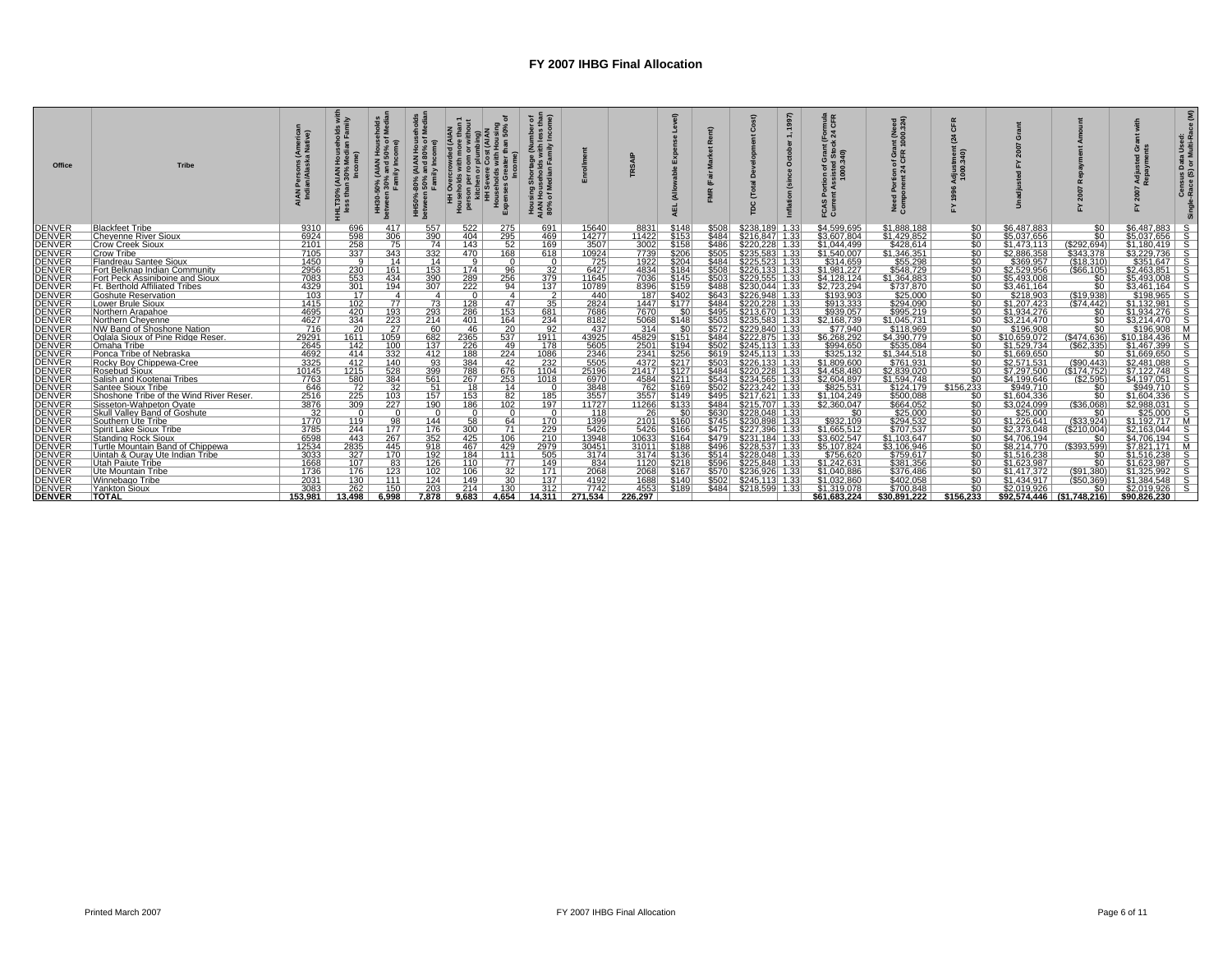| Office                         | <b>Tribe</b>                                                   | (America<br>a Native) | HLT30% (AIAN<br>less than 30% | ೫ ಕ<br>⊴ ڏ<br>HH30-<br>etweel | AIAN)<br>and 80<br>ily Inco<br><b>80°</b><br>HH50%<br>between | 18<br>Overcrowd<br>holds with I<br>$\begin{array}{c}\n\hline\n\text{H} & \text{H} \\ \text{H} & \text{H} \\ \text{H} & \text{H} \\ \text{H} & \text{H} \\ \text{H} & \text{H} \\ \text{H} & \text{H} \\ \text{H} & \text{H} \\ \text{H} & \text{H} \\ \text{H} & \text{H} \\ \text{H} & \text{H} \\ \text{H} & \text{H} \\ \text{H} & \text{H} \\ \text{H} & \text{H} \\ \text{H} & \text{H} \\ \text{H} & \text{H} \\ \text{H} & \text{H} \\ \text{H} & \text{H} \\ \text{H$ | Hous<br>Kpen:   | Shorta<br>seholds<br>edian F<br>Hous<br>AIAN<br>80% |               |                     | $\widehat{\pi}$<br>AEL | $\ddot{ }$<br>Ξ |                                            | ≌ ∝<br>를 活<br>$\frac{5}{2}$<br>ត្ត ខ្ល<br>ធំ ឆ្នំ<br>ូ ភូ | (Need<br>00.324)<br>irant<br>R 100<br>ទី ទី | CFR<br>Ē ģ                   |                            |                               |                                |  |
|--------------------------------|----------------------------------------------------------------|-----------------------|-------------------------------|-------------------------------|---------------------------------------------------------------|-------------------------------------------------------------------------------------------------------------------------------------------------------------------------------------------------------------------------------------------------------------------------------------------------------------------------------------------------------------------------------------------------------------------------------------------------------------------------------|-----------------|-----------------------------------------------------|---------------|---------------------|------------------------|-----------------|--------------------------------------------|-----------------------------------------------------------|---------------------------------------------|------------------------------|----------------------------|-------------------------------|--------------------------------|--|
| DENVER                         | <b>Blackfeet Tribe</b>                                         | 9310                  | 696                           | 417                           | 557                                                           | 522                                                                                                                                                                                                                                                                                                                                                                                                                                                                           | 275             | 691                                                 | 15640         | 8831                | \$148                  | \$508           | \$238,189 1.33                             | \$4,599,695                                               | \$1,888,188                                 | SO <sub>1</sub>              | \$6,487,883                | \$0                           | $$6,487,883$ S                 |  |
| <b>DENVER</b><br>DENVER        | <b>Chevenne River Sioux</b>                                    | 6924                  | $\frac{598}{258}$             | 306                           | 390                                                           | 404                                                                                                                                                                                                                                                                                                                                                                                                                                                                           | 295             | 469                                                 | 14277         | 11422               | \$153                  | \$484           | \$216.847 1.33                             | \$3.607.804                                               | \$1,429,852                                 | 50 <sub>1</sub>              | \$5.037.656                | $\overline{50}$               | $$5.037.656$ S                 |  |
|                                | <b>Crow Creek Sioux</b>                                        | $\frac{2101}{7105}$   |                               | 75                            | 74                                                            | 143                                                                                                                                                                                                                                                                                                                                                                                                                                                                           | 52              | 169                                                 | 3507<br>10924 | $\frac{3002}{7739}$ | \$158                  | \$486           | \$220,228 1.33                             | \$1,044,499                                               | \$428.614                                   | $\sqrt{50}$                  | \$1,473,113                | $\frac{($292,694)}{$343,378}$ | $$1,180,419$ S                 |  |
| <b>DENVER</b>                  | Crow Tribe                                                     |                       | 337                           | 343                           | 332                                                           | 470                                                                                                                                                                                                                                                                                                                                                                                                                                                                           | 168<br>$\Omega$ | 618                                                 |               |                     | \$206                  | \$505           | \$235,583 1.33                             | \$1,540,007                                               | \$1,346,351                                 | SO <sub>1</sub>              | \$2,886,358                |                               | $$3,229,736$ S                 |  |
| <b>DENVER</b><br><b>DENVER</b> | Flandreau Santee Sioux<br>Fort Belknap Indian Community        | 1450<br>2956          | -9 I<br>230                   | 14<br>161                     | 14<br>153                                                     | 9<br>174                                                                                                                                                                                                                                                                                                                                                                                                                                                                      | 96              | $\Omega$<br>32                                      | 725<br>6427   | 1922<br>4834        | \$204<br>\$184         | \$484<br>\$508  | \$225.523 1.33<br>$$226,133$ 1.33          | \$314.659<br>\$1,981,227                                  | \$55.298<br>\$548,729                       | so I<br>50 <sub>1</sub>      | \$369.957<br>\$2,529,956   | (S18.310)<br>(\$66,105)       | $$351.647$ S<br>$$2,463,851$ S |  |
|                                | Fort Peck Assiniboine and Sioux                                | 7083                  | 553                           | 434                           | 390                                                           | 289                                                                                                                                                                                                                                                                                                                                                                                                                                                                           | 256             | 379                                                 | 11645         | 7036                | \$145                  | \$503           | \$229.555 1.33                             | \$4.128.124                                               | \$1.364.883                                 | 50 <sub>1</sub>              | \$5.493.008                | \$0                           | $$5.493.008$ S                 |  |
| DENVER<br>DENVER               | <b>Ft. Berthold Affiliated Tribes</b>                          |                       | 301                           | 194                           | 307                                                           | 222                                                                                                                                                                                                                                                                                                                                                                                                                                                                           | 94              | 137                                                 | 10789         | 8396                | \$159                  | \$488           | \$230,044 1.33                             | \$2,723,294                                               | \$737.870                                   | $\sqrt{50}$                  | \$3,461,164                | $\overline{50}$               | $$3.461.164$ S                 |  |
| <b>DENVER</b>                  | Goshute Reservation                                            | $\frac{4329}{103}$    | 17                            | 4                             | $-4$                                                          | $\Omega$                                                                                                                                                                                                                                                                                                                                                                                                                                                                      | 4               | $\overline{2}$                                      | 440           | 187                 | \$402                  | \$643           | \$226,948 1.33                             | \$193,903                                                 | \$25,000                                    | so i                         | \$218.903                  | (S19,938)                     | $$198,965$ S                   |  |
| <b>DENVER</b>                  | Lower Brule Sioux                                              | 1415                  | 102                           | 77                            | 73                                                            | 128                                                                                                                                                                                                                                                                                                                                                                                                                                                                           | 47              | 35                                                  | 2824          | 1447                | \$177                  | \$484           | \$220.228 1.33                             | \$913.333                                                 | \$294.090                                   | $\sqrt{50}$                  | \$1.207.423                | (574.442)                     | $$1.132.981$ S                 |  |
| <b>DENVER</b>                  | Northern Arapahoe                                              | 4695                  | 420                           | 193                           | 293                                                           | 286                                                                                                                                                                                                                                                                                                                                                                                                                                                                           | 153             | 681                                                 | 7686          | 7670                | .sol                   | \$495           | \$213,670 1.33                             | \$939,057                                                 | \$995,219                                   | SO <sub>1</sub>              | \$1,934,276                | \$0                           | $$1,934,276$ S                 |  |
|                                | Northern Chevenne                                              | 4627                  | 334                           | 223                           | 214                                                           | 401                                                                                                                                                                                                                                                                                                                                                                                                                                                                           | 164             | 234                                                 | 8182          | 5068                | \$148                  | \$503           | \$235.583 1.33                             | \$2.168.739                                               | \$1.045.731                                 | SO <sub>1</sub>              | \$3.214.470                | $\overline{50}$               | $$3.214.470$ S                 |  |
| <b>DENVER</b><br>DENVER        | NW Band of Shoshone Nation                                     | 716                   | 20                            | 27                            | 60                                                            | 46                                                                                                                                                                                                                                                                                                                                                                                                                                                                            | 20              | 92                                                  | 437           | 314                 |                        | \$572           | \$229,840 1.33                             | \$77,940<br>\$6,268,292                                   | \$118,969                                   | SO <sub>1</sub>              | \$196,908                  | $\overline{50}$               | $$196.908$ M                   |  |
| <b>DENVER</b>                  | Oglala Sioux of Pine Ridge Reser                               | 29291                 | 1611                          | 1059                          | 682                                                           | 2365                                                                                                                                                                                                                                                                                                                                                                                                                                                                          | 537             | 1911                                                | 43925         | 45829               | \$151                  | \$484           | \$222,875 1.33                             |                                                           | \$4,390,779                                 | SO L                         | \$10,659,072               | (S474.636)                    | \$10.184.436 M                 |  |
| <b>DENVER</b>                  | Omaha Tribe                                                    | 2645                  | 142                           | 100                           | 137                                                           | 226                                                                                                                                                                                                                                                                                                                                                                                                                                                                           | 49              | 178                                                 | 5605          | 2501                | \$194                  | \$502           | \$245.113 1.33                             | \$994.650                                                 | \$535.084                                   | so I                         | \$1.529.734                | $($ \$62.335)                 | $$1.467.399$ S                 |  |
| <b>DENVER</b>                  | Ponca Tribe of Nebraska                                        | 4692                  | 414                           | 332                           | 412                                                           | 188                                                                                                                                                                                                                                                                                                                                                                                                                                                                           | 224             | 1086                                                | 2346          | 2341                | \$256                  | \$619           | $$245,113$ 1.33                            | \$325,132                                                 | \$1,344,518                                 | $\sqrt{50}$                  | \$1,669,650                | \$0                           | $$1,669,650$ S                 |  |
| <b>DENVER</b><br>DENVER        | Rocky Bov Chippewa-Cree                                        | 3325                  | 412                           | 140                           | 93                                                            | 384                                                                                                                                                                                                                                                                                                                                                                                                                                                                           | 42              | 232                                                 | 5505          | 4372                | \$217                  | \$503           | \$226.133 1.33                             | \$1.809.600                                               | \$761.931                                   | 50 <sub>1</sub>              | \$2.571.531                | (S90.443)                     | $$2.481.088$ S                 |  |
|                                | <b>Rosebud Sioux</b>                                           | 10145                 | 1215                          | 528                           | 399                                                           | 788                                                                                                                                                                                                                                                                                                                                                                                                                                                                           | 676             | 1104                                                | 25196         | 21417               | \$127                  | \$484           | \$220,228 1.33                             | \$4.458.480                                               | \$2,839,020                                 | SO <sub>1</sub>              | \$7,297,500                | (S174.752)                    | $$7,122,748$ S                 |  |
| <b>DENVER</b>                  | Salish and Kootenai Tribes                                     | 7763                  | 580                           | 384                           | 561                                                           | 267                                                                                                                                                                                                                                                                                                                                                                                                                                                                           | 253             | 1018                                                | 6970          | 4584                | \$211                  | \$543           | $$234,565$ 1.33                            | \$2,604,897                                               | \$1,594,748                                 | SO I                         | \$4,199,646                | (S2, 595)                     | $$4,197,051$ S                 |  |
| <b>DENVER</b>                  | Santee Sioux Tribe                                             | 646                   | $\frac{72}{225}$              | $\frac{32}{103}$              | 51                                                            | 18                                                                                                                                                                                                                                                                                                                                                                                                                                                                            | 14<br>82        | $\Omega$                                            | 3848          | 762                 | \$169                  | \$502           | \$223.242 1.33                             | \$825.531                                                 | \$124.179                                   | \$156.233<br>50 <sup>1</sup> | \$949.710                  | \$0                           | \$949.710 S                    |  |
| <b>DENVER</b>                  | Shoshone Tribe of the Wind River Reser                         | 2516<br>3876          |                               | 227                           | 157                                                           | 153                                                                                                                                                                                                                                                                                                                                                                                                                                                                           | 102             | 185                                                 | 3557<br>11727 | 3557                | \$149<br>\$133         |                 | $$495$ $$217,621$ $1.33$<br>\$215,707 1.33 | \$1,104,249                                               | \$500,088                                   | 50 <sub>1</sub>              | \$1,604,336                | \$0                           | $$1,604,336$ S                 |  |
| <b>DENVER</b><br>DENVER        | Sisseton-Wahpeton Ovate<br><b>Skull Valley Band of Goshute</b> | 32                    | 309<br>$\Omega$               | $\Omega$                      | 190<br>$\Omega$                                               | 186<br>$\Omega$                                                                                                                                                                                                                                                                                                                                                                                                                                                               | n.              | 197<br>$\Omega$                                     | 118           | 11266<br>26         |                        | \$484<br>\$630  | $$228,048$ 1.33                            | \$2.360.047<br>SO.                                        | \$664.052<br>\$25,000                       | SO <sub>1</sub>              | \$3.024.099<br>\$25,000    | (\$36.068)<br>\$0             | $$2.988.031$ S<br>$$25,000$ S  |  |
| <b>DENVER</b>                  | Southern Ute Tribe                                             | 1770                  | 119                           | 98                            | 144                                                           | 58                                                                                                                                                                                                                                                                                                                                                                                                                                                                            | 64              | 170                                                 | 1399          | 21011               | \$160                  | \$745           | \$230,898 1.33                             | \$932,109                                                 | \$294,532                                   | SO I                         | \$1.226.641                | $($ \$33,924)                 | $$1.192.717$ M                 |  |
| <b>DENVER</b>                  | Spirit Lake Sioux Tribe                                        | 3785                  | 244                           |                               | 176                                                           | 300                                                                                                                                                                                                                                                                                                                                                                                                                                                                           | 71              | 229                                                 | 5426          | 5426                | \$166                  | \$475           | \$227.396 1.33                             | \$1.665.512                                               | \$707.537                                   | 50 <sub>1</sub>              | \$2.373.048                | $($ \$210.004)                | $$2.163.044$ S                 |  |
| <b>DENVER</b>                  | Standing Rock Sioux                                            | 6598                  | 443                           | $\frac{177}{267}$             | 352                                                           | 425                                                                                                                                                                                                                                                                                                                                                                                                                                                                           | 106             | 210                                                 | 13948         | 10633               | \$164                  | \$479           | $$231,184$ 1.33                            | \$3,602,547                                               | \$1,103,647                                 | $\sqrt{50}$                  | \$4,706,194                | \$0                           | $$4,706,194$ S                 |  |
| <b>DENVER</b>                  | Turtle Mountain Band of Chippewa                               | 12534                 | 2835                          | 445                           | 918                                                           | 467                                                                                                                                                                                                                                                                                                                                                                                                                                                                           | 429             | 2979                                                | 30451         | 31011               | \$188                  | \$496           | \$228,537 1.33                             | \$5.107.824                                               | \$3.106.946                                 | 50 <sub>1</sub>              | \$8,214,770                | (S393.599)                    | $$7.821.171$ M                 |  |
| <b>DENVER</b>                  | Uintah & Ouray Ute Indian Tribe                                |                       | 327                           | 170                           | 192                                                           | 184                                                                                                                                                                                                                                                                                                                                                                                                                                                                           | 111             | 505                                                 | 3174          | 3174                | \$136                  | \$514           | \$228,048 1.33                             | \$756,620                                                 | \$759,617                                   | $\sqrt{50}$                  | \$1,516,238                | SO.                           | $$1.516.238$ S                 |  |
| <b>DENVER</b>                  | <b>Utah Paiute Tribe</b>                                       | $\frac{3033}{1668}$   | 107                           | 83                            | 126                                                           | 110                                                                                                                                                                                                                                                                                                                                                                                                                                                                           | 77              | 149                                                 | 834           | 1120                | \$218                  | \$596           | \$225,848 1.33                             | \$1,242,631                                               | \$381,356                                   | SO I                         | \$1,623,987                | $\$0$                         | $$1.623.987$ S                 |  |
| <b>DENVER</b>                  | Ute Mountain Tribe                                             | 1736                  | 176                           | 123                           | 102                                                           | 106                                                                                                                                                                                                                                                                                                                                                                                                                                                                           | 32              | 171                                                 | 2068          | 2068                | \$167                  | \$570           | \$236.926 1.33                             | \$1.040.886                                               | \$376.486                                   | 50 <sub>1</sub>              | \$1.417.372                | (S91.380)                     | $$1.325.992$ S                 |  |
| <b>DENVER</b>                  | Winnebago Tribe                                                | 2031                  | 130                           | 111                           | 124                                                           | 149                                                                                                                                                                                                                                                                                                                                                                                                                                                                           | 30 <sup>7</sup> | 137                                                 | 4192          | 1688                | \$140                  |                 | \$502 \$245,113 1.33                       | \$1,032,860                                               | \$402,058                                   | $\overline{30}$              | \$1,434,917                | ( \$50, 369)                  | $$1,384,548$ S                 |  |
| <b>DENVER</b>                  | Yankton Sioux                                                  | 3083                  | 262                           | 150                           | 203                                                           | 214                                                                                                                                                                                                                                                                                                                                                                                                                                                                           | $130^{-1}$      | 312                                                 | 7742          | 4553                | \$189                  | \$484           | \$218.599 1.33                             | \$1.319.078                                               | \$700.848                                   | $\sqrt{50}$                  | \$2,019,926                | \$0                           | $$2.019.926$ S                 |  |
| <b>DENVER</b>                  | <b>TOTAL</b>                                                   | 153.981               | 13.498                        | 6.998                         | 7.878                                                         | 9.683                                                                                                                                                                                                                                                                                                                                                                                                                                                                         | 4.654           | 14.311                                              | 271.534       | 226.297             |                        |                 |                                            | \$61.683.224                                              | \$30.891.222                                | \$156.233                    | \$92.574.446 (\$1.748.216) |                               | \$90.826.230                   |  |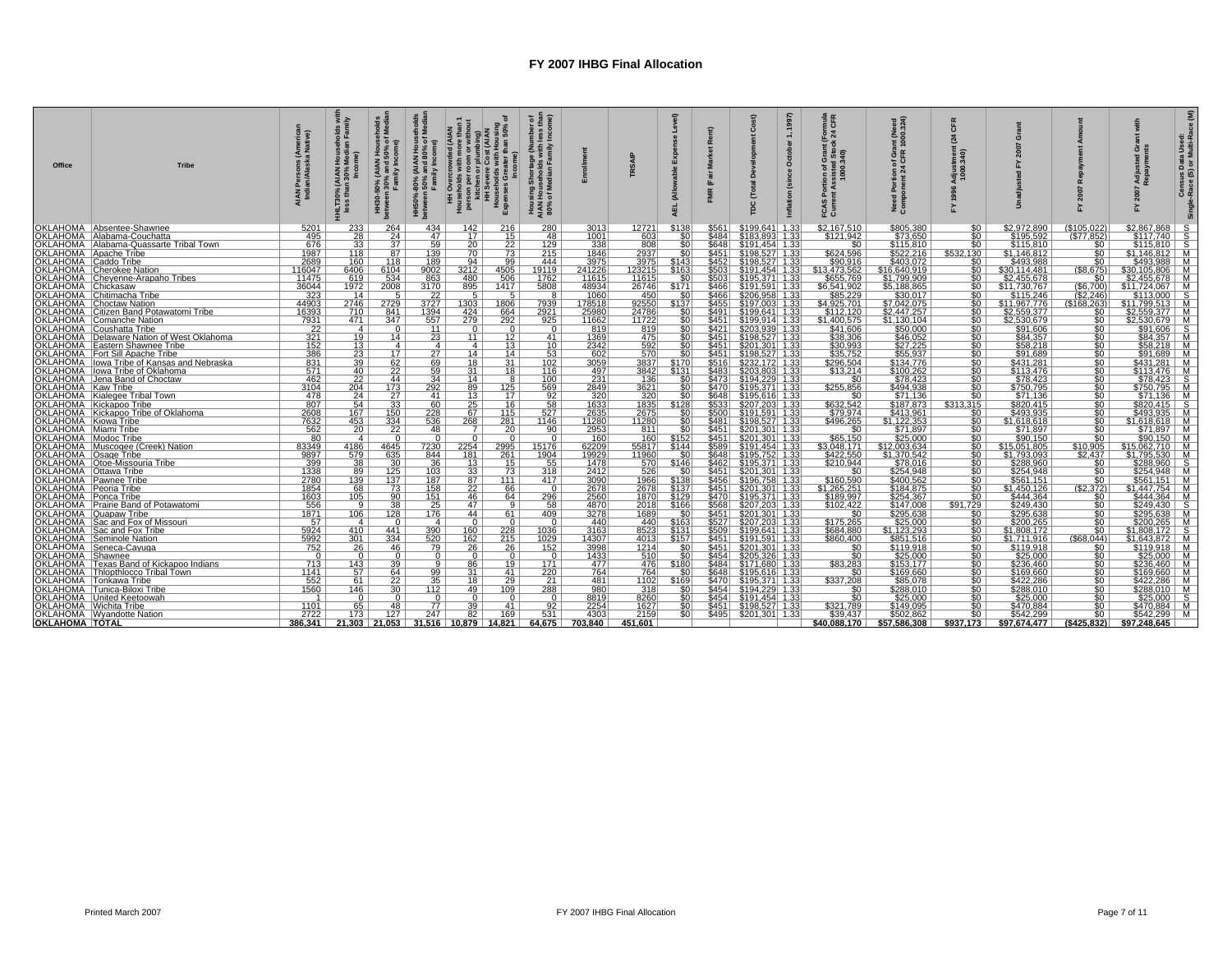| Office                                          | <b>Tribe</b>                                                             | (America<br>a Native)    | ≥ ≋<br>Hous<br>Medi<br>HLT30% (AIAN H<br>less than 30% l | AIAN Ho)<br>% and 50<br>nily Incom<br>50%<br>- Fan<br>ඝ ౾<br>HH:<br>betw | AIAN House) ،<br>and 80% of l<br>illy Income)<br>-80% (Al<br>  50% an<br>  Family I<br>HH50%<br>between | ৳<br>ising<br>50%<br>vercrowded (Al.<br>Ids with more t<br>힘8<br><u>ខ ត</u><br>HH Overci<br>Households<br>person per r<br>Kitchen c<br>HH Sever<br>Househo<br>Expenses | er of<br>s than<br>ome)<br>Shortage<br>seholds w<br><b>L</b><br>Housing<br>AIAN Hous<br>80% of Me |                        |                        | (Allo<br><b>AEL</b> | $\mathbf{r}$     | ¢<br>Ĕ                                                         | (1997)<br>$\div$<br>October<br>(since | 3 팀<br>នឹះឲ្យ<br>င္ဟ ဒီ      | eed<br>324)<br>Ξg<br>ឌី ទី  | CFR<br><u> ຣັ ອ</u> ີ                       |                             |                                    | $\sigma$<br>⋖ ∝                  | Censi<br>Race |
|-------------------------------------------------|--------------------------------------------------------------------------|--------------------------|----------------------------------------------------------|--------------------------------------------------------------------------|---------------------------------------------------------------------------------------------------------|------------------------------------------------------------------------------------------------------------------------------------------------------------------------|---------------------------------------------------------------------------------------------------|------------------------|------------------------|---------------------|------------------|----------------------------------------------------------------|---------------------------------------|------------------------------|-----------------------------|---------------------------------------------|-----------------------------|------------------------------------|----------------------------------|---------------|
|                                                 | OKLAHOMA   Absentee-Shawnee                                              | 5201                     | 233                                                      | 264                                                                      | 434                                                                                                     | 216<br>142                                                                                                                                                             | 280                                                                                               | <u>3013</u>            | 12721                  | \$138               |                  |                                                                |                                       | \$2,167,510                  | \$805,380<br>\$73.650       | \$0                                         | \$2,972,890                 | (\$105,022)                        | $$2,867,868$ S                   |               |
|                                                 | OKLAHOMA   Alabama-Couchatta                                             | 495                      | $\overline{28}$                                          | 24                                                                       | 47                                                                                                      | 17<br>15 <sup>1</sup>                                                                                                                                                  | 48                                                                                                | 1001                   | 603                    |                     | \$484            | \$183.893 1.33                                                 |                                       | \$121.942                    |                             | \$0                                         | \$195.592                   | (S77.852)                          | $$117.740$ S                     |               |
|                                                 | OKLAHOMA   Alabama-Quassarte Tribal Town                                 | 676                      | 33<br>118                                                | 37 <sup>2</sup><br>87                                                    | 59<br>139                                                                                               | $\frac{20}{70}$                                                                                                                                                        | $\frac{129}{215}$                                                                                 | $\frac{338}{1846}$     | 808<br>2937            |                     | \$648            | <u>S191,454 1.33</u><br>$$451$ $$198,527$ 1.33                 |                                       | SO.                          | \$115,810                   | SO.<br>\$532.130                            | \$115.810                   | SO.                                | $$115,810$   S<br>$$1,146,812$ M |               |
| OKLAHOMA   Apache Tribe<br>OKLAHOMA Caddo Tribe |                                                                          | 1987<br>2689             | 160                                                      | 118                                                                      | 189                                                                                                     | 73<br>94<br>99                                                                                                                                                         | 444                                                                                               | 3975                   | 3975                   | \$143               | \$452            | \$198,527 1.33                                                 |                                       | \$624,596<br>\$90.916        | \$522,216<br>\$403.072      | SO.                                         | \$1,146,812<br>\$493.988    | SO I<br>$\overline{50}$            | \$493,988 M                      |               |
|                                                 | OKLAHOMA Cherokee Nation                                                 | 116047                   | 6406                                                     | 6104                                                                     | 9002                                                                                                    | 3212<br>4505                                                                                                                                                           | 19119                                                                                             | 241226                 | 123215                 | \$163               | \$503            | $$191,454$ 1.33                                                |                                       | \$13,473,562                 | \$16,640,919                | $\overline{50}$                             | \$30,114,481                | (S8, 675)                          | $$30,105,806$ M                  |               |
|                                                 | OKLAHOMA Chevenne-Arapaho Tribes                                         | 11475                    | 619                                                      | 534                                                                      | 863                                                                                                     | 480<br>506                                                                                                                                                             | 1762                                                                                              | 11615                  | 11615                  | \$0                 | \$5031           | \$195.371 1.33                                                 |                                       | \$655.769                    | \$1.799.909                 | \$0                                         | \$2.455.678                 | \$0                                | $$2.455.678$ M                   |               |
| OKLAHOMA Chickasaw                              |                                                                          | $\frac{36044}{323}$      | 1972                                                     | 2008                                                                     | 3170                                                                                                    | 895<br>1417                                                                                                                                                            | 5808                                                                                              | 48934<br>1060          | $\frac{26746}{450}$    | \$171               | \$466            | \$191,591 1.33<br>\$206,958 1.33                               |                                       | \$6,541,902<br>\$85,229      | <u>\$5,188,865</u>          | \$0                                         | \$11,730,767                | (\$6,700)<br>(\$2,246)             | $$11,724,067$   M                |               |
|                                                 | <b>OKLAHOMA</b> Chitimacha Tribe                                         |                          | 14                                                       | 5 <sup>1</sup>                                                           | $\overline{22}$                                                                                         | 51                                                                                                                                                                     |                                                                                                   |                        |                        | $\overline{30}$     | \$466            |                                                                |                                       |                              | \$30,017                    |                                             | \$115,246                   |                                    | $$113.000$ S                     |               |
|                                                 | <b>OKLAHOMA</b> Choctaw Nation<br>OKLAHOMA Citizen Band Potawatomi Tribe | 44903<br>16393           | 2746<br>710                                              | 2729<br>841                                                              | 3727<br>1394                                                                                            | 1806<br>1303<br>424<br>664                                                                                                                                             | 7939<br>2921                                                                                      | 178518<br>25980        | 92550<br>24786         | \$137<br>SO I       | \$491            | \$197.003 1.33<br>$$199,641$ 1.33                              |                                       | \$4.925.701<br>\$112,120     | \$7.042.075<br>\$2,447,257  | \$0<br>$\overline{50}$                      | \$11.967.776<br>\$2,559,377 | (\$168.263)<br>\$0                 | \$11,799,513 M<br>$$2,559,377$ M |               |
|                                                 | <b>OKLAHOMA</b> Comanche Nation                                          | 7931                     | 471                                                      | 347                                                                      | 557                                                                                                     | 279<br>292                                                                                                                                                             | 925                                                                                               | 11662                  | 11722                  |                     |                  | <u>\$451 \$199.914 1.33</u>                                    |                                       | \$1.400.575                  | \$1.130.104                 | SO.                                         | \$2,530.679                 | SO.                                | \$2.530.679   M                  |               |
| OKLAHOMA                                        | Coushatta Tribe                                                          | $\frac{22}{321}$         | 4                                                        | $\Omega$                                                                 | 11                                                                                                      | $\Omega$<br>$\Omega$                                                                                                                                                   | $\mathbf{0}$                                                                                      | $\frac{819}{1369}$     | $\frac{819}{475}$      |                     |                  | \$421 \$203,939 1.33<br>\$451 \$198,527 1.33                   |                                       | \$41,606<br>\$38,306         | \$50,000<br>\$46,052        | \$0                                         | \$91,606<br>\$84,357        | $\frac{$0}{\$0}$                   | $$91,606$ S<br>$$84,357$ M       |               |
|                                                 | OKLAHOMA   Delaware Nation of West Oklahoma                              |                          | 19                                                       | 14                                                                       | $\overline{23}$                                                                                         | $\overline{12}$<br>111                                                                                                                                                 | 41                                                                                                |                        |                        |                     |                  |                                                                |                                       |                              |                             | $50^{-}$                                    |                             |                                    |                                  |               |
|                                                 | OKLAHOMA Eastern Shawnee Tribe<br>OKLAHOMA   Fort Sill Apache Tribe      | 152<br>386               | 13 <sup>1</sup><br>$\overline{23}$                       | 4 I<br>17                                                                | 4 I<br>27                                                                                               | 13 <sup>1</sup><br>4 I<br>14<br>14                                                                                                                                     | 10 <sup>1</sup><br>53                                                                             | 2342                   | 592<br>$\frac{1}{570}$ | $\overline{50}$     | \$451 I<br>\$451 | \$201.301 1.33<br>\$198,527 1.33                               |                                       | \$30.993<br>\$35,752         | \$27.225<br>\$55,937        | \$0<br>$\overline{50}$                      | \$58.218<br>\$91,689        | SO 1<br>50                         | \$58.218   M<br>$$91,689$ M      |               |
|                                                 | OKLAHOMA llowa Tribe of Kansas and Nebraska                              | 831                      | 39 <sup>1</sup>                                          | 62                                                                       | 69                                                                                                      | 18<br>31                                                                                                                                                               | 102                                                                                               | 602<br>3059            | 3837                   | \$170               |                  | \$516 \$232.172 1.33                                           |                                       | \$296.504                    | \$134.776                   | $\overline{50}$                             | \$431.281                   | SO 1                               | \$431.281 M                      |               |
|                                                 | OKLAHOMA   lowa Tribe of Oklahoma                                        | 571                      |                                                          |                                                                          | 59                                                                                                      | 18                                                                                                                                                                     | 116                                                                                               |                        | 3842                   | \$131               | \$483            | \$203,803 1.33                                                 |                                       | \$13,214                     | \$100,262                   | $\overline{\$0}$                            |                             | 50                                 |                                  |               |
|                                                 | OKLAHOMA Jena Band of Choctaw                                            | 462                      | $\frac{40}{22}$                                          | $\frac{22}{44}$                                                          | 34                                                                                                      | $\frac{31}{14}$<br>$^{\circ}$                                                                                                                                          | $100^{-1}$                                                                                        | $\frac{497}{231}$      | 136                    |                     | \$4731           | \$194,229 1.33                                                 |                                       | $50^{-}$                     | \$78.423                    | $\overline{50}$                             | $\frac{$113,476}{$78,423}$  |                                    | $\frac{$113.476}{$78.423}$ S     |               |
|                                                 | OKLAHOMA Kaw Tribe<br>OKLAHOMA Kialegee Tribal Town                      | $\frac{3104}{478}$       | 204                                                      | 173                                                                      | 292                                                                                                     | 89<br>125                                                                                                                                                              | $\frac{569}{92}$                                                                                  | 2849                   | 3621                   | sni                 | \$470 l          | \$195.371 1.33                                                 |                                       | \$255.856                    | \$494.938                   | $\overline{\$0}$                            | \$750.795                   | 50                                 | \$750.795   M                    |               |
|                                                 |                                                                          |                          | 24                                                       | 27                                                                       | 41                                                                                                      | 13<br>17                                                                                                                                                               |                                                                                                   | 320                    | 320                    | $\overline{50}$     | \$648            | $$195,616$ 1.33                                                |                                       | \$0                          | \$71.136                    | $\overline{50}$                             | \$71,136                    | sō l                               | $$71,136$ M                      |               |
|                                                 | OKLAHOMA Kickapoo Tribe<br>OKLAHOMA Kickapoo Tribe of Oklahoma           | 807                      | 54<br>167                                                | 33                                                                       | 60<br>228                                                                                               | 16<br>115                                                                                                                                                              | $\frac{58}{527}$                                                                                  | 1633                   | 1835<br>2675           | \$128<br>-90        | \$533<br>\$500   | \$207.203 1.33<br>$$191,591$ 1.33                              |                                       | \$632.542<br>\$79,974        | <u>\$187.873 L</u>          | \$313.315 l<br>SO.                          | \$820.415<br>\$493,935      | SO 1<br>$\overline{50}$            | $$820.415$ S<br>\$493.935 M      |               |
| OKLAHOMA Kiowa Tribe                            |                                                                          | 2608<br>7632             | 453                                                      | $\frac{150}{334}$                                                        | 536                                                                                                     | $\begin{array}{r}\n\overline{\phantom{0}}\phantom{0}25 \\ \overline{67} \\ \overline{268}\n\end{array}$<br>281                                                         | 1146                                                                                              | $\frac{2635}{11280}$   | 11280                  |                     |                  | \$481 \$198,527 1.33                                           |                                       | \$496,265                    | $\frac{213.961}{1,122.353}$ | 50.                                         | \$1.618.618                 |                                    | $$1.618,618$ M                   |               |
| OKLAHOMA Miami Tribe                            |                                                                          | 562                      | 20                                                       | $\overline{22}$                                                          | 48                                                                                                      | 20                                                                                                                                                                     | 90                                                                                                | 2953                   | 811                    | $\overline{30}$     |                  | \$451 \$201.301 1.33                                           |                                       | $\overline{50}$              | \$71.897                    | $\overline{\$0}$                            | \$71.897                    | $\overline{50}$                    | \$71.897   M                     |               |
| OKLAHOMA   Modoc Tribe                          |                                                                          | 80                       | $\sim$                                                   | $\overline{0}$                                                           | $\Omega$                                                                                                | $\Omega$<br>$\Omega$                                                                                                                                                   | $\Omega$                                                                                          | 160                    | 160                    | \$152               | \$451            | \$201,301 1.33                                                 |                                       | \$65.150                     | \$25,000                    | $\overline{50}$                             | \$90.150                    | \$0                                | \$90.150 M                       |               |
|                                                 | OKLAHOMA Muscogee (Creek) Nation                                         | 83349                    | 4186                                                     | 4645                                                                     | 7230                                                                                                    | 2254<br>2995                                                                                                                                                           | 15176                                                                                             |                        | 55817                  | \$144               |                  |                                                                |                                       | $$3.048.171$ $$422,550$      | \$12.003.634                | 50 <sub>1</sub>                             | \$15.051.805                | \$10.905                           | \$15,062,710 M                   |               |
| OKLAHOMA   Osage Tribe                          | OKLAHOMA   Otoe-Missouria Tribe                                          | $\frac{9897}{399}$       | $\frac{579}{38}$                                         | $\frac{635}{30}$                                                         | 844<br>36                                                                                               | 261<br>181<br>13<br>15                                                                                                                                                 | 1904<br>55                                                                                        | 62209<br>19929<br>1478 | 11960<br>570           | .ፍር<br>\$146        |                  | S589 S191.454 1.33<br>S648 S195.752 1.33<br>S462 S195.371 1.33 |                                       | \$210,944                    | \$1,370,542<br>\$78,016     | \$0<br>30                                   | \$1,793,093<br>\$288,960    | \$2,437<br>\$0                     | $$1,795,530$ M<br>$$288,960$ S   |               |
| OKLAHOMA   Ottawa Tribe                         |                                                                          | 1338                     | 89                                                       | 125                                                                      | 103                                                                                                     | $\overline{73}$<br>33                                                                                                                                                  | 318                                                                                               | 2412                   | 526                    | $\overline{50}$     |                  |                                                                |                                       | $\overline{50}$              | \$254.948                   | $\overline{50}$                             | \$254.948                   | $\overline{50}$                    | $$254.948$ M                     |               |
| OKLAHOMA Pawnee Tribe                           |                                                                          | 2780                     | 139                                                      | 137                                                                      | 187                                                                                                     | 87 <sup>1</sup><br>111                                                                                                                                                 | 417                                                                                               | 3090                   | 1966                   | \$138               |                  |                                                                |                                       | \$160,590                    | \$400,562                   | $\overline{50}$                             | \$561.151                   | $\overline{50}$                    | $$561,151$   M                   |               |
| OKLAHOMA Peoria Tribe                           |                                                                          | 1854                     | 68                                                       | 73                                                                       | 158                                                                                                     | 22<br>66                                                                                                                                                               | $\Omega$                                                                                          | 2678                   | 2678                   | \$137               |                  |                                                                |                                       | \$1.265.251                  | \$184.875                   | $\overline{\text{SO}}$ $\overline{\text{}}$ | \$1.450.126                 | (S2.372)                           | $$1.447.754$   M                 |               |
| OKLAHOMA   Ponca Tribe                          |                                                                          | 1603<br>556              | 105<br>$\overline{9}$                                    | 90<br>$\overline{38}$                                                    | 151                                                                                                     | 64<br>46<br>ு                                                                                                                                                          | $\frac{296}{58}$                                                                                  | 2560<br>4870           | 1870<br>2018           | \$129               | \$470<br>\$568   | \$195,371 1.33<br>\$207,203 1.33                               |                                       | \$189.997                    | \$254,367<br>\$147,008      | \$0                                         | \$444,364<br>\$249,430      | \$0.                               | \$444,364   M<br>\$249,430   S   |               |
|                                                 | OKLAHOMA   Prairie Band of Potawatomi<br>OKLAHOMA   Quapaw Tribe         | 1871                     | 106                                                      | 128                                                                      | 25<br>176 l                                                                                             | 47<br>44 <sup>1</sup><br>61                                                                                                                                            | 409                                                                                               | 3278                   | 1689                   | \$166<br>-\$0       |                  | \$451 \$201.301 1.33                                           |                                       | \$102.422<br>$\overline{50}$ | \$295.638                   | \$91.729<br>\$0                             | \$295.638                   | $\$0$<br>$\overline{50}$           | \$295.638 M                      |               |
|                                                 | OKLAHOMA Sac and Fox of Missouri                                         | 57                       | 4                                                        | $\Omega$                                                                 | $\overline{4}$                                                                                          | $\Omega$<br>$\Omega$                                                                                                                                                   | $\Omega$                                                                                          | 440                    | 440                    | \$163               |                  | \$527 \$207,203 1.33                                           |                                       | \$175,265                    | \$25,000                    | \$0                                         | \$200,265                   | \$0                                | $$200,265$   M                   |               |
|                                                 | OKLAHOMA Sac and Fox Tribe                                               | 5924                     | 410                                                      | 441                                                                      | 390                                                                                                     | 228<br>160                                                                                                                                                             | 1036                                                                                              | 3163                   | 8523                   | \$131               | \$509            | $$199.641$ 1.33                                                |                                       | \$684.880                    | \$1.123.293                 | $\overline{\text{SO}}$                      | \$1.808.172                 | 50                                 | $$1.808.172$ S                   |               |
|                                                 | OKLAHOMA Seminole Nation                                                 | $\frac{5992}{752}$       | 301                                                      | $\frac{334}{46}$                                                         | 520                                                                                                     | $\frac{162}{26}$<br>215                                                                                                                                                | $\frac{1029}{152}$                                                                                | 14307<br>3998          | 4013                   | \$157               |                  | \$451 \$191,591 1.33                                           |                                       | \$860,400                    | \$851,516                   | $\overline{50}$                             | \$1.711.916                 | (S68.044)                          | \$1.643.872 M                    |               |
|                                                 | OKLAHOMA Seneca-Cayuga                                                   |                          | 26                                                       |                                                                          | $\overline{79}$                                                                                         | 26                                                                                                                                                                     |                                                                                                   |                        | $\frac{15}{1214}$      | \$0                 |                  | $\frac{1}{3451}$ $\frac{1}{3201}$ , $\frac{1}{301}$ 1.33       |                                       | $\$0$                        | \$119,918                   | $\overline{50}$                             | \$119,918                   | $\overline{50}$                    | $$119.918$ M                     |               |
| OKLAHOMA Shawnee                                | OKLAHOMA   Texas Band of Kickapoo Indians                                | $\Omega$<br>713          | $\Omega$<br>143                                          | $\Omega$<br>39                                                           | $\Omega$<br>9                                                                                           | $\Omega$<br>$\Omega$<br>86  <br>19 <sup>1</sup>                                                                                                                        | $\Omega$<br>171                                                                                   | 1433<br>477            | 510<br>476             | \$0<br>\$180        | \$4541           | \$205.326 1.33                                                 |                                       | SO.<br>\$83,283              | \$25,000<br>\$153,177       | SO.<br>\$0                                  | \$25.000<br>\$236,460       | $\overline{50}$<br>\$0             | \$25,000 M<br>\$236,460 M        |               |
|                                                 | OKLAHOMA Thloothlocco Tribal Town                                        | 1141                     | 57                                                       | 64                                                                       | 99                                                                                                      | 41<br>31 I                                                                                                                                                             | 220                                                                                               | 764                    | 764                    | -90                 |                  |                                                                |                                       | SO.                          | \$169.660                   | \$0                                         | \$169.660                   | $\overline{50}$                    | \$169.660 M                      |               |
|                                                 | OKLAHOMA   Tonkawa Tribe                                                 | $\frac{552}{1560}$       | 61 I                                                     | 22                                                                       | 35                                                                                                      | 18<br>29                                                                                                                                                               | 21                                                                                                |                        | 1102                   | \$169               |                  |                                                                |                                       | \$337,208                    |                             | $\frac{50}{50}$                             | \$422,286                   |                                    | \$422,286   M                    |               |
|                                                 | OKLAHOMA Tunica-Biloxi Tribe                                             |                          | 146                                                      | $30-1$                                                                   | 112                                                                                                     | 49<br>109                                                                                                                                                              | 288                                                                                               | $\frac{481}{980}$      | 318                    |                     |                  | \$470 \$195,371 1.33<br>\$454 \$194,229 1.33                   |                                       |                              | \$85,078<br>\$288,010       |                                             | \$288,010                   | $rac{10}{50}$                      | \$288,010 M                      |               |
|                                                 | OKLAHOMA United Keetoowah                                                | - 1                      | $\Omega$                                                 | $\Omega$                                                                 | n.                                                                                                      | $\Omega$<br>$\Omega$                                                                                                                                                   | $\Omega$                                                                                          | 8819                   | 8260                   |                     |                  | \$454 \$191.454 1.33                                           |                                       | ፍሰ                           | \$25.000                    | SO.                                         | \$25.000                    | $\overline{50}$                    | $$25,000$ S                      |               |
| OKLAHOMA Wichita Tribe                          | OKLAHOMA Wvandotte Nation                                                | 1101<br>$\frac{1}{2722}$ | 65<br>173 <sup>1</sup>                                   | 48<br>127                                                                | 77<br>247                                                                                               | 39<br>41<br>82<br>169                                                                                                                                                  | 92<br>531                                                                                         | 2254<br>4303           | 1627<br>2159           |                     |                  |                                                                |                                       | $$321,789$<br>$$39.437$      | \$149,095<br>\$502.862      | $\overline{50}$<br>$\overline{50}$          | \$470,884<br>\$542.299      | $\overline{50}$<br>$\overline{50}$ | \$470,884 M<br>\$542.299 M       |               |
| <b>OKLAHOMA TOTAL</b>                           |                                                                          | 386.341                  |                                                          | $21.303$   21.053                                                        |                                                                                                         | 31.516   10.879   14.821                                                                                                                                               | 64.675                                                                                            | 703.840                | 451.601                |                     |                  |                                                                |                                       | \$40.088.170                 | \$57.586.308                |                                             | $$937.173$ $$97.674.477$    | (S425.832)                         | \$97.248.645                     |               |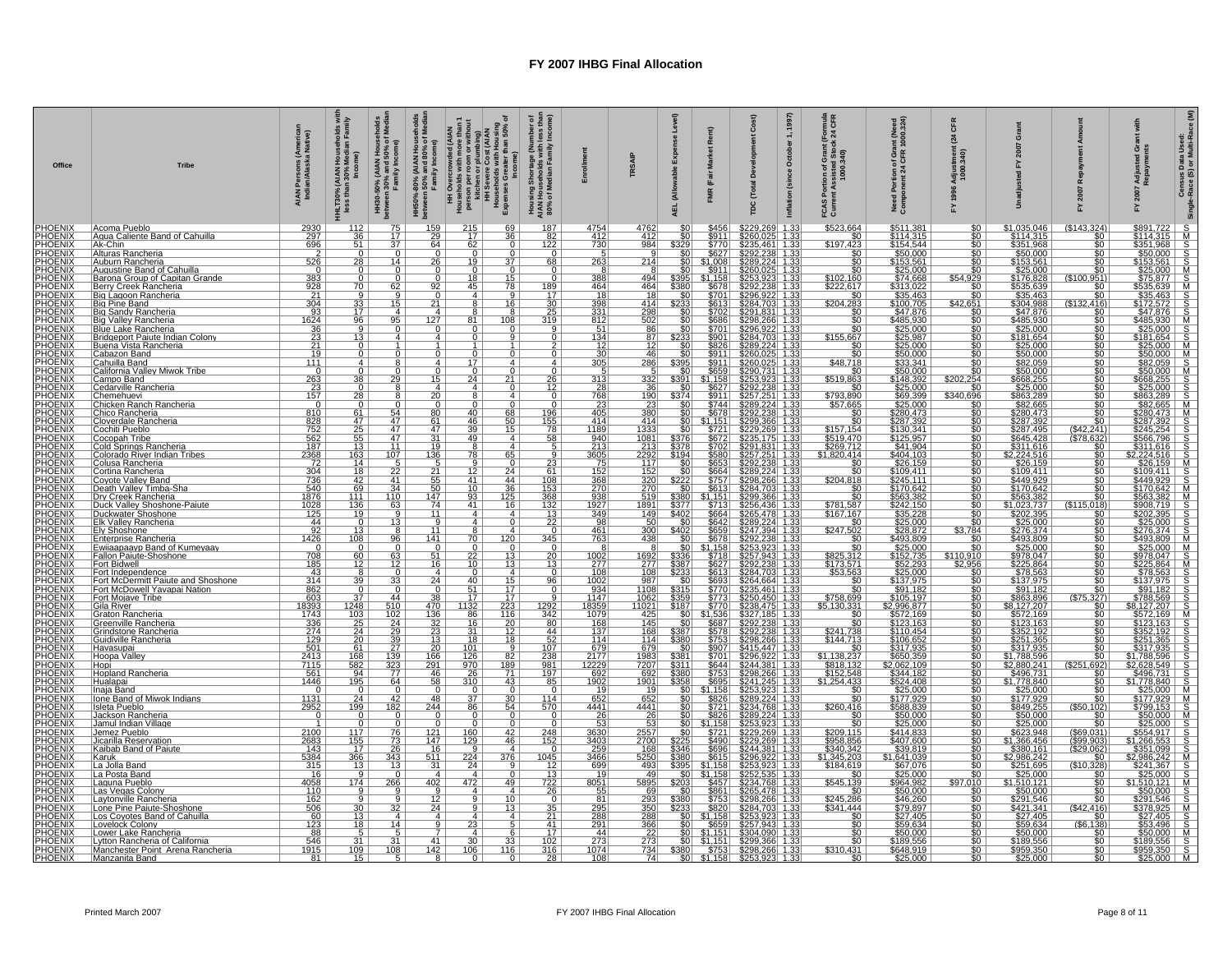| Office | <b>Tribe</b>                                                                                                                                                                                                                                                                                     | AIAN Persons (America<br>Indian/Alaska Native)                                                                                                              | HHLT30% (AIAN Households w<br>less than 30% Median Family   | HH30-50% (AIAN Housel<br>between 30% and 50% of l<br>Family Income)     | HH50%-80% (AIAN Household<br>between 50% and 80% of Media<br>Family Income) | ঁ০<br>en or plumbing)<br>evere Cost (AIAN<br>holds with Housing<br>s Greater than 50% o<br>Income)<br>HH Overcrowded (AIAN<br>Households with more than<br>person per room or without<br>Michen or plumbing)<br>Households with Housing<br>Households with Housing<br>Expenses Greater than 50% | $\frac{5}{100}$<br>Housing Shortage (Number of<br>AIAN Households with less tha<br>80% of Median Family Income    |                                                           | <b>TRSAIP</b>                                                                                              | nse<br>able<br>ड                          | Rer<br>(Fair                                                                                  | Total<br>ρc                                                                                                                                                                                                                                       | 1997)<br>nula<br>CFR<br>$\frac{10}{24}$<br>$\div$<br>October<br>ות of Grant<br>sisted Stoc<br>1000.340)<br>(since<br>ဥ<br>Inflation<br>FCAS<br>Currer                      | nt (Need<br>1000.324)<br>ion of Grau<br>t 24 CFR<br>Portic<br>onent<br>Need<br>Compo                                                           | ō<br>24<br>adjus<br>1000                                   | ō                                                                                                                                                                                                                                                                                                   |                                                                                                       | ចី ខ<br>Adjus<br>Repay<br>놊 | Census Data Used:<br>-Race (S) or Multi-Race<br>Single |
|--------|--------------------------------------------------------------------------------------------------------------------------------------------------------------------------------------------------------------------------------------------------------------------------------------------------|-------------------------------------------------------------------------------------------------------------------------------------------------------------|-------------------------------------------------------------|-------------------------------------------------------------------------|-----------------------------------------------------------------------------|-------------------------------------------------------------------------------------------------------------------------------------------------------------------------------------------------------------------------------------------------------------------------------------------------|-------------------------------------------------------------------------------------------------------------------|-----------------------------------------------------------|------------------------------------------------------------------------------------------------------------|-------------------------------------------|-----------------------------------------------------------------------------------------------|---------------------------------------------------------------------------------------------------------------------------------------------------------------------------------------------------------------------------------------------------|----------------------------------------------------------------------------------------------------------------------------------------------------------------------------|------------------------------------------------------------------------------------------------------------------------------------------------|------------------------------------------------------------|-----------------------------------------------------------------------------------------------------------------------------------------------------------------------------------------------------------------------------------------------------------------------------------------------------|-------------------------------------------------------------------------------------------------------|-----------------------------|--------------------------------------------------------|
|        | Acoma Pueblo<br>Agua Caliente Band of Cahuilla                                                                                                                                                                                                                                                   | 2930                                                                                                                                                        | 112<br>$\overline{36}$                                      | 75                                                                      | 159<br>29                                                                   | 215<br>69<br>$\overline{36}$                                                                                                                                                                                                                                                                    | 187                                                                                                               | 4754                                                      | 4762<br>$\frac{412}{984}$                                                                                  | \$0                                       | $$456$<br>$$911$                                                                              | \$229,269<br>\$260.025                                                                                                                                                                                                                            | \$523,664<br>1.33<br>1.33                                                                                                                                                  | \$511,381                                                                                                                                      | $\overline{\text{SO}}$                                     | \$1,035,046                                                                                                                                                                                                                                                                                         | (\$143,324)<br>$\overline{50}$                                                                        |                             |                                                        |
|        | Ak-Chin<br> Alturas Rancheria                                                                                                                                                                                                                                                                    | $\frac{297}{696}$<br>526                                                                                                                                    | $rac{51}{0}$<br>$\overline{28}$                             | $\frac{17}{37}$<br>14                                                   | 64                                                                          | $\frac{17}{62}$<br>$\overline{19}$<br>26                                                                                                                                                                                                                                                        | $\frac{182}{122}$<br>68                                                                                           | $\frac{412}{730}$<br>263                                  | 214                                                                                                        |                                           | $\frac{$770}{$627}$<br>\$1.008                                                                | 35,461 1.33<br>92,238 1.33<br>289.224 1.33                                                                                                                                                                                                        | $\frac{$100}{$197,423}$                                                                                                                                                    | $\frac{$1,001}{$114.315}$<br>$\frac{$154.544}{$50.000}$                                                                                        | $\overline{50}$                                            | \$114.315<br>\$351,968<br>\$351,968                                                                                                                                                                                                                                                                 | $\frac{$0}{\$0}$<br>50                                                                                |                             |                                                        |
|        | Auburn Rancheria<br>Augustine Band of Cahuilla<br>Barona Group of Capitan Grande                                                                                                                                                                                                                 | . O I                                                                                                                                                       | $\overline{0}$                                              | $\mathbf{0}$<br>$\overline{0}$                                          |                                                                             | $\overline{0}$<br>$\mathbf{0}$                                                                                                                                                                                                                                                                  | $\overline{0}$<br>$\overline{0}$                                                                                  | 388                                                       | 494                                                                                                        | \$0                                       |                                                                                               | \$260,025 1.3                                                                                                                                                                                                                                     | $\overline{\$0}$<br>\$102.160<br>\$222,617                                                                                                                                 | $\frac{$3,600}{$153.561}{$25,000$<br>\$74.668                                                                                                  | $\overline{\$0}$<br>\$54.929                               | $\frac{$153.561}{$25.000}$                                                                                                                                                                                                                                                                          | \$0<br>.951)<br>(\$100                                                                                |                             |                                                        |
|        | Berry Creek Rancheria                                                                                                                                                                                                                                                                            | $\begin{array}{r} 383 \\ 928 \\ 21 \\ 304 \end{array}$                                                                                                      | $rac{0}{\frac{70}{9}}$                                      | $rac{62}{9}$                                                            |                                                                             | $rac{0}{\frac{92}{0}}$<br>$\frac{18}{45}$<br>$\frac{15}{78}$                                                                                                                                                                                                                                    |                                                                                                                   | $\frac{464}{18}$                                          | $\frac{464}{18}$                                                                                           | \$395<br>\$380<br>\$233<br>\$233<br>\$0   |                                                                                               | $\frac{253.923}{2292.238}$<br>\$292,238                                                                                                                                                                                                           | $\overline{50}$                                                                                                                                                            | $\frac{5313,022}{535,463}$                                                                                                                     | $\frac{1}{30}$                                             | \$176.828<br>\$535,639<br>\$35,463                                                                                                                                                                                                                                                                  | $\frac{10}{10}$                                                                                       |                             |                                                        |
|        | Big Pine Band<br>Big Sandy Rancheria<br>Big Valley Rancheria                                                                                                                                                                                                                                     | 93                                                                                                                                                          | $\frac{33}{17}$                                             | $\overline{15}$<br>$\overline{4}$<br>95                                 | 127                                                                         | $\overline{21}$<br>16<br>$\overline{4}$<br>108                                                                                                                                                                                                                                                  | $\frac{\frac{189}{17}}{\frac{30}{25}}$                                                                            | $\frac{398}{331}$                                         | $\frac{414}{298}$                                                                                          |                                           |                                                                                               | $\frac{5284.703}{5291.921}$ $\frac{5284.703}{1.33}$ $\frac{5298.266}{5296.922}$ $\frac{5284.703}{1.33}$ $\frac{5284.703}{5280.224}$ $\frac{1.33}{1.33}$ $\frac{5289.224}{5280.224}$                                                               | \$204.283<br>$rac{1}{50}$                                                                                                                                                  | \$100.705<br>\$47,876                                                                                                                          | \$42.651                                                   | \$304.988<br>\$304,988<br>\$47,876<br>\$47,876<br>\$25,000<br>\$25,000<br>\$625,000<br>\$688,259<br>\$688,259<br>\$688,259                                                                                                                                                                          | (S132.416)<br>$rac{1}{100}$                                                                           |                             |                                                        |
|        | Blue Lake Rancheria<br>Bridgeport Paiute Indian Colony                                                                                                                                                                                                                                           |                                                                                                                                                             | $\frac{96}{9}$<br><u>13  </u>                               | $^{\circ}$                                                              |                                                                             | <u>81</u><br>$\overline{4}$                                                                                                                                                                                                                                                                     | $\frac{9}{0}$                                                                                                     | 812<br>$\frac{51}{134}$                                   | $\frac{86}{87}$                                                                                            | $rac{$0}{233}$                            |                                                                                               |                                                                                                                                                                                                                                                   | $\frac{1}{\$155.667}$                                                                                                                                                      |                                                                                                                                                |                                                            |                                                                                                                                                                                                                                                                                                     | $rac{1}{50}$                                                                                          |                             |                                                        |
|        | <u> Buena Vista Rancheria</u><br>Bridgeport Paiute Indian Colony<br>Buena Vista Rancheria<br>Cabazon Band<br>Cailfornia Valley Miwok Tribe<br>Campo Band<br>Centarilla Rancheria<br>Centarilla Rancheria<br>Chicken Rancheria<br>Chicken Rancheria<br>Colong Rancheria<br>Colong Rancheria<br>Co | $\begin{array}{r} 16\overline{24} \\ 36 \\ \overline{23} \\ 21 \\ \overline{19} \end{array}$                                                                | $\overline{\circ}$<br>$\overline{0}$                        | $\mathfrak{t}$<br>$\overline{0}$                                        |                                                                             | $\frac{1}{0}$<br>$\overline{0}$                                                                                                                                                                                                                                                                 | $rac{2}{0}$                                                                                                       | $\frac{12}{30}$<br>$\frac{30}{305}$                       | 46                                                                                                         | $\frac{$0}{$0}$                           |                                                                                               |                                                                                                                                                                                                                                                   | $\overline{50}$<br>\$0                                                                                                                                                     | $\frac{$47,876}{$485,930}$<br>$\frac{$25,000}{$25,987}$<br>$\frac{$25,000}{$50,000}$<br>$\frac{$33.341}{$50,000}$<br>$\frac{$33.341}{$50,000}$ | 9999999<br>0000000                                         |                                                                                                                                                                                                                                                                                                     | $rac{10}{100}$                                                                                        |                             |                                                        |
|        |                                                                                                                                                                                                                                                                                                  | 111                                                                                                                                                         | 4<br><sup>n</sup><br>$\frac{1}{38}$                         | $\overline{8}$<br>$\frac{8}{29}$                                        |                                                                             | $\overline{4}$<br>17<br>Δ<br>$\frac{0}{15}$<br>$\frac{0}{24}$                                                                                                                                                                                                                                   | $\frac{4}{26}$                                                                                                    | $\frac{5}{313}$                                           | 286<br>332                                                                                                 | $\frac{$395}{$391}$                       |                                                                                               | $\frac{$260.025}{$260.025}$ $\frac{$260.025}{$290.731}$ $\frac{$290.731}{3253.923}$ $\frac{$253.923}{1.33}$                                                                                                                                       | \$48.718<br>$\begin{array}{c} 80 \\ 5519.863 \end{array}$                                                                                                                  |                                                                                                                                                |                                                            |                                                                                                                                                                                                                                                                                                     | $\frac{10}{100}$                                                                                      |                             |                                                        |
|        |                                                                                                                                                                                                                                                                                                  | $\begin{array}{c c}\n & 0 \\ \hline\n263 \\  & 23 \\ \hline\n157\n\end{array}$                                                                              | $\circ$<br>$\overline{28}$                                  | 8<br>8                                                                  | $\overline{20}$                                                             | 4<br>$\overline{4}$<br>$\Omega$<br>8<br>$\overline{a}$                                                                                                                                                                                                                                          | $\frac{12}{9}$                                                                                                    | $\frac{28}{768}$                                          | 36                                                                                                         | 50<br>\$374                               |                                                                                               |                                                                                                                                                                                                                                                   | \$0                                                                                                                                                                        |                                                                                                                                                | \$0<br>\$340,696                                           | \$668.255<br>\$25.000 \$862.289<br>\$26.0473<br>\$282.47392<br>\$280.473<br>\$26.458 \$311.000 \$449.9222<br>\$26.533382<br>\$10.0231.023.382<br>\$563.382<br>\$10.024412<br>\$563.382<br>\$10.023.737                                                                                              | 50 <sub>1</sub>                                                                                       |                             |                                                        |
|        |                                                                                                                                                                                                                                                                                                  | $\overline{0}$                                                                                                                                              | $\overline{0}$                                              | $\frac{54}{47}$                                                         |                                                                             | $\overline{0}$<br>$\frac{80}{61}$<br>$\frac{68}{50}$<br>$\frac{40}{46}$                                                                                                                                                                                                                         |                                                                                                                   | $\frac{23}{405}$                                          | $\frac{190}{23}$ $\frac{23}{380}$ $\frac{380}{414}$                                                        | \$0                                       | $\begin{array}{r} 3627 \\ 8911 \\ \hline 5744 \\ 5678 \\ \hline 51,151 \\ \hline \end{array}$ | <b>\$292,238 1.33<br/>\$257,251 1.33<br/>\$257,251 1.33<br/>\$289,224 1.33<br/>\$299,366 1.33</b>                                                                                                                                                 | $\frac{$793,890}{$57.665}$<br>$rac{50}{50}$                                                                                                                                | $\frac{$25.000}{$25.000\n$69,399\n$280,473\n$287,392$                                                                                          | $\overline{\$0}$                                           |                                                                                                                                                                                                                                                                                                     | $rac{1}{20}$<br>$\frac{1}{50}$                                                                        |                             |                                                        |
|        |                                                                                                                                                                                                                                                                                                  | $\begin{array}{r}\n 810 \\  \hline\n 828 \\  \hline\n 752 \\  \hline\n 562 \\  \hline\n 187 \\  \hline\n 2368 \\  \hline\n 72 \\  \hline\n 0\n \end{array}$ | $\frac{61}{47}$<br>$\frac{47}{25}$<br>$\frac{25}{55}$       | $\frac{47}{47}$                                                         | 47                                                                          | 39<br>15                                                                                                                                                                                                                                                                                        | $\frac{196}{155}$<br>$\frac{78}{58}$                                                                              |                                                           | 1333<br>1081                                                                                               | \$0 <sub>1</sub>                          |                                                                                               |                                                                                                                                                                                                                                                   |                                                                                                                                                                            | \$130.341                                                                                                                                      | \$0<br>\$0<br>\$0                                          |                                                                                                                                                                                                                                                                                                     | (S42.241)                                                                                             |                             |                                                        |
|        |                                                                                                                                                                                                                                                                                                  |                                                                                                                                                             | $\frac{13}{163}$                                            |                                                                         |                                                                             | $\overline{31}$<br>49<br>$\overline{4}$<br>$19-1$<br>$\frac{8}{78}$                                                                                                                                                                                                                             |                                                                                                                   | 1189<br>940<br>213<br>3605<br>75                          | $\frac{213}{2292}$<br>117                                                                                  |                                           |                                                                                               | 3229.269 1.33<br>223.269 1.33<br>225.7.251 1.33<br>2257.251 1.33<br>2298.266 1.33<br>2298.266 1.33<br>2298.366 1.33<br>2256.436 1.33<br>2256.436 1.33<br>2256.478 1.33<br>2256.478 1.33<br>2256.478 1.33<br>2256.478 1.33                         | $\frac{$157.154}{$519.470}$<br>\$1,820,414                                                                                                                                 | $\frac{$130.341}{$125.957$$<br>$$41.904$<br>$$404.103$<br>$$26.159$                                                                            | \$0<br>\$0<br>\$0<br>\$0<br>\$0<br>\$0                     |                                                                                                                                                                                                                                                                                                     | $\frac{1378.632)}{1578.632}$                                                                          |                             |                                                        |
|        |                                                                                                                                                                                                                                                                                                  | 304                                                                                                                                                         |                                                             | $\frac{11}{\frac{107}{2}}$                                              | $\frac{136}{5}$                                                             | $\frac{65}{0}$                                                                                                                                                                                                                                                                                  | $\begin{array}{r} 5 \\ -9 \\ \hline 23 \\ \hline 61 \\ 108 \\ \hline 153 \\ \hline 368 \\ \hline 132 \end{array}$ |                                                           |                                                                                                            | $\frac{33781}{194}$                       |                                                                                               |                                                                                                                                                                                                                                                   | $rac{50}{50}$                                                                                                                                                              | \$109.411                                                                                                                                      |                                                            |                                                                                                                                                                                                                                                                                                     | \$0                                                                                                   |                             |                                                        |
|        |                                                                                                                                                                                                                                                                                                  | $\frac{736}{540}$<br>$\frac{540}{1876}$<br>1028                                                                                                             | $\begin{array}{r} 18 \\ 42 \\ 69 \\ 111 \\ 136 \end{array}$ | 41                                                                      | $\frac{21}{55}$<br>$\frac{55}{50}$                                          | $\frac{12}{41}$<br>$\frac{24}{44}$                                                                                                                                                                                                                                                              |                                                                                                                   | 152<br>368<br>270<br>938<br>1927                          | $\frac{11}{152}$<br>$\frac{320}{270}$<br>$\frac{519}{1891}$                                                | $\frac{222}{1}$                           |                                                                                               |                                                                                                                                                                                                                                                   | \$204,818<br>$\frac{1}{20}$                                                                                                                                                | \$245,111                                                                                                                                      |                                                            |                                                                                                                                                                                                                                                                                                     | \$0<br>\$0                                                                                            |                             |                                                        |
|        |                                                                                                                                                                                                                                                                                                  |                                                                                                                                                             |                                                             | $\frac{34}{110}$                                                        | $\frac{147}{74}$                                                            | $\frac{10}{93}$<br>41<br>$\frac{36}{125}$                                                                                                                                                                                                                                                       |                                                                                                                   |                                                           |                                                                                                            |                                           | $$1,151$<br>$$713$<br>$$664$<br>$$664$<br>$$659$<br>$$678$<br>$$1,154$<br>$$749$              |                                                                                                                                                                                                                                                   | $\begin{array}{r} 80 \\ 5781,587 \\ \hline 5167,167 \\ \hline 5247,502 \\ \hline 50 \\ \hline 5247,502 \\ \hline 50 \\ \hline 525,242 \\ \hline \end{array}$               | \$243,111<br>\$170.642<br>\$563,382<br>\$242,150                                                                                               | $\frac{30}{50}$                                            |                                                                                                                                                                                                                                                                                                     | $\frac{50}{($115.018)}$                                                                               |                             |                                                        |
|        |                                                                                                                                                                                                                                                                                                  | $\frac{125}{44}$                                                                                                                                            | 19<br>$\overline{\mathbf{0}}$                               | $\overline{q}$<br><u>13</u>                                             | $\frac{11}{9}$<br>11                                                        | $\overline{4}$<br>$\overline{a}$<br>$\overline{a}$                                                                                                                                                                                                                                              | $\frac{132}{22}$ $\frac{0}{345}$                                                                                  | $\frac{349}{98}$                                          | $\frac{149}{50}$                                                                                           | $\frac{3402}{\$0}$                        |                                                                                               |                                                                                                                                                                                                                                                   | $\frac{133}{24}$ 1.33                                                                                                                                                      | 3242,130<br>\$35.228<br>\$25,000<br>\$28.872<br>\$493,809<br>\$25,000                                                                          | $\frac{50}{50}$                                            | $\frac{\$1.023.737}{\$222.390} \frac{\$25.000}{\$276.374} \frac{\$25.000}{\$276.374} \frac{\$25.000}{\$276.000} \frac{\$275.000}{\$278.000} \frac{\$275.004}{\$137.975} \frac{\$278.004}{\$178.396} \frac{\$178.272.207}{\$122.163} \frac{\$86.122.108}{\$252.1365} \frac{\$86.172.207}{\$251.385}$ | $rac{$0}{0}$<br>50                                                                                    |                             |                                                        |
|        |                                                                                                                                                                                                                                                                                                  | 1426<br>$\overline{\mathbf{0}}$                                                                                                                             | $\frac{13}{108}$<br>$\overline{0}$                          | $\frac{96}{5}$                                                          | 141                                                                         | $\frac{8}{70}$<br>120<br>$\overline{0}$<br>$\overline{0}$                                                                                                                                                                                                                                       |                                                                                                                   | $\frac{461}{763}$                                         | $\frac{300}{438}$                                                                                          | $\frac{3402}{90}$                         |                                                                                               | $\frac{$289.2}{$289.2}$<br>$$247.3$<br>\$292.2<br>\$253.9<br>04 1.33<br>38 1.33<br>23 1.33                                                                                                                                                        |                                                                                                                                                                            |                                                                                                                                                | $\frac{$3.784}{$0}$                                        |                                                                                                                                                                                                                                                                                                     | $rac{1}{100}$                                                                                         |                             |                                                        |
|        |                                                                                                                                                                                                                                                                                                  | $\frac{708}{185}$                                                                                                                                           | $\begin{array}{c} 60 \\ 12 \end{array}$                     | $\frac{63}{12}$                                                         | $\frac{51}{16}$                                                             | $\frac{22}{10}$<br>$\frac{13}{13}$                                                                                                                                                                                                                                                              | $\frac{0}{20}$<br>13                                                                                              | $\frac{1002}{277}$                                        | $\frac{1692}{277}$                                                                                         | $\frac{$336}{3387}$                       |                                                                                               |                                                                                                                                                                                                                                                   | \$825.312<br>\$173.571<br>\$53.563                                                                                                                                         | \$152.735<br>\$52,293<br>\$25,000<br>\$137,975<br>\$91,182                                                                                     | $\frac{$110.910}{$2.956}$                                  |                                                                                                                                                                                                                                                                                                     | 50 <sub>1</sub><br>\$0                                                                                |                             |                                                        |
|        |                                                                                                                                                                                                                                                                                                  | 43<br>$\frac{314}{862}$                                                                                                                                     | $\frac{8}{39}$                                              | $\overline{0}$<br>$\frac{33}{0}$                                        |                                                                             | $\overline{4}$<br>$\overline{0}$<br>$\overline{4}$<br>$\frac{24}{0}$<br>$\frac{40}{51}$<br>$\frac{15}{17}$                                                                                                                                                                                      | $\overline{0}$<br>$\frac{96}{0}$                                                                                  | 108<br>$\frac{1002}{934}$                                 | $\frac{\frac{1}{108}}{\frac{987}{1108}}$                                                                   |                                           |                                                                                               |                                                                                                                                                                                                                                                   | $rac{1}{100}$                                                                                                                                                              |                                                                                                                                                |                                                            |                                                                                                                                                                                                                                                                                                     | $\frac{1}{2}$<br>$rac{1}{50}$                                                                         |                             |                                                        |
|        |                                                                                                                                                                                                                                                                                                  |                                                                                                                                                             | 37 <sup>2</sup>                                             |                                                                         | $\begin{array}{c c} 38 \\ 470 \end{array}$                                  |                                                                                                                                                                                                                                                                                                 |                                                                                                                   |                                                           |                                                                                                            | $\frac{$60}{$315}$<br>\$315               |                                                                                               |                                                                                                                                                                                                                                                   | $\frac{$758.699}{$5.130.331}$                                                                                                                                              | \$105.197                                                                                                                                      | \$0<br>\$0<br>\$0<br>\$0<br>\$0                            |                                                                                                                                                                                                                                                                                                     |                                                                                                       |                             |                                                        |
|        |                                                                                                                                                                                                                                                                                                  | $\frac{603}{18393}$<br>$\frac{1743}{1733}$                                                                                                                  | $\frac{1248}{103}$                                          | $\frac{44}{510}$                                                        |                                                                             | $\frac{17}{1132}$<br>86<br>$\frac{17}{223}$<br>$\frac{17}{116}$                                                                                                                                                                                                                                 |                                                                                                                   | 1147<br>8359<br>1079                                      | $\frac{1062}{11021}$                                                                                       | $\frac{1000000000000}{0}$                 |                                                                                               |                                                                                                                                                                                                                                                   |                                                                                                                                                                            | <u>\$2,996,877</u><br>\$572.169<br>\$123,163<br>\$110,454                                                                                      |                                                            |                                                                                                                                                                                                                                                                                                     | $\frac{3271}{\$0}$                                                                                    |                             |                                                        |
|        | Fort McDowell Yavapan<br>Cila River<br>Graton Rancheria<br>Greenville Rancheria<br>Grindstone Rancheria<br>Guidiville Rancheria<br>Guidiville Rancheria<br>Guidiville Rancheria                                                                                                                  | $\begin{array}{r} 336 \\ 274 \\ 129 \\ 501 \end{array}$                                                                                                     | $\frac{25}{24}$<br>$\frac{24}{20}$                          | $\frac{\frac{24}{29}}{\frac{39}{27}}$ $\frac{27}{139}$ $\frac{323}{77}$ | $\frac{136}{32}$ $\frac{23}{13}$ $\frac{13}{20}$                            | $\frac{16}{31}$<br>$\frac{20}{12}$<br>$\overline{18}$<br><u>18</u>                                                                                                                                                                                                                              |                                                                                                                   | $\frac{168}{137}$                                         | $\frac{145}{168}$<br>$\frac{114}{679}$                                                                     | $rac{380}{1}$                             |                                                                                               | 51.1581 5253.923<br>56271 5283.92431 1333<br>56271 5233.4451 1333<br>56271 5233.4451 1333<br>56770 5234.703<br>5771 5235.4651 1333<br>57773 5253.4551 1333<br>5778 5292.2381 1333<br>5678 5292.2381 1333<br>5678 5292.2381 1333<br>5678 5292.2381 | $\begin{array}{r} 90 \\ \hline 80 \\ \hline 5241,738 \\ 5144.713 \\ \hline 50 \\ \hline 51.138.237 \\ \hline 5818.132 \\ \hline 5152,548 \\ \hline 51.254.433 \end{array}$ | \$106.652                                                                                                                                      |                                                            |                                                                                                                                                                                                                                                                                                     | $rac{1}{50}$<br>$\overline{\text{SO}}$                                                                |                             |                                                        |
|        | Havasupai                                                                                                                                                                                                                                                                                        |                                                                                                                                                             | 61                                                          |                                                                         |                                                                             | 101                                                                                                                                                                                                                                                                                             |                                                                                                                   | $\frac{137}{679}$ $\frac{2177}{122229}$ $\frac{692}{692}$ |                                                                                                            | $\frac{3381}{3311}$                       |                                                                                               |                                                                                                                                                                                                                                                   |                                                                                                                                                                            | \$317,935                                                                                                                                      | \$0<br>\$0<br>\$0<br>\$0<br>\$0                            |                                                                                                                                                                                                                                                                                                     | 50<br>$\overline{50}$                                                                                 |                             |                                                        |
|        | Hoopa Valley<br>Hopi<br>Hopland Rancheria                                                                                                                                                                                                                                                        | $\begin{array}{r} 2413 \\ 7115 \\ 561 \end{array}$                                                                                                          | $\frac{168}{\frac{582}{195}}$                               |                                                                         | $\frac{166}{291}$                                                           | $\frac{126}{970}$<br>$\frac{82}{189}$                                                                                                                                                                                                                                                           |                                                                                                                   |                                                           | 1983<br>7207<br>692<br>1901<br>1901                                                                        | $\frac{1}{3380}$                          |                                                                                               |                                                                                                                                                                                                                                                   |                                                                                                                                                                            | $\frac{$650.359}{$2,062,109$$                                                                                                                  |                                                            |                                                                                                                                                                                                                                                                                                     | $\frac{692}{\$0}$<br>$($ \$25                                                                         |                             |                                                        |
|        | Hualapai<br>Inaja Band<br>Ione Band of Miwok Indians                                                                                                                                                                                                                                             | 1446<br>$\Omega$                                                                                                                                            | $\overline{0}$                                              | $\frac{64}{0}$                                                          | $\overline{58}$<br>48                                                       | $\overline{310}$<br>$\frac{43}{5}$<br>$\Omega$<br>$\Omega$<br>37                                                                                                                                                                                                                                |                                                                                                                   | 1902<br>19<br>652                                         | 652                                                                                                        | \$358<br>\$0                              |                                                                                               |                                                                                                                                                                                                                                                   | <u>\$0</u><br>$\overline{50}$                                                                                                                                              | $\frac{$524.408}{$25.000}$<br>\$177.929                                                                                                        | \$0<br>\$0<br>\$0<br>\$0<br>\$0                            |                                                                                                                                                                                                                                                                                                     | 50<br>$\overline{\$0}$<br>\$0                                                                         |                             |                                                        |
|        | Isleta Pueblo<br>Jackson Rancheria                                                                                                                                                                                                                                                               | $\begin{array}{c c} 1131 \\ 2952 \\ 0 \end{array}$                                                                                                          | $\frac{24}{199}$                                            | $\frac{42}{182}$                                                        | 244<br>$\overline{0}$                                                       | $\frac{30}{54}$<br>$\frac{86}{0}$                                                                                                                                                                                                                                                               | $\frac{114}{570}$                                                                                                 | 4441<br>26                                                | 4441                                                                                                       |                                           |                                                                                               |                                                                                                                                                                                                                                                   | $\frac{$260,416}{$8}$                                                                                                                                                      | $\frac{$17.323}{$588.839}$<br>$\frac{$50.000}{$25.000}$                                                                                        |                                                            |                                                                                                                                                                                                                                                                                                     | $\frac{(\$50,102)}{\$0}$                                                                              |                             |                                                        |
|        | Jamul Indian Village                                                                                                                                                                                                                                                                             | 1<br>$\frac{2100}{2683}$                                                                                                                                    | 0                                                           | 0                                                                       | $\frac{121}{147}$                                                           | 0<br>0<br>$\frac{160}{129}$<br>$\frac{42}{46}$                                                                                                                                                                                                                                                  | $\overline{0}$<br>$\frac{248}{152}$                                                                               | 53                                                        | $\frac{26}{53}$<br>2557<br>2700                                                                            |                                           |                                                                                               |                                                                                                                                                                                                                                                   |                                                                                                                                                                            |                                                                                                                                                |                                                            | $3317,88.596$<br>$$2,880,241$<br>$$496,731$<br>$$178.896$<br>$$177.8940$<br>$$25,000$<br>$$177.929$<br>$$649,255$<br>$$50,000$<br>$$225,000$<br>$$2623,948$<br>$$646,466$                                                                                                                           | \$69,031)                                                                                             |                             |                                                        |
|        | Uemez Pueblo<br>Uicarilla Reservation<br>Kaibab Band of Paiute                                                                                                                                                                                                                                   |                                                                                                                                                             | $\frac{117}{155}$ $\frac{17}{366}$ $\frac{12}{12}$          | $\frac{76}{73}$<br>$\frac{26}{343}$                                     | $\frac{16}{511}$                                                            | $\boldsymbol{A}$                                                                                                                                                                                                                                                                                |                                                                                                                   | 3630<br>3403<br>259<br>3466                               |                                                                                                            | \$346                                     |                                                                                               |                                                                                                                                                                                                                                                   |                                                                                                                                                                            | \$414,833<br>\$407.600<br>\$39,819<br>\$1,641,039                                                                                              | 50<br>50<br>50<br>50<br>50                                 | $\frac{$1,366.456}{$380,161}$                                                                                                                                                                                                                                                                       | (S99.903)<br>$\frac{($29,062)}{$0}$                                                                   |                             |                                                        |
|        | Karuk<br>La Jolla Band                                                                                                                                                                                                                                                                           | $\frac{143}{5384}$                                                                                                                                          | $\overline{9}$ ,                                            | 13<br>0                                                                 | $\overline{31}$                                                             | $\frac{9}{224}$<br>$\frac{224}{24}$<br>$\frac{376}{5}$                                                                                                                                                                                                                                          |                                                                                                                   | 699                                                       | $\frac{168}{5250}$<br>$\frac{5250}{493}$                                                                   | $\frac{$395}{$0}$                         |                                                                                               |                                                                                                                                                                                                                                                   | $\frac{$209,115}{$958.856}{$340.342$$<br>$$1,345.203$$<br>$$184.619$$                                                                                                      | $\frac{$67.076}{$25.000}$                                                                                                                      | \$0                                                        |                                                                                                                                                                                                                                                                                                     | $\frac{(\$10.328)}{\$0}$                                                                              |                             |                                                        |
|        | La Posta Band<br>Laguna Pueblo<br>Las Vegas Colony                                                                                                                                                                                                                                               | 16<br>$\frac{4058}{110}$                                                                                                                                    | 174<br>$\mathbf{Q}$                                         | $\frac{266}{9}$                                                         | $\frac{402}{9}$                                                             | 4 <sup>1</sup><br>$\overline{4}$<br>$\frac{472}{4}$<br>49<br>$\overline{a}$                                                                                                                                                                                                                     | $\frac{1045}{1045}$ $\frac{13}{722}$ $\frac{26}{95}$                                                              | 19<br>8051                                                | 49                                                                                                         | $\frac{5203}{\$0}$<br>$\frac{\$0}{\$380}$ |                                                                                               |                                                                                                                                                                                                                                                   |                                                                                                                                                                            |                                                                                                                                                | $\overline{\$0}$<br>$\frac{$97.010}{0}$<br>$\frac{$0$}{0}$ | $\frac{$2,966,242}{$251.695\n$25,000\n$1.510.121\n$50,000\n$291.546$                                                                                                                                                                                                                                |                                                                                                       |                             |                                                        |
|        | Laytonville Rancheria<br>Lone Pine Paiute-Shoshone                                                                                                                                                                                                                                               | $\frac{1}{162}$                                                                                                                                             |                                                             | 32                                                                      |                                                                             | $\overline{9}$<br>10<br>24<br>13                                                                                                                                                                                                                                                                | $\frac{35}{21}$                                                                                                   | $\frac{55}{81}$                                           | $\begin{array}{r}\n 5895 \\  \hline\n 69 \\  \hline\n 293 \\  \hline\n 350 \\  \hline\n 288\n \end{array}$ |                                           |                                                                                               |                                                                                                                                                                                                                                                   |                                                                                                                                                                            | $\frac{$964.982}{$0000$46.260$79.897$27,405$59.634$50,000$4849.550$                                                                            |                                                            |                                                                                                                                                                                                                                                                                                     | $\frac{$0}{$0}$<br>$\frac{(\$42.416)}{\$0}$                                                           |                             |                                                        |
|        | Los Coyotes Band of Cahuilla<br>Lovelock Colony                                                                                                                                                                                                                                                  | $\frac{506}{60}$                                                                                                                                            | $\frac{30}{13}$<br>18                                       | $\overline{4}$<br>14                                                    |                                                                             | $\overline{4}$<br>4<br>$\overline{a}$<br>9<br>23                                                                                                                                                                                                                                                |                                                                                                                   | $\frac{295}{288}$<br>291                                  | 366                                                                                                        | $\overline{20}$                           |                                                                                               |                                                                                                                                                                                                                                                   |                                                                                                                                                                            |                                                                                                                                                | <b>amalada</b><br>alaqqi                                   | $\frac{$251,341}{$421.341}$<br>$$27,405$<br>$$59.634$                                                                                                                                                                                                                                               |                                                                                                       |                             |                                                        |
|        | Lower Lake Rancheria<br>Lytton Rancheria<br>Manchester Point Arena Rancheria<br>Manzanita Band                                                                                                                                                                                                   | $\begin{array}{r}\n\overline{123} \\ \overline{88} \\ \overline{546}\n\end{array}$                                                                          |                                                             | $\frac{5}{31}$                                                          | 41                                                                          | $\overline{30}$                                                                                                                                                                                                                                                                                 | $\frac{41}{17}$<br>$\frac{17}{102}$                                                                               | 44<br>$\frac{273}{1074}$                                  | $\frac{22}{273}$ $\frac{273}{734}$ $\frac{734}{74}$                                                        |                                           |                                                                                               |                                                                                                                                                                                                                                                   | $\frac{1}{50}$                                                                                                                                                             |                                                                                                                                                |                                                            | $\frac{$39.034}{$50,000}$<br>$\frac{$189.556}{$959.350}$<br>$\$25,000$                                                                                                                                                                                                                              | $\begin{array}{r l}\n \hline\n (56.138) & 50 \\  \hline\n 50 & 50 \\  \hline\n 50 & 50\n \end{array}$ |                             |                                                        |
|        |                                                                                                                                                                                                                                                                                                  | 1915<br>81                                                                                                                                                  | 109 <sub>1</sub><br>$\overline{15}$                         | 108                                                                     | 142                                                                         | 106<br>116<br>$\overline{8}$                                                                                                                                                                                                                                                                    | $\frac{316}{28}$                                                                                                  | 108                                                       |                                                                                                            | \$380                                     |                                                                                               |                                                                                                                                                                                                                                                   | \$310.431<br>50 <sub>1</sub>                                                                                                                                               | $\frac{$648.919}{$25,000}$                                                                                                                     |                                                            |                                                                                                                                                                                                                                                                                                     |                                                                                                       |                             |                                                        |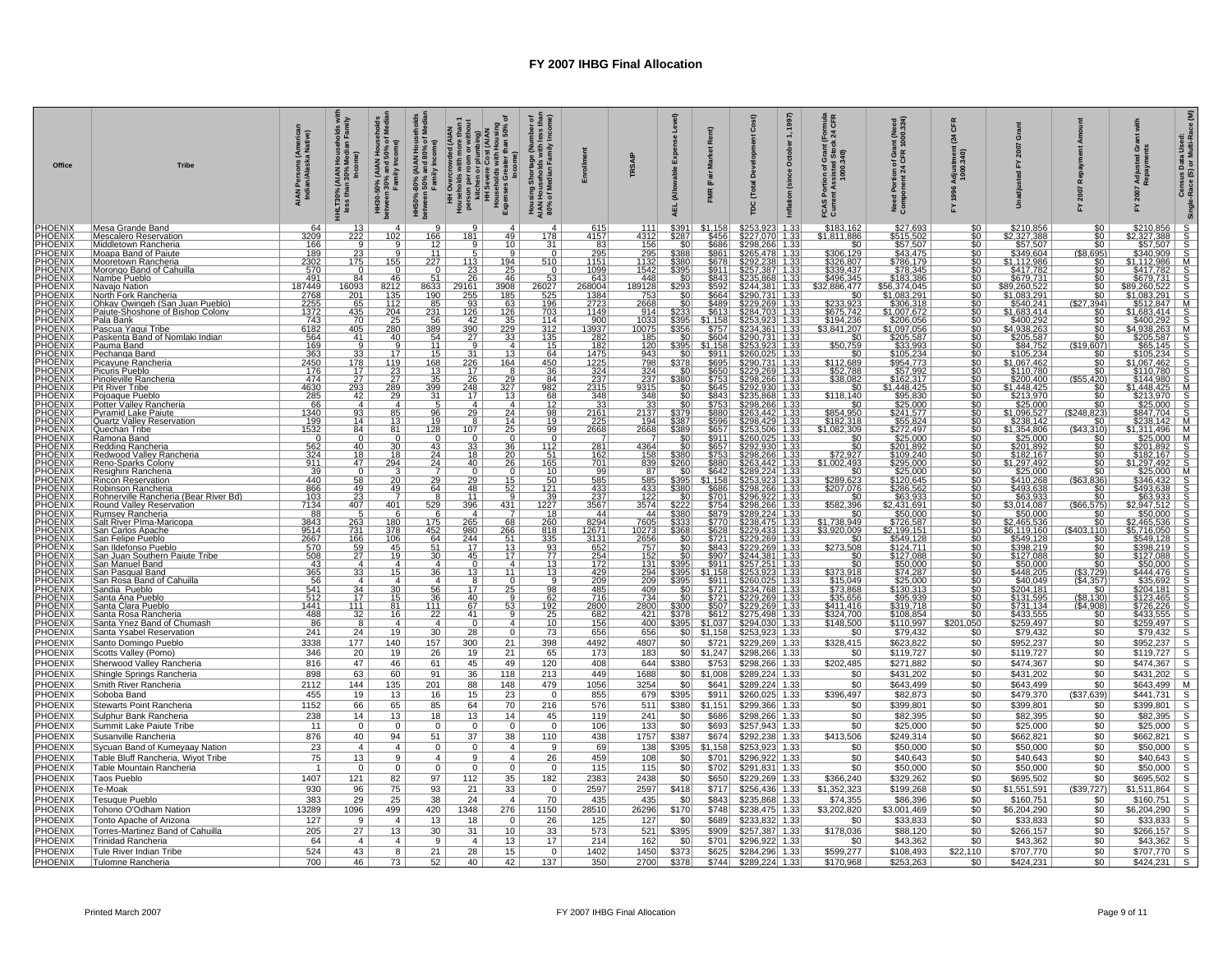| Office                                      | <b>Tribe</b>                                                                            | AIAN Persons (America<br>Indian/Alaska Native)                                                                   | Households<br>Median Fami<br>HHLT30% (AIAN H<br>less than 30% l                                  | HH30-50% (AIAN Hous<br>between 30% and 50% o<br>Family Income)                                          | HH50%-80% (AIAN Househ<br>between 50% and 80% of M<br>Family Income) | r plumbing)<br>• Cost (AIAN<br>with Housing<br>ater than 50% ‹<br>HH Overcrowded (AIAN<br>Households with more than<br>person per room or without<br>kitchen or plumbing)<br>Households with Housing<br>Households with Housing<br>Expenses Greater than 50% | imber<br>less ti<br>Incom<br>ing Shortage (Nun<br>Iouseholds with le<br>f Median Family II<br>Housing S<br>AIAN Hous<br>80% of Me |                                                                                                               | TRSAIP                                      | इ<br><b>AEL</b>          | $\tilde{\alpha}$<br>(Fair                  | Š<br>ö<br>ĕ<br>βG                                                                                                     | 1997)<br>1,<br>October<br>(since<br>Inflation | <b>CFR</b><br>효질<br>ii vii vii vii<br>isted Stoc<br>000.340)<br>ò<br>of G | int (Need<br>1000.324)<br>응뚠<br>齿<br>효<br>Need<br>Comp                                             | ō<br>ਰੂ ਵ                  | ō                                                                         |                                             | ចំ ឌ<br>Adju<br>Repa                                                                                                                                                                                                                                                                                                                     | Census Data Used:<br>Race (S) or Multi-Race (M) |
|---------------------------------------------|-----------------------------------------------------------------------------------------|------------------------------------------------------------------------------------------------------------------|--------------------------------------------------------------------------------------------------|---------------------------------------------------------------------------------------------------------|----------------------------------------------------------------------|--------------------------------------------------------------------------------------------------------------------------------------------------------------------------------------------------------------------------------------------------------------|-----------------------------------------------------------------------------------------------------------------------------------|---------------------------------------------------------------------------------------------------------------|---------------------------------------------|--------------------------|--------------------------------------------|-----------------------------------------------------------------------------------------------------------------------|-----------------------------------------------|---------------------------------------------------------------------------|----------------------------------------------------------------------------------------------------|----------------------------|---------------------------------------------------------------------------|---------------------------------------------|------------------------------------------------------------------------------------------------------------------------------------------------------------------------------------------------------------------------------------------------------------------------------------------------------------------------------------------|-------------------------------------------------|
| PHOENIX<br><b>PHOENIX</b>                   | Mesa Grande Band<br><b>Mescalero Reservation</b>                                        | 3209                                                                                                             | 13<br>222                                                                                        | 102                                                                                                     | 166                                                                  | g<br>$\boldsymbol{A}$<br>181<br>49                                                                                                                                                                                                                           | 4<br>$\frac{178}{31}$                                                                                                             | $\frac{615}{4157}$                                                                                            | 111<br>4312                                 | \$391<br>\$287           | \$1,158                                    | \$253,923                                                                                                             | 1.33<br>1.33                                  | \$183,162<br>\$1.811.886                                                  | \$27,693                                                                                           |                            | \$210,856                                                                 | \$0<br>\$0                                  | $\begin{array}{ c c c c c }\hline \texttt{\$5210.856$} & \texttt{\$587.607$} \\ \hline 8210.856$} & \texttt{\$587.607$} & \texttt{\$888.6200$} \\ \hline 8340.998 & \texttt{\$871.782$} & \texttt{\$888.6200$} \\ \hline 94112.988 & \texttt{\$8679.731$} & \texttt{\$888.6221$} & \texttt{\$888.6221$} \\ \hline 9560.5221 & \texttt{\$ |                                                 |
| PHOENIX<br>PHOENIX<br>PHOENIX               | Middletown Rancheria<br>Moapa Band of Paiute                                            | $\frac{166}{189}$                                                                                                | $\frac{23}{175}$                                                                                 |                                                                                                         | 1T                                                                   | 10                                                                                                                                                                                                                                                           | $\overline{\mathfrak{o}}$                                                                                                         | $\frac{83}{295}$                                                                                              | $\frac{156}{295}$                           | \$38                     | \$456<br>\$686<br>\$686                    |                                                                                                                       | $\frac{13}{13}$                               |                                                                           |                                                                                                    | \$0<br>\$0<br>\$0          | <u>\$2,327,388</u><br>\$57,507<br>\$349,604                               | ( \$8,695)                                  |                                                                                                                                                                                                                                                                                                                                          |                                                 |
| <b>PHOENIX</b>                              | Mooretown Rancheria                                                                     | $\frac{2302}{570}$                                                                                               | 0                                                                                                | 155<br>$\mathbf 0$                                                                                      | 227                                                                  | $\frac{194}{25}$                                                                                                                                                                                                                                             | 510<br>0                                                                                                                          | 1151<br>1099                                                                                                  | <u> 1132</u><br>1542                        | \$39                     | \$678                                      |                                                                                                                       | 1.33                                          |                                                                           | \$515.502<br>\$57,507<br>\$43,475<br>\$786.179<br>\$78,345                                         | <u>50</u><br>$\frac{1}{2}$ | <u> 51.112.986</u>                                                        | $\mathsf{so}$ 1<br>\$0 I                    |                                                                                                                                                                                                                                                                                                                                          |                                                 |
|                                             | Morongo Band of Cahuilla<br>Nambe Pueblo                                                | 491                                                                                                              | 84                                                                                               | 46                                                                                                      | 51                                                                   | $\frac{113}{23}$ $\frac{23}{26}$<br>46                                                                                                                                                                                                                       |                                                                                                                                   |                                                                                                               | 448                                         | $\overline{\mathcal{S}}$ |                                            |                                                                                                                       | 868 1.33                                      | 50<br>5306,129<br>5326.807<br>5339,437<br>5496.345<br>32,886,477<br>50    |                                                                                                    |                            | \$417,782<br>\$679,731<br>\$89,260,522<br>\$1,083,291                     | 50 <sub>1</sub>                             | $\frac{$417,782}{$679.731\n$89,260,522\n$1,083,291$                                                                                                                                                                                                                                                                                      |                                                 |
| <b>OENIX<br/>OENIX<br/>OENIX</b>            | Navajo Nation<br>North Fork Rancheria                                                   |                                                                                                                  | 6093                                                                                             | $\frac{8212}{135}$                                                                                      | 8633                                                                 | 3908<br>185<br>$\frac{29161}{255}$                                                                                                                                                                                                                           |                                                                                                                                   | $\frac{643}{\frac{643}{1384}}$                                                                                | <u>189128</u><br>753                        |                          | $\frac{8843}{5592}$                        | $\begin{array}{r l} \hline 2244,381 & 1.33 \\ \hline 5290,731 & 1.33 \\ \hline 5229.269 & 1.33 \\ \hline \end{array}$ |                                               |                                                                           | $\frac{$183.386}{$56.374.045}$                                                                     |                            |                                                                           |                                             |                                                                                                                                                                                                                                                                                                                                          |                                                 |
| <u>DENIX</u><br><b>DENIX</b>                | Ohkav Owingeh (San Juan Pueblo)<br> Paiute-Shoshone of Bishop Colony                    | $\begin{array}{r}\n 187449 \\  \hline\n 2768 \\  \hline\n 2255 \\  \hline\n 1372 \\  \hline\n 140\n \end{array}$ |                                                                                                  | 112                                                                                                     | 85<br>$\frac{1}{231}$                                                | 93<br>63<br>126                                                                                                                                                                                                                                              | $\begin{array}{r}\n 53 \\ \hline\n 6027 \\  \hline\n 525 \\  \hline\n 196 \\  \hline\n 703 \\  \hline\n\end{array}$               | 1149                                                                                                          | 2668<br>914                                 |                          | \$489<br>\$613                             |                                                                                                                       | 1.33                                          | \$233.923<br>\$675,742                                                    | <u>\$306.318</u>                                                                                   |                            | \$540.241<br>\$1,683,414                                                  | 94) l<br>(S2<br>\$0 I                       | \$1,683,414                                                                                                                                                                                                                                                                                                                              |                                                 |
| <u>HOENIX</u><br><b>ENIX</b>                | Pala Bank                                                                               |                                                                                                                  | $\begin{array}{r} 65 \\ \hline 65 \\ 435 \\ \hline 70 \\ 405 \\ \hline 41 \\ \hline \end{array}$ | $\frac{\frac{1}{204}}{\frac{25}{280}}$                                                                  | 56                                                                   | $\frac{126}{35}$<br>42                                                                                                                                                                                                                                       |                                                                                                                                   | 900                                                                                                           | 1033                                        |                          | $\frac{$1,158}{1,158}$ $\frac{$757}{9604}$ |                                                                                                                       |                                               | \$194.236<br>\$3,841,207                                                  | \$206.056<br>\$206.056<br>\$1,097.056<br>\$205.587<br>\$33.993                                     | $\frac{50}{50}$            | \$400.292                                                                 | SO 1<br>$\overline{50}$                     |                                                                                                                                                                                                                                                                                                                                          |                                                 |
| ÓENIX                                       | Pascua Yaqui Tribe<br> Paskenta Band of Nomlaki Indian                                  | $\frac{743}{\frac{6182}{564}}$                                                                                   | $\overline{\mathbf{a}}$                                                                          | $\overline{g}$                                                                                          | $\frac{389}{54}$                                                     | $\frac{229}{33}$<br>$\frac{390}{27}$                                                                                                                                                                                                                         | $\frac{114}{312}$ $\frac{135}{15}$                                                                                                | $\frac{13937}{282}$                                                                                           | $\frac{\frac{10075}{185}}{\frac{120}{120}}$ |                          |                                            |                                                                                                                       |                                               |                                                                           |                                                                                                    | \$0<br>\$0                 | $\frac{$4,938,263}{$205,587}$                                             |                                             | $\frac{$4,938,263}{$205,587}$                                                                                                                                                                                                                                                                                                            |                                                 |
| <b>DENIX</b><br><b>DENIX</b>                | Pauma Band<br>Pechanga Band                                                             | 363                                                                                                              |                                                                                                  | 17                                                                                                      | 11<br>15                                                             | $\overline{a}$<br>$\overline{4}$<br>31<br>13                                                                                                                                                                                                                 | 64                                                                                                                                | 1475                                                                                                          | 943                                         | \$395<br>\$0             | \$1.158<br>\$911                           | <b>\$253.923 1.33<br/>\$253.923 1.33<br/>\$290.731 1.33<br/>\$253.923 1.33<br/>\$260.025 1.33</b>                     |                                               | \$50.759<br>$\overline{50}$                                               |                                                                                                    | \$0                        | \$105,234                                                                 | (\$15<br>0.607)<br>\$0                      |                                                                                                                                                                                                                                                                                                                                          |                                                 |
| <b>JENIX</b>                                | Picavune Rancheria                                                                      | $\frac{2450}{176}$                                                                                               | $\begin{array}{r} 33 \\ 178 \\ 17 \\ 27 \\ 293 \\ 42 \\ \hline \end{array}$                      | $\begin{array}{r}\n 119 \\  \hline\n 23 \\  \hline\n 27 \\  \hline\n 289 \\  \hline\n 29\n \end{array}$ | 168                                                                  | $\begin{array}{r} 226 \\ 17 \\ 26 \\ 248 \\ 17 \end{array}$<br><u> 164 </u>                                                                                                                                                                                  | $\frac{450}{36}$                                                                                                                  | $\frac{1225}{324}$ $\frac{237}{2315}$ $\frac{2315}{348}$                                                      | 798<br>324<br>237                           | \$378                    | \$695                                      | <u>290.731 1.33</u><br>229.269 1.33<br>229.269 1.33                                                                   |                                               | \$112.689<br>\$52,788<br>\$38,082                                         | \$105,234<br>\$954,773<br>\$57,992<br>\$162,317                                                    | \$0<br>\$0<br>\$0<br>\$0   | \$1,067.462<br>\$110,780<br>\$200,400                                     | $\overline{50}$                             | \$105,234<br>\$1.067.462<br>\$110,780<br>\$144,980                                                                                                                                                                                                                                                                                       |                                                 |
| <u>DENIX</u><br>DENIX<br><b>OENIX</b>       | Picuris Pueblo<br>Pinoleville Rancheria                                                 |                                                                                                                  |                                                                                                  |                                                                                                         | $\frac{13}{35}$<br>399                                               | $\frac{29}{327}$<br>$\frac{327}{13}$                                                                                                                                                                                                                         | 982                                                                                                                               |                                                                                                               |                                             | \$380                    | \$650<br>\$753<br>\$645                    |                                                                                                                       |                                               |                                                                           |                                                                                                    |                            |                                                                           | $\frac{$0}{420}$<br>$\overline{50}$         |                                                                                                                                                                                                                                                                                                                                          |                                                 |
| <b>OENIX</b>                                | Pit River Tribe<br>Pojoaque Pueblo                                                      | $\frac{4630}{285}$                                                                                               |                                                                                                  |                                                                                                         | $\overline{31}$                                                      |                                                                                                                                                                                                                                                              | 68                                                                                                                                |                                                                                                               | $\frac{9315}{348}$                          |                          | \$843                                      |                                                                                                                       | $\frac{1.33}{1.33}$                           | \$118,140                                                                 | $\frac{1132,017}{1.448.425}$                                                                       | <u>aaalaaaaaaaaa</u>       | \$1,448,425<br>\$213,970<br>\$25,000<br>\$1,096,527<br>\$238,142          | $\overline{\$0}$                            | $\frac{$213,970}{225,000}$                                                                                                                                                                                                                                                                                                               |                                                 |
| <u>OENIX</u><br><b>DENIX</b>                | Potter Vallev Rancheria                                                                 | $\frac{66}{1340}$                                                                                                | $\frac{4}{93}$                                                                                   | $\overline{4}$<br>85<br>13                                                                              | $\frac{5}{\frac{96}{19}}$                                            | $\overline{4}$<br>$\frac{29}{8}$                                                                                                                                                                                                                             | $\frac{4}{24}$<br>14<br>12<br>$\frac{98}{19}$                                                                                     | 33<br>$\frac{2161}{225}$                                                                                      | $\frac{33}{2137}$<br>$\frac{2137}{194}$     |                          |                                            |                                                                                                                       | 1.33<br>$\frac{1.3}{1.3}$                     | \$0                                                                       |                                                                                                    |                            |                                                                           | \$0<br>$\frac{823}{\$0}$                    |                                                                                                                                                                                                                                                                                                                                          |                                                 |
| <u>PHŎĒNÍX</u><br>PHOENIX                   | Pyramid Lake Paiute<br> Quartz Valley Reservation<br>Quechan Tribe                      | 1532                                                                                                             |                                                                                                  | 81                                                                                                      | 128                                                                  | 107                                                                                                                                                                                                                                                          | 25                                                                                                                                | 2668                                                                                                          | 2668                                        |                          | \$596                                      |                                                                                                                       |                                               | \$854,950<br>\$182,318<br>\$1.082.309                                     | \$23.000<br>\$241,577<br>\$55,824<br>\$272,497<br>\$285,000<br>\$201,892<br>\$295,000<br>\$295,000 |                            |                                                                           | <u>.310) </u>                               | \$847,704<br>\$238,142                                                                                                                                                                                                                                                                                                                   |                                                 |
| PHOENIX                                     | Ramona Band                                                                             | $\overline{0}$                                                                                                   | $\frac{84}{0}$                                                                                   | $\overline{0}$                                                                                          |                                                                      |                                                                                                                                                                                                                                                              | $\frac{99}{0}$<br>$\overline{0}$                                                                                                  |                                                                                                               |                                             |                          |                                            |                                                                                                                       | $\frac{133}{1.33}$<br>$\frac{133}{1.33}$      |                                                                           |                                                                                                    |                            |                                                                           | $\overline{\text{so}}$                      | \$1,311,496<br>\$25,000<br>\$201.892<br>\$182,167<br>\$1,297,492                                                                                                                                                                                                                                                                         |                                                 |
| <u>PHOENIX</u><br><u>OENIX</u><br>OENIX     | Redding Rancheria<br>Redwood Valley Rancheria                                           | $\frac{562}{324}$<br>911                                                                                         | $\frac{3}{40}$<br>$\frac{18}{47}$                                                                | $\overline{30}$<br>$\frac{18}{294}$                                                                     | $\overline{43}$<br>$\frac{24}{24}$                                   | $\frac{33}{5}$<br>$\frac{18}{40}$                                                                                                                                                                                                                            | $\frac{112}{51}$<br>165<br>$\frac{36}{20}$<br>$\frac{20}{26}$                                                                     | 281<br>$\frac{162}{701}$                                                                                      | 4364<br>158<br>839                          |                          | \$657                                      |                                                                                                                       |                                               | 572,927<br>51,002,493                                                     |                                                                                                    |                            |                                                                           | \$0                                         |                                                                                                                                                                                                                                                                                                                                          |                                                 |
|                                             | Reno-Sparks Colony<br>Resighini Rancheria                                               |                                                                                                                  | $\overline{0}$                                                                                   | 3                                                                                                       |                                                                      |                                                                                                                                                                                                                                                              | $\Omega$                                                                                                                          | 99                                                                                                            | 87                                          |                          | \$880<br>\$642                             |                                                                                                                       | 1.33                                          | $\overline{50}$                                                           |                                                                                                    |                            | $37.354.806\n$25,000\n$201.892\n$182,167\n$1,297,492\n$25,000\n$42,000$   | $\overline{50}$                             |                                                                                                                                                                                                                                                                                                                                          |                                                 |
| <b>HOENIX</b><br>HOENIX<br><b>PHOENIX</b>   | <b>Rincon Reservation</b>                                                               | $\frac{39}{440}$<br>866                                                                                          | $\frac{58}{49}$<br>$\frac{49}{23}$<br>$\frac{23}{407}$                                           | $\overline{20}$<br>49                                                                                   | 29<br>64                                                             | 29<br>$\frac{15}{52}$<br>48                                                                                                                                                                                                                                  | $\begin{array}{c}\n 10 \\  \hline\n 50 \\  \hline\n 121 \\  \hline\n 39 \\  \hline\n 1227\n \end{array}$                          | 585                                                                                                           | 585                                         | \$395<br>\$38            | \$1,158<br>\$686                           |                                                                                                                       | 1.33                                          | \$289,623<br>\$207.076                                                    | $\frac{$25.000}{$25.000}$<br>\$286.562                                                             | \$0<br>\$0<br>\$0          | \$410,268                                                                 | 836)<br>(S6:                                |                                                                                                                                                                                                                                                                                                                                          |                                                 |
| ENIX                                        | Robinson Rancheria<br>Rohnerville Rancheria (Bear River Bd)<br>Round Valley Reservation | $\frac{103}{7134}$                                                                                               |                                                                                                  |                                                                                                         | $rac{8}{529}$                                                        | 11                                                                                                                                                                                                                                                           |                                                                                                                                   | $\frac{433}{237}$<br>$\frac{237}{3567}$                                                                       | $\frac{433}{122}$<br>3574                   |                          | \$701                                      |                                                                                                                       | $\frac{133}{133}$                             | $rac{10}{15582,396}$                                                      | 563,933<br>2,431,691                                                                               |                            | $\frac{$63,933}{$3,014,087}$                                              | $\frac{$0}{$75}$                            |                                                                                                                                                                                                                                                                                                                                          |                                                 |
| <b>ÕENIX</b><br><u>OENIX</u>                | Rumsev Rancheria<br>Salt River Plma-Maricopa                                            | 88                                                                                                               |                                                                                                  | 401<br>6                                                                                                |                                                                      | 396<br>431<br>$\overline{4}$                                                                                                                                                                                                                                 | <u>18</u>                                                                                                                         | 44                                                                                                            | 44                                          | 380                      | \$754<br>\$879                             |                                                                                                                       | $\frac{1.3}{1.3}$                             | \$በ                                                                       | \$50.000                                                                                           | \$0<br>\$0<br>\$0          | \$50.000                                                                  |                                             |                                                                                                                                                                                                                                                                                                                                          |                                                 |
| <b>DENIX</b>                                | San Carlos Apache                                                                       | 3843<br>9514<br>2667<br>570                                                                                      | 263                                                                                              | 180                                                                                                     | 175                                                                  | 68<br>265                                                                                                                                                                                                                                                    | 260                                                                                                                               | 8294                                                                                                          | $\frac{7605}{10273}$ $\frac{2656}{757}$     |                          | \$770                                      |                                                                                                                       |                                               | \$1,738,949<br>\$3.920.009                                                | $\frac{$726,587}{$2,199,151}$                                                                      |                            | \$2,465,536<br>\$6.119.160                                                | \$0<br>(S403.110)                           | \$50,000<br>\$2,465,536<br>\$5,716,050<br>\$549,128<br>\$398,219                                                                                                                                                                                                                                                                         |                                                 |
| <b>HOENIX<br/>HOENIX<br/>HOENIX</b>         | San Felipe Pueblo<br>San Ildefonso Pueblo                                               |                                                                                                                  | $\begin{array}{r} \n 731 \\  \hline\n 166 \\  \hline\n 59 \\  \hline\n 27\n \end{array}$         | $\frac{378}{106}$                                                                                       | $\frac{452}{64}$                                                     | $\frac{980}{244}$<br>17<br>$\frac{266}{51}$<br>$\frac{51}{13}$                                                                                                                                                                                               |                                                                                                                                   |                                                                                                               |                                             |                          | $\frac{$628}{$721}$<br>$$721$<br>$$843$    |                                                                                                                       | $\frac{133}{1.33}$                            | \$273,508                                                                 | <u>\$549,128</u><br>\$549,128                                                                      |                            | \$549,128<br>\$549,128                                                    | <u>\$0</u><br>50 <sub>1</sub>               |                                                                                                                                                                                                                                                                                                                                          |                                                 |
| <u>OENIX</u><br>OENIX                       | <u>San Juan Southern Paiute Tribe.</u>                                                  | $rac{508}{43}$                                                                                                   |                                                                                                  | 19                                                                                                      |                                                                      | $\frac{45}{3}$<br>17                                                                                                                                                                                                                                         | $\frac{\frac{13}{818}}{\frac{335}{93}}$                                                                                           | $\begin{array}{r}\n 12671 \\  \hline\n 3131 \\  \hline\n 652 \\  \hline\n 254 \\  \hline\n 172\n \end{array}$ | $\frac{152}{131}$                           |                          | \$907                                      |                                                                                                                       | $\frac{1.33}{1.33}$                           |                                                                           |                                                                                                    | 666666666666               | \$127.088                                                                 | \$0                                         |                                                                                                                                                                                                                                                                                                                                          |                                                 |
| <b>PHOENIX</b>                              | San Manuel Band                                                                         | 365                                                                                                              | $\vert$ 4                                                                                        | $\overline{a}$<br>15                                                                                    | $\overline{a}$<br>36                                                 | $\Omega$<br>13<br>11                                                                                                                                                                                                                                         | $\overline{4}$<br>13                                                                                                              |                                                                                                               |                                             |                          | \$911<br>\$1.158                           |                                                                                                                       | 1.33                                          | $\overline{\$0}$                                                          |                                                                                                    |                            |                                                                           | \$0                                         |                                                                                                                                                                                                                                                                                                                                          |                                                 |
| <b>OENIX</b><br><b>OENIX</b>                | San Pasqual Band<br>San Rosa Band<br>San Rosa Band of Cahuilla<br>Sandia Pueblo         | $\frac{56}{541}$<br>$\frac{541}{512}$                                                                            | $\begin{array}{c}\n 33 \\  \hline\n 4 \\  \hline\n 34 \\  \hline\n 17\n \end{array}$             | $\overline{4}$<br>$\overline{30}$                                                                       | $\overline{56}$                                                      | $\frac{8}{17}$                                                                                                                                                                                                                                               | $\frac{9}{98}$<br>$rac{0}{25}$                                                                                                    | $\frac{429}{209}$                                                                                             | 294<br>209<br>409                           |                          |                                            |                                                                                                                       | $\frac{1.33}{1.33}$                           | $\frac{$373.918}{$15.049}$                                                | $\frac{1241111}{127088}$ $\frac{50000}{1256000}$ $\frac{574287}{1300313}$                          |                            |                                                                           | $\frac{(\$3.729)}{(\$4.357)}$               |                                                                                                                                                                                                                                                                                                                                          |                                                 |
| <u>PHOENIX</u>                              | Santa Ana Pueblo                                                                        |                                                                                                                  |                                                                                                  | 15                                                                                                      | 36                                                                   | 40                                                                                                                                                                                                                                                           | 9                                                                                                                                 |                                                                                                               | 734                                         |                          |                                            |                                                                                                                       | 1.33                                          | \$35.656                                                                  | <u>\$95.939</u>                                                                                    |                            |                                                                           |                                             |                                                                                                                                                                                                                                                                                                                                          |                                                 |
| <b>PHOENIX</b><br><b>PHOENIX</b><br>PHOENIX | Santa Clara Pueblo<br><u>Santa Rosa Rancheria</u>                                       | 1441<br>488                                                                                                      | 111<br>32                                                                                        | 81<br>16                                                                                                | 111<br>$\overline{22}$                                               | 67<br>41                                                                                                                                                                                                                                                     | $\frac{62}{192}$ $\frac{75}{25}$<br>$\frac{53}{9}$                                                                                | $\frac{716}{2800}$                                                                                            | 2800<br>421                                 |                          | \$507<br>\$612]                            |                                                                                                                       | $\frac{1.33}{1.33}$                           | \$411,416                                                                 | \$319,718<br>\$108.854                                                                             |                            | \$448.205<br>\$448.205<br>\$40.049<br>\$204.181<br>\$433.555<br>\$259.497 | $\frac{(58.130)}{(54.908)}$ $\frac{50}{90}$ |                                                                                                                                                                                                                                                                                                                                          |                                                 |
| <b>PHOENIX</b>                              | Santa Ynez Band of Chumash<br>Santa Ysabel Reservation                                  | 86<br>241                                                                                                        | 8<br>24                                                                                          | $\overline{4}$<br>19                                                                                    | $\overline{4}$<br>30                                                 | $\Omega$<br>28                                                                                                                                                                                                                                               | 4 <sup>1</sup><br>0 <sup>1</sup><br>73                                                                                            | 156<br>656                                                                                                    | 400<br>656                                  | \$0                      | \$1,037<br>\$1,158                         | $$294,030$ 1.33<br>\$253,923 1.33                                                                                     |                                               | \$148,500<br>\$0                                                          | \$110,997<br>\$79,432                                                                              | ,050<br>\$0                | \$79,432                                                                  | \$0                                         |                                                                                                                                                                                                                                                                                                                                          |                                                 |
| PHOENIX                                     | Santo Domingo Pueblo                                                                    | 3338                                                                                                             | 177                                                                                              | 140                                                                                                     | 157                                                                  | 300<br>21                                                                                                                                                                                                                                                    | 398                                                                                                                               | 4492                                                                                                          | 4807                                        | \$0                      | \$721                                      | \$229,269 1.33                                                                                                        |                                               | \$328,415                                                                 | \$623,822                                                                                          | \$0                        | \$952,237                                                                 | \$0                                         | \$952,237                                                                                                                                                                                                                                                                                                                                | S                                               |
| PHOENIX<br>PHOENIX                          | Scotts Valley (Pomo)<br>Sherwood Valley Rancheria                                       | 346<br>816                                                                                                       | 20<br>47                                                                                         | 19<br>46                                                                                                | 26<br>61                                                             | 21<br>19<br>45<br>49                                                                                                                                                                                                                                         | 65<br>120                                                                                                                         | 173<br>408                                                                                                    | 183<br>644                                  | 50 <br>\$380             | \$1,247<br>\$753                           | \$298,266 1.33<br>\$298,266 1.33                                                                                      |                                               | \$0<br>\$202,485                                                          | \$119,727<br>\$271,882                                                                             | \$0<br>\$0                 | \$119,727<br>\$474,367                                                    | \$0<br>\$0                                  | \$119,727<br>\$474,367                                                                                                                                                                                                                                                                                                                   | S<br>S                                          |
| PHOENIX                                     | Shingle Springs Rancheria                                                               | 898                                                                                                              | 63                                                                                               | 60                                                                                                      | 91                                                                   | 36<br>118                                                                                                                                                                                                                                                    | 213                                                                                                                               | 449                                                                                                           | 1688                                        | \$0                      | \$1,008                                    | \$289,224 1.33                                                                                                        |                                               | \$0                                                                       | \$431,202                                                                                          | \$0                        | \$431,202                                                                 | \$0                                         | \$431,202                                                                                                                                                                                                                                                                                                                                | S                                               |
| PHOENIX                                     | Smith River Rancheria                                                                   | 2112                                                                                                             | 144                                                                                              | 135                                                                                                     | 201                                                                  | 88<br>148                                                                                                                                                                                                                                                    | 479                                                                                                                               | 1056                                                                                                          | 3254                                        | \$0                      | \$641                                      | \$289,224 1.33                                                                                                        |                                               | \$0                                                                       | \$643,499                                                                                          | \$0                        | \$643,499                                                                 | \$0                                         | \$643,499                                                                                                                                                                                                                                                                                                                                | М                                               |
| PHOENIX<br>PHOENIX                          | Soboba Band<br>Stewarts Point Rancheria                                                 | 455<br>1152                                                                                                      | 19<br>66                                                                                         | 13<br>65                                                                                                | 16<br>85                                                             | 15<br>23<br>70<br>64                                                                                                                                                                                                                                         | $\circ$<br>216                                                                                                                    | 855<br>576                                                                                                    | 679<br>511                                  | \$395<br>\$380           | \$911<br>\$1,151                           | \$260,025 1.33<br>\$299,366 1.33                                                                                      |                                               | \$396,497<br>\$0                                                          | \$82,873<br>\$399,801                                                                              | \$0<br>\$0                 | \$479,370<br>\$399,801                                                    | (\$37,639)<br>\$0                           | \$441,731<br>\$399,801                                                                                                                                                                                                                                                                                                                   | S<br>S                                          |
| <b>HOENIX</b>                               | Sulphur Bank Rancheria                                                                  | 238                                                                                                              | 14                                                                                               | 13                                                                                                      | 18                                                                   | 13<br>14                                                                                                                                                                                                                                                     | 45                                                                                                                                | 119                                                                                                           | 241                                         | \$0                      | \$686                                      | \$298,266 1.33                                                                                                        |                                               | \$0                                                                       | \$82,395                                                                                           | $\overline{50}$            | \$82,395                                                                  | $\overline{50}$                             | \$82,395                                                                                                                                                                                                                                                                                                                                 | $\overline{s}$                                  |
| <b>PHOENIX</b><br><b>HOENIX</b>             | Summit Lake Paiute Tribe<br>Susanville Rancheria                                        | 11<br>876                                                                                                        | $\mathbf{0}$<br>40                                                                               | $\mathbf{0}$<br>94                                                                                      | $\Omega$<br>51                                                       | $\mathbf{0}$<br>$\mathbf{0}$<br>37<br>38                                                                                                                                                                                                                     | $\mathbf 0$<br>110                                                                                                                | 106<br>438                                                                                                    | 133<br>1757                                 | \$0<br>\$387             | \$693<br>\$674]                            | \$257,943 1.33<br>\$292,238 1.33                                                                                      |                                               | \$0<br>\$413,506                                                          | \$25,000<br>\$249,314                                                                              | \$0<br>\$0                 | \$25,000<br>\$662,821                                                     | \$0<br>\$0                                  | \$25,000<br>\$662,821                                                                                                                                                                                                                                                                                                                    | S<br>$\overline{s}$                             |
| <b>HOENIX</b>                               | Sycuan Band of Kumeyaay Nation                                                          | 23                                                                                                               | $\overline{4}$                                                                                   | $\overline{4}$                                                                                          | 0                                                                    | 0                                                                                                                                                                                                                                                            | 9<br>$\overline{4}$                                                                                                               | 69                                                                                                            | 138                                         | \$395                    | \$1,158                                    | \$253,923 1.33                                                                                                        |                                               | \$0                                                                       | \$50,000                                                                                           | \$0                        | \$50,000                                                                  | \$0                                         | \$50,000                                                                                                                                                                                                                                                                                                                                 | $\overline{s}$                                  |
| <b>HOENIX</b>                               | Table Bluff Rancheria, Wiyot Tribe                                                      | 75                                                                                                               | 13                                                                                               | $\overline{9}$                                                                                          | $\overline{4}$                                                       | 9                                                                                                                                                                                                                                                            | 26<br>$\overline{4}$                                                                                                              | 459                                                                                                           | 108                                         | \$0                      | \$701                                      | \$296,922 1.33                                                                                                        |                                               | \$0                                                                       | \$40,643                                                                                           | \$0                        | \$40,643                                                                  | \$0                                         | \$40,643                                                                                                                                                                                                                                                                                                                                 | $\overline{s}$                                  |
| <b>HOENIX</b><br>PHOENIX                    | Table Mountain Rancheria<br>Taos Pueblo                                                 | $\overline{1}$<br>1407                                                                                           | $\mathbf 0$<br>121                                                                               | $\mathbf 0$<br>82                                                                                       | 0<br>97                                                              | 0<br>112<br>35                                                                                                                                                                                                                                               | $\mathbf{0}$<br>$\mathbf 0$<br>182                                                                                                | 115<br>2383                                                                                                   | 115<br>2438                                 | \$0<br>\$0               | \$702<br>\$650                             | \$291,831 1.33<br>\$229,269 1.33                                                                                      |                                               | \$0<br>\$366,240                                                          | \$50,000<br>\$329,262                                                                              | \$0<br>\$0                 | \$50,000<br>\$695,502                                                     | \$0<br>\$0                                  | \$50,000<br>\$695,502                                                                                                                                                                                                                                                                                                                    | S<br>S                                          |
| PHOENIX                                     | Te-Moak                                                                                 | 930                                                                                                              | 96                                                                                               | 75                                                                                                      | 93                                                                   | 21<br>33                                                                                                                                                                                                                                                     | $\mathbf 0$                                                                                                                       | 2597                                                                                                          | 2597                                        | \$418                    | \$717                                      | \$256,436 1.33                                                                                                        |                                               | \$1,352,323                                                               | \$199,268                                                                                          | \$0                        | \$1,551,591                                                               | (\$39,727)                                  | \$1,511,864                                                                                                                                                                                                                                                                                                                              | S                                               |
| PHOENIX                                     | Tesuque Pueblo                                                                          | 383                                                                                                              | 29                                                                                               | 25                                                                                                      | 38                                                                   | 24                                                                                                                                                                                                                                                           | 70<br>$\overline{4}$                                                                                                              | 435                                                                                                           | 435                                         | \$0                      | \$843                                      | \$235,868 1.33                                                                                                        |                                               | \$74,355                                                                  | \$86,396                                                                                           | \$0                        | \$160,751                                                                 | \$0                                         | \$160,751                                                                                                                                                                                                                                                                                                                                | S                                               |
| PHOENIX<br>PHOENIX                          | Tohono O'Odham Nation<br>Tonto Apache of Arizona                                        | 13289<br>127                                                                                                     | 1096<br>9                                                                                        | 499<br>$\overline{4}$                                                                                   | 420<br>13                                                            | 1348<br>276<br>18                                                                                                                                                                                                                                            | 1150<br>26<br>$\mathbf{0}$                                                                                                        | 28510<br>125                                                                                                  | 26296<br>127                                | \$170<br>\$0             | \$748<br>\$689                             | \$238,475 1.33<br>\$233,832 1.33                                                                                      |                                               | \$3,202,820<br>\$0                                                        | \$3,001,469<br>\$33,833                                                                            | \$0<br>\$0                 | \$6,204,290<br>\$33,833                                                   | \$0<br>\$0                                  | \$6,204,290<br>\$33,833                                                                                                                                                                                                                                                                                                                  | S<br>S                                          |
| <b>PHOENIX</b>                              | Torres-Martinez Band of Cahuilla                                                        | 205                                                                                                              | 27                                                                                               | 13                                                                                                      | 30                                                                   | 10<br>31                                                                                                                                                                                                                                                     | 33                                                                                                                                | 573                                                                                                           | 521                                         | \$395                    | \$909                                      | \$257,387 1.33                                                                                                        |                                               | \$178,036                                                                 | \$88,120                                                                                           | \$0                        | \$266,157                                                                 | \$0                                         | \$266,157                                                                                                                                                                                                                                                                                                                                | $\overline{s}$                                  |
| <b>PHOENIX</b><br><b>PHOENIX</b>            | Trinidad Rancheria<br>Tule River Indian Tribe                                           | 64<br>524                                                                                                        | $\overline{4}$<br>43                                                                             | $\overline{4}$<br>8                                                                                     | 9<br>$\overline{21}$                                                 | 13<br>$\overline{4}$<br>28<br>15                                                                                                                                                                                                                             | 17<br>$\overline{0}$                                                                                                              | 214<br>1402                                                                                                   | 162<br>1450                                 | \$0<br>\$373             | \$701<br>\$625                             | \$296,922 1.33<br>\$284,296 1.33                                                                                      |                                               | \$0<br>\$599.277                                                          | \$43,362<br>\$108,493                                                                              | \$0<br>\$22.110            | \$43,362<br>\$707,770                                                     | \$0<br>\$0                                  | \$43,362<br>\$707,770                                                                                                                                                                                                                                                                                                                    | $\overline{s}$<br>$\overline{s}$                |
| <b>PHOENIX</b>                              | Tulomne Rancheria                                                                       | 700                                                                                                              | 46                                                                                               | 73                                                                                                      | 52                                                                   | 40<br>42                                                                                                                                                                                                                                                     | 137                                                                                                                               | 350                                                                                                           | 2700                                        | \$378                    | \$744                                      | \$289,224 1.33                                                                                                        |                                               | \$170,968                                                                 | \$253,263                                                                                          | \$0                        | \$424,231                                                                 | \$0                                         | \$424,231                                                                                                                                                                                                                                                                                                                                | $\overline{s}$                                  |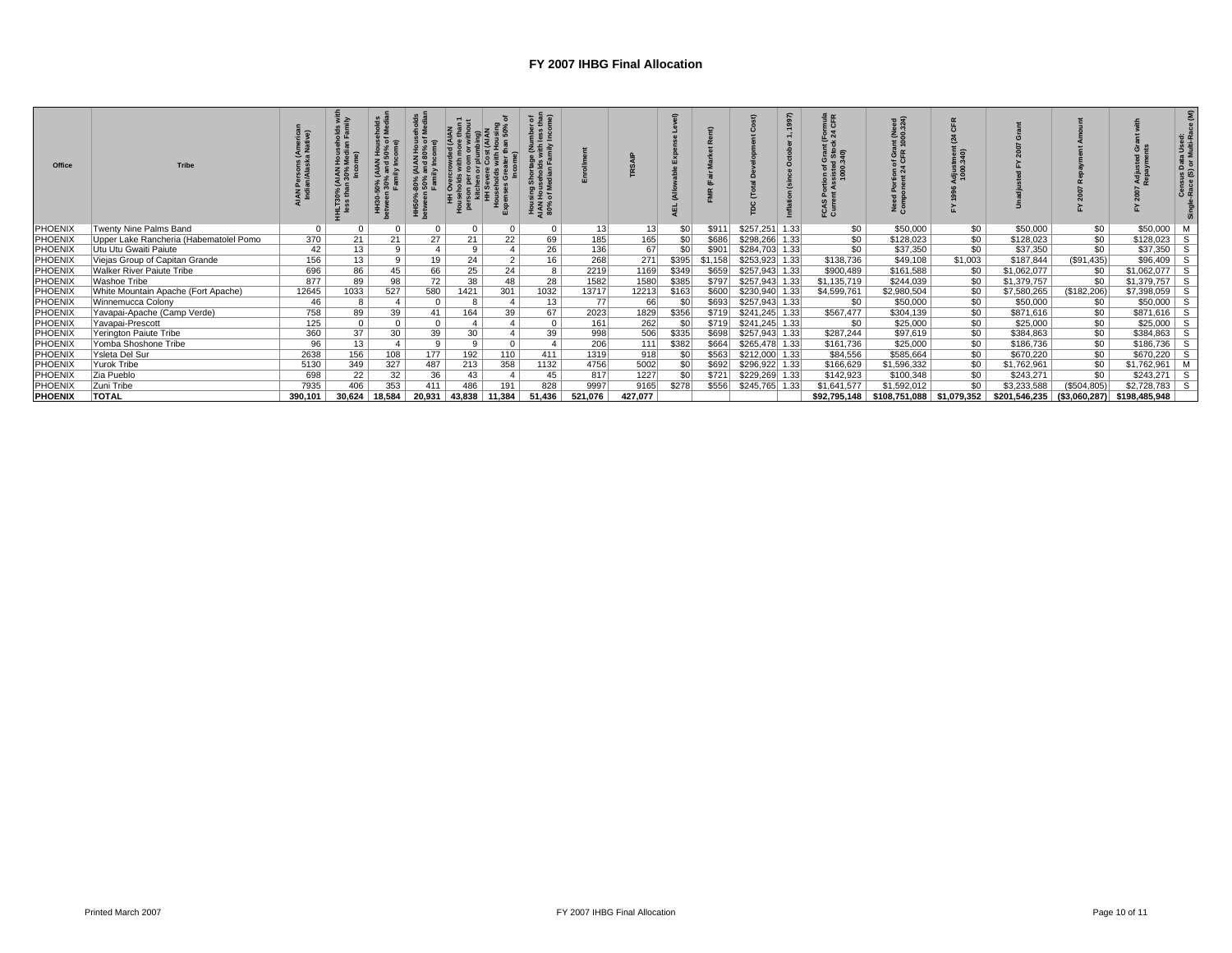| Office         | <b>Tribe</b>                           |          |          | <u>ိ</u> နိ | ទី ទី ក្នុ      |              |                | tere)<br>ິ<br>ing<br>노인<br>이 Vi<br><b>HOUS</b><br>NAM<br>80% |         |         |                 |         |                 |      | mula<br>CFR<br>: ៖ ទ<br>ូ ភូ | $(Meed)$<br>$00.324)$<br>Grant<br>FR 100<br>ខឺ និ | 340         |               |              |                              | a Used<br>Multi-R<br>Census Data<br>-Race (S) or I |
|----------------|----------------------------------------|----------|----------|-------------|-----------------|--------------|----------------|--------------------------------------------------------------|---------|---------|-----------------|---------|-----------------|------|------------------------------|---------------------------------------------------|-------------|---------------|--------------|------------------------------|----------------------------------------------------|
| PHOENIX        | Twenty Nine Palms Band                 | $\Omega$ |          |             | $\Omega$        | $\mathbf{0}$ | $\Omega$       | $\Omega$                                                     | 13      | 13      | \$0             | \$911   | \$257,251       | 1.33 | \$0                          | \$50,000                                          | \$0         | \$50,000      | \$0          | \$50,000                     | м                                                  |
| <b>PHOENIX</b> | Upper Lake Rancheria (Habematolel Pomo | 370      | 21       | 21          | 27 <sub>1</sub> | 21           | 22             | 69                                                           | 185     | 165     | \$0             | \$686   | \$298,266 1.33  |      | \$0                          | \$128,023                                         | \$0         | \$128,023     | \$0          | $$128,023$ S                 |                                                    |
| PHOENIX        | Utu Utu Gwaiti Paiute                  | 42       | 13       | 9           | $\overline{4}$  | 9            |                | 26                                                           | 136     | 67      | \$0             | \$901   | \$284,703 1.33  |      | \$0                          | \$37,350                                          | \$0         | \$37,350      | \$0          | $$37,350$ S                  |                                                    |
| PHOENIX        | Viejas Group of Capitan Grande         | 156      | 13       | 9           | 19              | 24           | 2 <sub>1</sub> | 16                                                           | 268     | 271     | \$395           | \$1,158 | \$253,923 1.33  |      | \$138,736                    | \$49,108                                          | \$1,003     | \$187.844     | (S91, 435)   | $$96,409$ S                  |                                                    |
| <b>PHOENIX</b> | <b>Walker River Paiute Tribe</b>       | 696      | 86       | 45          | 66              | 25           | 24             |                                                              | 2219    | 1169    | \$349           | \$659   | $$257,943$ 1.33 |      | \$900,489                    | \$161,588                                         | \$0         | \$1,062,077   | \$0          | $$1,062,077$ S               |                                                    |
| PHOENIX        | Washoe Tribe                           | 877      | 89       | 98          | 72              | 38           | 48             | 28                                                           | 1582    | 1580    | \$385           | \$797   | \$257,943 1.33  |      | \$1,135,719                  | \$244,039                                         | \$0         | \$1,379,757   | \$0          | $$1,379,757$ S               |                                                    |
| <b>PHOENIX</b> | White Mountain Apache (Fort Apache)    | 12645    | 1033     | 527         | 580             | 1421         | 301            | 1032                                                         | 13717   | 12213   | \$163           | \$600   | \$230,940 1.33  |      | \$4,599,761                  | \$2,980,504                                       | \$0         | \$7,580,265   | (\$182,206)  | $$7,398,059$ S               |                                                    |
| <b>PHOENIX</b> | Winnemucca Colony                      | 46       |          |             | $\mathbf{0}$    | 8            |                | 13                                                           | 77      | 66      | \$0             | \$693   | \$257,943 1.33  |      | \$0                          | \$50,000                                          | \$0         | \$50,000      | \$0          | $$50,000$ S                  |                                                    |
| PHOENIX        | Yavapai-Apache (Camp Verde)            | 758      | 89       | 39          | 41              | 164          | 39             | 67                                                           | 2023    | 1829    | \$356           | \$719   | $$241,245$ 1.33 |      | \$567,477                    | \$304,139                                         | \$0         | \$871,616     | \$0          | $$871,616$ S                 |                                                    |
| PHOENIX        | Yavapai-Prescott                       | 125      | $\Omega$ | $\Omega$    | $\mathbf{0}$    |              |                | $\Omega$                                                     | 161     | 262     | $\overline{30}$ | \$719   | $$241,245$ 1.33 |      | \$0                          | \$25,000                                          | \$0         | \$25,000      | \$0          | $$25,000$ S                  |                                                    |
| PHOENIX        | Yerington Paiute Tribe                 | 360      | 37       | 30          | 39              | 30           |                | 39                                                           | 998     | 506     | \$335           | \$698   | $$257,943$ 1.33 |      | \$287,244                    | \$97,619                                          | \$0         | \$384,863     | \$0          | $$384,863$ S                 |                                                    |
| PHOENIX        | Yomba Shoshone Tribe                   | 96       | 13       |             | 9               | 9            | $\Omega$       |                                                              | 206     | 111     | \$382           | \$664   | \$265,478 1.33  |      | \$161,736                    | \$25,000                                          | \$0         | \$186,736     | \$0          | $$186,736$ S                 |                                                    |
| PHOENIX        | Ysleta Del Sur                         | 2638     | 156      | 108         | 177             | 192          | 110            | 411                                                          | 1319    | 918     | SO <sub>1</sub> | \$563   | \$212,000 1.33  |      | \$84,556                     | \$585,664                                         | \$0         | \$670,220     | \$0          | $$670.220$ S                 |                                                    |
| PHOENIX        | Yurok Tribe                            | 5130     | 349      | 327         | 487             | 213          | 358            | 1132                                                         | 4756    | 5002    | \$0             | \$692   | \$296,922 1.33  |      | \$166,629                    | \$1,596,332                                       | \$0         | \$1,762,961   | \$0          | \$1,762,961 M                |                                                    |
| PHOENIX        | Zia Pueblo                             | 698      | 22       | 32          | 36              | 43           |                | 45                                                           | 817     | 1227    | SO <sub>1</sub> | \$721   | \$229,269 1.33  |      | \$142,923                    | \$100,348                                         | \$0         | \$243,271     | \$0          | $$243,271$ S                 |                                                    |
| <b>PHOENIX</b> | Zuni Tribe                             | 7935     | 406      | 353         | 411             | 486          | 191            | 828                                                          | 9997    | 9165    | \$278           | \$556   | \$245,765 1.33  |      | \$1,641,577                  | \$1,592,012                                       | \$0         | \$3,233,588   | (\$504, 805) | $$2,728,783$ S               |                                                    |
| <b>PHOENIX</b> | <b>TOTAL</b>                           | 390,101  | 30,624   | 18,584      | 20,931          | 43,838       | 11,384         | 51,436                                                       | 521,076 | 427,077 |                 |         |                 |      | \$92,795,148                 | \$108,751,088                                     | \$1,079,352 | \$201,546,235 |              | $(S3,060,287)$ \$198,485,948 |                                                    |